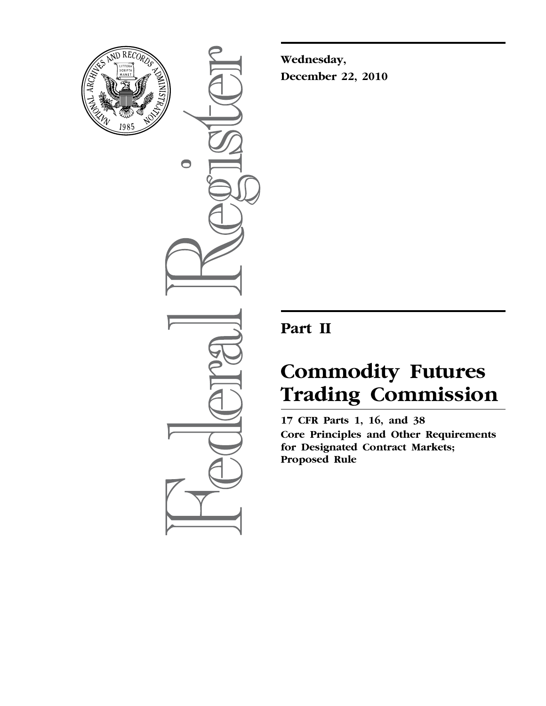

 $\bullet$ 

**Wednesday, December 22, 2010** 

# **Part II**

# **Commodity Futures Trading Commission**

**17 CFR Parts 1, 16, and 38 Core Principles and Other Requirements for Designated Contract Markets; Proposed Rule**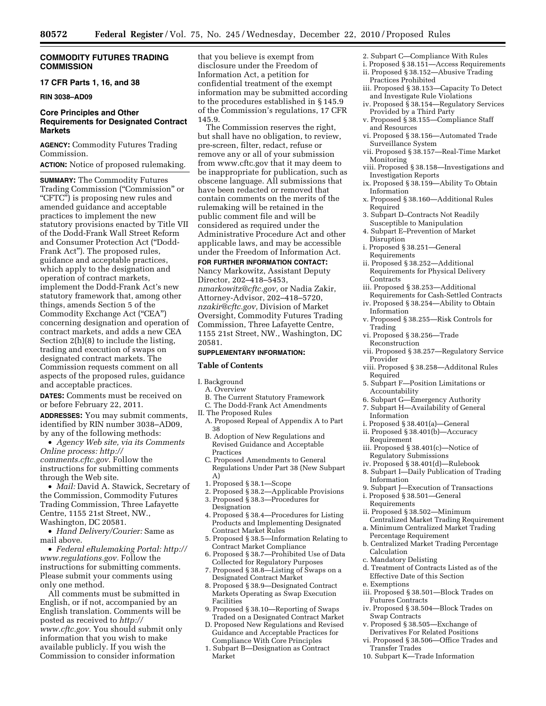## **COMMODITY FUTURES TRADING COMMISSION**

## **17 CFR Parts 1, 16, and 38**

## **RIN 3038–AD09**

## **Core Principles and Other Requirements for Designated Contract Markets**

**AGENCY:** Commodity Futures Trading Commission.

**ACTION:** Notice of proposed rulemaking.

**SUMMARY:** The Commodity Futures Trading Commission (''Commission'' or "CFTC") is proposing new rules and amended guidance and acceptable practices to implement the new statutory provisions enacted by Title VII of the Dodd-Frank Wall Street Reform and Consumer Protection Act (''Dodd-Frank Act''). The proposed rules, guidance and acceptable practices, which apply to the designation and operation of contract markets, implement the Dodd-Frank Act's new statutory framework that, among other things, amends Section 5 of the Commodity Exchange Act (''CEA'') concerning designation and operation of contract markets, and adds a new CEA Section 2(h)(8) to include the listing, trading and execution of swaps on designated contract markets. The Commission requests comment on all aspects of the proposed rules, guidance and acceptable practices.

**DATES:** Comments must be received on or before February 22, 2011.

**ADDRESSES:** You may submit comments, identified by RIN number 3038–AD09, by any of the following methods:

• *Agency Web site, via its Comments Online process: [http://](http://comments.cftc.gov) [comments.cftc.gov.](http://comments.cftc.gov)* Follow the instructions for submitting comments through the Web site.

• *Mail:* David A. Stawick, Secretary of the Commission, Commodity Futures Trading Commission, Three Lafayette Centre, 1155 21st Street, NW., Washington, DC 20581.

• *Hand Delivery/Courier:* Same as mail above.

• *Federal eRulemaking Portal: [http://](http://www.regulations.gov)  [www.regulations.gov.](http://www.regulations.gov)* Follow the instructions for submitting comments. Please submit your comments using only one method.

All comments must be submitted in English, or if not, accompanied by an English translation. Comments will be posted as received to *[http://](http://www.cftc.gov) [www.cftc.gov.](http://www.cftc.gov)* You should submit only information that you wish to make available publicly. If you wish the Commission to consider information

that you believe is exempt from disclosure under the Freedom of Information Act, a petition for confidential treatment of the exempt information may be submitted according to the procedures established in § 145.9 of the Commission's regulations, 17 CFR 145.9.

The Commission reserves the right, but shall have no obligation, to review, pre-screen, filter, redact, refuse or remove any or all of your submission from www.cftc.gov that it may deem to be inappropriate for publication, such as obscene language. All submissions that have been redacted or removed that contain comments on the merits of the rulemaking will be retained in the public comment file and will be considered as required under the Administrative Procedure Act and other applicable laws, and may be accessible under the Freedom of Information Act.

#### **FOR FURTHER INFORMATION CONTACT:**

Nancy Markowitz, Assistant Deputy Director, 202–418–5453, *[nmarkowitz@cftc.gov,](mailto:nmarkowitz@cftc.gov)* or Nadia Zakir, Attorney-Advisor, 202–418–5720, *[nzakir@cftc.gov,](mailto:nzakir@cftc.gov)* Division of Market Oversight, Commodity Futures Trading Commission, Three Lafayette Centre, 1155 21st Street, NW., Washington, DC 20581.

## **SUPPLEMENTARY INFORMATION:**

#### **Table of Contents**

- I. Background
- A. Overview
- B. The Current Statutory Framework
- C. The Dodd-Frank Act Amendments
- II. The Proposed Rules
- A. Proposed Repeal of Appendix A to Part 38
	- B. Adoption of New Regulations and Revised Guidance and Acceptable Practices
	- C. Proposed Amendments to General Regulations Under Part 38 (New Subpart A)
	- 1. Proposed § 38.1—Scope
- 2. Proposed § 38.2—Applicable Provisions 3. Proposed § 38.3—Procedures for
- **Designation**
- 4. Proposed § 38.4—Procedures for Listing Products and Implementing Designated Contract Market Rules
- 5. Proposed § 38.5—Information Relating to Contract Market Compliance
- 6. Proposed § 38.7—Prohibited Use of Data Collected for Regulatory Purposes
- 7. Proposed § 38.8—Listing of Swaps on a Designated Contract Market
- 8. Proposed § 38.9—Designated Contract Markets Operating as Swap Execution Facilities
- 9. Proposed § 38.10—Reporting of Swaps Traded on a Designated Contract Market
- D. Proposed New Regulations and Revised Guidance and Acceptable Practices for Compliance With Core Principles
- 1. Subpart B—Designation as Contract Market
- 2. Subpart C—Compliance With Rules
- i. Proposed § 38.151—Access Requirements ii. Proposed § 38.152—Abusive Trading
- Practices Prohibited
- iii. Proposed § 38.153—Capacity To Detect and Investigate Rule Violations
- iv. Proposed § 38.154—Regulatory Services Provided by a Third Party
- v. Proposed § 38.155—Compliance Staff and Resources
- vi. Proposed § 38.156—Automated Trade Surveillance System
- vii. Proposed § 38.157—Real-Time Market Monitoring
- viii. Proposed § 38.158—Investigations and Investigation Reports
- ix. Proposed § 38.159—Ability To Obtain Information
- x. Proposed § 38.160—Additional Rules Required
- 3. Subpart D–Contracts Not Readily Susceptible to Manipulation
- 4. Subpart E–Prevention of Market Disruption
- i. Proposed § 38.251—General Requirements
- ii. Proposed § 38.252—Additional Requirements for Physical Delivery **Contracts**
- iii. Proposed § 38.253—Additional
- Requirements for Cash-Settled Contracts iv. Proposed § 38.254—Ability to Obtain
- Information v. Proposed § 38.255—Risk Controls for
	- Trading
- vi. Proposed § 38.256—Trade Reconstruction
- vii. Proposed § 38.257—Regulatory Service Provider
- viii. Proposed § 38.258—Additonal Rules Required
- 5. Subpart F—Position Limitations or Accountability
- 6. Subpart G—Emergency Authority
- 7. Subpart H—Availability of General
- Information
- i. Proposed § 38.401(a)—General ii. Proposed § 38.401(b)—Accuracy
- Requirement
- iii. Proposed § 38.401(c)—Notice of Regulatory Submissions
- iv. Proposed § 38.401(d)—Rulebook
- 8. Subpart I—Daily Publication of Trading Information
- 9. Subpart J—Execution of Transactions
- i. Proposed § 38.501—General Requirements
- ii. Proposed § 38.502—Minimum Centralized Market Trading Requirement
- a. Minimum Centralized Market Trading Percentage Requirement
- b. Centralized Market Trading Percentage Calculation
- c. Mandatory Delisting
- d. Treatment of Contracts Listed as of the Effective Date of this Section
- e. Exemptions iii. Proposed § 38.501—Block Trades on Futures Contracts
- iv. Proposed § 38.504—Block Trades on Swap Contracts
- v. Proposed § 38.505—Exchange of Derivatives For Related Positions
- vi. Proposed § 38.506—Office Trades and Transfer Trades
- 10. Subpart K—Trade Information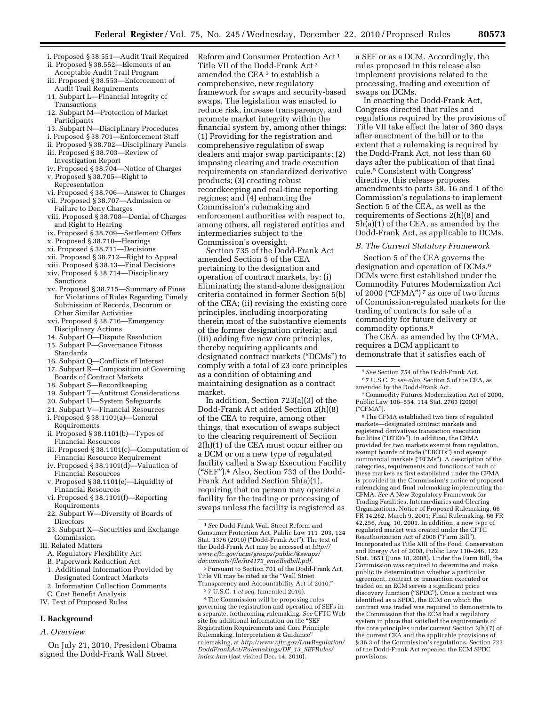- i. Proposed § 38.551—Audit Trail Required
- ii. Proposed § 38.552—Elements of an
- Acceptable Audit Trail Program iii. Proposed § 38.553—Enforcement of
- Audit Trail Requirements
- 11. Subpart L—Financial Integrity of Transactions
- 12. Subpart M—Protection of Market **Participants**
- 13. Subpart N—Disciplinary Procedures
- i. Proposed § 38.701—Enforcement Staff
- ii. Proposed § 38.702—Disciplinary Panels
- iii. Proposed § 38.703—Review of Investigation Report
- iv. Proposed § 38.704—Notice of Charges
- v. Proposed § 38.705—Right to Representation
- vi. Proposed § 38.706—Answer to Charges
- vii. Proposed § 38.707—Admission or Failure to Deny Charges
- viii. Proposed § 38.708—Denial of Charges and Right to Hearing
- ix. Proposed § 38.709—Settlement Offers
- x. Proposed § 38.710—Hearings
- xi. Proposed § 38.711—Decisions
- xii. Proposed § 38.712—Right to Appeal
- xiii. Proposed § 38.13—Final Decisions
- xiv. Proposed § 38.714—Disciplinary
- Sanctions
- xv. Proposed § 38.715—Summary of Fines for Violations of Rules Regarding Timely Submission of Records, Decorum or Other Similar Activities
- xvi. Proposed § 38.716—Emergency Disciplinary Actions
- 14. Subpart O—Dispute Resolution
- 15. Subpart P—Governance Fitness Standards
- 16. Subpart Q—Conflicts of Interest
- 17. Subpart R—Composition of Governing Boards of Contract Markets
- 18. Subpart S—Recordkeeping
- 19. Subpart T—Antitrust Considerations
- 20. Subpart U—System Safeguards
- 21. Subpart V—Financial Resources i. Proposed § 38.1101(a)—General
- Requirements
- ii. Proposed § 38.1101(b)—Types of Financial Resources
- iii. Proposed § 38.1101(c)—Computation of Financial Resource Requirement
- iv. Proposed § 38.1101(d)—Valuation of Financial Resources
- v. Proposed § 38.1101(e)—Liquidity of Financial Resources
- vi. Proposed § 38.1101(f)—Reporting Requirements
- 22. Subpart W—Diversity of Boards of Directors
- 23. Subpart X—Securities and Exchange Commission
- III. Related Matters
- A. Regulatory Flexibility Act
- B. Paperwork Reduction Act
- 1. Additional Information Provided by Designated Contract Markets
- 2. Information Collection Comments
- C. Cost Benefit Analysis
- IV. Text of Proposed Rules

## **I. Background**

*A. Overview* 

On July 21, 2010, President Obama signed the Dodd-Frank Wall Street

Reform and Consumer Protection Act 1 Title VII of the Dodd-Frank Act 2 amended the CEA 3 to establish a comprehensive, new regulatory framework for swaps and security-based swaps. The legislation was enacted to reduce risk, increase transparency, and promote market integrity within the financial system by, among other things: (1) Providing for the registration and comprehensive regulation of swap dealers and major swap participants; (2) imposing clearing and trade execution requirements on standardized derivative products; (3) creating robust recordkeeping and real-time reporting regimes; and (4) enhancing the Commission's rulemaking and enforcement authorities with respect to, among others, all registered entities and intermediaries subject to the Commission's oversight.

Section 735 of the Dodd-Frank Act amended Section 5 of the CEA pertaining to the designation and operation of contract markets, by: (i) Eliminating the stand-alone designation criteria contained in former Section 5(b) of the CEA; (ii) revising the existing core principles, including incorporating therein most of the substantive elements of the former designation criteria; and (iii) adding five new core principles, thereby requiring applicants and designated contract markets (''DCMs'') to comply with a total of 23 core principles as a condition of obtaining and maintaining designation as a contract market.

In addition, Section 723(a)(3) of the Dodd-Frank Act added Section 2(h)(8) of the CEA to require, among other things, that execution of swaps subject to the clearing requirement of Section 2(h)(1) of the CEA must occur either on a DCM or on a new type of regulated facility called a Swap Execution Facility (''SEF'').4 Also, Section 733 of the Dodd-Frank Act added Section 5h(a)(1), requiring that no person may operate a facility for the trading or processing of swaps unless the facility is registered as

2Pursuant to Section 701 of the Dodd-Frank Act, Title VII may be cited as the ''Wall Street Transparency and Accountability Act of 2010.''

3 7 U.S.C. 1 *et seq.* (amended 2010).

4The Commission will be proposing rules governing the registration and operation of SEFs in a separate, forthcoming rulemaking. *See* CFTC Web site for additional information on the ''SEF Registration Requirements and Core Principle Rulemaking, Interpretation & Guidance'' rulemaking, at *[http://www.cftc.gov/LawRegulation/](http://www.cftc.gov/LawRegulation/DoddFrankAct/Rulemakings/DF_13_SEFRules/index.htm)  [DoddFrankAct/Rulemakings/DF](http://www.cftc.gov/LawRegulation/DoddFrankAct/Rulemakings/DF_13_SEFRules/index.htm)*\_*13*\_*SEFRules/ [index.htm](http://www.cftc.gov/LawRegulation/DoddFrankAct/Rulemakings/DF_13_SEFRules/index.htm)* (last visited Dec. 14, 2010).

a SEF or as a DCM. Accordingly, the rules proposed in this release also implement provisions related to the processing, trading and execution of swaps on DCMs.

In enacting the Dodd-Frank Act, Congress directed that rules and regulations required by the provisions of Title VII take effect the later of 360 days after enactment of the bill or to the extent that a rulemaking is required by the Dodd-Frank Act, not less than 60 days after the publication of that final rule.5 Consistent with Congress' directive, this release proposes amendments to parts 38, 16 and 1 of the Commission's regulations to implement Section 5 of the CEA, as well as the requirements of Sections 2(h)(8) and 5h(a)(1) of the CEA, as amended by the Dodd-Frank Act, as applicable to DCMs.

#### *B. The Current Statutory Framework*

Section 5 of the CEA governs the designation and operation of DCMs.6 DCMs were first established under the Commodity Futures Modernization Act of 2000 ("CFMA") <sup>7</sup> as one of two forms of Commission-regulated markets for the trading of contracts for sale of a commodity for future delivery or commodity options.8

The CEA, as amended by the CFMA, requires a DCM applicant to demonstrate that it satisfies each of

8The CFMA established two tiers of regulated markets—designated contract markets and registered derivatives transaction execution facilities (''DTEFs''). In addition, the CFMA provided for two markets exempt from regulation, exempt boards of trade ("EBOTs") and exempt commercial markets (''ECMs''). A description of the categories, requirements and functions of each of these markets as first established under the CFMA is provided in the Commission's notice of proposed rulemaking and final rulemaking implementing the CFMA. *See* A New Regulatory Framework for Trading Facilities, Intermediaries and Clearing Organizations, Notice of Proposed Rulemaking, 66 FR 14,262, March 9, 2001; Final Rulemaking, 66 FR 42,256, Aug. 10, 2001. In addition, a new type of regulated market was created under the CFTC Reauthorization Act of 2008 (''Farm Bill''), Incorporated as Title XIII of the Food, Conservation and Energy Act of 2008, Public Law 110–246, 122 Stat. 1651 (June 18, 2008). Under the Farm Bill, the Commission was required to determine and make public its determination whether a particular agreement, contract or transaction executed or traded on an ECM serves a significant price discovery function ("SPDC"). Once a contract was identified as a SPDC, the ECM on which the contract was traded was required to demonstrate to the Commission that the ECM had a regulatory system in place that satisfied the requirements of the core principles under current Section 2(h)(7) of the current CEA and the applicable provisions of § 36.3 of the Commission's regulations. Section 723 of the Dodd-Frank Act repealed the ECM SPDC provisions.

<sup>1</sup>*See* Dodd-Frank Wall Street Reform and Consumer Protection Act, Public Law 111–203, 124 Stat. 1376 (2010) (''Dodd-Frank Act''). The text of the Dodd-Frank Act may be accessed at *http:// [www.cftc.gov/ucm/groups/public/@swaps/](http://www.cftc.gov/ucm/groups/public/@swaps/documents/file/hr4173_enrolledbill.pdf)  documents/file/hr4173*\_*enrolledbill.pdf.* 

<sup>5</sup>*See* Section 754 of the Dodd-Frank Act. 6 7 U.S.C. 7; *see also,* Section 5 of the CEA, as amended by the Dodd-Frank Act.

<sup>7</sup>Commodity Futures Modernization Act of 2000, Public Law 106–554, 114 Stat. 2763 (2000) (''CFMA'').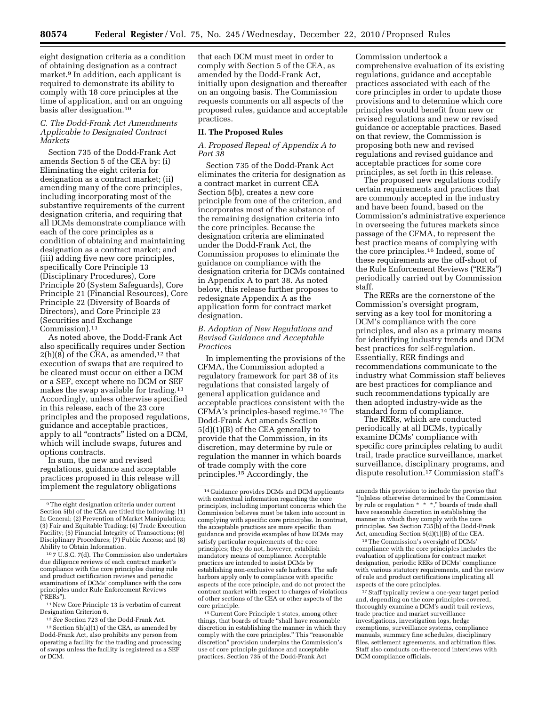eight designation criteria as a condition of obtaining designation as a contract market.9 In addition, each applicant is required to demonstrate its ability to comply with 18 core principles at the time of application, and on an ongoing basis after designation.10

## *C. The Dodd-Frank Act Amendments Applicable to Designated Contract Markets*

Section 735 of the Dodd-Frank Act amends Section 5 of the CEA by: (i) Eliminating the eight criteria for designation as a contract market; (ii) amending many of the core principles, including incorporating most of the substantive requirements of the current designation criteria, and requiring that all DCMs demonstrate compliance with each of the core principles as a condition of obtaining and maintaining designation as a contract market; and (iii) adding five new core principles, specifically Core Principle 13 (Disciplinary Procedures), Core Principle 20 (System Safeguards), Core Principle 21 (Financial Resources), Core Principle 22 (Diversity of Boards of Directors), and Core Principle 23 (Securities and Exchange Commission).11

As noted above, the Dodd-Frank Act also specifically requires under Section  $2(h)(8)$  of the CEA, as amended,<sup>12</sup> that execution of swaps that are required to be cleared must occur on either a DCM or a SEF, except where no DCM or SEF makes the swap available for trading.13 Accordingly, unless otherwise specified in this release, each of the 23 core principles and the proposed regulations, guidance and acceptable practices, apply to all "contracts" listed on a DCM, which will include swaps, futures and options contracts.

In sum, the new and revised regulations, guidance and acceptable practices proposed in this release will implement the regulatory obligations

10 7 U.S.C. 7(d). The Commission also undertakes due diligence reviews of each contract market's compliance with the core principles during rule and product certification reviews and periodic examinations of DCMs' compliance with the core principles under Rule Enforcement Reviews (''RERs'').

11New Core Principle 13 is verbatim of current Designation Criterion 6.

12*See* Section 723 of the Dodd-Frank Act.

that each DCM must meet in order to comply with Section 5 of the CEA, as amended by the Dodd-Frank Act, initially upon designation and thereafter on an ongoing basis. The Commission requests comments on all aspects of the proposed rules, guidance and acceptable practices.

## **II. The Proposed Rules**

## *A. Proposed Repeal of Appendix A to Part 38*

Section 735 of the Dodd-Frank Act eliminates the criteria for designation as a contract market in current CEA Section 5(b), creates a new core principle from one of the criterion, and incorporates most of the substance of the remaining designation criteria into the core principles. Because the designation criteria are eliminated under the Dodd-Frank Act, the Commission proposes to eliminate the guidance on compliance with the designation criteria for DCMs contained in Appendix A to part 38. As noted below, this release further proposes to redesignate Appendix A as the application form for contract market designation.

## *B. Adoption of New Regulations and Revised Guidance and Acceptable Practices*

In implementing the provisions of the CFMA, the Commission adopted a regulatory framework for part 38 of its regulations that consisted largely of general application guidance and acceptable practices consistent with the CFMA's principles-based regime.14 The Dodd-Frank Act amends Section 5(d)(1)(B) of the CEA generally to provide that the Commission, in its discretion, may determine by rule or regulation the manner in which boards of trade comply with the core principles.15 Accordingly, the

15Current Core Principle 1 states, among other things, that boards of trade ''shall have reasonable discretion in establishing the manner in which they comply with the core principles." This "reasonable discretion'' provision underpins the Commission's use of core principle guidance and acceptable practices. Section 735 of the Dodd-Frank Act

Commission undertook a comprehensive evaluation of its existing regulations, guidance and acceptable practices associated with each of the core principles in order to update those provisions and to determine which core principles would benefit from new or revised regulations and new or revised guidance or acceptable practices. Based on that review, the Commission is proposing both new and revised regulations and revised guidance and acceptable practices for some core principles, as set forth in this release.

The proposed new regulations codify certain requirements and practices that are commonly accepted in the industry and have been found, based on the Commission's administrative experience in overseeing the futures markets since passage of the CFMA, to represent the best practice means of complying with the core principles.16 Indeed, some of these requirements are the off-shoot of the Rule Enforcement Reviews (''RERs'') periodically carried out by Commission staff.

The RERs are the cornerstone of the Commission's oversight program, serving as a key tool for monitoring a DCM's compliance with the core principles, and also as a primary means for identifying industry trends and DCM best practices for self-regulation. Essentially, RER findings and recommendations communicate to the industry what Commission staff believes are best practices for compliance and such recommendations typically are then adopted industry-wide as the standard form of compliance.

The RERs, which are conducted periodically at all DCMs, typically examine DCMs' compliance with specific core principles relating to audit trail, trade practice surveillance, market surveillance, disciplinary programs, and dispute resolution.17 Commission staff's

16The Commission's oversight of DCMs' compliance with the core principles includes the evaluation of applications for contract market designation, periodic RERs of DCMs' compliance with various statutory requirements, and the review of rule and product certifications implicating all aspects of the core principles.

17Staff typically review a one-year target period and, depending on the core principles covered, thoroughly examine a DCM's audit trail reviews, trade practice and market surveillance investigations, investigation logs, hedge exemptions, surveillance systems, compliance manuals, summary fine schedules, disciplinary files, settlement agreements, and arbitration files. Staff also conducts on-the-record interviews with DCM compliance officials.

 $^{\rm 9}\rm{The}$  eight designation criteria under current Section 5(b) of the CEA are titled the following: (1) In General; (2) Prevention of Market Manipulation; (3) Fair and Equitable Trading; (4) Trade Execution Facility; (5) Financial Integrity of Transactions; (6) Disciplinary Procedures; (7) Public Access; and (8) Ability to Obtain Information.

<sup>13</sup>Section 5h(a)(1) of the CEA, as amended by Dodd-Frank Act, also prohibits any person from operating a facility for the trading and processing of swaps unless the facility is registered as a SEF or DCM.

<sup>14</sup> Guidance provides DCMs and DCM applicants with contextual information regarding the core principles, including important concerns which the Commission believes must be taken into account in complying with specific core principles. In contrast, the acceptable practices are more specific than guidance and provide examples of how DCMs may satisfy particular requirements of the core principles; they do not, however, establish mandatory means of compliance. Acceptable practices are intended to assist DCMs by establishing non-exclusive safe harbors. The safe harbors apply only to compliance with specific aspects of the core principle, and do not protect the contract market with respect to charges of violations of other sections of the CEA or other aspects of the core principle.

amends this provision to include the proviso that ''[u]nless otherwise determined by the Commission by rule or regulation \* \* \*," boards of trade shall have reasonable discretion in establishing the manner in which they comply with the core principles. *See* Section 735(b) of the Dodd-Frank Act, amending Section 5(d)(1)(B) of the CEA.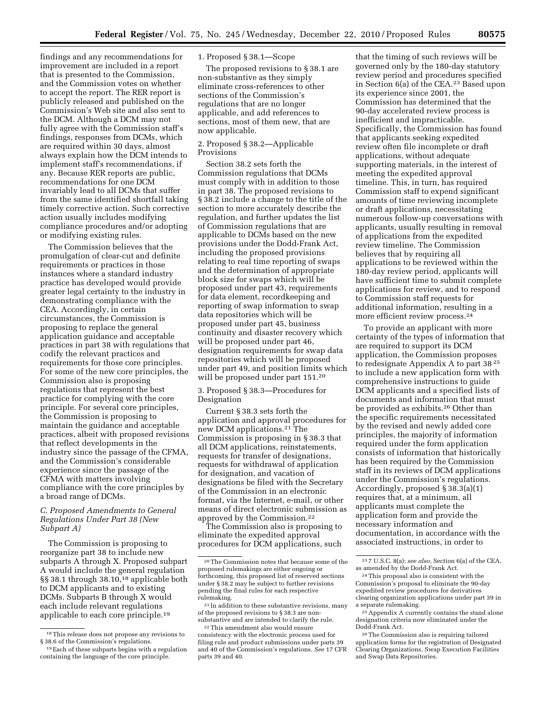findings and any recommendations for improvement are included in a report that is presented to the Commission, and the Commission votes on whether to accept the report. The RER report is publicly released and published on the Commission's Web site and also sent to the DCM. Although a DCM may not fully agree with the Commission staff's findings, responses from DCMs, which are required within 30 days, almost always explain how the DCM intends to implement staff's recommendations, if any. Because RER reports are public, recommendations for one DCM invariably lead to all DCMs that suffer from the same identified shortfall taking timely corrective action. Such corrective action usually includes modifying compliance procedures and/or adopting or modifying existing rules.

The Commission believes that the promulgation of clear-cut and definite requirements or practices in those instances where a standard industry practice has developed would provide greater legal certainty to the industry in demonstrating compliance with the CEA. Accordingly, in certain circumstances, the Commission is proposing to replace the general application guidance and acceptable practices in part 38 with regulations that codify the relevant practices and requirements for those core principles. For some of the new core principles, the Commission also is proposing regulations that represent the best practice for complying with the core principle. For several core principles, the Commission is proposing to maintain the guidance and acceptable practices, albeit with proposed revisions that reflect developments in the industry since the passage of the CFMA, and the Commission's considerable experience since the passage of the CFMA with matters involving compliance with the core principles by a broad range of DCMs.

## *C. Proposed Amendments to General Regulations Under Part 38 (New Subpart A)*

The Commission is proposing to reorganize part 38 to include new subparts A through X. Proposed subpart A would include the general regulation §§ 38.1 through 38.10,<sup>18</sup> applicable both to DCM applicants and to existing DCMs. Subparts B through X would each include relevant regulations applicable to each core principle.19

## 1. Proposed § 38.1—Scope

The proposed revisions to § 38.1 are non-substantive as they simply eliminate cross-references to other sections of the Commission's regulations that are no longer applicable, and add references to sections, most of them new, that are now applicable.

## 2. Proposed § 38.2—Applicable Provisions

Section 38.2 sets forth the Commission regulations that DCMs must comply with in addition to those in part 38. The proposed revisions to § 38.2 include a change to the title of the section to more accurately describe the regulation, and further updates the list of Commission regulations that are applicable to DCMs based on the new provisions under the Dodd-Frank Act, including the proposed provisions relating to real time reporting of swaps and the determination of appropriate block size for swaps which will be proposed under part 43, requirements for data element, recordkeeping and reporting of swap information to swap data repositories which will be proposed under part 45, business continuity and disaster recovery which will be proposed under part 46, designation requirements for swap data repositories which will be proposed under part 49, and position limits which will be proposed under part 151.20

3. Proposed § 38.3—Procedures for Designation

Current § 38.3 sets forth the application and approval procedures for new DCM applications.21 The Commission is proposing in § 38.3 that all DCM applications, reinstatements, requests for transfer of designations, requests for withdrawal of application for designation, and vacation of designations be filed with the Secretary of the Commission in an electronic format, via the Internet, e-mail, or other means of direct electronic submission as approved by the Commission.22

The Commission also is proposing to eliminate the expedited approval procedures for DCM applications, such

that the timing of such reviews will be governed only by the 180-day statutory review period and procedures specified in Section 6(a) of the CEA.23 Based upon its experience since 2001, the Commission has determined that the 90-day accelerated review process is inefficient and impracticable. Specifically, the Commission has found that applicants seeking expedited review often file incomplete or draft applications, without adequate supporting materials, in the interest of meeting the expedited approval timeline. This, in turn, has required Commission staff to expend significant amounts of time reviewing incomplete or draft applications, necessitating numerous follow-up conversations with applicants, usually resulting in removal of applications from the expedited review timeline. The Commission believes that by requiring all applications to be reviewed within the 180-day review period, applicants will have sufficient time to submit complete applications for review, and to respond to Commission staff requests for additional information, resulting in a more efficient review process.24

To provide an applicant with more certainty of the types of information that are required to support its DCM application, the Commission proposes to redesignate Appendix A to part 38 25 to include a new application form with comprehensive instructions to guide DCM applicants and a specified lists of documents and information that must be provided as exhibits.26 Other than the specific requirements necessitated by the revised and newly added core principles, the majority of information required under the form application consists of information that historically has been required by the Commission staff in its reviews of DCM applications under the Commission's regulations. Accordingly, proposed § 38.3(a)(1) requires that, at a minimum, all applicants must complete the application form and provide the necessary information and documentation, in accordance with the associated instructions, in order to

 $^{\rm 18}\!$  This release does not propose any revisions to § 38.6 of the Commission's regulations.

<sup>19</sup>Each of these subparts begins with a regulation containing the language of the core principle.

<sup>20</sup>The Commission notes that because some of the proposed rulemakings are either ongoing or forthcoming, this proposed list of reserved sections under § 38.2 may be subject to further revisions pending the final rules for each respective rulemaking.

<sup>21</sup> In addition to these substantive revisions, many of the proposed revisions to § 38.3 are nonsubstantive and are intended to clarify the rule.

<sup>22</sup>This amendment also would ensure consistency with the electronic process used for filing rule and product submissions under parts 39 and 40 of the Commission's regulations. *See* 17 CFR parts 39 and 40.

<sup>23</sup> 7 U.S.C. 8(a); *see also,* Section 6(a) of the CEA, as amended by the Dodd-Frank Act.

<sup>24</sup>This proposal also is consistent with the Commission's proposal to eliminate the 90-day expedited review procedures for derivatives clearing organization applications under part 39 in a separate rulemaking.

<sup>25</sup>Appendix A currently contains the stand alone designation criteria now eliminated under the Dodd-Frank Act.

<sup>26</sup>The Commission also is requiring tailored application forms for the registration of Designated Clearing Organizations, Swap Execution Facilities and Swap Data Repositories.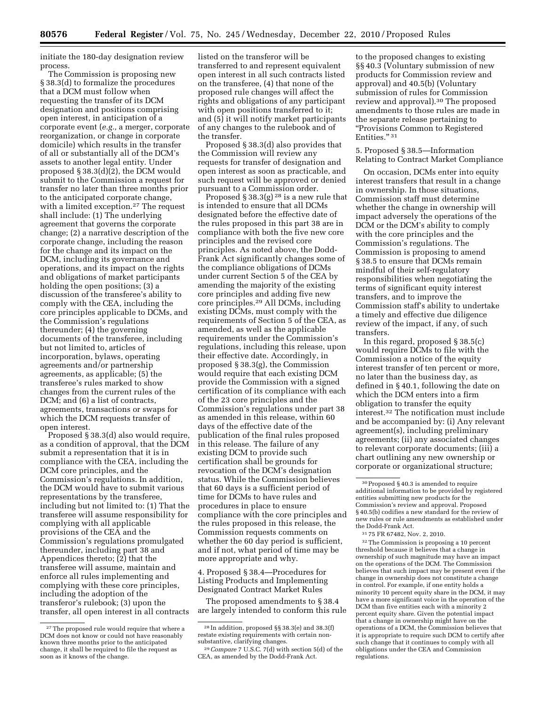initiate the 180-day designation review process.

The Commission is proposing new § 38.3(d) to formalize the procedures that a DCM must follow when requesting the transfer of its DCM designation and positions comprising open interest, in anticipation of a corporate event (*e.g.,* a merger, corporate reorganization, or change in corporate domicile) which results in the transfer of all or substantially all of the DCM's assets to another legal entity. Under proposed § 38.3(d)(2), the DCM would submit to the Commission a request for transfer no later than three months prior to the anticipated corporate change, with a limited exception.<sup>27</sup> The request shall include: (1) The underlying agreement that governs the corporate change; (2) a narrative description of the corporate change, including the reason for the change and its impact on the DCM, including its governance and operations, and its impact on the rights and obligations of market participants holding the open positions; (3) a discussion of the transferee's ability to comply with the CEA, including the core principles applicable to DCMs, and the Commission's regulations thereunder; (4) the governing documents of the transferee, including but not limited to, articles of incorporation, bylaws, operating agreements and/or partnership agreements, as applicable; (5) the transferee's rules marked to show changes from the current rules of the DCM; and (6) a list of contracts, agreements, transactions or swaps for which the DCM requests transfer of open interest.

Proposed § 38.3(d) also would require, as a condition of approval, that the DCM submit a representation that it is in compliance with the CEA, including the DCM core principles, and the Commission's regulations. In addition, the DCM would have to submit various representations by the transferee, including but not limited to: (1) That the transferee will assume responsibility for complying with all applicable provisions of the CEA and the Commission's regulations promulgated thereunder, including part 38 and Appendices thereto; (2) that the transferee will assume, maintain and enforce all rules implementing and complying with these core principles, including the adoption of the transferor's rulebook; (3) upon the transfer, all open interest in all contracts listed on the transferor will be transferred to and represent equivalent open interest in all such contracts listed on the transferee, (4) that none of the proposed rule changes will affect the rights and obligations of any participant with open positions transferred to it; and (5) it will notify market participants of any changes to the rulebook and of the transfer.

Proposed § 38.3(d) also provides that the Commission will review any requests for transfer of designation and open interest as soon as practicable, and such request will be approved or denied pursuant to a Commission order.

Proposed  $\S 38.3(g)$  <sup>28</sup> is a new rule that is intended to ensure that all DCMs designated before the effective date of the rules proposed in this part 38 are in compliance with both the five new core principles and the revised core principles. As noted above, the Dodd-Frank Act significantly changes some of the compliance obligations of DCMs under current Section 5 of the CEA by amending the majority of the existing core principles and adding five new core principles.29 All DCMs, including existing DCMs, must comply with the requirements of Section 5 of the CEA, as amended, as well as the applicable requirements under the Commission's regulations, including this release, upon their effective date. Accordingly, in proposed § 38.3(g), the Commission would require that each existing DCM provide the Commission with a signed certification of its compliance with each of the 23 core principles and the Commission's regulations under part 38 as amended in this release, within 60 days of the effective date of the publication of the final rules proposed in this release. The failure of any existing DCM to provide such certification shall be grounds for revocation of the DCM's designation status. While the Commission believes that 60 days is a sufficient period of time for DCMs to have rules and procedures in place to ensure compliance with the core principles and the rules proposed in this release, the Commission requests comments on whether the 60 day period is sufficient, and if not, what period of time may be more appropriate and why.

4. Proposed § 38.4—Procedures for Listing Products and Implementing Designated Contract Market Rules

The proposed amendments to § 38.4 are largely intended to conform this rule

to the proposed changes to existing §§ 40.3 (Voluntary submission of new products for Commission review and approval) and 40.5(b) (Voluntary submission of rules for Commission review and approval).30 The proposed amendments to those rules are made in the separate release pertaining to ''Provisions Common to Registered Entities." 31

## 5. Proposed § 38.5—Information Relating to Contract Market Compliance

On occasion, DCMs enter into equity interest transfers that result in a change in ownership. In those situations, Commission staff must determine whether the change in ownership will impact adversely the operations of the DCM or the DCM's ability to comply with the core principles and the Commission's regulations. The Commission is proposing to amend § 38.5 to ensure that DCMs remain mindful of their self-regulatory responsibilities when negotiating the terms of significant equity interest transfers, and to improve the Commission staff's ability to undertake a timely and effective due diligence review of the impact, if any, of such transfers.

In this regard, proposed § 38.5(c) would require DCMs to file with the Commission a notice of the equity interest transfer of ten percent or more, no later than the business day, as defined in § 40.1, following the date on which the DCM enters into a firm obligation to transfer the equity interest.32 The notification must include and be accompanied by: (i) Any relevant agreement(s), including preliminary agreements; (ii) any associated changes to relevant corporate documents; (iii) a chart outlining any new ownership or corporate or organizational structure;

32The Commission is proposing a 10 percent threshold because it believes that a change in ownership of such magnitude may have an impact on the operations of the DCM. The Commission believes that such impact may be present even if the change in ownership does not constitute a change in control. For example, if one entity holds a minority 10 percent equity share in the DCM, it may have a more significant voice in the operation of the DCM than five entities each with a minority 2 percent equity share. Given the potential impact that a change in ownership might have on the operations of a DCM, the Commission believes that it is appropriate to require such DCM to certify after such change that it continues to comply with all obligations under the CEA and Commission regulations.

<sup>&</sup>lt;sup>27</sup>The proposed rule would require that where a DCM does not know or could not have reasonably known three months prior to the anticipated change, it shall be required to file the request as soon as it knows of the change.

<sup>28</sup> In addition, proposed §§ 38.3(e) and 38.3(f) restate existing requirements with certain non-

<sup>&</sup>lt;sup>29</sup> Compare 7 U.S.C. 7(d) with section 5(d) of the CEA, as amended by the Dodd-Frank Act.

 $^{\rm 30}\!$  Proposed § 40.3 is amended to require additional information to be provided by registered entities submitting new products for the Commission's review and approval. Proposed § 40.5(b) codifies a new standard for the review of new rules or rule amendments as established under the Dodd-Frank Act.

<sup>31</sup> 75 FR 67482, Nov. 2, 2010.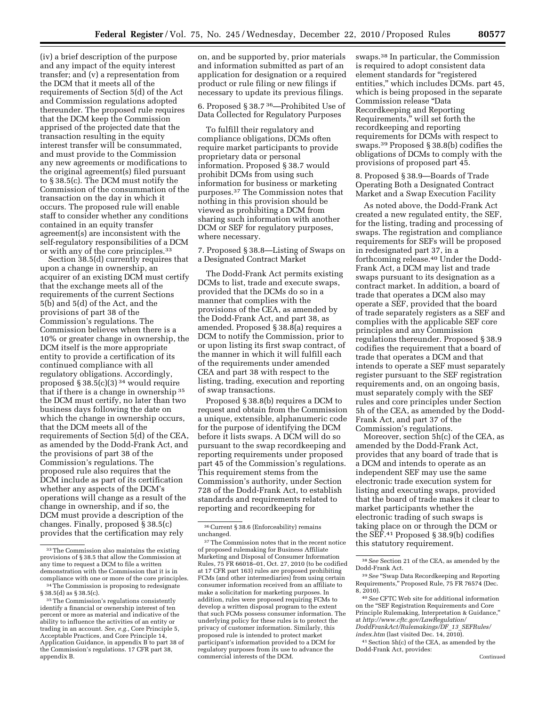(iv) a brief description of the purpose and any impact of the equity interest transfer; and (v) a representation from the DCM that it meets all of the requirements of Section 5(d) of the Act and Commission regulations adopted thereunder. The proposed rule requires that the DCM keep the Commission apprised of the projected date that the transaction resulting in the equity interest transfer will be consummated, and must provide to the Commission any new agreements or modifications to the original agreement(s) filed pursuant to § 38.5(c). The DCM must notify the Commission of the consummation of the transaction on the day in which it occurs. The proposed rule will enable staff to consider whether any conditions contained in an equity transfer

agreement(s) are inconsistent with the self-regulatory responsibilities of a DCM

or with any of the core principles.33 Section 38.5(d) currently requires that upon a change in ownership, an acquirer of an existing DCM must certify that the exchange meets all of the requirements of the current Sections 5(b) and 5(d) of the Act, and the provisions of part 38 of the Commission's regulations. The Commission believes when there is a 10% or greater change in ownership, the DCM itself is the more appropriate entity to provide a certification of its continued compliance with all regulatory obligations. Accordingly, proposed  $\S 38.5(c)(3)^{34}$  would require that if there is a change in ownership 35 the DCM must certify, no later than two business days following the date on which the change in ownership occurs, that the DCM meets all of the requirements of Section 5(d) of the CEA, as amended by the Dodd-Frank Act, and the provisions of part 38 of the Commission's regulations. The proposed rule also requires that the DCM include as part of its certification whether any aspects of the DCM's operations will change as a result of the change in ownership, and if so, the DCM must provide a description of the changes. Finally, proposed § 38.5(c) provides that the certification may rely

on, and be supported by, prior materials and information submitted as part of an application for designation or a required product or rule filing or new filings if necessary to update its previous filings.

6. Proposed § 38.7 36—Prohibited Use of Data Collected for Regulatory Purposes

To fulfill their regulatory and compliance obligations, DCMs often require market participants to provide proprietary data or personal information. Proposed § 38.7 would prohibit DCMs from using such information for business or marketing purposes.37 The Commission notes that nothing in this provision should be viewed as prohibiting a DCM from sharing such information with another DCM or SEF for regulatory purposes, where necessary.

7. Proposed § 38.8—Listing of Swaps on a Designated Contract Market

The Dodd-Frank Act permits existing DCMs to list, trade and execute swaps, provided that the DCMs do so in a manner that complies with the provisions of the CEA, as amended by the Dodd-Frank Act, and part 38, as amended. Proposed § 38.8(a) requires a DCM to notify the Commission, prior to or upon listing its first swap contract, of the manner in which it will fulfill each of the requirements under amended CEA and part 38 with respect to the listing, trading, execution and reporting of swap transactions.

Proposed § 38.8(b) requires a DCM to request and obtain from the Commission a unique, extensible, alphanumeric code for the purpose of identifying the DCM before it lists swaps. A DCM will do so pursuant to the swap recordkeeping and reporting requirements under proposed part 45 of the Commission's regulations. This requirement stems from the Commission's authority, under Section 728 of the Dodd-Frank Act, to establish standards and requirements related to reporting and recordkeeping for

swaps.38 In particular, the Commission is required to adopt consistent data element standards for ''registered entities,'' which includes DCMs. part 45, which is being proposed in the separate Commission release ''Data Recordkeeping and Reporting Requirements,'' will set forth the recordkeeping and reporting requirements for DCMs with respect to swaps.39 Proposed § 38.8(b) codifies the obligations of DCMs to comply with the provisions of proposed part 45.

8. Proposed § 38.9—Boards of Trade Operating Both a Designated Contract Market and a Swap Execution Facility

As noted above, the Dodd-Frank Act created a new regulated entity, the SEF, for the listing, trading and processing of swaps. The registration and compliance requirements for SEFs will be proposed in redesignated part 37, in a forthcoming release.40 Under the Dodd-Frank Act, a DCM may list and trade swaps pursuant to its designation as a contract market. In addition, a board of trade that operates a DCM also may operate a SEF, provided that the board of trade separately registers as a SEF and complies with the applicable SEF core principles and any Commission regulations thereunder. Proposed § 38.9 codifies the requirement that a board of trade that operates a DCM and that intends to operate a SEF must separately register pursuant to the SEF registration requirements and, on an ongoing basis, must separately comply with the SEF rules and core principles under Section 5h of the CEA, as amended by the Dodd-Frank Act, and part 37 of the Commission's regulations.

Moreover, section 5h(c) of the CEA, as amended by the Dodd-Frank Act, provides that any board of trade that is a DCM and intends to operate as an independent SEF may use the same electronic trade execution system for listing and executing swaps, provided that the board of trade makes it clear to market participants whether the electronic trading of such swaps is taking place on or through the DCM or the SEF.41 Proposed § 38.9(b) codifies this statutory requirement.

41Section 5h(c) of the CEA, as amended by the Dodd-Frank Act, provides:

<sup>33</sup>The Commission also maintains the existing provisions of § 38.5 that allow the Commission at any time to request a DCM to file a written demonstration with the Commission that it is in<br>compliance with one or more of the core principles.

<sup>&</sup>lt;sup>34</sup> The Commission is proposing to redesignate § 38.5(d) as § 38.5(c).

<sup>&</sup>lt;sup>35</sup>The Commission's regulations consistently identify a financial or ownership interest of ten percent or more as material and indicative of the ability to influence the activities of an entity or trading in an account. *See, e.g.,* Core Principle 5, Acceptable Practices, and Core Principle 14, Application Guidance, in appendix B to part 38 of the Commission's regulations. 17 CFR part 38, appendix B.

<sup>36</sup>Current § 38.6 (Enforceability) remains unchanged.

 $^{\rm 37}\!$  The Commission notes that in the recent notice of proposed rulemaking for Business Affiliate Marketing and Disposal of Consumer Information Rules, 75 FR 66018–01, Oct. 27, 2010 (to be codified at 17 CFR part 163) rules are proposed prohibiting FCMs (and other intermediaries) from using certain consumer information received from an affiliate to make a solicitation for marketing purposes. In addition, rules were proposed requiring FCMs to develop a written disposal program to the extent that such FCMs possess consumer information. The underlying policy for these rules is to protect the privacy of customer information. Similarly, this proposed rule is intended to protect market participant's information provided to a DCM for regulatory purposes from its use to advance the commercial interests of the DCM.

<sup>38</sup>*See* Section 21 of the CEA, as amended by the Dodd-Frank Act.

<sup>39</sup>*See* ''Swap Data Recordkeeping and Reporting Requirements,'' Proposed Rule, 75 FR 76574 (Dec. 8, 2010).

<sup>40</sup>*See* CFTC Web site for additional information on the ''SEF Registration Requirements and Core Principle Rulemaking, Interpretation & Guidance,'' at *[http://www.cftc.gov/LawRegulation/](http://www.cftc.gov/LawRegulation/DoddFrankAct/Rulemakings/DF_13_SEFRules/index.htm) [DoddFrankAct/Rulemakings/DF](http://www.cftc.gov/LawRegulation/DoddFrankAct/Rulemakings/DF_13_SEFRules/index.htm)*\_*13*\_*SEFRules/ [index.htm](http://www.cftc.gov/LawRegulation/DoddFrankAct/Rulemakings/DF_13_SEFRules/index.htm)* (last visited Dec. 14, 2010).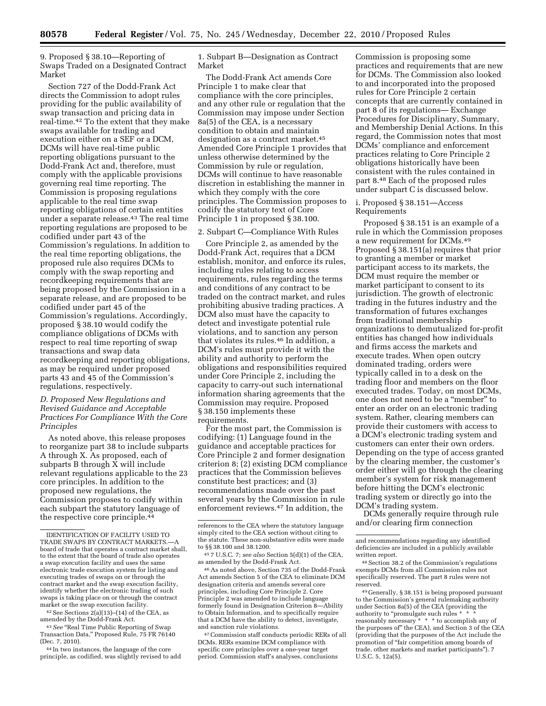9. Proposed § 38.10—Reporting of Swaps Traded on a Designated Contract Market

Section 727 of the Dodd-Frank Act directs the Commission to adopt rules providing for the public availability of swap transaction and pricing data in real-time.42 To the extent that they make swaps available for trading and execution either on a SEF or a DCM, DCMs will have real-time public reporting obligations pursuant to the Dodd-Frank Act and, therefore, must comply with the applicable provisions governing real time reporting. The Commission is proposing regulations applicable to the real time swap reporting obligations of certain entities under a separate release.<sup>43</sup> The real time reporting regulations are proposed to be codified under part 43 of the Commission's regulations. In addition to the real time reporting obligations, the proposed rule also requires DCMs to comply with the swap reporting and recordkeeping requirements that are being proposed by the Commission in a separate release, and are proposed to be codified under part 45 of the Commission's regulations. Accordingly, proposed § 38.10 would codify the compliance obligations of DCMs with respect to real time reporting of swap transactions and swap data recordkeeping and reporting obligations, as may be required under proposed parts 43 and 45 of the Commission's regulations, respectively.

## *D. Proposed New Regulations and Revised Guidance and Acceptable Practices For Compliance With the Core Principles*

As noted above, this release proposes to reorganize part 38 to include subparts A through X. As proposed, each of subparts B through X will include relevant regulations applicable to the 23 core principles. In addition to the proposed new regulations, the Commission proposes to codify within each subpart the statutory language of the respective core principle.44

 $42$  See Sections  $2(a)(13)$ – $(14)$  of the CEA, as amended by the Dodd-Frank Act.

<sup>43</sup> See "Real Time Public Reporting of Swap Transaction Data,'' Proposed Rule, 75 FR 76140 (Dec. 7, 2010).

44 In two instances, the language of the core principle, as codified, was slightly revised to add

1. Subpart B—Designation as Contract Market

The Dodd-Frank Act amends Core Principle 1 to make clear that compliance with the core principles, and any other rule or regulation that the Commission may impose under Section 8a(5) of the CEA, is a necessary condition to obtain and maintain designation as a contract market.45 Amended Core Principle 1 provides that unless otherwise determined by the Commission by rule or regulation, DCMs will continue to have reasonable discretion in establishing the manner in which they comply with the core principles. The Commission proposes to codify the statutory text of Core Principle 1 in proposed § 38.100.

#### 2. Subpart C—Compliance With Rules

Core Principle 2, as amended by the Dodd-Frank Act, requires that a DCM establish, monitor, and enforce its rules, including rules relating to access requirements, rules regarding the terms and conditions of any contract to be traded on the contract market, and rules prohibiting abusive trading practices. A DCM also must have the capacity to detect and investigate potential rule violations, and to sanction any person that violates its rules.46 In addition, a DCM's rules must provide it with the ability and authority to perform the obligations and responsibilities required under Core Principle 2, including the capacity to carry-out such international information sharing agreements that the Commission may require. Proposed § 38.150 implements these requirements.

For the most part, the Commission is codifying: (1) Language found in the guidance and acceptable practices for Core Principle 2 and former designation criterion 8; (2) existing DCM compliance practices that the Commission believes constitute best practices; and (3) recommendations made over the past several years by the Commission in rule enforcement reviews.47 In addition, the

46As noted above, Section 735 of the Dodd-Frank Act amends Section 5 of the CEA to eliminate DCM designation criteria and amends several core principles, including Core Principle 2. Core Principle 2 was amended to include language formerly found in Designation Criterion 8—Ability to Obtain Information, and to specifically require that a DCM have the ability to detect, investigate, and sanction rule violations.

47Commission staff conducts periodic RERs of all DCMs. RERs examine DCM compliance with specific core principles over a one-year target period. Commission staff's analyses, conclusions

Commission is proposing some practices and requirements that are new for DCMs. The Commission also looked to and incorporated into the proposed rules for Core Principle 2 certain concepts that are currently contained in part 8 of its regulations— Exchange Procedures for Disciplinary, Summary, and Membership Denial Actions. In this regard, the Commission notes that most DCMs' compliance and enforcement practices relating to Core Principle 2 obligations historically have been consistent with the rules contained in part 8.48 Each of the proposed rules under subpart C is discussed below.

i. Proposed § 38.151—Access Requirements

Proposed § 38.151 is an example of a rule in which the Commission proposes a new requirement for DCMs.49 Proposed § 38.151(a) requires that prior to granting a member or market participant access to its markets, the DCM must require the member or market participant to consent to its jurisdiction. The growth of electronic trading in the futures industry and the transformation of futures exchanges from traditional membership organizations to demutualized for-profit entities has changed how individuals and firms access the markets and execute trades. When open outcry dominated trading, orders were typically called in to a desk on the trading floor and members on the floor executed trades. Today, on most DCMs, one does not need to be a ''member'' to enter an order on an electronic trading system. Rather, clearing members can provide their customers with access to a DCM's electronic trading system and customers can enter their own orders. Depending on the type of access granted by the clearing member, the customer's order either will go through the clearing member's system for risk management before hitting the DCM's electronic trading system or directly go into the DCM's trading system.

DCMs generally require through rule and/or clearing firm connection

49 Generally, § 38.151 is being proposed pursuant to the Commission's general rulemaking authority under Section 8a(5) of the CEA (providing the authority to "promulgate such rules \* reasonably necessary \* \* \* to accomplish any of the purposes of'' the CEA), and Section 3 of the CEA (providing that the purposes of the Act include the promotion of ''fair competition among boards of trade, other markets and market participants''). 7 U.S.C. 5, 12a(5).

IDENTIFICATION OF FACILITY USED TO TRADE SWAPS BY CONTRACT MARKETS.board of trade that operates a contract market shall, to the extent that the board of trade also operates a swap execution facility and uses the same electronic trade execution system for listing and executing trades of swaps on or through the contract market and the swap execution facility, identify whether the electronic trading of such swaps is taking place on or through the contract market or the swap execution facility.

references to the CEA where the statutory language simply cited to the CEA section without citing to the statute. These non-substantive edits were made to §§ 38.100 and 38.1200.

<sup>45</sup> 7 U.S.C. 7; *see also* Section 5(d)(1) of the CEA, as amended by the Dodd-Frank Act.

and recommendations regarding any identified deficiencies are included in a publicly available written report.

<sup>48</sup>Section 38.2 of the Commission's regulations exempts DCMs from all Commission rules not specifically reserved. The part 8 rules were not reserved.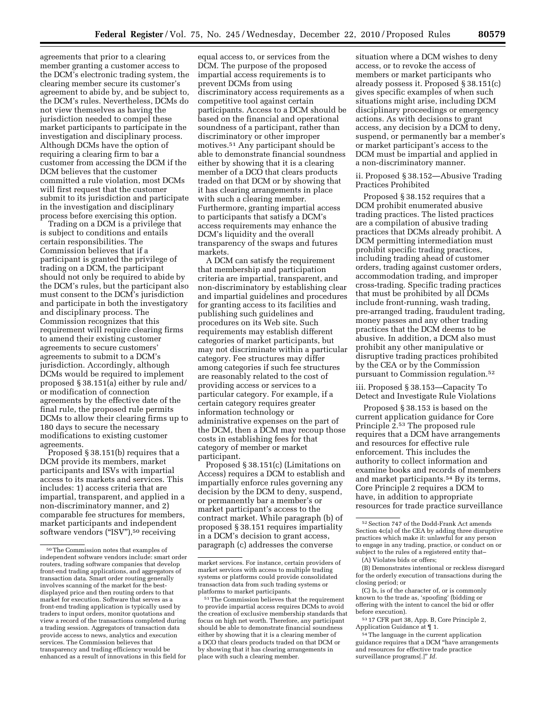agreements that prior to a clearing member granting a customer access to the DCM's electronic trading system, the clearing member secure its customer's agreement to abide by, and be subject to, the DCM's rules. Nevertheless, DCMs do not view themselves as having the jurisdiction needed to compel these market participants to participate in the investigation and disciplinary process. Although DCMs have the option of requiring a clearing firm to bar a customer from accessing the DCM if the DCM believes that the customer committed a rule violation, most DCMs will first request that the customer submit to its jurisdiction and participate in the investigation and disciplinary

process before exercising this option. Trading on a DCM is a privilege that is subject to conditions and entails certain responsibilities. The Commission believes that if a participant is granted the privilege of trading on a DCM, the participant should not only be required to abide by the DCM's rules, but the participant also must consent to the DCM's jurisdiction and participate in both the investigatory and disciplinary process. The Commission recognizes that this requirement will require clearing firms to amend their existing customer agreements to secure customers' agreements to submit to a DCM's jurisdiction. Accordingly, although DCMs would be required to implement proposed § 38.151(a) either by rule and/ or modification of connection agreements by the effective date of the final rule, the proposed rule permits DCMs to allow their clearing firms up to 180 days to secure the necessary modifications to existing customer agreements.

Proposed § 38.151(b) requires that a DCM provide its members, market participants and ISVs with impartial access to its markets and services. This includes: 1) access criteria that are impartial, transparent, and applied in a non-discriminatory manner, and 2) comparable fee structures for members, market participants and independent software vendors ("ISV"),<sup>50</sup> receiving

equal access to, or services from the DCM. The purpose of the proposed impartial access requirements is to prevent DCMs from using discriminatory access requirements as a competitive tool against certain participants. Access to a DCM should be based on the financial and operational soundness of a participant, rather than discriminatory or other improper motives.51 Any participant should be able to demonstrate financial soundness either by showing that it is a clearing member of a DCO that clears products traded on that DCM or by showing that it has clearing arrangements in place with such a clearing member. Furthermore, granting impartial access to participants that satisfy a DCM's access requirements may enhance the DCM's liquidity and the overall transparency of the swaps and futures markets.

A DCM can satisfy the requirement that membership and participation criteria are impartial, transparent, and non-discriminatory by establishing clear and impartial guidelines and procedures for granting access to its facilities and publishing such guidelines and procedures on its Web site. Such requirements may establish different categories of market participants, but may not discriminate within a particular category. Fee structures may differ among categories if such fee structures are reasonably related to the cost of providing access or services to a particular category. For example, if a certain category requires greater information technology or administrative expenses on the part of the DCM, then a DCM may recoup those costs in establishing fees for that category of member or market participant.

Proposed § 38.151(c) (Limitations on Access) requires a DCM to establish and impartially enforce rules governing any decision by the DCM to deny, suspend, or permanently bar a member's or market participant's access to the contract market. While paragraph (b) of proposed § 38.151 requires impartiality in a DCM's decision to grant access, paragraph (c) addresses the converse

situation where a DCM wishes to deny access, or to revoke the access of members or market participants who already possess it. Proposed § 38.151(c) gives specific examples of when such situations might arise, including DCM disciplinary proceedings or emergency actions. As with decisions to grant access, any decision by a DCM to deny, suspend, or permanently bar a member's or market participant's access to the DCM must be impartial and applied in a non-discriminatory manner.

ii. Proposed § 38.152—Abusive Trading Practices Prohibited

Proposed § 38.152 requires that a DCM prohibit enumerated abusive trading practices. The listed practices are a compilation of abusive trading practices that DCMs already prohibit. A DCM permitting intermediation must prohibit specific trading practices, including trading ahead of customer orders, trading against customer orders, accommodation trading, and improper cross-trading. Specific trading practices that must be prohibited by all DCMs include front-running, wash trading, pre-arranged trading, fraudulent trading, money passes and any other trading practices that the DCM deems to be abusive. In addition, a DCM also must prohibit any other manipulative or disruptive trading practices prohibited by the CEA or by the Commission pursuant to Commission regulation.52

iii. Proposed § 38.153—Capacity To Detect and Investigate Rule Violations

Proposed § 38.153 is based on the current application guidance for Core Principle 2.53 The proposed rule requires that a DCM have arrangements and resources for effective rule enforcement. This includes the authority to collect information and examine books and records of members and market participants.54 By its terms, Core Principle 2 requires a DCM to have, in addition to appropriate resources for trade practice surveillance

(B) Demonstrates intentional or reckless disregard for the orderly execution of transactions during the closing period; or

(C) Is, is of the character of, or is commonly known to the trade as, 'spoofing' (bidding or offering with the intent to cancel the bid or offer before execution).

53 17 CFR part 38, App. B, Core Principle 2, Application Guidance at ¶ 1.

54The language in the current application guidance requires that a DCM ''have arrangements and resources for effective trade practice surveillance programs[.]'' *Id.* 

<sup>50</sup>The Commission notes that examples of independent software vendors include: smart order routers, trading software companies that develop front-end trading applications, and aggregators of transaction data. Smart order routing generally involves scanning of the market for the bestdisplayed price and then routing orders to that market for execution. Software that serves as a front-end trading application is typically used by traders to input orders, monitor quotations and view a record of the transactions completed during a trading session. Aggregators of transaction data provide access to news, analytics and execution services. The Commission believes that transparency and trading efficiency would be enhanced as a result of innovations in this field for

market services. For instance, certain providers of market services with access to multiple trading systems or platforms could provide consolidated transaction data from such trading systems or platforms to market participants.

<sup>51</sup>The Commission believes that the requirement to provide impartial access requires DCMs to avoid the creation of exclusive membership standards that focus on high net worth. Therefore, any participant should be able to demonstrate financial soundness either by showing that it is a clearing member of a DCO that clears products traded on that DCM or by showing that it has clearing arrangements in place with such a clearing member.

 $^{52}\,$  Section 747 of the Dodd-Frank Act amends Section 4c(a) of the CEA by adding three disruptive practices which make it: unlawful for any person to engage in any trading, practice, or conduct on or subject to the rules of a registered entity that–

<sup>(</sup>A) Violates bids or offers;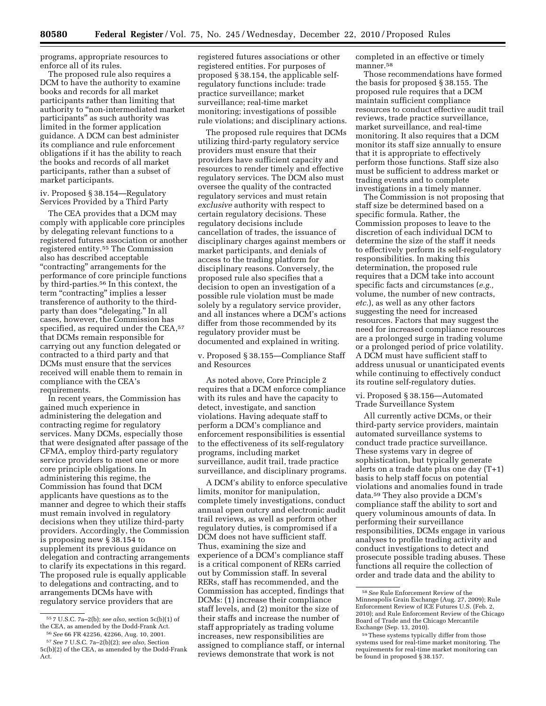programs, appropriate resources to enforce all of its rules.

The proposed rule also requires a DCM to have the authority to examine books and records for all market participants rather than limiting that authority to ''non-intermediated market participants'' as such authority was limited in the former application guidance. A DCM can best administer its compliance and rule enforcement obligations if it has the ability to reach the books and records of all market participants, rather than a subset of market participants.

iv. Proposed § 38.154—Regulatory Services Provided by a Third Party

The CEA provides that a DCM may comply with applicable core principles by delegating relevant functions to a registered futures association or another registered entity.55 The Commission also has described acceptable ''contracting'' arrangements for the performance of core principle functions by third-parties.56 In this context, the term "contracting" implies a lesser transference of authority to the thirdparty than does "delegating." In all cases, however, the Commission has specified, as required under the CEA,<sup>57</sup> that DCMs remain responsible for carrying out any function delegated or contracted to a third party and that DCMs must ensure that the services received will enable them to remain in compliance with the CEA's requirements.

In recent years, the Commission has gained much experience in administering the delegation and contracting regime for regulatory services. Many DCMs, especially those that were designated after passage of the CFMA, employ third-party regulatory service providers to meet one or more core principle obligations. In administering this regime, the Commission has found that DCM applicants have questions as to the manner and degree to which their staffs must remain involved in regulatory decisions when they utilize third-party providers. Accordingly, the Commission is proposing new § 38.154 to supplement its previous guidance on delegation and contracting arrangements to clarify its expectations in this regard. The proposed rule is equally applicable to delegations and contracting, and to arrangements DCMs have with regulatory service providers that are

registered futures associations or other registered entities. For purposes of proposed § 38.154, the applicable selfregulatory functions include: trade practice surveillance; market surveillance; real-time market monitoring; investigations of possible rule violations; and disciplinary actions.

The proposed rule requires that DCMs utilizing third-party regulatory service providers must ensure that their providers have sufficient capacity and resources to render timely and effective regulatory services. The DCM also must oversee the quality of the contracted regulatory services and must retain *exclusive* authority with respect to certain regulatory decisions. These regulatory decisions include cancellation of trades, the issuance of disciplinary charges against members or market participants, and denials of access to the trading platform for disciplinary reasons. Conversely, the proposed rule also specifies that a decision to open an investigation of a possible rule violation must be made solely by a regulatory service provider, and all instances where a DCM's actions differ from those recommended by its regulatory provider must be documented and explained in writing.

v. Proposed § 38.155—Compliance Staff and Resources

As noted above, Core Principle 2 requires that a DCM enforce compliance with its rules and have the capacity to detect, investigate, and sanction violations. Having adequate staff to perform a DCM's compliance and enforcement responsibilities is essential to the effectiveness of its self-regulatory programs, including market surveillance, audit trail, trade practice surveillance, and disciplinary programs.

A DCM's ability to enforce speculative limits, monitor for manipulation, complete timely investigations, conduct annual open outcry and electronic audit trail reviews, as well as perform other regulatory duties, is compromised if a DCM does not have sufficient staff. Thus, examining the size and experience of a DCM's compliance staff is a critical component of RERs carried out by Commission staff. In several RERs, staff has recommended, and the Commission has accepted, findings that DCMs: (1) increase their compliance staff levels, and (2) monitor the size of their staffs and increase the number of staff appropriately as trading volume increases, new responsibilities are assigned to compliance staff, or internal reviews demonstrate that work is not

completed in an effective or timely manner.58

Those recommendations have formed the basis for proposed § 38.155. The proposed rule requires that a DCM maintain sufficient compliance resources to conduct effective audit trail reviews, trade practice surveillance, market surveillance, and real-time monitoring. It also requires that a DCM monitor its staff size annually to ensure that it is appropriate to effectively perform those functions. Staff size also must be sufficient to address market or trading events and to complete investigations in a timely manner.

The Commission is not proposing that staff size be determined based on a specific formula. Rather, the Commission proposes to leave to the discretion of each individual DCM to determine the size of the staff it needs to effectively perform its self-regulatory responsibilities. In making this determination, the proposed rule requires that a DCM take into account specific facts and circumstances (*e.g.,*  volume, the number of new contracts, *etc.*), as well as any other factors suggesting the need for increased resources. Factors that may suggest the need for increased compliance resources are a prolonged surge in trading volume or a prolonged period of price volatility. A DCM must have sufficient staff to address unusual or unanticipated events while continuing to effectively conduct its routine self-regulatory duties.

vi. Proposed § 38.156—Automated Trade Surveillance System

All currently active DCMs, or their third-party service providers, maintain automated surveillance systems to conduct trade practice surveillance. These systems vary in degree of sophistication, but typically generate alerts on a trade date plus one day (T+1) basis to help staff focus on potential violations and anomalies found in trade data.59 They also provide a DCM's compliance staff the ability to sort and query voluminous amounts of data. In performing their surveillance responsibilities, DCMs engage in various analyses to profile trading activity and conduct investigations to detect and prosecute possible trading abuses. These functions all require the collection of order and trade data and the ability to

<sup>55</sup> 7 U.S.C. 7a–2(b); *see also,* section 5c(b)(1) of the CEA, as amended by the Dodd-Frank Act. 56*See* 66 FR 42256, 42266, Aug. 10, 2001.

<sup>57</sup>*See* 7 U.S.C. 7a–2(b)(2); *see also,* Section

<sup>5</sup>c(b)(2) of the CEA, as amended by the Dodd-Frank Act.

<sup>58</sup>*See* Rule Enforcement Review of the Minneapolis Grain Exchange (Aug. 27, 2009); Rule Enforcement Review of ICE Futures U.S. (Feb. 2, 2010); and Rule Enforcement Review of the Chicago Board of Trade and the Chicago Mercantile Exchange (Sep. 13, 2010).

<sup>59</sup>These systems typically differ from those systems used for real-time market monitoring. The requirements for real-time market monitoring can be found in proposed § 38.157.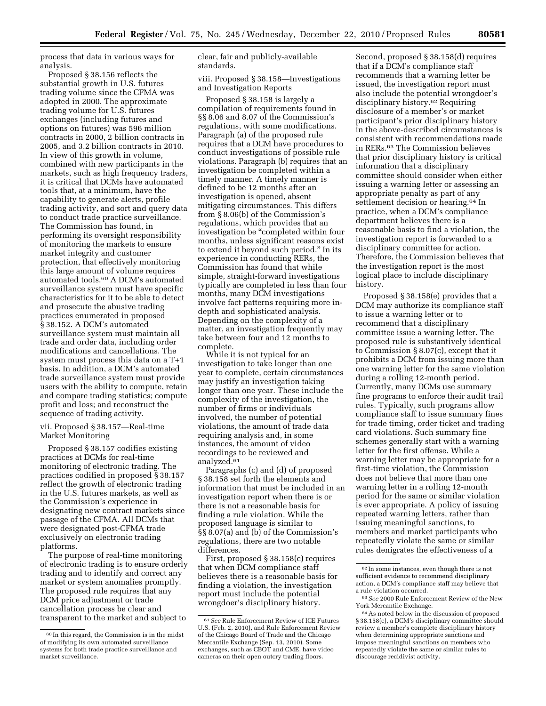process that data in various ways for analysis.

Proposed § 38.156 reflects the substantial growth in U.S. futures trading volume since the CFMA was adopted in 2000. The approximate trading volume for U.S. futures exchanges (including futures and options on futures) was 596 million contracts in 2000, 2 billion contracts in 2005, and 3.2 billion contracts in 2010. In view of this growth in volume, combined with new participants in the markets, such as high frequency traders, it is critical that DCMs have automated tools that, at a minimum, have the capability to generate alerts, profile trading activity, and sort and query data to conduct trade practice surveillance. The Commission has found, in performing its oversight responsibility of monitoring the markets to ensure market integrity and customer protection, that effectively monitoring this large amount of volume requires automated tools.60 A DCM's automated surveillance system must have specific characteristics for it to be able to detect and prosecute the abusive trading practices enumerated in proposed § 38.152. A DCM's automated surveillance system must maintain all trade and order data, including order modifications and cancellations. The system must process this data on a T+1 basis. In addition, a DCM's automated trade surveillance system must provide users with the ability to compute, retain and compare trading statistics; compute profit and loss; and reconstruct the sequence of trading activity.

## vii. Proposed § 38.157—Real-time Market Monitoring

Proposed § 38.157 codifies existing practices at DCMs for real-time monitoring of electronic trading. The practices codified in proposed § 38.157 reflect the growth of electronic trading in the U.S. futures markets, as well as the Commission's experience in designating new contract markets since passage of the CFMA. All DCMs that were designated post-CFMA trade exclusively on electronic trading platforms.

The purpose of real-time monitoring of electronic trading is to ensure orderly trading and to identify and correct any market or system anomalies promptly. The proposed rule requires that any DCM price adjustment or trade cancellation process be clear and transparent to the market and subject to

clear, fair and publicly-available standards.

viii. Proposed § 38.158—Investigations and Investigation Reports

Proposed § 38.158 is largely a compilation of requirements found in §§ 8.06 and 8.07 of the Commission's regulations, with some modifications. Paragraph (a) of the proposed rule requires that a DCM have procedures to conduct investigations of possible rule violations. Paragraph (b) requires that an investigation be completed within a timely manner. A timely manner is defined to be 12 months after an investigation is opened, absent mitigating circumstances. This differs from § 8.06(b) of the Commission's regulations, which provides that an investigation be ''completed within four months, unless significant reasons exist to extend it beyond such period.'' In its experience in conducting RERs, the Commission has found that while simple, straight-forward investigations typically are completed in less than four months, many DCM investigations involve fact patterns requiring more indepth and sophisticated analysis. Depending on the complexity of a matter, an investigation frequently may take between four and 12 months to complete.

While it is not typical for an investigation to take longer than one year to complete, certain circumstances may justify an investigation taking longer than one year. These include the complexity of the investigation, the number of firms or individuals involved, the number of potential violations, the amount of trade data requiring analysis and, in some instances, the amount of video recordings to be reviewed and analyzed.<sup>61</sup>

Paragraphs (c) and (d) of proposed § 38.158 set forth the elements and information that must be included in an investigation report when there is or there is not a reasonable basis for finding a rule violation. While the proposed language is similar to §§ 8.07(a) and (b) of the Commission's regulations, there are two notable differences.

First, proposed § 38.158(c) requires that when DCM compliance staff believes there is a reasonable basis for finding a violation, the investigation report must include the potential wrongdoer's disciplinary history.

Second, proposed § 38.158(d) requires that if a DCM's compliance staff recommends that a warning letter be issued, the investigation report must also include the potential wrongdoer's disciplinary history.62 Requiring disclosure of a member's or market participant's prior disciplinary history in the above-described circumstances is consistent with recommendations made in RERs.63 The Commission believes that prior disciplinary history is critical information that a disciplinary committee should consider when either issuing a warning letter or assessing an appropriate penalty as part of any settlement decision or hearing.64 In practice, when a DCM's compliance department believes there is a reasonable basis to find a violation, the investigation report is forwarded to a disciplinary committee for action. Therefore, the Commission believes that the investigation report is the most logical place to include disciplinary history.

Proposed § 38.158(e) provides that a DCM may authorize its compliance staff to issue a warning letter or to recommend that a disciplinary committee issue a warning letter. The proposed rule is substantively identical to Commission § 8.07(c), except that it prohibits a DCM from issuing more than one warning letter for the same violation during a rolling 12-month period. Currently, many DCMs use summary fine programs to enforce their audit trail rules. Typically, such programs allow compliance staff to issue summary fines for trade timing, order ticket and trading card violations. Such summary fine schemes generally start with a warning letter for the first offense. While a warning letter may be appropriate for a first-time violation, the Commission does not believe that more than one warning letter in a rolling 12-month period for the same or similar violation is ever appropriate. A policy of issuing repeated warning letters, rather than issuing meaningful sanctions, to members and market participants who repeatedly violate the same or similar rules denigrates the effectiveness of a

<sup>60</sup> In this regard, the Commission is in the midst of modifying its own automated surveillance systems for both trade practice surveillance and market surveillance.

<sup>61</sup>*See* Rule Enforcement Review of ICE Futures U.S. (Feb. 2, 2010), and Rule Enforcement Review of the Chicago Board of Trade and the Chicago Mercantile Exchange (Sep. 13, 2010). Some exchanges, such as CBOT and CME, have video cameras on their open outcry trading floors.

<sup>62</sup> In some instances, even though there is not sufficient evidence to recommend disciplinary action, a DCM's compliance staff may believe that a rule violation occurred.

<sup>63</sup>*See* 2000 Rule Enforcement Review of the New York Mercantile Exchange.

<sup>64</sup>As noted below in the discussion of proposed § 38.158(c), a DCM's disciplinary committee should review a member's complete disciplinary history when determining appropriate sanctions and impose meaningful sanctions on members who repeatedly violate the same or similar rules to discourage recidivist activity.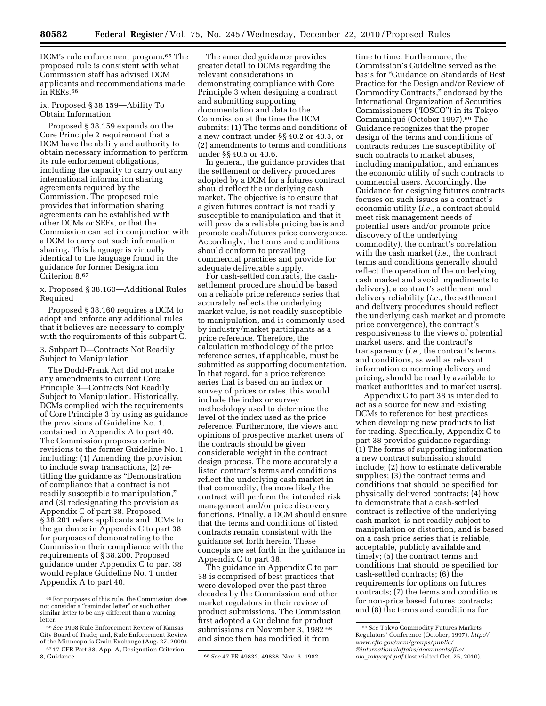DCM's rule enforcement program.<sup>65</sup> The proposed rule is consistent with what Commission staff has advised DCM applicants and recommendations made in RERs.66

## ix. Proposed § 38.159—Ability To Obtain Information

Proposed § 38.159 expands on the Core Principle 2 requirement that a DCM have the ability and authority to obtain necessary information to perform its rule enforcement obligations, including the capacity to carry out any international information sharing agreements required by the Commission. The proposed rule provides that information sharing agreements can be established with other DCMs or SEFs, or that the Commission can act in conjunction with a DCM to carry out such information sharing. This language is virtually identical to the language found in the guidance for former Designation Criterion 8.67

x. Proposed § 38.160—Additional Rules Required

Proposed § 38.160 requires a DCM to adopt and enforce any additional rules that it believes are necessary to comply with the requirements of this subpart C.

## 3. Subpart D—Contracts Not Readily Subject to Manipulation

The Dodd-Frank Act did not make any amendments to current Core Principle 3—Contracts Not Readily Subject to Manipulation. Historically, DCMs complied with the requirements of Core Principle 3 by using as guidance the provisions of Guideline No. 1, contained in Appendix A to part 40. The Commission proposes certain revisions to the former Guideline No. 1, including: (1) Amending the provision to include swap transactions, (2) retitling the guidance as ''Demonstration of compliance that a contract is not readily susceptible to manipulation,'' and (3) redesignating the provision as Appendix C of part 38. Proposed § 38.201 refers applicants and DCMs to the guidance in Appendix C to part 38 for purposes of demonstrating to the Commission their compliance with the requirements of § 38.200. Proposed guidance under Appendix C to part 38 would replace Guideline No. 1 under Appendix A to part 40.

The amended guidance provides greater detail to DCMs regarding the relevant considerations in demonstrating compliance with Core Principle 3 when designing a contract and submitting supporting documentation and data to the Commission at the time the DCM submits: (1) The terms and conditions of a new contract under §§ 40.2 or 40.3, or (2) amendments to terms and conditions under §§ 40.5 or 40.6.

In general, the guidance provides that the settlement or delivery procedures adopted by a DCM for a futures contract should reflect the underlying cash market. The objective is to ensure that a given futures contract is not readily susceptible to manipulation and that it will provide a reliable pricing basis and promote cash/futures price convergence. Accordingly, the terms and conditions should conform to prevailing commercial practices and provide for adequate deliverable supply.

For cash-settled contracts, the cashsettlement procedure should be based on a reliable price reference series that accurately reflects the underlying market value, is not readily susceptible to manipulation, and is commonly used by industry/market participants as a price reference. Therefore, the calculation methodology of the price reference series, if applicable, must be submitted as supporting documentation. In that regard, for a price reference series that is based on an index or survey of prices or rates, this would include the index or survey methodology used to determine the level of the index used as the price reference. Furthermore, the views and opinions of prospective market users of the contracts should be given considerable weight in the contract design process. The more accurately a listed contract's terms and conditions reflect the underlying cash market in that commodity, the more likely the contract will perform the intended risk management and/or price discovery functions. Finally, a DCM should ensure that the terms and conditions of listed contracts remain consistent with the guidance set forth herein. These concepts are set forth in the guidance in Appendix C to part 38.

The guidance in Appendix C to part 38 is comprised of best practices that were developed over the past three decades by the Commission and other market regulators in their review of product submissions. The Commission first adopted a Guideline for product submissions on November 3, 1982 68 and since then has modified it from

time to time. Furthermore, the Commission's Guideline served as the basis for ''Guidance on Standards of Best Practice for the Design and/or Review of Commodity Contracts,'' endorsed by the International Organization of Securities Commissioners (''IOSCO'') in its Tokyo Communiqué (October 1997).<sup>69</sup> The Guidance recognizes that the proper design of the terms and conditions of contracts reduces the susceptibility of such contracts to market abuses, including manipulation, and enhances the economic utility of such contracts to commercial users. Accordingly, the Guidance for designing futures contracts focuses on such issues as a contract's economic utility (*i.e.,* a contract should meet risk management needs of potential users and/or promote price discovery of the underlying commodity), the contract's correlation with the cash market (*i.e.,* the contract terms and conditions generally should reflect the operation of the underlying cash market and avoid impediments to delivery), a contract's settlement and delivery reliability (*i.e.,* the settlement and delivery procedures should reflect the underlying cash market and promote price convergence), the contract's responsiveness to the views of potential market users, and the contract's transparency (*i.e.,* the contract's terms and conditions, as well as relevant information concerning delivery and pricing, should be readily available to market authorities and to market users).

Appendix C to part 38 is intended to act as a source for new and existing DCMs to reference for best practices when developing new products to list for trading. Specifically, Appendix C to part 38 provides guidance regarding: (1) The forms of supporting information a new contract submission should include; (2) how to estimate deliverable supplies; (3) the contract terms and conditions that should be specified for physically delivered contracts; (4) how to demonstrate that a cash-settled contract is reflective of the underlying cash market, is not readily subject to manipulation or distortion, and is based on a cash price series that is reliable, acceptable, publicly available and timely; (5) the contract terms and conditions that should be specified for cash-settled contracts; (6) the requirements for options on futures contracts; (7) the terms and conditions for non-price based futures contracts; and (8) the terms and conditions for

<sup>65</sup>For purposes of this rule, the Commission does not consider a ''reminder letter'' or such other similar letter to be any different than a warning

letter. 66*See* 1998 Rule Enforcement Review of Kansas City Board of Trade; and, Rule Enforcement Review of the Minneapolis Grain Exchange (Aug. 27, 2009).<br><sup>67</sup> 17 CFR Part 38, App. A, Designation Criterion<br>8. Guidance.

<sup>8,</sup> Guidance. 68*See* 47 FR 49832, 49838, Nov. 3, 1982.

<sup>69</sup>*See* Tokyo Commodity Futures Markets [Regulators' Conference \(October, 1997\),](http://www.cftc.gov/ucm/groups/public/@internationalaffairs/documents/file/oia_tokyorpt.pdf) *http:// www.cftc.gov/ucm/groups/public/ @internationalaffairs/documents/file/ oia*\_*tokyorpt.pdf* (last visited Oct. 25, 2010).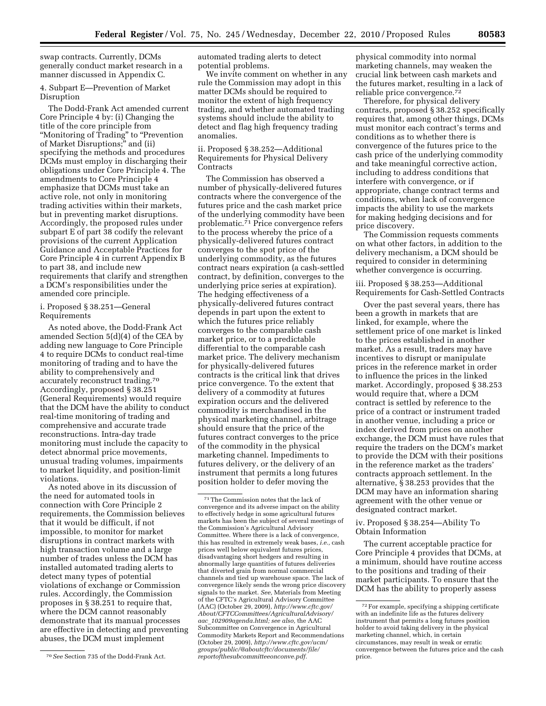swap contracts. Currently, DCMs generally conduct market research in a manner discussed in Appendix C.

4. Subpart E—Prevention of Market Disruption

The Dodd-Frank Act amended current Core Principle 4 by: (i) Changing the title of the core principle from ''Monitoring of Trading'' to ''Prevention of Market Disruptions;'' and (ii) specifying the methods and procedures DCMs must employ in discharging their obligations under Core Principle 4. The amendments to Core Principle 4 emphasize that DCMs must take an active role, not only in monitoring trading activities within their markets, but in preventing market disruptions. Accordingly, the proposed rules under subpart E of part 38 codify the relevant provisions of the current Application Guidance and Acceptable Practices for Core Principle 4 in current Appendix B to part 38, and include new requirements that clarify and strengthen a DCM's responsibilities under the amended core principle.

## i. Proposed § 38.251—General Requirements

As noted above, the Dodd-Frank Act amended Section 5(d)(4) of the CEA by adding new language to Core Principle 4 to require DCMs to conduct real-time monitoring of trading and to have the ability to comprehensively and accurately reconstruct trading.70 Accordingly, proposed § 38.251 (General Requirements) would require that the DCM have the ability to conduct real-time monitoring of trading and comprehensive and accurate trade reconstructions. Intra-day trade monitoring must include the capacity to detect abnormal price movements, unusual trading volumes, impairments to market liquidity, and position-limit violations.

As noted above in its discussion of the need for automated tools in connection with Core Principle 2 requirements, the Commission believes that it would be difficult, if not impossible, to monitor for market disruptions in contract markets with high transaction volume and a large number of trades unless the DCM has installed automated trading alerts to detect many types of potential violations of exchange or Commission rules. Accordingly, the Commission proposes in § 38.251 to require that, where the DCM cannot reasonably demonstrate that its manual processes are effective in detecting and preventing abuses, the DCM must implement

automated trading alerts to detect potential problems.

We invite comment on whether in any rule the Commission may adopt in this matter DCMs should be required to monitor the extent of high frequency trading, and whether automated trading systems should include the ability to detect and flag high frequency trading anomalies.

## ii. Proposed § 38.252—Additional Requirements for Physical Delivery **Contracts**

The Commission has observed a number of physically-delivered futures contracts where the convergence of the futures price and the cash market price of the underlying commodity have been problematic.71 Price convergence refers to the process whereby the price of a physically-delivered futures contract converges to the spot price of the underlying commodity, as the futures contract nears expiration (a cash-settled contract, by definition, converges to the underlying price series at expiration). The hedging effectiveness of a physically-delivered futures contract depends in part upon the extent to which the futures price reliably converges to the comparable cash market price, or to a predictable differential to the comparable cash market price. The delivery mechanism for physically-delivered futures contracts is the critical link that drives price convergence. To the extent that delivery of a commodity at futures expiration occurs and the delivered commodity is merchandised in the physical marketing channel, arbitrage should ensure that the price of the futures contract converges to the price of the commodity in the physical marketing channel. Impediments to futures delivery, or the delivery of an instrument that permits a long futures position holder to defer moving the

physical commodity into normal marketing channels, may weaken the crucial link between cash markets and the futures market, resulting in a lack of reliable price convergence.<sup>72</sup>

Therefore, for physical delivery contracts, proposed § 38.252 specifically requires that, among other things, DCMs must monitor each contract's terms and conditions as to whether there is convergence of the futures price to the cash price of the underlying commodity and take meaningful corrective action, including to address conditions that interfere with convergence, or if appropriate, change contract terms and conditions, when lack of convergence impacts the ability to use the markets for making hedging decisions and for price discovery.

The Commission requests comments on what other factors, in addition to the delivery mechanism, a DCM should be required to consider in determining whether convergence is occurring.

iii. Proposed § 38.253—Additional Requirements for Cash-Settled Contracts

Over the past several years, there has been a growth in markets that are linked, for example, where the settlement price of one market is linked to the prices established in another market. As a result, traders may have incentives to disrupt or manipulate prices in the reference market in order to influence the prices in the linked market. Accordingly, proposed § 38.253 would require that, where a DCM contract is settled by reference to the price of a contract or instrument traded in another venue, including a price or index derived from prices on another exchange, the DCM must have rules that require the traders on the DCM's market to provide the DCM with their positions in the reference market as the traders' contracts approach settlement. In the alternative, § 38.253 provides that the DCM may have an information sharing agreement with the other venue or designated contract market.

## iv. Proposed § 38.254—Ability To Obtain Information

The current acceptable practice for Core Principle 4 provides that DCMs, at a minimum, should have routine access to the positions and trading of their market participants. To ensure that the DCM has the ability to properly assess

<sup>70</sup>*See* Section 735 of the Dodd-Frank Act.

 $^{\mathrm{71}}$  The Commission notes that the lack of convergence and its adverse impact on the ability to effectively hedge in some agricultural futures markets has been the subject of several meetings of the Commission's Agricultural Advisory Committee. Where there is a lack of convergence, this has resulted in extremely weak bases, *i.e.,* cash prices well below equivalent futures prices, disadvantaging short hedgers and resulting in abnormally large quantities of futures deliveries that diverted grain from normal commercial channels and tied up warehouse space. The lack of convergence likely sends the wrong price discovery signals to the market. *See,* Materials from Meeting of the CFTC's Agricultural Advisory Committee (AAC) (October 29, 2009), *[http://www.cftc.gov/](http://www.cftc.gov/About/CFTCCommittees/AgriculturalAdvisory/aac_102909agenda.html)  [About/CFTCCommittees/AgriculturalAdvisory/](http://www.cftc.gov/About/CFTCCommittees/AgriculturalAdvisory/aac_102909agenda.html)  aac*\_*[102909agenda.html;](http://www.cftc.gov/About/CFTCCommittees/AgriculturalAdvisory/aac_102909agenda.html) see also,* the AAC Subcommittee on Convergence in Agricultural Commodity Markets Report and Recommendations (October 29, 2009), *http://www.cftc.gov/ucm/ [groups/public/@aboutcftc/documents/file/](http://www.cftc.gov/ucm/groups/public/@aboutcftc/documents/file/reportofthesubcommitteeonconve.pdf)  reportofthesubcommitteeonconve.pdf.* 

<sup>72</sup>For example, specifying a shipping certificate with an indefinite life as the futures delivery instrument that permits a long futures position holder to avoid taking delivery in the physical marketing channel, which, in certain circumstances, may result in weak or erratic convergence between the futures price and the cash price.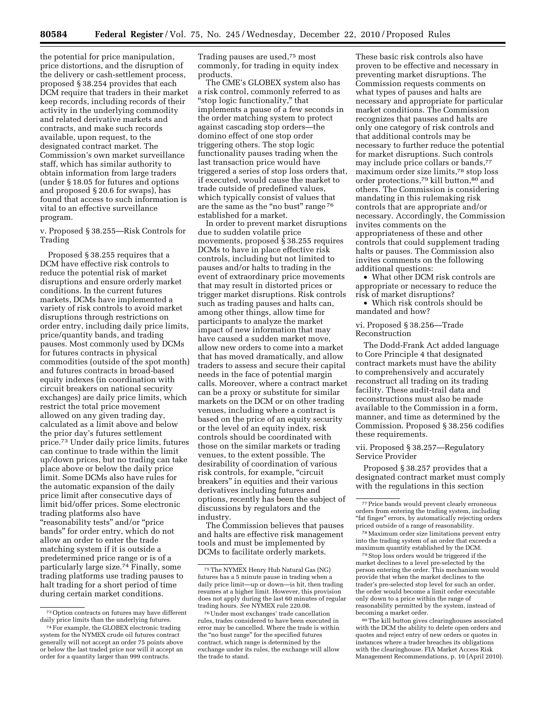the potential for price manipulation, price distortions, and the disruption of the delivery or cash-settlement process, proposed § 38.254 provides that each DCM require that traders in their market keep records, including records of their activity in the underlying commodity and related derivative markets and contracts, and make such records available, upon request, to the designated contract market. The Commission's own market surveillance staff, which has similar authority to obtain information from large traders (under § 18.05 for futures and options and proposed § 20.6 for swaps), has found that access to such information is vital to an effective surveillance program.

v. Proposed § 38.255—Risk Controls for Trading

Proposed § 38.255 requires that a DCM have effective risk controls to reduce the potential risk of market disruptions and ensure orderly market conditions. In the current futures markets, DCMs have implemented a variety of risk controls to avoid market disruptions through restrictions on order entry, including daily price limits, price/quantity bands, and trading pauses. Most commonly used by DCMs for futures contracts in physical commodities (outside of the spot month) and futures contracts in broad-based equity indexes (in coordination with circuit breakers on national security exchanges) are daily price limits, which restrict the total price movement allowed on any given trading day, calculated as a limit above and below the prior day's futures settlement price.73 Under daily price limits, futures can continue to trade within the limit up/down prices, but no trading can take place above or below the daily price limit. Some DCMs also have rules for the automatic expansion of the daily price limit after consecutive days of limit bid/offer prices. Some electronic trading platforms also have ''reasonability tests'' and/or ''price bands'' for order entry, which do not allow an order to enter the trade matching system if it is outside a predetermined price range or is of a particularly large size.74 Finally, some trading platforms use trading pauses to halt trading for a short period of time during certain market conditions.

Trading pauses are used,75 most commonly, for trading in equity index products.

The CME's GLOBEX system also has a risk control, commonly referred to as ''stop logic functionality,'' that implements a pause of a few seconds in the order matching system to protect against cascading stop orders—the domino effect of one stop order triggering others. The stop logic functionality pauses trading when the last transaction price would have triggered a series of stop loss orders that, if executed, would cause the market to trade outside of predefined values, which typically consist of values that are the same as the "no bust" range 76 established for a market.

In order to prevent market disruptions due to sudden volatile price movements, proposed § 38.255 requires DCMs to have in place effective risk controls, including but not limited to pauses and/or halts to trading in the event of extraordinary price movements that may result in distorted prices or trigger market disruptions. Risk controls such as trading pauses and halts can, among other things, allow time for participants to analyze the market impact of new information that may have caused a sudden market move, allow new orders to come into a market that has moved dramatically, and allow traders to assess and secure their capital needs in the face of potential margin calls. Moreover, where a contract market can be a proxy or substitute for similar markets on the DCM or on other trading venues, including where a contract is based on the price of an equity security or the level of an equity index, risk controls should be coordinated with those on the similar markets or trading venues, to the extent possible. The desirability of coordination of various risk controls, for example, "circuit" breakers'' in equities and their various derivatives including futures and options, recently has been the subject of discussions by regulators and the industry.

The Commission believes that pauses and halts are effective risk management tools and must be implemented by DCMs to facilitate orderly markets.

These basic risk controls also have proven to be effective and necessary in preventing market disruptions. The Commission requests comments on what types of pauses and halts are necessary and appropriate for particular market conditions. The Commission recognizes that pauses and halts are only one category of risk controls and that additional controls may be necessary to further reduce the potential for market disruptions. Such controls may include price collars or bands,<sup>77</sup> maximum order size limits,78 stop loss order protections,79 kill button,80 and others. The Commission is considering mandating in this rulemaking risk controls that are appropriate and/or necessary. Accordingly, the Commission invites comments on the appropriateness of these and other controls that could supplement trading halts or pauses. The Commission also invites comments on the following additional questions:

• What other DCM risk controls are appropriate or necessary to reduce the risk of market disruptions?

• Which risk controls should be mandated and how?

## vi. Proposed § 38.256—Trade Reconstruction

The Dodd-Frank Act added language to Core Principle 4 that designated contract markets must have the ability to comprehensively and accurately reconstruct all trading on its trading facility. These audit-trail data and reconstructions must also be made available to the Commission in a form, manner, and time as determined by the Commission. Proposed § 38.256 codifies these requirements.

## vii. Proposed § 38.257—Regulatory Service Provider

Proposed § 38.257 provides that a designated contract market must comply with the regulations in this section

79Stop loss orders would be triggered if the market declines to a level pre-selected by the person entering the order. This mechanism would provide that when the market declines to the trader's pre-selected stop level for such an order, the order would become a limit order executable only down to a price within the range of reasonability permitted by the system, instead of becoming a market order.

80The kill button gives clearinghouses associated with the DCM the ability to delete open orders and quotes and reject entry of new orders or quotes in instances where a trader breaches its obligations with the clearinghouse. FIA Market Access Risk Management Recommendations, p. 10 (April 2010).

<sup>73</sup>Option contracts on futures may have different daily price limits than the underlying futures.

<sup>74</sup>For example, the GLOBEX electronic trading system for the NYMEX crude oil futures contract generally will not accept an order 75 points above or below the last traded price nor will it accept an order for a quantity larger than 999 contracts.

<sup>75</sup>The NYMEX Henry Hub Natural Gas (NG) futures has a 5 minute pause in trading when a daily price limit—up or down—is hit, then trading resumes at a higher limit. However, this provision does not apply during the last 60 minutes of regular trading hours. *See* NYMEX rule 220.08.

<sup>76</sup>Under most exchanges' trade cancellation rules, trades considered to have been executed in error may be cancelled. Where the trade is within the "no bust range" for the specified futures contract, which range is determined by the exchange under its rules, the exchange will allow the trade to stand.

<sup>77</sup>Price bands would prevent clearly erroneous orders from entering the trading system, including "fat finger" errors, by automatically rejecting orders priced outside of a range of reasonability.

<sup>78</sup>Maximum order size limitations prevent entry into the trading system of an order that exceeds a maximum quantity established by the DCM.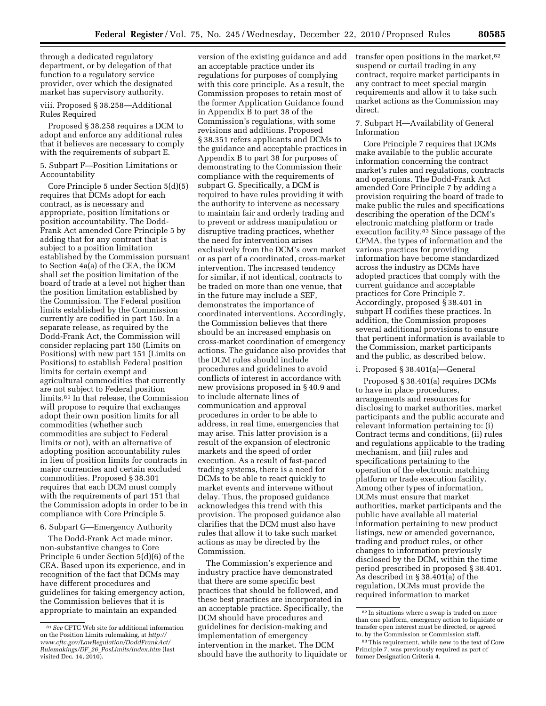through a dedicated regulatory department, or by delegation of that function to a regulatory service provider, over which the designated market has supervisory authority.

#### viii. Proposed § 38.258—Additional Rules Required

Proposed § 38.258 requires a DCM to adopt and enforce any additional rules that it believes are necessary to comply with the requirements of subpart E.

5. Subpart F—Position Limitations or Accountability

Core Principle 5 under Section 5(d)(5) requires that DCMs adopt for each contract, as is necessary and appropriate, position limitations or position accountability. The Dodd-Frank Act amended Core Principle 5 by adding that for any contract that is subject to a position limitation established by the Commission pursuant to Section 4a(a) of the CEA, the DCM shall set the position limitation of the board of trade at a level not higher than the position limitation established by the Commission. The Federal position limits established by the Commission currently are codified in part 150. In a separate release, as required by the Dodd-Frank Act, the Commission will consider replacing part 150 (Limits on Positions) with new part 151 (Limits on Positions) to establish Federal position limits for certain exempt and agricultural commodities that currently are not subject to Federal position limits.81 In that release, the Commission will propose to require that exchanges adopt their own position limits for all commodities (whether such commodities are subject to Federal limits or not), with an alternative of adopting position accountability rules in lieu of position limits for contracts in major currencies and certain excluded commodities. Proposed § 38.301 requires that each DCM must comply with the requirements of part 151 that the Commission adopts in order to be in compliance with Core Principle 5.

6. Subpart G—Emergency Authority

The Dodd-Frank Act made minor, non-substantive changes to Core Principle 6 under Section 5(d)(6) of the CEA. Based upon its experience, and in recognition of the fact that DCMs may have different procedures and guidelines for taking emergency action, the Commission believes that it is appropriate to maintain an expanded

version of the existing guidance and add an acceptable practice under its regulations for purposes of complying with this core principle. As a result, the Commission proposes to retain most of the former Application Guidance found in Appendix B to part 38 of the Commission's regulations, with some revisions and additions. Proposed § 38.351 refers applicants and DCMs to the guidance and acceptable practices in Appendix B to part 38 for purposes of demonstrating to the Commission their compliance with the requirements of subpart G. Specifically, a DCM is required to have rules providing it with the authority to intervene as necessary to maintain fair and orderly trading and to prevent or address manipulation or disruptive trading practices, whether the need for intervention arises exclusively from the DCM's own market or as part of a coordinated, cross-market intervention. The increased tendency for similar, if not identical, contracts to be traded on more than one venue, that in the future may include a SEF, demonstrates the importance of coordinated interventions. Accordingly, the Commission believes that there should be an increased emphasis on cross-market coordination of emergency actions. The guidance also provides that the DCM rules should include procedures and guidelines to avoid conflicts of interest in accordance with new provisions proposed in § 40.9 and to include alternate lines of communication and approval procedures in order to be able to address, in real time, emergencies that may arise. This latter provision is a result of the expansion of electronic markets and the speed of order execution. As a result of fast-paced trading systems, there is a need for DCMs to be able to react quickly to market events and intervene without delay. Thus, the proposed guidance acknowledges this trend with this provision. The proposed guidance also clarifies that the DCM must also have rules that allow it to take such market actions as may be directed by the Commission.

The Commission's experience and industry practice have demonstrated that there are some specific best practices that should be followed, and these best practices are incorporated in an acceptable practice. Specifically, the DCM should have procedures and guidelines for decision-making and implementation of emergency intervention in the market. The DCM should have the authority to liquidate or transfer open positions in the market, 82 suspend or curtail trading in any contract, require market participants in any contract to meet special margin requirements and allow it to take such market actions as the Commission may direct.

## 7. Subpart H—Availability of General Information

Core Principle 7 requires that DCMs make available to the public accurate information concerning the contract market's rules and regulations, contracts and operations. The Dodd-Frank Act amended Core Principle 7 by adding a provision requiring the board of trade to make public the rules and specifications describing the operation of the DCM's electronic matching platform or trade execution facility.83 Since passage of the CFMA, the types of information and the various practices for providing information have become standardized across the industry as DCMs have adopted practices that comply with the current guidance and acceptable practices for Core Principle 7. Accordingly, proposed § 38.401 in subpart H codifies these practices. In addition, the Commission proposes several additional provisions to ensure that pertinent information is available to the Commission, market participants and the public, as described below.

## i. Proposed § 38.401(a)—General

Proposed § 38.401(a) requires DCMs to have in place procedures, arrangements and resources for disclosing to market authorities, market participants and the public accurate and relevant information pertaining to: (i) Contract terms and conditions, (ii) rules and regulations applicable to the trading mechanism, and (iii) rules and specifications pertaining to the operation of the electronic matching platform or trade execution facility. Among other types of information, DCMs must ensure that market authorities, market participants and the public have available all material information pertaining to new product listings, new or amended governance, trading and product rules, or other changes to information previously disclosed by the DCM, within the time period prescribed in proposed § 38.401. As described in § 38.401(a) of the regulation, DCMs must provide the required information to market

<sup>81</sup>*See* CFTC Web site for additional information on the Position Limits rulemaking, at *[http://](http://www.cftc.gov/LawRegulation/DoddFrankAct/Rulemakings/DF_26_PosLimits/index.htm)  [www.cftc.gov/LawRegulation/DoddFrankAct/](http://www.cftc.gov/LawRegulation/DoddFrankAct/Rulemakings/DF_26_PosLimits/index.htm) Rulemakings/DF*\_*26*\_*[PosLimits/index.htm](http://www.cftc.gov/LawRegulation/DoddFrankAct/Rulemakings/DF_26_PosLimits/index.htm)* (last visited Dec. 14, 2010).

 $\rm ^{82}$  In situations where a swap is traded on more than one platform, emergency action to liquidate or transfer open interest must be directed, or agreed to, by the Commission or Commission staff.

<sup>&</sup>lt;sup>83</sup>This requirement, while new to the text of Core Principle 7, was previously required as part of former Designation Criteria 4.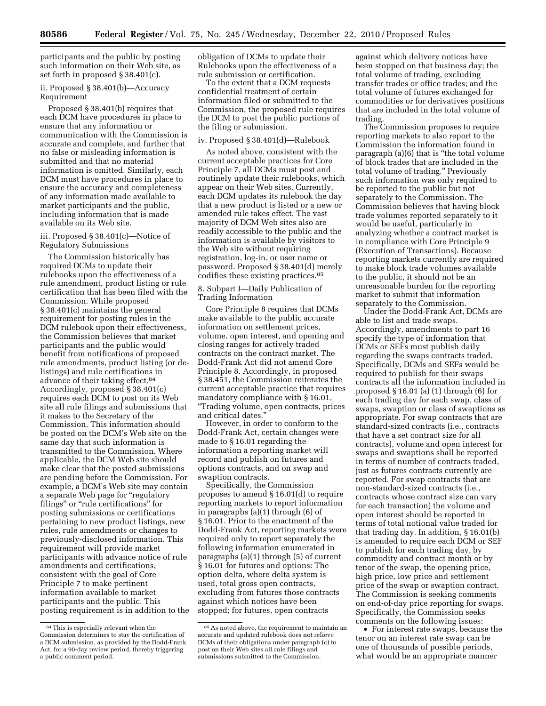participants and the public by posting such information on their Web site, as set forth in proposed § 38.401(c).

## ii. Proposed § 38.401(b)—Accuracy Requirement

Proposed § 38.401(b) requires that each DCM have procedures in place to ensure that any information or communication with the Commission is accurate and complete, and further that no false or misleading information is submitted and that no material information is omitted. Similarly, each DCM must have procedures in place to ensure the accuracy and completeness of any information made available to market participants and the public, including information that is made available on its Web site.

#### iii. Proposed § 38.401(c)—Notice of Regulatory Submissions

The Commission historically has required DCMs to update their rulebooks upon the effectiveness of a rule amendment, product listing or rule certification that has been filed with the Commission. While proposed § 38.401(c) maintains the general requirement for posting rules in the DCM rulebook upon their effectiveness, the Commission believes that market participants and the public would benefit from notifications of proposed rule amendments, product listing (or delistings) and rule certifications in advance of their taking effect.84 Accordingly, proposed § 38.401(c) requires each DCM to post on its Web site all rule filings and submissions that it makes to the Secretary of the Commission. This information should be posted on the DCM's Web site on the same day that such information is transmitted to the Commission. Where applicable, the DCM Web site should make clear that the posted submissions are pending before the Commission. For example, a DCM's Web site may contain a separate Web page for "regulatory filings" or "rule certifications" for posting submissions or certifications pertaining to new product listings, new rules, rule amendments or changes to previously-disclosed information. This requirement will provide market participants with advance notice of rule amendments and certifications, consistent with the goal of Core Principle 7 to make pertinent information available to market participants and the public. This posting requirement is in addition to the

obligation of DCMs to update their Rulebooks upon the effectiveness of a rule submission or certification.

To the extent that a DCM requests confidential treatment of certain information filed or submitted to the Commission, the proposed rule requires the DCM to post the public portions of the filing or submission.

## iv. Proposed § 38.401(d)—Rulebook

As noted above, consistent with the current acceptable practices for Core Principle 7, all DCMs must post and routinely update their rulebooks, which appear on their Web sites. Currently, each DCM updates its rulebook the day that a new product is listed or a new or amended rule takes effect. The vast majority of DCM Web sites also are readily accessible to the public and the information is available by visitors to the Web site without requiring registration, log-in, or user name or password. Proposed § 38.401(d) merely codifies these existing practices.85

## 8. Subpart I—Daily Publication of Trading Information

Core Principle 8 requires that DCMs make available to the public accurate information on settlement prices, volume, open interest, and opening and closing ranges for actively traded contracts on the contract market. The Dodd-Frank Act did not amend Core Principle 8. Accordingly, in proposed § 38.451, the Commission reiterates the current acceptable practice that requires mandatory compliance with § 16.01, ''Trading volume, open contracts, prices and critical dates.''

However, in order to conform to the Dodd-Frank Act, certain changes were made to § 16.01 regarding the information a reporting market will record and publish on futures and options contracts, and on swap and swaption contracts.

Specifically, the Commission proposes to amend § 16.01(d) to require reporting markets to report information in paragraphs (a)(1) through (6) of § 16.01. Prior to the enactment of the Dodd-Frank Act, reporting markets were required only to report separately the following information enumerated in paragraphs (a)(1) through (5) of current § 16.01 for futures and options: The option delta, where delta system is used, total gross open contracts, excluding from futures those contracts against which notices have been stopped; for futures, open contracts

against which delivery notices have been stopped on that business day; the total volume of trading, excluding transfer trades or office trades; and the total volume of futures exchanged for commodities or for derivatives positions that are included in the total volume of trading.

The Commission proposes to require reporting markets to also report to the Commission the information found in paragraph (a)(6) that is ''the total volume of block trades that are included in the total volume of trading.'' Previously such information was only required to be reported to the public but not separately to the Commission. The Commission believes that having block trade volumes reported separately to it would be useful, particularly in analyzing whether a contract market is in compliance with Core Principle 9 (Execution of Transactions). Because reporting markets currently are required to make block trade volumes available to the public, it should not be an unreasonable burden for the reporting market to submit that information separately to the Commission.

Under the Dodd-Frank Act, DCMs are able to list and trade swaps. Accordingly, amendments to part 16 specify the type of information that DCMs or SEFs must publish daily regarding the swaps contracts traded. Specifically, DCMs and SEFs would be required to publish for their swaps contracts all the information included in proposed § 16.01 (a) (1) through (6) for each trading day for each swap, class of swaps, swaption or class of swaptions as appropriate. For swap contracts that are standard-sized contracts (i.e., contracts that have a set contract size for all contracts), volume and open interest for swaps and swaptions shall be reported in terms of number of contracts traded, just as futures contracts currently are reported. For swap contracts that are non-standard-sized contracts (i.e., contracts whose contract size can vary for each transaction) the volume and open interest should be reported in terms of total notional value traded for that trading day. In addition, § 16.01(b) is amended to require each DCM or SEF to publish for each trading day, by commodity and contract month or by tenor of the swap, the opening price, high price, low price and settlement price of the swap or swaption contract. The Commission is seeking comments on end-of-day price reporting for swaps. Specifically, the Commission seeks comments on the following issues:

• For interest rate swaps, because the tenor on an interest rate swap can be one of thousands of possible periods, what would be an appropriate manner

<sup>84</sup>This is especially relevant when the Commission determines to stay the certification of a DCM submission, as provided by the Dodd-Frank Act, for a 90-day review period, thereby triggering a public comment period.

<sup>85</sup>As noted above, the requirement to maintain an accurate and updated rulebook does not relieve DCMs of their obligations under paragraph (c) to post on their Web sites all rule filings and submissions submitted to the Commission.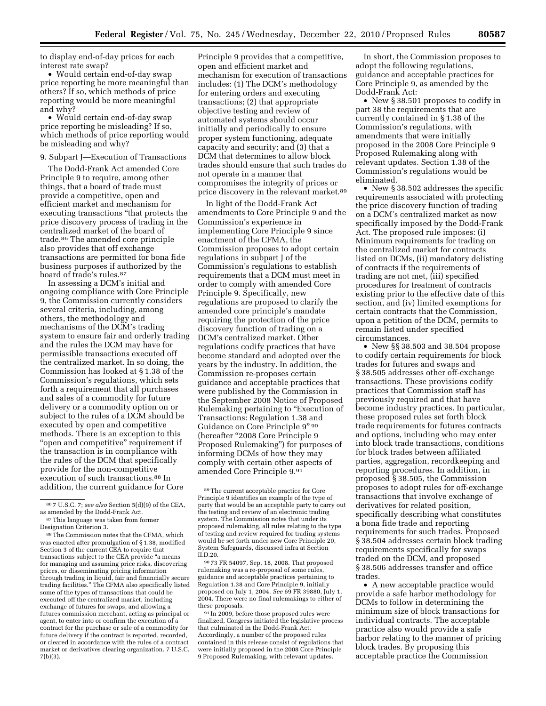to display end-of-day prices for each interest rate swap?

• Would certain end-of-day swap price reporting be more meaningful than others? If so, which methods of price reporting would be more meaningful and why?

• Would certain end-of-day swap price reporting be misleading? If so, which methods of price reporting would be misleading and why?

#### 9. Subpart J—Execution of Transactions

The Dodd-Frank Act amended Core Principle 9 to require, among other things, that a board of trade must provide a competitive, open and efficient market and mechanism for executing transactions ''that protects the price discovery process of trading in the centralized market of the board of trade.86 The amended core principle also provides that off exchange transactions are permitted for bona fide business purposes if authorized by the board of trade's rules.87

In assessing a DCM's initial and ongoing compliance with Core Principle 9, the Commission currently considers several criteria, including, among others, the methodology and mechanisms of the DCM's trading system to ensure fair and orderly trading and the rules the DCM may have for permissible transactions executed off the centralized market. In so doing, the Commission has looked at § 1.38 of the Commission's regulations, which sets forth a requirement that all purchases and sales of a commodity for future delivery or a commodity option on or subject to the rules of a DCM should be executed by open and competitive methods. There is an exception to this "open and competitive" requirement if the transaction is in compliance with the rules of the DCM that specifically provide for the non-competitive execution of such transactions.<sup>88</sup> In addition, the current guidance for Core

Principle 9 provides that a competitive, open and efficient market and mechanism for execution of transactions includes: (1) The DCM's methodology for entering orders and executing transactions; (2) that appropriate objective testing and review of automated systems should occur initially and periodically to ensure proper system functioning, adequate capacity and security; and (3) that a DCM that determines to allow block trades should ensure that such trades do not operate in a manner that compromises the integrity of prices or price discovery in the relevant market.89

In light of the Dodd-Frank Act amendments to Core Principle 9 and the Commission's experience in implementing Core Principle 9 since enactment of the CFMA, the Commission proposes to adopt certain regulations in subpart J of the Commission's regulations to establish requirements that a DCM must meet in order to comply with amended Core Principle 9. Specifically, new regulations are proposed to clarify the amended core principle's mandate requiring the protection of the price discovery function of trading on a DCM's centralized market. Other regulations codify practices that have become standard and adopted over the years by the industry. In addition, the Commission re-proposes certain guidance and acceptable practices that were published by the Commission in the September 2008 Notice of Proposed Rulemaking pertaining to "Execution of Transactions: Regulation 1.38 and Guidance on Core Principle 9'' 90 (hereafter "2008 Core Principle 9 Proposed Rulemaking'') for purposes of informing DCMs of how they may comply with certain other aspects of amended Core Principle 9.91

90 73 FR 54097, Sep. 18, 2008. That proposed rulemaking was a re-proposal of some rules, guidance and acceptable practices pertaining to Regulation 1.38 and Core Principle 9, initially proposed on July 1, 2004. *See* 69 FR 39880, July 1, 2004. There were no final rulemakings to either of these proposals.

91 In 2009, before those proposed rules were finalized, Congress initiated the legislative process that culminated in the Dodd-Frank Act. Accordingly, a number of the proposed rules contained in this release consist of regulations that were initially proposed in the 2008 Core Principle 9 Proposed Rulemaking, with relevant updates.

In short, the Commission proposes to adopt the following regulations, guidance and acceptable practices for Core Principle 9, as amended by the Dodd-Frank Act:

• New § 38.501 proposes to codify in part 38 the requirements that are currently contained in § 1.38 of the Commission's regulations, with amendments that were initially proposed in the 2008 Core Principle 9 Proposed Rulemaking along with relevant updates. Section 1.38 of the Commission's regulations would be eliminated.

• New § 38.502 addresses the specific requirements associated with protecting the price discovery function of trading on a DCM's centralized market as now specifically imposed by the Dodd-Frank Act. The proposed rule imposes: (i) Minimum requirements for trading on the centralized market for contracts listed on DCMs, (ii) mandatory delisting of contracts if the requirements of trading are not met, (iii) specified procedures for treatment of contracts existing prior to the effective date of this section, and (iv) limited exemptions for certain contracts that the Commission, upon a petition of the DCM, permits to remain listed under specified circumstances.

• New §§ 38.503 and 38.504 propose to codify certain requirements for block trades for futures and swaps and § 38.505 addresses other off-exchange transactions. These provisions codify practices that Commission staff has previously required and that have become industry practices. In particular, these proposed rules set forth block trade requirements for futures contracts and options, including who may enter into block trade transactions, conditions for block trades between affiliated parties, aggregation, recordkeeping and reporting procedures. In addition, in proposed § 38.505, the Commission proposes to adopt rules for off-exchange transactions that involve exchange of derivatives for related position, specifically describing what constitutes a bona fide trade and reporting requirements for such trades. Proposed § 38.504 addresses certain block trading requirements specifically for swaps traded on the DCM, and proposed § 38.506 addresses transfer and office trades.

• A new acceptable practice would provide a safe harbor methodology for DCMs to follow in determining the minimum size of block transactions for individual contracts. The acceptable practice also would provide a safe harbor relating to the manner of pricing block trades. By proposing this acceptable practice the Commission

<sup>86</sup> 7 U.S.C. 7; *see also* Section 5(d)(9) of the CEA, as amended by the Dodd-Frank Act.

<sup>87</sup>This language was taken from former Designation Criterion 3.

 $^{88}\mathrm{The}$  Commission notes that the CFMA, which was enacted after promulgation of § 1.38, modified Section 3 of the current CEA to require that transactions subject to the CEA provide ''a means for managing and assuming price risks, discovering prices, or disseminating pricing information through trading in liquid, fair and financially secure trading facilities.'' The CFMA also specifically listed some of the types of transactions that could be executed off the centralized market, including exchange of futures for swaps, and allowing a futures commission merchant, acting as principal or agent, to enter into or confirm the execution of a contract for the purchase or sale of a commodity for future delivery if the contract is reported, recorded, or cleared in accordance with the rules of a contract market or derivatives clearing organization. 7 U.S.C. 7(b)(3).

<sup>89</sup>The current acceptable practice for Core Principle 9 identifies an example of the type of party that would be an acceptable party to carry out the testing and review of an electronic trading system. The Commission notes that under its proposed rulemaking, all rules relating to the type of testing and review required for trading systems would be set forth under new Core Principle 20, System Safeguards, discussed infra at Section II.D.20.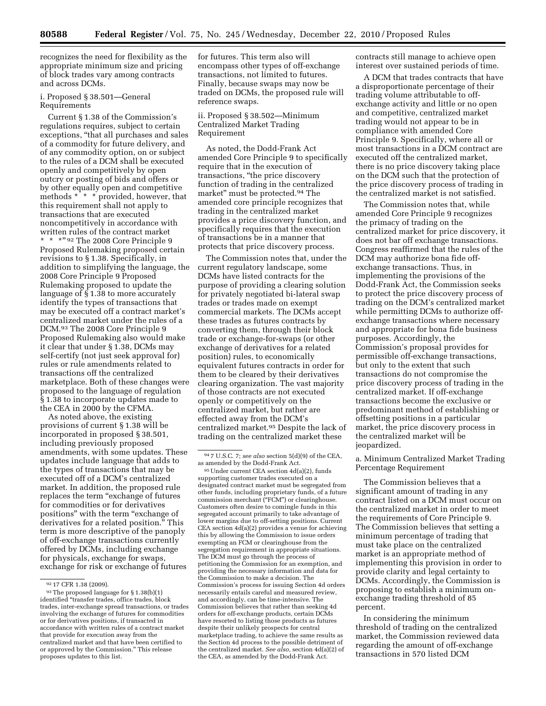recognizes the need for flexibility as the appropriate minimum size and pricing of block trades vary among contracts and across DCMs.

## i. Proposed § 38.501—General Requirements

Current § 1.38 of the Commission's regulations requires, subject to certain exceptions, ''that all purchases and sales of a commodity for future delivery, and of any commodity option, on or subject to the rules of a DCM shall be executed openly and competitively by open outcry or posting of bids and offers or by other equally open and competitive methods \* \* \* provided, however, that this requirement shall not apply to transactions that are executed noncompetitively in accordance with written rules of the contract market \*\*\*'' 92 The 2008 Core Principle 9 Proposed Rulemaking proposed certain revisions to § 1.38. Specifically, in addition to simplifying the language, the 2008 Core Principle 9 Proposed Rulemaking proposed to update the language of  $\S$  1.38 to more accurately identify the types of transactions that may be executed off a contract market's centralized market under the rules of a DCM.93 The 2008 Core Principle 9 Proposed Rulemaking also would make it clear that under § 1.38, DCMs may self-certify (not just seek approval for) rules or rule amendments related to transactions off the centralized marketplace. Both of these changes were proposed to the language of regulation § 1.38 to incorporate updates made to the CEA in 2000 by the CFMA.

As noted above, the existing provisions of current § 1.38 will be incorporated in proposed § 38.501, including previously proposed amendments, with some updates. These updates include language that adds to the types of transactions that may be executed off of a DCM's centralized market. In addition, the proposed rule replaces the term ''exchange of futures for commodities or for derivatives positions" with the term "exchange of derivatives for a related position.'' This term is more descriptive of the panoply of off-exchange transactions currently offered by DCMs, including exchange for physicals, exchange for swaps, exchange for risk or exchange of futures

for futures. This term also will encompass other types of off-exchange transactions, not limited to futures. Finally, because swaps may now be traded on DCMs, the proposed rule will reference swaps.

## ii. Proposed § 38.502—Minimum Centralized Market Trading Requirement

As noted, the Dodd-Frank Act amended Core Principle 9 to specifically require that in the execution of transactions, ''the price discovery function of trading in the centralized market'' must be protected.94 The amended core principle recognizes that trading in the centralized market provides a price discovery function, and specifically requires that the execution of transactions be in a manner that protects that price discovery process.

The Commission notes that, under the current regulatory landscape, some DCMs have listed contracts for the purpose of providing a clearing solution for privately negotiated bi-lateral swap trades or trades made on exempt commercial markets. The DCMs accept these trades as futures contracts by converting them, through their block trade or exchange-for-swaps (or other exchange of derivatives for a related position) rules, to economically equivalent futures contracts in order for them to be cleared by their derivatives clearing organization. The vast majority of those contracts are not executed openly or competitively on the centralized market, but rather are effected away from the DCM's centralized market.95 Despite the lack of trading on the centralized market these

95Under current CEA section 4d(a)(2), funds supporting customer trades executed on a designated contract market must be segregated from other funds, including proprietary funds, of a future commission merchant ("FCM") or clearinghouse. Customers often desire to comingle funds in this segregated account primarily to take advantage of lower margins due to off-setting positions. Current CEA section 4d(a)(2) provides a venue for achieving this by allowing the Commission to issue orders exempting an FCM or clearinghouse from the segregation requirement in appropriate situations. The DCM must go through the process of petitioning the Commission for an exemption, and providing the necessary information and data for the Commission to make a decision. The Commission's process for issuing Section 4d orders necessarily entails careful and measured review, and accordingly, can be time-intensive. The Commission believes that rather than seeking 4d orders for off-exchange products, certain DCMs have resorted to listing those products as futures despite their unlikely prospects for central marketplace trading, to achieve the same results as the Section 4d process to the possible detriment of the centralized market. *See also,* section 4d(a)(2) of the CEA, as amended by the Dodd-Frank Act.

contracts still manage to achieve open interest over sustained periods of time.

A DCM that trades contracts that have a disproportionate percentage of their trading volume attributable to offexchange activity and little or no open and competitive, centralized market trading would not appear to be in compliance with amended Core Principle 9. Specifically, where all or most transactions in a DCM contract are executed off the centralized market, there is no price discovery taking place on the DCM such that the protection of the price discovery process of trading in the centralized market is not satisfied.

The Commission notes that, while amended Core Principle 9 recognizes the primacy of trading on the centralized market for price discovery, it does not bar off exchange transactions. Congress reaffirmed that the rules of the DCM may authorize bona fide offexchange transactions. Thus, in implementing the provisions of the Dodd-Frank Act, the Commission seeks to protect the price discovery process of trading on the DCM's centralized market while permitting DCMs to authorize offexchange transactions where necessary and appropriate for bona fide business purposes. Accordingly, the Commission's proposal provides for permissible off-exchange transactions, but only to the extent that such transactions do not compromise the price discovery process of trading in the centralized market. If off-exchange transactions become the exclusive or predominant method of establishing or offsetting positions in a particular market, the price discovery process in the centralized market will be jeopardized.

a. Minimum Centralized Market Trading Percentage Requirement

The Commission believes that a significant amount of trading in any contract listed on a DCM must occur on the centralized market in order to meet the requirements of Core Principle 9. The Commission believes that setting a minimum percentage of trading that must take place on the centralized market is an appropriate method of implementing this provision in order to provide clarity and legal certainty to DCMs. Accordingly, the Commission is proposing to establish a minimum onexchange trading threshold of 85 percent.

In considering the minimum threshold of trading on the centralized market, the Commission reviewed data regarding the amount of off-exchange transactions in 570 listed DCM

<sup>92</sup> 17 CFR 1.38 (2009).

<sup>93</sup>The proposed language for § 1.38(b)(1) identified ''transfer trades, office trades, block trades, inter-exchange spread transactions, or trades involving the exchange of futures for commodities or for derivatives positions, if transacted in accordance with written rules of a contract market that provide for execution away from the centralized market and that have been certified to or approved by the Commission.'' This release proposes updates to this list.

<sup>94</sup> 7 U.S.C. 7; *see also* section 5(d)(9) of the CEA, as amended by the Dodd-Frank Act.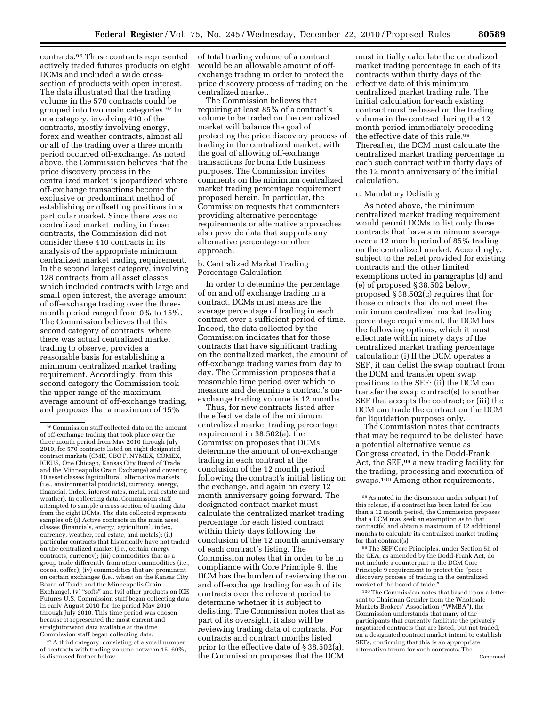contracts.96 Those contracts represented actively traded futures products on eight DCMs and included a wide crosssection of products with open interest. The data illustrated that the trading volume in the 570 contracts could be grouped into two main categories.97 In one category, involving 410 of the contracts, mostly involving energy, forex and weather contracts, almost all or all of the trading over a three month period occurred off-exchange. As noted above, the Commission believes that the price discovery process in the centralized market is jeopardized where off-exchange transactions become the exclusive or predominant method of establishing or offsetting positions in a particular market. Since there was no centralized market trading in those contracts, the Commission did not consider these 410 contracts in its analysis of the appropriate minimum centralized market trading requirement. In the second largest category, involving 128 contracts from all asset classes which included contracts with large and small open interest, the average amount of off-exchange trading over the threemonth period ranged from 0% to 15%. The Commission believes that this second category of contracts, where there was actual centralized market trading to observe, provides a reasonable basis for establishing a minimum centralized market trading requirement. Accordingly, from this second category the Commission took the upper range of the maximum average amount of off-exchange trading, and proposes that a maximum of 15%

97A third category, consisting of a small number of contracts with trading volume between 15–60%, is discussed further below.

The Commission believes that requiring at least 85% of a contract's volume to be traded on the centralized market will balance the goal of protecting the price discovery process of trading in the centralized market, with the goal of allowing off-exchange transactions for bona fide business purposes. The Commission invites comments on the minimum centralized market trading percentage requirement proposed herein. In particular, the Commission requests that commenters providing alternative percentage requirements or alternative approaches also provide data that supports any alternative percentage or other approach.

## b. Centralized Market Trading Percentage Calculation

In order to determine the percentage of on and off exchange trading in a contract, DCMs must measure the average percentage of trading in each contract over a sufficient period of time. Indeed, the data collected by the Commission indicates that for those contracts that have significant trading on the centralized market, the amount of off-exchange trading varies from day to day. The Commission proposes that a reasonable time period over which to measure and determine a contract's onexchange trading volume is 12 months.

Thus, for new contracts listed after the effective date of the minimum centralized market trading percentage requirement in 38.502(a), the Commission proposes that DCMs determine the amount of on-exchange trading in each contract at the conclusion of the 12 month period following the contract's initial listing on the exchange, and again on every 12 month anniversary going forward. The designated contract market must calculate the centralized market trading percentage for each listed contract within thirty days following the conclusion of the 12 month anniversary of each contract's listing. The Commission notes that in order to be in compliance with Core Principle 9, the DCM has the burden of reviewing the on and off-exchange trading for each of its contracts over the relevant period to determine whether it is subject to delisting. The Commission notes that as part of its oversight, it also will be reviewing trading data of contracts. For contracts and contract months listed prior to the effective date of § 38.502(a), the Commission proposes that the DCM

must initially calculate the centralized market trading percentage in each of its contracts within thirty days of the effective date of this minimum centralized market trading rule. The initial calculation for each existing contract must be based on the trading volume in the contract during the 12 month period immediately preceding the effective date of this rule.<sup>98</sup> Thereafter, the DCM must calculate the centralized market trading percentage in each such contract within thirty days of the 12 month anniversary of the initial calculation.

#### c. Mandatory Delisting

As noted above, the minimum centralized market trading requirement would permit DCMs to list only those contracts that have a minimum average over a 12 month period of 85% trading on the centralized market. Accordingly, subject to the relief provided for existing contracts and the other limited exemptions noted in paragraphs (d) and (e) of proposed § 38.502 below, proposed § 38.502(c) requires that for those contracts that do not meet the minimum centralized market trading percentage requirement, the DCM has the following options, which it must effectuate within ninety days of the centralized market trading percentage calculation: (i) If the DCM operates a SEF, it can delist the swap contract from the DCM and transfer open swap positions to the SEF; (ii) the DCM can transfer the swap contract(s) to another SEF that accepts the contract; or (iii) the DCM can trade the contract on the DCM for liquidation purposes only.

The Commission notes that contracts that may be required to be delisted have a potential alternative venue as Congress created, in the Dodd-Frank Act, the SEF,<sup>99</sup> a new trading facility for the trading, processing and execution of swaps.100 Among other requirements,

100The Commission notes that based upon a letter sent to Chairman Gensler from the Wholesale Markets Brokers' Association (''WMBA''), the Commission understands that many of the participants that currently facilitate the privately negotiated contracts that are listed, but not traded, on a designated contract market intend to establish SEFs, confirming that this is an appropriate alternative forum for such contracts. The Continued

<sup>96</sup>Commission staff collected data on the amount of off-exchange trading that took place over the three month period from May 2010 through July 2010, for 570 contracts listed on eight designated contract markets (CME, CBOT, NYMEX, COMEX, ICEUS, One Chicago, Kansas City Board of Trade and the Minneapolis Grain Exchange) and covering 10 asset classes (agricultural, alternative markets (i.e., environmental products), currency, energy, financial, index, interest rates, metal, real estate and weather). In collecting data, Commission staff attempted to sample a cross-section of trading data from the eight DCMs. The data collected represents samples of: (i) Active contracts in the main asset classes (financials, energy, agricultural, index, currency, weather, real estate, and metals); (ii) particular contracts that historically have not traded on the centralized market (i.e., certain energy contracts, currency); (iii) commodities that as a group trade differently from other commodities (i.e., cocoa, coffee); (iv) commodities that are prominent on certain exchanges (i.e., wheat on the Kansas City Board of Trade and the Minneapolis Grain Exchange), (v) "softs" and (vi) other products on ICE Futures U.S. Commission staff began collecting data in early August 2010 for the period May 2010 through July 2010. This time period was chosen because it represented the most current and straightforward data available at the time Commission staff began collecting data.

of total trading volume of a contract would be an allowable amount of offexchange trading in order to protect the price discovery process of trading on the centralized market.

 $^{98}\mathrm{As}$  noted in the discussion under subpart J of this release, if a contract has been listed for less than a 12 month period, the Commission proposes that a DCM may seek an exemption as to that contract(s) and obtain a maximum of 12 additional months to calculate its centralized market trading for that contract(s).

<sup>99</sup>The SEF Core Principles, under Section 5h of the CEA, as amended by the Dodd-Frank Act, do not include a counterpart to the DCM Core Principle 9 requirement to protect the "price discovery process of trading in the centralized market of the board of trade.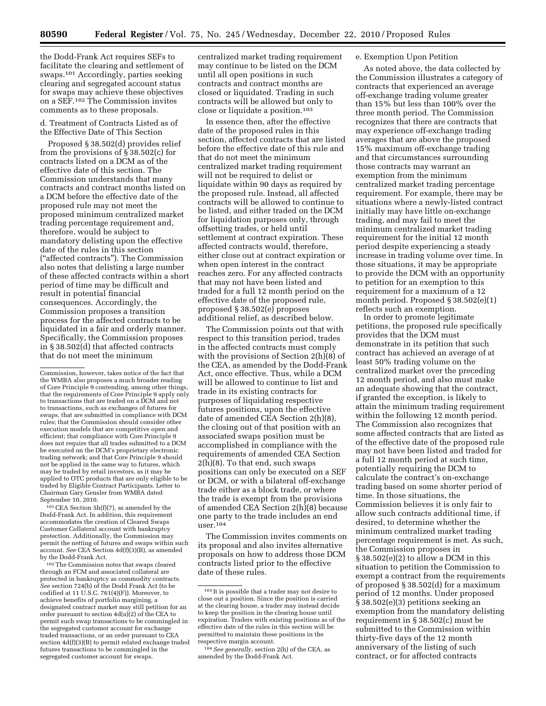the Dodd-Frank Act requires SEFs to facilitate the clearing and settlement of swaps.101 Accordingly, parties seeking clearing and segregated account status for swaps may achieve these objectives on a SEF.102 The Commission invites comments as to these proposals.

d. Treatment of Contracts Listed as of the Effective Date of This Section

Proposed § 38.502(d) provides relief from the provisions of § 38.502(c) for contracts listed on a DCM as of the effective date of this section. The Commission understands that many contracts and contract months listed on a DCM before the effective date of the proposed rule may not meet the proposed minimum centralized market trading percentage requirement and, therefore, would be subject to mandatory delisting upon the effective date of the rules in this section (''affected contracts''). The Commission also notes that delisting a large number of these affected contracts within a short period of time may be difficult and result in potential financial consequences. Accordingly, the Commission proposes a transition process for the affected contracts to be liquidated in a fair and orderly manner. Specifically, the Commission proposes in § 38.502(d) that affected contracts that do not meet the minimum

101CEA Section 5h(f)(7), as amended by the Dodd-Frank Act. In addition, this requirement accommodates the creation of Cleared Swaps Customer Collateral account with bankruptcy protection. Additionally, the Commission may permit the netting of futures and swaps within such account. *See* CEA Section 4d(f)(3)(B), as amended by the Dodd-Frank Act.

102The Commission notes that swaps cleared through an FCM and associated collateral are protected in bankruptcy as commodity contracts. *See* section 724(b) of the Dodd Frank Act (to be codified at 11 U.S.C. 761(4)(F)). Moreover, to achieve benefits of portfolio margining, a designated contract market may still petition for an order pursuant to section  $4d(a)(2)$  of the CEA to permit such swap transactions to be commingled in the segregated customer account for exchange traded transactions, or an order pursuant to CEA section 4d(f)(3)(B) to permit related exchange traded futures transactions to be commingled in the segregated customer account for swaps.

centralized market trading requirement may continue to be listed on the DCM until all open positions in such contracts and contract months are closed or liquidated. Trading in such contracts will be allowed but only to close or liquidate a position.103

In essence then, after the effective date of the proposed rules in this section, affected contracts that are listed before the effective date of this rule and that do not meet the minimum centralized market trading requirement will not be required to delist or liquidate within 90 days as required by the proposed rule. Instead, all affected contracts will be allowed to continue to be listed, and either traded on the DCM for liquidation purposes only, through offsetting trades, or held until settlement at contract expiration. These affected contracts would, therefore, either close out at contract expiration or when open interest in the contract reaches zero. For any affected contracts that may not have been listed and traded for a full 12 month period on the effective date of the proposed rule, proposed § 38.502(e) proposes additional relief, as described below.

The Commission points out that with respect to this transition period, trades in the affected contracts must comply with the provisions of Section  $2(h)(8)$  of the CEA, as amended by the Dodd-Frank Act, once effective. Thus, while a DCM will be allowed to continue to list and trade in its existing contracts for purposes of liquidating respective futures positions, upon the effective date of amended CEA Section 2(h)(8), the closing out of that position with an associated swaps position must be accomplished in compliance with the requirements of amended CEA Section 2(h)(8). To that end, such swaps positions can only be executed on a SEF or DCM, or with a bilateral off-exchange trade either as a block trade, or where the trade is exempt from the provisions of amended CEA Section 2(h)(8) because one party to the trade includes an end  $user.^{104}$ 

The Commission invites comments on its proposal and also invites alternative proposals on how to address those DCM contracts listed prior to the effective date of these rules.

## e. Exemption Upon Petition

As noted above, the data collected by the Commission illustrates a category of contracts that experienced an average off-exchange trading volume greater than 15% but less than 100% over the three month period. The Commission recognizes that there are contracts that may experience off-exchange trading averages that are above the proposed 15% maximum off-exchange trading and that circumstances surrounding those contracts may warrant an exemption from the minimum centralized market trading percentage requirement. For example, there may be situations where a newly-listed contract initially may have little on-exchange trading, and may fail to meet the minimum centralized market trading requirement for the initial 12 month period despite experiencing a steady increase in trading volume over time. In those situations, it may be appropriate to provide the DCM with an opportunity to petition for an exemption to this requirement for a maximum of a 12 month period. Proposed § 38.502(e)(1) reflects such an exemption.

In order to promote legitimate petitions, the proposed rule specifically provides that the DCM must demonstrate in its petition that such contract has achieved an average of at least 50% trading volume on the centralized market over the preceding 12 month period, and also must make an adequate showing that the contract, if granted the exception, is likely to attain the minimum trading requirement within the following 12 month period. The Commission also recognizes that some affected contracts that are listed as of the effective date of the proposed rule may not have been listed and traded for a full 12 month period at such time, potentially requiring the DCM to calculate the contract's on-exchange trading based on some shorter period of time. In those situations, the Commission believes it is only fair to allow such contracts additional time, if desired, to determine whether the minimum centralized market trading percentage requirement is met. As such, the Commission proposes in § 38.502(e)(2) to allow a DCM in this situation to petition the Commission to exempt a contract from the requirements of proposed § 38.502(d) for a maximum period of 12 months. Under proposed § 38.502(e)(3) petitions seeking an exemption from the mandatory delisting requirement in § 38.502(c) must be submitted to the Commission within thirty-five days of the 12 month anniversary of the listing of such contract, or for affected contracts

Commission, however, takes notice of the fact that the WMBA also proposes a much broader reading of Core Principle 9 contending, among other things, that the requirements of Core Principle 9 apply only to transactions that are traded on a DCM and not to transactions, such as exchanges of futures for swaps, that are submitted in compliance with DCM rules; that the Commission should consider other execution models that are competitive open and efficient; that compliance with Core Principle 9 does not require that all trades submitted to a DCM be executed on the DCM's proprietary electronic trading network; and that Core Principle 9 should not be applied in the same way to futures, which may be traded by retail investors, as it may be applied to OTC products that are only eligible to be traded by Eligible Contract Participants. Letter to Chairman Gary Gensler from WMBA dated September 10, 2010.

<sup>103</sup> It is possible that a trader may not desire to close out a position. Since the position is carried at the clearing house, a trader may instead decide to keep the position in the clearing house until expiration. Traders with existing positions as of the effective date of the rules in this section will be permitted to maintain these positions in the respective margin account.

<sup>104</sup>*See generally,* section 2(h) of the CEA, as amended by the Dodd-Frank Act.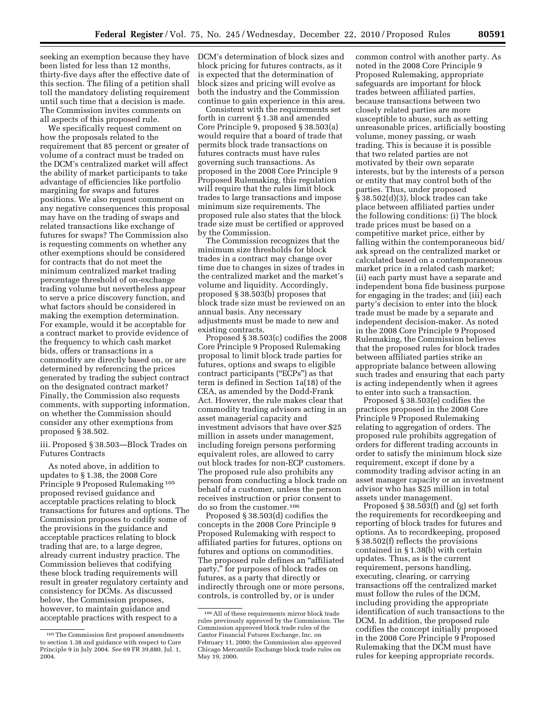seeking an exemption because they have been listed for less than 12 months, thirty-five days after the effective date of this section. The filing of a petition shall toll the mandatory delisting requirement until such time that a decision is made. The Commission invites comments on all aspects of this proposed rule.

We specifically request comment on how the proposals related to the requirement that 85 percent or greater of volume of a contract must be traded on the DCM's centralized market will affect the ability of market participants to take advantage of efficiencies like portfolio margining for swaps and futures positions. We also request comment on any negative consequences this proposal may have on the trading of swaps and related transactions like exchange of futures for swaps? The Commission also is requesting comments on whether any other exemptions should be considered for contracts that do not meet the minimum centralized market trading percentage threshold of on-exchange trading volume but nevertheless appear to serve a price discovery function, and what factors should be considered in making the exemption determination. For example, would it be acceptable for a contract market to provide evidence of the frequency to which cash market bids, offers or transactions in a commodity are directly based on, or are determined by referencing the prices generated by trading the subject contract on the designated contract market? Finally, the Commission also requests comments, with supporting information, on whether the Commission should consider any other exemptions from proposed § 38.502.

iii. Proposed § 38.503—Block Trades on Futures Contracts

As noted above, in addition to updates to § 1.38, the 2008 Core Principle 9 Proposed Rulemaking 105 proposed revised guidance and acceptable practices relating to block transactions for futures and options. The Commission proposes to codify some of the provisions in the guidance and acceptable practices relating to block trading that are, to a large degree, already current industry practice. The Commission believes that codifying these block trading requirements will result in greater regulatory certainty and consistency for DCMs. As discussed below, the Commission proposes, however, to maintain guidance and acceptable practices with respect to a

DCM's determination of block sizes and block pricing for futures contracts, as it is expected that the determination of block sizes and pricing will evolve as both the industry and the Commission continue to gain experience in this area.

Consistent with the requirements set forth in current § 1.38 and amended Core Principle 9, proposed § 38.503(a) would require that a board of trade that permits block trade transactions on futures contracts must have rules governing such transactions. As proposed in the 2008 Core Principle 9 Proposed Rulemaking, this regulation will require that the rules limit block trades to large transactions and impose minimum size requirements. The proposed rule also states that the block trade size must be certified or approved by the Commission.

The Commission recognizes that the minimum size thresholds for block trades in a contract may change over time due to changes in sizes of trades in the centralized market and the market's volume and liquidity. Accordingly, proposed § 38.503(b) proposes that block trade size must be reviewed on an annual basis. Any necessary adjustments must be made to new and existing contracts.

Proposed § 38.503(c) codifies the 2008 Core Principle 9 Proposed Rulemaking proposal to limit block trade parties for futures, options and swaps to eligible contract participants (''ECPs'') as that term is defined in Section 1a(18) of the CEA, as amended by the Dodd-Frank Act. However, the rule makes clear that commodity trading advisors acting in an asset managerial capacity and investment advisors that have over \$25 million in assets under management, including foreign persons performing equivalent roles, are allowed to carry out block trades for non-ECP customers. The proposed rule also prohibits any person from conducting a block trade on behalf of a customer, unless the person receives instruction or prior consent to do so from the customer.106

Proposed § 38.503(d) codifies the concepts in the 2008 Core Principle 9 Proposed Rulemaking with respect to affiliated parties for futures, options on futures and options on commodities. The proposed rule defines an ''affiliated party,'' for purposes of block trades on futures, as a party that directly or indirectly through one or more persons, controls, is controlled by, or is under

common control with another party. As noted in the 2008 Core Principle 9 Proposed Rulemaking, appropriate safeguards are important for block trades between affiliated parties, because transactions between two closely related parties are more susceptible to abuse, such as setting unreasonable prices, artificially boosting volume, money passing, or wash trading. This is because it is possible that two related parties are not motivated by their own separate interests, but by the interests of a person or entity that may control both of the parties. Thus, under proposed § 38.502(d)(3), block trades can take place between affiliated parties under the following conditions: (i) The block trade prices must be based on a competitive market price, either by falling within the contemporaneous bid/ ask spread on the centralized market or calculated based on a contemporaneous market price in a related cash market; (ii) each party must have a separate and independent bona fide business purpose for engaging in the trades; and (iii) each party's decision to enter into the block trade must be made by a separate and independent decision-maker. As noted in the 2008 Core Principle 9 Proposed Rulemaking, the Commission believes that the proposed rules for block trades between affiliated parties strike an appropriate balance between allowing such trades and ensuring that each party is acting independently when it agrees to enter into such a transaction.

Proposed § 38.503(e) codifies the practices proposed in the 2008 Core Principle 9 Proposed Rulemaking relating to aggregation of orders. The proposed rule prohibits aggregation of orders for different trading accounts in order to satisfy the minimum block size requirement, except if done by a commodity trading advisor acting in an asset manager capacity or an investment advisor who has \$25 million in total assets under management.

Proposed § 38.503(f) and (g) set forth the requirements for recordkeeping and reporting of block trades for futures and options. As to recordkeeping, proposed § 38.502(f) reflects the provisions contained in § 1.38(b) with certain updates. Thus, as is the current requirement, persons handling, executing, clearing, or carrying transactions off the centralized market must follow the rules of the DCM, including providing the appropriate identification of such transactions to the DCM. In addition, the proposed rule codifies the concept initially proposed in the 2008 Core Principle 9 Proposed Rulemaking that the DCM must have rules for keeping appropriate records.

<sup>105</sup>The Commission first proposed amendments to section 1.38 and guidance with respect to Core Principle 9 in July 2004. *See* 69 FR 39,880, Jul. 1, 2004.

<sup>106</sup>All of these requirements mirror block trade rules previously approved by the Commission. The Commission approved block trade rules of the Cantor Financial Futures Exchange, Inc. on February 11, 2000; the Commission also approved Chicago Mercantile Exchange block trade rules on May 19, 2000.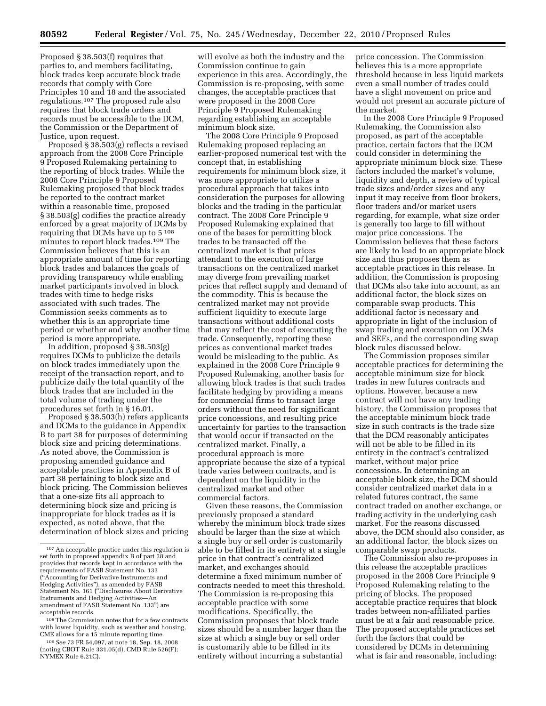Proposed § 38.503(f) requires that parties to, and members facilitating, block trades keep accurate block trade records that comply with Core Principles 10 and 18 and the associated regulations.107 The proposed rule also requires that block trade orders and records must be accessible to the DCM, the Commission or the Department of Justice, upon request.

Proposed § 38.503(g) reflects a revised approach from the 2008 Core Principle 9 Proposed Rulemaking pertaining to the reporting of block trades. While the 2008 Core Principle 9 Proposed Rulemaking proposed that block trades be reported to the contract market within a reasonable time, proposed § 38.503(g) codifies the practice already enforced by a great majority of DCMs by requiring that DCMs have up to 5 108 minutes to report block trades.109 The Commission believes that this is an appropriate amount of time for reporting block trades and balances the goals of providing transparency while enabling market participants involved in block trades with time to hedge risks associated with such trades. The Commission seeks comments as to whether this is an appropriate time period or whether and why another time period is more appropriate.

In addition, proposed § 38.503(g) requires DCMs to publicize the details on block trades immediately upon the receipt of the transaction report, and to publicize daily the total quantity of the block trades that are included in the total volume of trading under the procedures set forth in § 16.01.

Proposed § 38.503(h) refers applicants and DCMs to the guidance in Appendix B to part 38 for purposes of determining block size and pricing determinations. As noted above, the Commission is proposing amended guidance and acceptable practices in Appendix B of part 38 pertaining to block size and block pricing. The Commission believes that a one-size fits all approach to determining block size and pricing is inappropriate for block trades as it is expected, as noted above, that the determination of block sizes and pricing

will evolve as both the industry and the Commission continue to gain experience in this area. Accordingly, the Commission is re-proposing, with some changes, the acceptable practices that were proposed in the 2008 Core Principle 9 Proposed Rulemaking regarding establishing an acceptable minimum block size.

The 2008 Core Principle 9 Proposed Rulemaking proposed replacing an earlier-proposed numerical test with the concept that, in establishing requirements for minimum block size, it was more appropriate to utilize a procedural approach that takes into consideration the purposes for allowing blocks and the trading in the particular contract. The 2008 Core Principle 9 Proposed Rulemaking explained that one of the bases for permitting block trades to be transacted off the centralized market is that prices attendant to the execution of large transactions on the centralized market may diverge from prevailing market prices that reflect supply and demand of the commodity. This is because the centralized market may not provide sufficient liquidity to execute large transactions without additional costs that may reflect the cost of executing the trade. Consequently, reporting these prices as conventional market trades would be misleading to the public. As explained in the 2008 Core Principle 9 Proposed Rulemaking, another basis for allowing block trades is that such trades facilitate hedging by providing a means for commercial firms to transact large orders without the need for significant price concessions, and resulting price uncertainty for parties to the transaction that would occur if transacted on the centralized market. Finally, a procedural approach is more appropriate because the size of a typical trade varies between contracts, and is dependent on the liquidity in the centralized market and other commercial factors.

Given these reasons, the Commission previously proposed a standard whereby the minimum block trade sizes should be larger than the size at which a single buy or sell order is customarily able to be filled in its entirety at a single price in that contract's centralized market, and exchanges should determine a fixed minimum number of contracts needed to meet this threshold. The Commission is re-proposing this acceptable practice with some modifications. Specifically, the Commission proposes that block trade sizes should be a number larger than the size at which a single buy or sell order is customarily able to be filled in its entirety without incurring a substantial

price concession. The Commission believes this is a more appropriate threshold because in less liquid markets even a small number of trades could have a slight movement on price and would not present an accurate picture of the market.

In the 2008 Core Principle 9 Proposed Rulemaking, the Commission also proposed, as part of the acceptable practice, certain factors that the DCM could consider in determining the appropriate minimum block size. These factors included the market's volume, liquidity and depth, a review of typical trade sizes and/order sizes and any input it may receive from floor brokers, floor traders and/or market users regarding, for example, what size order is generally too large to fill without major price concessions. The Commission believes that these factors are likely to lead to an appropriate block size and thus proposes them as acceptable practices in this release. In addition, the Commission is proposing that DCMs also take into account, as an additional factor, the block sizes on comparable swap products. This additional factor is necessary and appropriate in light of the inclusion of swap trading and execution on DCMs and SEFs, and the corresponding swap block rules discussed below.

The Commission proposes similar acceptable practices for determining the acceptable minimum size for block trades in new futures contracts and options. However, because a new contract will not have any trading history, the Commission proposes that the acceptable minimum block trade size in such contracts is the trade size that the DCM reasonably anticipates will not be able to be filled in its entirety in the contract's centralized market, without major price concessions. In determining an acceptable block size, the DCM should consider centralized market data in a related futures contract, the same contract traded on another exchange, or trading activity in the underlying cash market. For the reasons discussed above, the DCM should also consider, as an additional factor, the block sizes on comparable swap products.

The Commission also re-proposes in this release the acceptable practices proposed in the 2008 Core Principle 9 Proposed Rulemaking relating to the pricing of blocks. The proposed acceptable practice requires that block trades between non-affiliated parties must be at a fair and reasonable price. The proposed acceptable practices set forth the factors that could be considered by DCMs in determining what is fair and reasonable, including:

<sup>107</sup>An acceptable practice under this regulation is set forth in proposed appendix B of part 38 and provides that records kept in accordance with the requirements of FASB Statement No. 133 (''Accounting for Derivative Instruments and Hedging Activities''), as amended by FASB Statement No. 161 (''Disclosures About Derivative Instruments and Hedging Activities—An amendment of FASB Statement No. 133'') are acceptable records.

<sup>108</sup>The Commission notes that for a few contracts with lower liquidity, such as weather and housing, CME allows for a 15 minute reporting time.

<sup>109</sup>*See* 73 FR 54,097, at note 18, Sep. 18, 2008 (noting CBOT Rule 331.05(d), CMD Rule 526(F); NYMEX Rule 6.21C).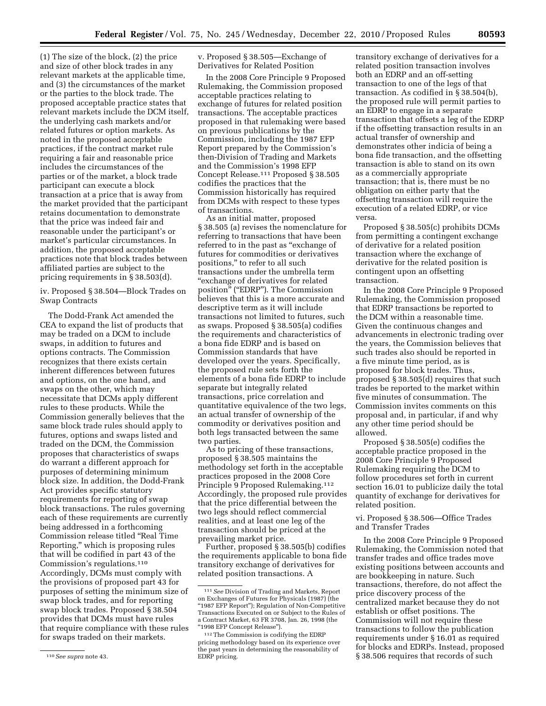(1) The size of the block, (2) the price and size of other block trades in any relevant markets at the applicable time, and (3) the circumstances of the market or the parties to the block trade. The proposed acceptable practice states that relevant markets include the DCM itself, the underlying cash markets and/or related futures or option markets. As noted in the proposed acceptable practices, if the contract market rule requiring a fair and reasonable price includes the circumstances of the parties or of the market, a block trade participant can execute a block transaction at a price that is away from the market provided that the participant retains documentation to demonstrate that the price was indeed fair and reasonable under the participant's or market's particular circumstances. In addition, the proposed acceptable practices note that block trades between affiliated parties are subject to the pricing requirements in § 38.503(d).

iv. Proposed § 38.504—Block Trades on Swap Contracts

The Dodd-Frank Act amended the CEA to expand the list of products that may be traded on a DCM to include swaps, in addition to futures and options contracts. The Commission recognizes that there exists certain inherent differences between futures and options, on the one hand, and swaps on the other, which may necessitate that DCMs apply different rules to these products. While the Commission generally believes that the same block trade rules should apply to futures, options and swaps listed and traded on the DCM, the Commission proposes that characteristics of swaps do warrant a different approach for purposes of determining minimum block size. In addition, the Dodd-Frank Act provides specific statutory requirements for reporting of swap block transactions. The rules governing each of these requirements are currently being addressed in a forthcoming Commission release titled ''Real Time Reporting,'' which is proposing rules that will be codified in part 43 of the Commission's regulations.110 Accordingly, DCMs must comply with the provisions of proposed part 43 for purposes of setting the minimum size of swap block trades, and for reporting swap block trades. Proposed § 38.504 provides that DCMs must have rules that require compliance with these rules for swaps traded on their markets.

v. Proposed § 38.505—Exchange of Derivatives for Related Position

In the 2008 Core Principle 9 Proposed Rulemaking, the Commission proposed acceptable practices relating to exchange of futures for related position transactions. The acceptable practices proposed in that rulemaking were based on previous publications by the Commission, including the 1987 EFP Report prepared by the Commission's then-Division of Trading and Markets and the Commission's 1998 EFP Concept Release.111 Proposed § 38.505 codifies the practices that the Commission historically has required from DCMs with respect to these types of transactions.

As an initial matter, proposed § 38.505 (a) revises the nomenclature for referring to transactions that have been referred to in the past as "exchange of futures for commodities or derivatives positions,'' to refer to all such transactions under the umbrella term ''exchange of derivatives for related position" ("EDRP"). The Commission believes that this is a more accurate and descriptive term as it will include transactions not limited to futures, such as swaps. Proposed § 38.505(a) codifies the requirements and characteristics of a bona fide EDRP and is based on Commission standards that have developed over the years. Specifically, the proposed rule sets forth the elements of a bona fide EDRP to include separate but integrally related transactions, price correlation and quantitative equivalence of the two legs, an actual transfer of ownership of the commodity or derivatives position and both legs transacted between the same two parties.

As to pricing of these transactions, proposed § 38.505 maintains the methodology set forth in the acceptable practices proposed in the 2008 Core Principle 9 Proposed Rulemaking.112 Accordingly, the proposed rule provides that the price differential between the two legs should reflect commercial realities, and at least one leg of the transaction should be priced at the prevailing market price.

Further, proposed § 38.505(b) codifies the requirements applicable to bona fide transitory exchange of derivatives for related position transactions. A

transitory exchange of derivatives for a related position transaction involves both an EDRP and an off-setting transaction to one of the legs of that transaction. As codified in § 38.504(b), the proposed rule will permit parties to an EDRP to engage in a separate transaction that offsets a leg of the EDRP if the offsetting transaction results in an actual transfer of ownership and demonstrates other indicia of being a bona fide transaction, and the offsetting transaction is able to stand on its own as a commercially appropriate transaction; that is, there must be no obligation on either party that the offsetting transaction will require the execution of a related EDRP, or vice versa.

Proposed § 38.505(c) prohibits DCMs from permitting a contingent exchange of derivative for a related position transaction where the exchange of derivative for the related position is contingent upon an offsetting transaction.

In the 2008 Core Principle 9 Proposed Rulemaking, the Commission proposed that EDRP transactions be reported to the DCM within a reasonable time. Given the continuous changes and advancements in electronic trading over the years, the Commission believes that such trades also should be reported in a five minute time period, as is proposed for block trades. Thus, proposed § 38.505(d) requires that such trades be reported to the market within five minutes of consummation. The Commission invites comments on this proposal and, in particular, if and why any other time period should be allowed.

Proposed § 38.505(e) codifies the acceptable practice proposed in the 2008 Core Principle 9 Proposed Rulemaking requiring the DCM to follow procedures set forth in current section 16.01 to publicize daily the total quantity of exchange for derivatives for related position.

## vi. Proposed § 38.506—Office Trades and Transfer Trades

In the 2008 Core Principle 9 Proposed Rulemaking, the Commission noted that transfer trades and office trades move existing positions between accounts and are bookkeeping in nature. Such transactions, therefore, do not affect the price discovery process of the centralized market because they do not establish or offset positions. The Commission will not require these transactions to follow the publication requirements under § 16.01 as required for blocks and EDRPs. Instead, proposed § 38.506 requires that records of such

<sup>110</sup>*See supra* note 43.

<sup>111</sup>*See* Division of Trading and Markets, Report on Exchanges of Futures for Physicals (1987) (the<br>"1987 EFP Report"); Regulation of Non-Competitive Transactions Executed on or Subject to the Rules of a Contract Market, 63 FR 3708, Jan. 26, 1998 (the ''1998 EFP Concept Release'').

<sup>112</sup>The Commission is codifying the EDRP pricing methodology based on its experience over the past years in determining the reasonability of EDRP pricing.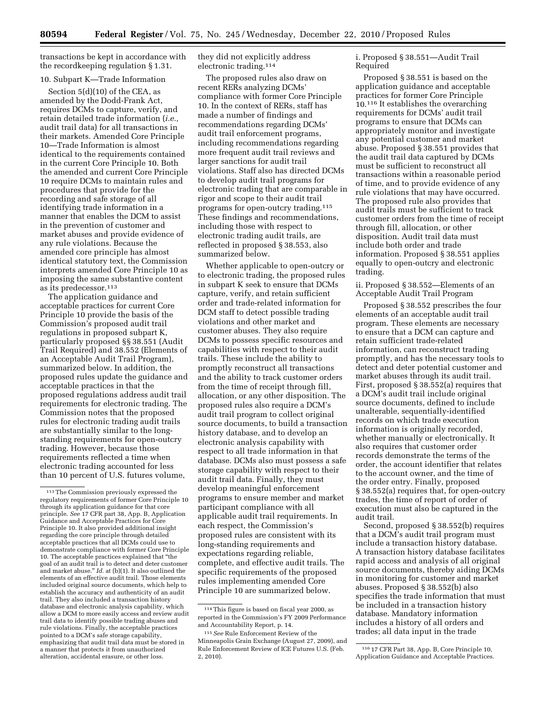transactions be kept in accordance with the recordkeeping regulation § 1.31.

## 10. Subpart K—Trade Information

Section 5(d)(10) of the CEA, as amended by the Dodd-Frank Act, requires DCMs to capture, verify, and retain detailed trade information (*i.e.,*  audit trail data) for all transactions in their markets. Amended Core Principle 10—Trade Information is almost identical to the requirements contained in the current Core Principle 10. Both the amended and current Core Principle 10 require DCMs to maintain rules and procedures that provide for the recording and safe storage of all identifying trade information in a manner that enables the DCM to assist in the prevention of customer and market abuses and provide evidence of any rule violations. Because the amended core principle has almost identical statutory text, the Commission interprets amended Core Principle 10 as imposing the same substantive content as its predecessor.113

The application guidance and acceptable practices for current Core Principle 10 provide the basis of the Commission's proposed audit trail regulations in proposed subpart K, particularly proposed §§ 38.551 (Audit Trail Required) and 38.552 (Elements of an Acceptable Audit Trail Program), summarized below. In addition, the proposed rules update the guidance and acceptable practices in that the proposed regulations address audit trail requirements for electronic trading. The Commission notes that the proposed rules for electronic trading audit trails are substantially similar to the longstanding requirements for open-outcry trading. However, because those requirements reflected a time when electronic trading accounted for less than 10 percent of U.S. futures volume,

they did not explicitly address electronic trading.114

The proposed rules also draw on recent RERs analyzing DCMs' compliance with former Core Principle 10. In the context of RERs, staff has made a number of findings and recommendations regarding DCMs' audit trail enforcement programs, including recommendations regarding more frequent audit trail reviews and larger sanctions for audit trail violations. Staff also has directed DCMs to develop audit trail programs for electronic trading that are comparable in rigor and scope to their audit trail programs for open-outcry trading.115 These findings and recommendations, including those with respect to electronic trading audit trails, are reflected in proposed § 38.553, also summarized below.

Whether applicable to open-outcry or to electronic trading, the proposed rules in subpart K seek to ensure that DCMs capture, verify, and retain sufficient order and trade-related information for DCM staff to detect possible trading violations and other market and customer abuses. They also require DCMs to possess specific resources and capabilities with respect to their audit trails. These include the ability to promptly reconstruct all transactions and the ability to track customer orders from the time of receipt through fill, allocation, or any other disposition. The proposed rules also require a DCM's audit trail program to collect original source documents, to build a transaction history database, and to develop an electronic analysis capability with respect to all trade information in that database. DCMs also must possess a safe storage capability with respect to their audit trail data. Finally, they must develop meaningful enforcement programs to ensure member and market participant compliance with all applicable audit trail requirements. In each respect, the Commission's proposed rules are consistent with its long-standing requirements and expectations regarding reliable, complete, and effective audit trails. The specific requirements of the proposed rules implementing amended Core Principle 10 are summarized below.

i. Proposed § 38.551—Audit Trail Required

Proposed § 38.551 is based on the application guidance and acceptable practices for former Core Principle 10.116 It establishes the overarching requirements for DCMs' audit trail programs to ensure that DCMs can appropriately monitor and investigate any potential customer and market abuse. Proposed § 38.551 provides that the audit trail data captured by DCMs must be sufficient to reconstruct all transactions within a reasonable period of time, and to provide evidence of any rule violations that may have occurred. The proposed rule also provides that audit trails must be sufficient to track customer orders from the time of receipt through fill, allocation, or other disposition. Audit trail data must include both order and trade information. Proposed § 38.551 applies equally to open-outcry and electronic trading.

ii. Proposed § 38.552—Elements of an Acceptable Audit Trail Program

Proposed § 38.552 prescribes the four elements of an acceptable audit trail program. These elements are necessary to ensure that a DCM can capture and retain sufficient trade-related information, can reconstruct trading promptly, and has the necessary tools to detect and deter potential customer and market abuses through its audit trail. First, proposed § 38.552(a) requires that a DCM's audit trail include original source documents, defined to include unalterable, sequentially-identified records on which trade execution information is originally recorded, whether manually or electronically. It also requires that customer order records demonstrate the terms of the order, the account identifier that relates to the account owner, and the time of the order entry. Finally, proposed § 38.552(a) requires that, for open-outcry trades, the time of report of order of execution must also be captured in the audit trail.

Second, proposed § 38.552(b) requires that a DCM's audit trail program must include a transaction history database. A transaction history database facilitates rapid access and analysis of all original source documents, thereby aiding DCMs in monitoring for customer and market abuses. Proposed § 38.552(b) also specifies the trade information that must be included in a transaction history database. Mandatory information includes a history of all orders and trades; all data input in the trade

<sup>113</sup>The Commission previously expressed the regulatory requirements of former Core Principle 10 through its application guidance for that core principle. *See* 17 CFR part 38, App. B, Application Guidance and Acceptable Practices for Core Principle 10. It also provided additional insight regarding the core principle through detailed acceptable practices that all DCMs could use to demonstrate compliance with former Core Principle 10. The acceptable practices explained that ''the goal of an audit trail is to detect and deter customer and market abuse.'' *Id.* at (b)(1). It also outlined the elements of an effective audit trail. Those elements included original source documents, which help to establish the accuracy and authenticity of an audit trail. They also included a transaction history database and electronic analysis capability, which allow a DCM to more easily access and review audit trail data to identify possible trading abuses and rule violations. Finally, the acceptable practices pointed to a DCM's safe storage capability, emphasizing that audit trail data must be stored in a manner that protects it from unauthorized alteration, accidental erasure, or other loss.

<sup>114</sup>This figure is based on fiscal year 2000, as reported in the Commission's FY 2009 Performance and Accountability Report, p. 14.

<sup>115</sup>*See* Rule Enforcement Review of the Minneapolis Grain Exchange (August 27, 2009), and Rule Enforcement Review of ICE Futures U.S. (Feb. 2, 2010).

<sup>116</sup> 17 CFR Part 38, App. B, Core Principle 10, Application Guidance and Acceptable Practices.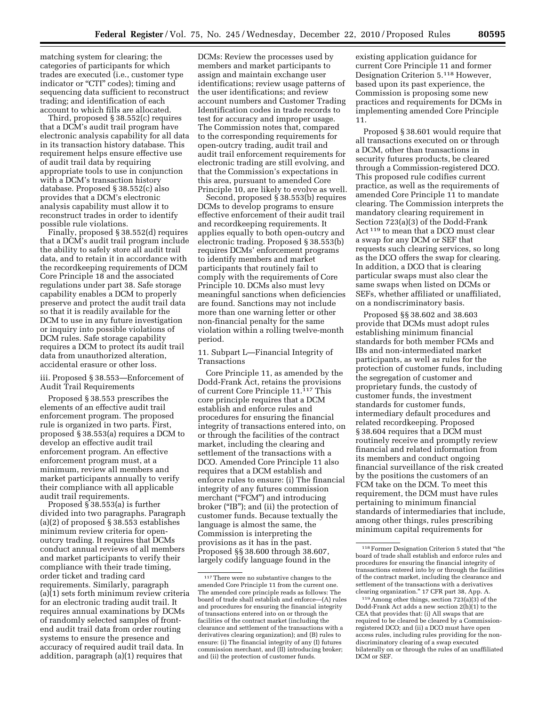matching system for clearing; the categories of participants for which trades are executed (i.e., customer type indicator or "CTI" codes); timing and sequencing data sufficient to reconstruct trading; and identification of each account to which fills are allocated.

Third, proposed § 38.552(c) requires that a DCM's audit trail program have electronic analysis capability for all data in its transaction history database. This requirement helps ensure effective use of audit trail data by requiring appropriate tools to use in conjunction with a DCM's transaction history database. Proposed § 38.552(c) also provides that a DCM's electronic analysis capability must allow it to reconstruct trades in order to identify possible rule violations.

Finally, proposed § 38.552(d) requires that a DCM's audit trail program include the ability to safely store all audit trail data, and to retain it in accordance with the recordkeeping requirements of DCM Core Principle 18 and the associated regulations under part 38. Safe storage capability enables a DCM to properly preserve and protect the audit trail data so that it is readily available for the DCM to use in any future investigation or inquiry into possible violations of DCM rules. Safe storage capability requires a DCM to protect its audit trail data from unauthorized alteration, accidental erasure or other loss.

iii. Proposed § 38.553—Enforcement of Audit Trail Requirements

Proposed § 38.553 prescribes the elements of an effective audit trail enforcement program. The proposed rule is organized in two parts. First, proposed § 38.553(a) requires a DCM to develop an effective audit trail enforcement program. An effective enforcement program must, at a minimum, review all members and market participants annually to verify their compliance with all applicable audit trail requirements.

Proposed § 38.553(a) is further divided into two paragraphs. Paragraph (a)(2) of proposed § 38.553 establishes minimum review criteria for openoutcry trading. It requires that DCMs conduct annual reviews of all members and market participants to verify their compliance with their trade timing, order ticket and trading card requirements. Similarly, paragraph (a)(1) sets forth minimum review criteria for an electronic trading audit trail. It requires annual examinations by DCMs of randomly selected samples of frontend audit trail data from order routing systems to ensure the presence and accuracy of required audit trail data. In addition, paragraph (a)(1) requires that

DCMs: Review the processes used by members and market participants to assign and maintain exchange user identifications; review usage patterns of the user identifications; and review account numbers and Customer Trading Identification codes in trade records to test for accuracy and improper usage. The Commission notes that, compared to the corresponding requirements for open-outcry trading, audit trail and audit trail enforcement requirements for electronic trading are still evolving, and that the Commission's expectations in this area, pursuant to amended Core Principle 10, are likely to evolve as well.

Second, proposed § 38.553(b) requires DCMs to develop programs to ensure effective enforcement of their audit trail and recordkeeping requirements. It applies equally to both open-outcry and electronic trading. Proposed § 38.553(b) requires DCMs' enforcement programs to identify members and market participants that routinely fail to comply with the requirements of Core Principle 10. DCMs also must levy meaningful sanctions when deficiencies are found. Sanctions may not include more than one warning letter or other non-financial penalty for the same violation within a rolling twelve-month period.

11. Subpart L—Financial Integrity of Transactions

Core Principle 11, as amended by the Dodd-Frank Act, retains the provisions of current Core Principle 11.<sup>117</sup> This core principle requires that a DCM establish and enforce rules and procedures for ensuring the financial integrity of transactions entered into, on or through the facilities of the contract market, including the clearing and settlement of the transactions with a DCO. Amended Core Principle 11 also requires that a DCM establish and enforce rules to ensure: (i) The financial integrity of any futures commission merchant ("FCM") and introducing broker ("IB"); and (ii) the protection of customer funds. Because textually the language is almost the same, the Commission is interpreting the provisions as it has in the past. Proposed §§ 38.600 through 38.607, largely codify language found in the

existing application guidance for current Core Principle 11 and former Designation Criterion 5.118 However, based upon its past experience, the Commission is proposing some new practices and requirements for DCMs in implementing amended Core Principle 11.

Proposed § 38.601 would require that all transactions executed on or through a DCM, other than transactions in security futures products, be cleared through a Commission-registered DCO. This proposed rule codifies current practice, as well as the requirements of amended Core Principle 11 to mandate clearing. The Commission interprets the mandatory clearing requirement in Section 723(a)(3) of the Dodd-Frank Act 119 to mean that a DCO must clear a swap for any DCM or SEF that requests such clearing services, so long as the DCO offers the swap for clearing. In addition, a DCO that is clearing particular swaps must also clear the same swaps when listed on DCMs or SEFs, whether affiliated or unaffiliated, on a nondiscriminatory basis.

Proposed §§ 38.602 and 38.603 provide that DCMs must adopt rules establishing minimum financial standards for both member FCMs and IBs and non-intermediated market participants, as well as rules for the protection of customer funds, including the segregation of customer and proprietary funds, the custody of customer funds, the investment standards for customer funds, intermediary default procedures and related recordkeeping. Proposed § 38.604 requires that a DCM must routinely receive and promptly review financial and related information from its members and conduct ongoing financial surveillance of the risk created by the positions the customers of an FCM take on the DCM. To meet this requirement, the DCM must have rules pertaining to minimum financial standards of intermediaries that include, among other things, rules prescribing minimum capital requirements for

 $^{\rm 117}\!\!$  There were no substantive changes to the amended Core Principle 11 from the current one. The amended core principle reads as follows: The board of trade shall establish and enforce—(A) rules and procedures for ensuring the financial integrity of transactions entered into on or through the facilities of the contract market (including the clearance and settlement of the transactions with a derivatives clearing organization); and (B) rules to ensure: (i) The financial integrity of any (I) futures commission merchant, and (II) introducing broker; and (ii) the protection of customer funds.

<sup>118</sup>Former Designation Criterion 5 stated that ''the board of trade shall establish and enforce rules and procedures for ensuring the financial integrity of transactions entered into by or through the facilities of the contract market, including the clearance and settlement of the transactions with a derivatives clearing organization.'' 17 CFR part 38, App. A.

<sup>119</sup>Among other things, section 723(a)(3) of the Dodd-Frank Act adds a new section 2(h)(1) to the CEA that provides that: (i) All swaps that are required to be cleared be cleared by a Commissionregistered DCO; and (ii) a DCO must have open access rules, including rules providing for the nondiscriminatory clearing of a swap executed bilaterally on or through the rules of an unaffiliated DCM or SEF.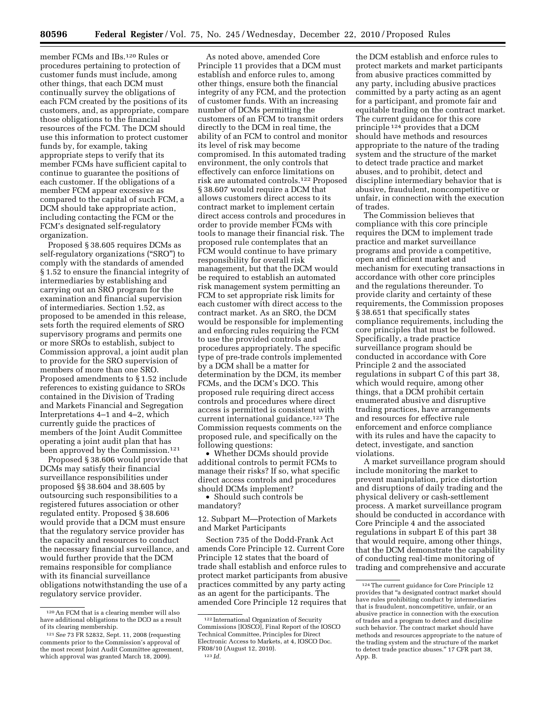member FCMs and IBs.120 Rules or procedures pertaining to protection of customer funds must include, among other things, that each DCM must continually survey the obligations of each FCM created by the positions of its customers, and, as appropriate, compare those obligations to the financial resources of the FCM. The DCM should use this information to protect customer funds by, for example, taking appropriate steps to verify that its member FCMs have sufficient capital to continue to guarantee the positions of each customer. If the obligations of a member FCM appear excessive as compared to the capital of such FCM, a DCM should take appropriate action, including contacting the FCM or the FCM's designated self-regulatory organization.

Proposed § 38.605 requires DCMs as self-regulatory organizations ("SRO") to comply with the standards of amended § 1.52 to ensure the financial integrity of intermediaries by establishing and carrying out an SRO program for the examination and financial supervision of intermediaries. Section 1.52, as proposed to be amended in this release, sets forth the required elements of SRO supervisory programs and permits one or more SROs to establish, subject to Commission approval, a joint audit plan to provide for the SRO supervision of members of more than one SRO. Proposed amendments to § 1.52 include references to existing guidance to SROs contained in the Division of Trading and Markets Financial and Segregation Interpretations 4–1 and 4–2, which currently guide the practices of members of the Joint Audit Committee operating a joint audit plan that has been approved by the Commission.121

Proposed § 38.606 would provide that DCMs may satisfy their financial surveillance responsibilities under proposed §§ 38.604 and 38.605 by outsourcing such responsibilities to a registered futures association or other regulated entity. Proposed § 38.606 would provide that a DCM must ensure that the regulatory service provider has the capacity and resources to conduct the necessary financial surveillance, and would further provide that the DCM remains responsible for compliance with its financial surveillance obligations notwithstanding the use of a regulatory service provider.

As noted above, amended Core Principle 11 provides that a DCM must establish and enforce rules to, among other things, ensure both the financial integrity of any FCM, and the protection of customer funds. With an increasing number of DCMs permitting the customers of an FCM to transmit orders directly to the DCM in real time, the ability of an FCM to control and monitor its level of risk may become compromised. In this automated trading environment, the only controls that effectively can enforce limitations on risk are automated controls.122 Proposed § 38.607 would require a DCM that allows customers direct access to its contract market to implement certain direct access controls and procedures in order to provide member FCMs with tools to manage their financial risk. The proposed rule contemplates that an FCM would continue to have primary responsibility for overall risk management, but that the DCM would be required to establish an automated risk management system permitting an FCM to set appropriate risk limits for each customer with direct access to the contract market. As an SRO, the DCM would be responsible for implementing and enforcing rules requiring the FCM to use the provided controls and procedures appropriately. The specific type of pre-trade controls implemented by a DCM shall be a matter for determination by the DCM, its member FCMs, and the DCM's DCO. This proposed rule requiring direct access controls and procedures where direct access is permitted is consistent with current international guidance.123 The Commission requests comments on the proposed rule, and specifically on the following questions:

• Whether DCMs should provide additional controls to permit FCMs to manage their risks? If so, what specific direct access controls and procedures should DCMs implement?

• Should such controls be mandatory?

12. Subpart M—Protection of Markets and Market Participants

Section 735 of the Dodd-Frank Act amends Core Principle 12. Current Core Principle 12 states that the board of trade shall establish and enforce rules to protect market participants from abusive practices committed by any party acting as an agent for the participants. The amended Core Principle 12 requires that

the DCM establish and enforce rules to protect markets and market participants from abusive practices committed by any party, including abusive practices committed by a party acting as an agent for a participant, and promote fair and equitable trading on the contract market. The current guidance for this core principle 124 provides that a DCM should have methods and resources appropriate to the nature of the trading system and the structure of the market to detect trade practice and market abuses, and to prohibit, detect and discipline intermediary behavior that is abusive, fraudulent, noncompetitive or unfair, in connection with the execution of trades.

The Commission believes that compliance with this core principle requires the DCM to implement trade practice and market surveillance programs and provide a competitive, open and efficient market and mechanism for executing transactions in accordance with other core principles and the regulations thereunder. To provide clarity and certainty of these requirements, the Commission proposes § 38.651 that specifically states compliance requirements, including the core principles that must be followed. Specifically, a trade practice surveillance program should be conducted in accordance with Core Principle 2 and the associated regulations in subpart C of this part 38, which would require, among other things, that a DCM prohibit certain enumerated abusive and disruptive trading practices, have arrangements and resources for effective rule enforcement and enforce compliance with its rules and have the capacity to detect, investigate, and sanction violations.

A market surveillance program should include monitoring the market to prevent manipulation, price distortion and disruptions of daily trading and the physical delivery or cash-settlement process. A market surveillance program should be conducted in accordance with Core Principle 4 and the associated regulations in subpart E of this part 38 that would require, among other things, that the DCM demonstrate the capability of conducting real-time monitoring of trading and comprehensive and accurate

<sup>120</sup>An FCM that is a clearing member will also have additional obligations to the DCO as a result of its clearing membership.

<sup>121</sup>*See* 73 FR 52832, Sept. 11, 2008 (requesting comments prior to the Commission's approval of the most recent Joint Audit Committee agreement, which approval was granted March 18, 2009).

<sup>122</sup> International Organization of Security Commissions [IOSCO], Final Report of the IOSCO Technical Committee, Principles for Direct Electronic Access to Markets, at 4, IOSCO Doc. FR08/10 (August 12, 2010). 123 *Id.* 

<sup>124</sup>The current guidance for Core Principle 12 provides that ''a designated contract market should have rules prohibiting conduct by intermediaries that is fraudulent, noncompetitive, unfair, or an abusive practice in connection with the execution of trades and a program to detect and discipline such behavior. The contract market should have methods and resources appropriate to the nature of the trading system and the structure of the market to detect trade practice abuses.'' 17 CFR part 38, App. B.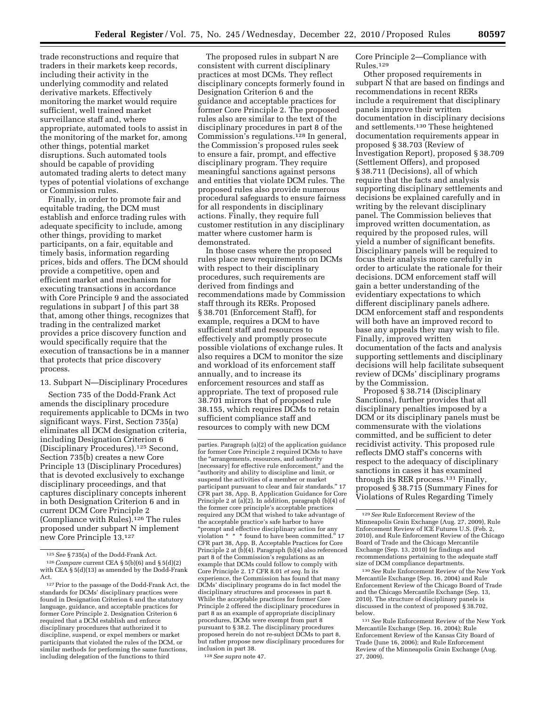trade reconstructions and require that traders in their markets keep records, including their activity in the underlying commodity and related derivative markets. Effectively monitoring the market would require sufficient, well trained market surveillance staff and, where appropriate, automated tools to assist in the monitoring of the market for, among other things, potential market disruptions. Such automated tools should be capable of providing automated trading alerts to detect many types of potential violations of exchange or Commission rules.

Finally, in order to promote fair and equitable trading, the DCM must establish and enforce trading rules with adequate specificity to include, among other things, providing to market participants, on a fair, equitable and timely basis, information regarding prices, bids and offers. The DCM should provide a competitive, open and efficient market and mechanism for executing transactions in accordance with Core Principle 9 and the associated regulations in subpart J of this part 38 that, among other things, recognizes that trading in the centralized market provides a price discovery function and would specifically require that the execution of transactions be in a manner that protects that price discovery process.

#### 13. Subpart N—Disciplinary Procedures

Section 735 of the Dodd-Frank Act amends the disciplinary procedure requirements applicable to DCMs in two significant ways. First, Section 735(a) eliminates all DCM designation criteria, including Designation Criterion 6 (Disciplinary Procedures).125 Second, Section 735(b) creates a new Core Principle 13 (Disciplinary Procedures) that is devoted exclusively to exchange disciplinary proceedings, and that captures disciplinary concepts inherent in both Designation Criterion 6 and in current DCM Core Principle 2 (Compliance with Rules).126 The rules proposed under subpart N implement new Core Principle 13.127

The proposed rules in subpart N are consistent with current disciplinary practices at most DCMs. They reflect disciplinary concepts formerly found in Designation Criterion 6 and the guidance and acceptable practices for former Core Principle 2. The proposed rules also are similar to the text of the disciplinary procedures in part 8 of the Commission's regulations.128 In general, the Commission's proposed rules seek to ensure a fair, prompt, and effective disciplinary program. They require meaningful sanctions against persons and entities that violate DCM rules. The proposed rules also provide numerous procedural safeguards to ensure fairness for all respondents in disciplinary actions. Finally, they require full customer restitution in any disciplinary matter where customer harm is demonstrated.

In those cases where the proposed rules place new requirements on DCMs with respect to their disciplinary procedures, such requirements are derived from findings and recommendations made by Commission staff through its RERs. Proposed § 38.701 (Enforcement Staff), for example, requires a DCM to have sufficient staff and resources to effectively and promptly prosecute possible violations of exchange rules. It also requires a DCM to monitor the size and workload of its enforcement staff annually, and to increase its enforcement resources and staff as appropriate. The text of proposed rule 38.701 mirrors that of proposed rule 38.155, which requires DCMs to retain sufficient compliance staff and resources to comply with new DCM

128*See supra* note 47.

Core Principle 2—Compliance with Rules.129

Other proposed requirements in subpart N that are based on findings and recommendations in recent RERs include a requirement that disciplinary panels improve their written documentation in disciplinary decisions and settlements.130 These heightened documentation requirements appear in proposed § 38.703 (Review of Investigation Report), proposed § 38.709 (Settlement Offers), and proposed § 38.711 (Decisions), all of which require that the facts and analysis supporting disciplinary settlements and decisions be explained carefully and in writing by the relevant disciplinary panel. The Commission believes that improved written documentation, as required by the proposed rules, will yield a number of significant benefits. Disciplinary panels will be required to focus their analysis more carefully in order to articulate the rationale for their decisions. DCM enforcement staff will gain a better understanding of the evidentiary expectations to which different disciplinary panels adhere. DCM enforcement staff and respondents will both have an improved record to base any appeals they may wish to file. Finally, improved written documentation of the facts and analysis supporting settlements and disciplinary decisions will help facilitate subsequent review of DCMs' disciplinary programs by the Commission.

Proposed § 38.714 (Disciplinary Sanctions), further provides that all disciplinary penalties imposed by a DCM or its disciplinary panels must be commensurate with the violations committed, and be sufficient to deter recidivist activity. This proposed rule reflects DMO staff's concerns with respect to the adequacy of disciplinary sanctions in cases it has examined through its RER process.131 Finally, proposed § 38.715 (Summary Fines for Violations of Rules Regarding Timely

130*See* Rule Enforcement Review of the New York Mercantile Exchange (Sep. 16, 2004) and Rule Enforcement Review of the Chicago Board of Trade and the Chicago Mercantile Exchange (Sep. 13, 2010). The structure of disciplinary panels is discussed in the context of proposed § 38.702, below.

131*See* Rule Enforcement Review of the New York Mercantile Exchange (Sep. 16, 2004); Rule Enforcement Review of the Kansas City Board of Trade (June 16, 2006); and Rule Enforcement Review of the Minneapolis Grain Exchange (Aug. 27, 2009).

<sup>125</sup>*See* § 735(a) of the Dodd-Frank Act.

<sup>126</sup>*Compare* current CEA § 5(b)(6) and § 5(d)(2) with CEA § 5(d)(13) as amended by the Dodd-Frank Act.

<sup>127</sup>Prior to the passage of the Dodd-Frank Act, the standards for DCMs' disciplinary practices were found in Designation Criterion 6 and the statutory language, guidance, and acceptable practices for former Core Principle 2. Designation Criterion 6 required that a DCM establish and enforce disciplinary procedures that authorized it to discipline, suspend, or expel members or market participants that violated the rules of the DCM, or similar methods for performing the same functions, including delegation of the functions to third

parties. Paragraph (a)(2) of the application guidance for former Core Principle 2 required DCMs to have the ''arrangements, resources, and authority [necessary] for effective rule enforcement," and the ''authority and ability to discipline and limit, or suspend the activities of a member or market participant pursuant to clear and fair standards.'' 17 CFR part 38, App. B, Application Guidance for Core Principle 2 at (a)(2). In addition, paragraph (b)(4) of the former core principle's acceptable practices required any DCM that wished to take advantage of the acceptable practice's safe harbor to have ''prompt and effective disciplinary action for any violation \* \* \* found to have been committed.'' 17 CFR part 38, App. B, Acceptable Practices for Core Principle 2 at (b)(4). Paragraph (b)(4) also referenced part 8 of the Commission's regulations as an example that DCMs could follow to comply with Core Principle 2. 17 CFR 8.01 *et seq.* In its experience, the Commission has found that many DCMs' disciplinary programs do in fact model the disciplinary structures and processes in part 8. While the acceptable practices for former Core Principle 2 offered the disciplinary procedures in part 8 as an example of appropriate disciplinary procedures, DCMs were exempt from part 8 pursuant to § 38.2. The disciplinary procedures proposed herein do not re-subject DCMs to part 8, but rather propose new disciplinary procedures for inclusion in part 38.

<sup>129</sup>*See* Rule Enforcement Review of the Minneapolis Grain Exchange (Aug. 27, 2009), Rule Enforcement Review of ICE Futures U.S. (Feb. 2, 2010), and Rule Enforcement Review of the Chicago Board of Trade and the Chicago Mercantile Exchange (Sep. 13, 2010) for findings and recommendations pertaining to the adequate staff size of DCM compliance departments.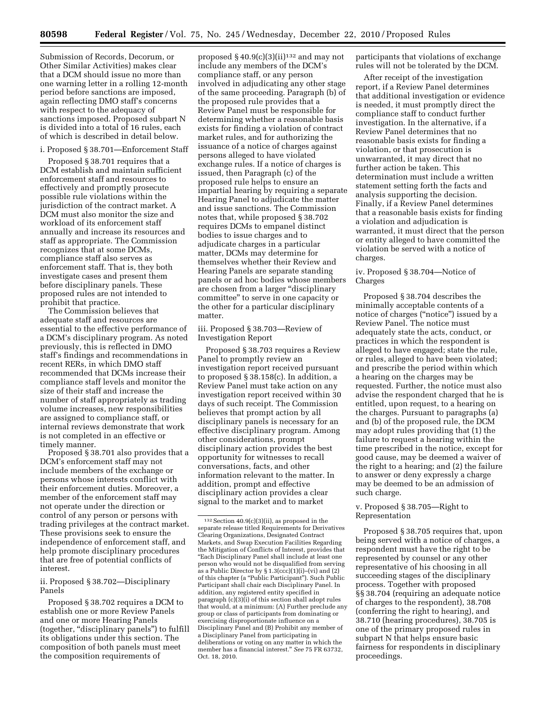Submission of Records, Decorum, or Other Similar Activities) makes clear that a DCM should issue no more than one warning letter in a rolling 12-month period before sanctions are imposed, again reflecting DMO staff's concerns with respect to the adequacy of sanctions imposed. Proposed subpart N is divided into a total of 16 rules, each of which is described in detail below.

#### i. Proposed § 38.701—Enforcement Staff

Proposed § 38.701 requires that a DCM establish and maintain sufficient enforcement staff and resources to effectively and promptly prosecute possible rule violations within the jurisdiction of the contract market. A DCM must also monitor the size and workload of its enforcement staff annually and increase its resources and staff as appropriate. The Commission recognizes that at some DCMs, compliance staff also serves as enforcement staff. That is, they both investigate cases and present them before disciplinary panels. These proposed rules are not intended to prohibit that practice.

The Commission believes that adequate staff and resources are essential to the effective performance of a DCM's disciplinary program. As noted previously, this is reflected in DMO staff's findings and recommendations in recent RERs, in which DMO staff recommended that DCMs increase their compliance staff levels and monitor the size of their staff and increase the number of staff appropriately as trading volume increases, new responsibilities are assigned to compliance staff, or internal reviews demonstrate that work is not completed in an effective or timely manner.

Proposed § 38.701 also provides that a DCM's enforcement staff may not include members of the exchange or persons whose interests conflict with their enforcement duties. Moreover, a member of the enforcement staff may not operate under the direction or control of any person or persons with trading privileges at the contract market. These provisions seek to ensure the independence of enforcement staff, and help promote disciplinary procedures that are free of potential conflicts of interest.

ii. Proposed § 38.702—Disciplinary Panels

Proposed § 38.702 requires a DCM to establish one or more Review Panels and one or more Hearing Panels (together, "disciplinary panels") to fulfill its obligations under this section. The composition of both panels must meet the composition requirements of

proposed  $§$  40.9(c)(3)(ii)<sup>132</sup> and may not include any members of the DCM's compliance staff, or any person involved in adjudicating any other stage of the same proceeding. Paragraph (b) of the proposed rule provides that a Review Panel must be responsible for determining whether a reasonable basis exists for finding a violation of contract market rules, and for authorizing the issuance of a notice of charges against persons alleged to have violated exchange rules. If a notice of charges is issued, then Paragraph (c) of the proposed rule helps to ensure an impartial hearing by requiring a separate Hearing Panel to adjudicate the matter and issue sanctions. The Commission notes that, while proposed § 38.702 requires DCMs to empanel distinct bodies to issue charges and to adjudicate charges in a particular matter, DCMs may determine for themselves whether their Review and Hearing Panels are separate standing panels or ad hoc bodies whose members are chosen from a larger ''disciplinary committee'' to serve in one capacity or the other for a particular disciplinary matter.

iii. Proposed § 38.703—Review of Investigation Report

Proposed § 38.703 requires a Review Panel to promptly review an investigation report received pursuant to proposed § 38.158(c). In addition, a Review Panel must take action on any investigation report received within 30 days of such receipt. The Commission believes that prompt action by all disciplinary panels is necessary for an effective disciplinary program. Among other considerations, prompt disciplinary action provides the best opportunity for witnesses to recall conversations, facts, and other information relevant to the matter. In addition, prompt and effective disciplinary action provides a clear signal to the market and to market

participants that violations of exchange rules will not be tolerated by the DCM.

After receipt of the investigation report, if a Review Panel determines that additional investigation or evidence is needed, it must promptly direct the compliance staff to conduct further investigation. In the alternative, if a Review Panel determines that no reasonable basis exists for finding a violation, or that prosecution is unwarranted, it may direct that no further action be taken. This determination must include a written statement setting forth the facts and analysis supporting the decision. Finally, if a Review Panel determines that a reasonable basis exists for finding a violation and adjudication is warranted, it must direct that the person or entity alleged to have committed the violation be served with a notice of charges.

## iv. Proposed § 38.704—Notice of Charges

Proposed § 38.704 describes the minimally acceptable contents of a notice of charges ("notice") issued by a Review Panel. The notice must adequately state the acts, conduct, or practices in which the respondent is alleged to have engaged; state the rule, or rules, alleged to have been violated; and prescribe the period within which a hearing on the charges may be requested. Further, the notice must also advise the respondent charged that he is entitled, upon request, to a hearing on the charges. Pursuant to paragraphs (a) and (b) of the proposed rule, the DCM may adopt rules providing that (1) the failure to request a hearing within the time prescribed in the notice, except for good cause, may be deemed a waiver of the right to a hearing; and (2) the failure to answer or deny expressly a charge may be deemed to be an admission of such charge.

## v. Proposed § 38.705—Right to Representation

Proposed § 38.705 requires that, upon being served with a notice of charges, a respondent must have the right to be represented by counsel or any other representative of his choosing in all succeeding stages of the disciplinary process. Together with proposed §§ 38.704 (requiring an adequate notice of charges to the respondent), 38.708 (conferring the right to hearing), and 38.710 (hearing procedures), 38.705 is one of the primary proposed rules in subpart N that helps ensure basic fairness for respondents in disciplinary proceedings.

<sup>132</sup>Section 40.9(c)(3)(ii), as proposed in the separate release titled Requirements for Derivatives Clearing Organizations, Designated Contract Markets, and Swap Execution Facilities Regarding the Mitigation of Conflicts of Interest, provides that ''Each Disciplinary Panel shall include at least one person who would not be disqualified from serving as a Public Director by  $\S 1.3(ccc)(1)(i)$ –(vi) and (2) of this chapter (a ''Public Participant''). Such Public Participant shall chair each Disciplinary Panel. In addition, any registered entity specified in paragraph (c)(3)(i) of this section shall adopt rules that would, at a minimum: (A) Further preclude any group or class of participants from dominating or exercising disproportionate influence on a Disciplinary Panel and (B) Prohibit any member of a Disciplinary Panel from participating in deliberations or voting on any matter in which the member has a financial interest.'' *See* 75 FR 63732, Oct. 18, 2010.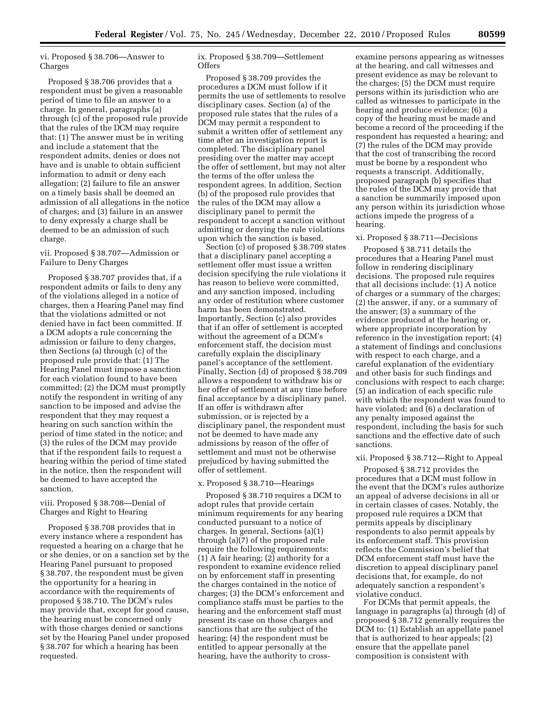vi. Proposed § 38.706—Answer to Charges

Proposed § 38.706 provides that a respondent must be given a reasonable period of time to file an answer to a charge. In general, paragraphs (a) through (c) of the proposed rule provide that the rules of the DCM may require that: (1) The answer must be in writing and include a statement that the respondent admits, denies or does not have and is unable to obtain sufficient information to admit or deny each allegation; (2) failure to file an answer on a timely basis shall be deemed an admission of all allegations in the notice of charges; and (3) failure in an answer to deny expressly a charge shall be deemed to be an admission of such charge.

## vii. Proposed § 38.707—Admission or Failure to Deny Charges

Proposed § 38.707 provides that, if a respondent admits or fails to deny any of the violations alleged in a notice of charges, then a Hearing Panel may find that the violations admitted or not denied have in fact been committed. If a DCM adopts a rule concerning the admission or failure to deny charges, then Sections (a) through (c) of the proposed rule provide that: (1) The Hearing Panel must impose a sanction for each violation found to have been committed; (2) the DCM must promptly notify the respondent in writing of any sanction to be imposed and advise the respondent that they may request a hearing on such sanction within the period of time stated in the notice; and (3) the rules of the DCM may provide that if the respondent fails to request a hearing within the period of time stated in the notice, then the respondent will be deemed to have accepted the sanction.

## viii. Proposed § 38.708—Denial of Charges and Right to Hearing

Proposed § 38.708 provides that in every instance where a respondent has requested a hearing on a charge that he or she denies, or on a sanction set by the Hearing Panel pursuant to proposed § 38.707, the respondent must be given the opportunity for a hearing in accordance with the requirements of proposed § 38.710. The DCM's rules may provide that, except for good cause, the hearing must be concerned only with those charges denied or sanctions set by the Hearing Panel under proposed § 38.707 for which a hearing has been requested.

ix. Proposed § 38.709—Settlement Offers

Proposed § 38.709 provides the procedures a DCM must follow if it permits the use of settlements to resolve disciplinary cases. Section (a) of the proposed rule states that the rules of a DCM may permit a respondent to submit a written offer of settlement any time after an investigation report is completed. The disciplinary panel presiding over the matter may accept the offer of settlement, but may not alter the terms of the offer unless the respondent agrees. In addition, Section (b) of the proposed rule provides that the rules of the DCM may allow a disciplinary panel to permit the respondent to accept a sanction without admitting or denying the rule violations upon which the sanction is based.

Section (c) of proposed § 38.709 states that a disciplinary panel accepting a settlement offer must issue a written decision specifying the rule violations it has reason to believe were committed, and any sanction imposed, including any order of restitution where customer harm has been demonstrated. Importantly, Section (c) also provides that if an offer of settlement is accepted without the agreement of a DCM's enforcement staff, the decision must carefully explain the disciplinary panel's acceptance of the settlement. Finally, Section (d) of proposed § 38.709 allows a respondent to withdraw his or her offer of settlement at any time before final acceptance by a disciplinary panel. If an offer is withdrawn after submission, or is rejected by a disciplinary panel, the respondent must not be deemed to have made any admissions by reason of the offer of settlement and must not be otherwise prejudiced by having submitted the offer of settlement.

## x. Proposed § 38.710—Hearings

Proposed § 38.710 requires a DCM to adopt rules that provide certain minimum requirements for any hearing conducted pursuant to a notice of charges. In general, Sections (a)(1) through (a)(7) of the proposed rule require the following requirements: (1) A fair hearing; (2) authority for a respondent to examine evidence relied on by enforcement staff in presenting the charges contained in the notice of charges; (3) the DCM's enforcement and compliance staffs must be parties to the hearing and the enforcement staff must present its case on those charges and sanctions that are the subject of the hearing; (4) the respondent must be entitled to appear personally at the hearing, have the authority to cross-

examine persons appearing as witnesses at the hearing, and call witnesses and present evidence as may be relevant to the charges; (5) the DCM must require persons within its jurisdiction who are called as witnesses to participate in the hearing and produce evidence; (6) a copy of the hearing must be made and become a record of the proceeding if the respondent has requested a hearing; and (7) the rules of the DCM may provide that the cost of transcribing the record must be borne by a respondent who requests a transcript. Additionally, proposed paragraph (b) specifies that the rules of the DCM may provide that a sanction be summarily imposed upon any person within its jurisdiction whose actions impede the progress of a hearing.

## xi. Proposed § 38.711—Decisions

Proposed § 38.711 details the procedures that a Hearing Panel must follow in rendering disciplinary decisions. The proposed rule requires that all decisions include: (1) A notice of charges or a summary of the charges; (2) the answer, if any, or a summary of the answer; (3) a summary of the evidence produced at the hearing or, where appropriate incorporation by reference in the investigation report; (4) a statement of findings and conclusions with respect to each charge, and a careful explanation of the evidentiary and other basis for such findings and conclusions with respect to each charge; (5) an indication of each specific rule with which the respondent was found to have violated; and (6) a declaration of any penalty imposed against the respondent, including the basis for such sanctions and the effective date of such sanctions.

#### xii. Proposed § 38.712—Right to Appeal

Proposed § 38.712 provides the procedures that a DCM must follow in the event that the DCM's rules authorize an appeal of adverse decisions in all or in certain classes of cases. Notably, the proposed rule requires a DCM that permits appeals by disciplinary respondents to also permit appeals by its enforcement staff. This provision reflects the Commission's belief that DCM enforcement staff must have the discretion to appeal disciplinary panel decisions that, for example, do not adequately sanction a respondent's violative conduct.

For DCMs that permit appeals, the language in paragraphs (a) through (d) of proposed § 38.712 generally requires the DCM to: (1) Establish an appellate panel that is authorized to hear appeals; (2) ensure that the appellate panel composition is consistent with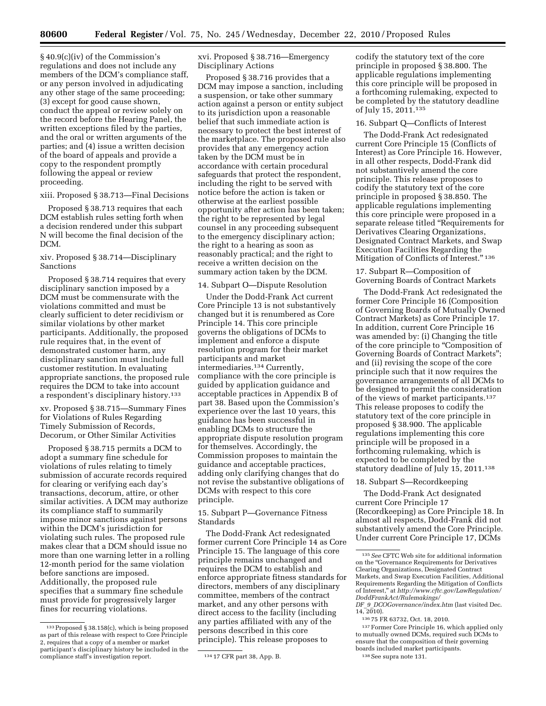§ 40.9(c)(iv) of the Commission's regulations and does not include any members of the DCM's compliance staff, or any person involved in adjudicating any other stage of the same proceeding; (3) except for good cause shown, conduct the appeal or review solely on the record before the Hearing Panel, the written exceptions filed by the parties, and the oral or written arguments of the parties; and (4) issue a written decision of the board of appeals and provide a copy to the respondent promptly following the appeal or review proceeding.

## xiii. Proposed § 38.713—Final Decisions

Proposed § 38.713 requires that each DCM establish rules setting forth when a decision rendered under this subpart N will become the final decision of the DCM.

## xiv. Proposed § 38.714—Disciplinary Sanctions

Proposed § 38.714 requires that every disciplinary sanction imposed by a DCM must be commensurate with the violations committed and must be clearly sufficient to deter recidivism or similar violations by other market participants. Additionally, the proposed rule requires that, in the event of demonstrated customer harm, any disciplinary sanction must include full customer restitution. In evaluating appropriate sanctions, the proposed rule requires the DCM to take into account a respondent's disciplinary history.133

xv. Proposed § 38.715—Summary Fines for Violations of Rules Regarding Timely Submission of Records, Decorum, or Other Similar Activities

Proposed § 38.715 permits a DCM to adopt a summary fine schedule for violations of rules relating to timely submission of accurate records required for clearing or verifying each day's transactions, decorum, attire, or other similar activities. A DCM may authorize its compliance staff to summarily impose minor sanctions against persons within the DCM's jurisdiction for violating such rules. The proposed rule makes clear that a DCM should issue no more than one warning letter in a rolling 12-month period for the same violation before sanctions are imposed. Additionally, the proposed rule specifies that a summary fine schedule must provide for progressively larger fines for recurring violations.

xvi. Proposed § 38.716—Emergency Disciplinary Actions

Proposed § 38.716 provides that a DCM may impose a sanction, including a suspension, or take other summary action against a person or entity subject to its jurisdiction upon a reasonable belief that such immediate action is necessary to protect the best interest of the marketplace. The proposed rule also provides that any emergency action taken by the DCM must be in accordance with certain procedural safeguards that protect the respondent, including the right to be served with notice before the action is taken or otherwise at the earliest possible opportunity after action has been taken; the right to be represented by legal counsel in any proceeding subsequent to the emergency disciplinary action; the right to a hearing as soon as reasonably practical; and the right to receive a written decision on the summary action taken by the DCM.

#### 14. Subpart O—Dispute Resolution

Under the Dodd-Frank Act current Core Principle 13 is not substantively changed but it is renumbered as Core Principle 14. This core principle governs the obligations of DCMs to implement and enforce a dispute resolution program for their market participants and market intermediaries.<sup>134</sup> Currently, compliance with the core principle is guided by application guidance and acceptable practices in Appendix B of part 38. Based upon the Commission's experience over the last 10 years, this guidance has been successful in enabling DCMs to structure the appropriate dispute resolution program for themselves. Accordingly, the Commission proposes to maintain the guidance and acceptable practices, adding only clarifying changes that do not revise the substantive obligations of DCMs with respect to this core principle.

15. Subpart P—Governance Fitness Standards

The Dodd-Frank Act redesignated former current Core Principle 14 as Core Principle 15. The language of this core principle remains unchanged and requires the DCM to establish and enforce appropriate fitness standards for directors, members of any disciplinary committee, members of the contract market, and any other persons with direct access to the facility (including any parties affiliated with any of the persons described in this core principle). This release proposes to

codify the statutory text of the core principle in proposed § 38.800. The applicable regulations implementing this core principle will be proposed in a forthcoming rulemaking, expected to be completed by the statutory deadline of July 15, 2011.135

## 16. Subpart Q—Conflicts of Interest

The Dodd-Frank Act redesignated current Core Principle 15 (Conflicts of Interest) as Core Principle 16. However, in all other respects, Dodd-Frank did not substantively amend the core principle. This release proposes to codify the statutory text of the core principle in proposed § 38.850. The applicable regulations implementing this core principle were proposed in a separate release titled ''Requirements for Derivatives Clearing Organizations, Designated Contract Markets, and Swap Execution Facilities Regarding the Mitigation of Conflicts of Interest." 136

## 17. Subpart R—Composition of Governing Boards of Contract Markets

The Dodd-Frank Act redesignated the former Core Principle 16 (Composition of Governing Boards of Mutually Owned Contract Markets) as Core Principle 17. In addition, current Core Principle 16 was amended by: (i) Changing the title of the core principle to ''Composition of Governing Boards of Contract Markets''; and (ii) revising the scope of the core principle such that it now requires the governance arrangements of all DCMs to be designed to permit the consideration of the views of market participants.137 This release proposes to codify the statutory text of the core principle in proposed § 38.900. The applicable regulations implementing this core principle will be proposed in a forthcoming rulemaking, which is expected to be completed by the statutory deadline of July 15, 2011.138

## 18. Subpart S—Recordkeeping

The Dodd-Frank Act designated current Core Principle 17 (Recordkeeping) as Core Principle 18. In almost all respects, Dodd-Frank did not substantively amend the Core Principle. Under current Core Principle 17, DCMs

137Former Core Principle 16, which applied only to mutually owned DCMs, required such DCMs to ensure that the composition of their governing boards included market participants.

<sup>133</sup>Proposed § 38.158(c), which is being proposed as part of this release with respect to Core Principle 2, requires that a copy of a member or market participant's disciplinary history be included in the compliance staff's investigation report. 134 17 CFR part 38, App. B.

<sup>135</sup>*See* CFTC Web site for additional information on the ''Governance Requirements for Derivatives Clearing Organizations, Designated Contract Markets, and Swap Execution Facilities, Additional Requirements Regarding the Mitigation of Conflicts of Interest,'' at *[http://www.cftc.gov/LawRegulation/](http://www.cftc.gov/LawRegulation/DoddFrankAct/Rulemakings/DF_9_DCOGovernance/index.htm) [DoddFrankAct/Rulemakings/](http://www.cftc.gov/LawRegulation/DoddFrankAct/Rulemakings/DF_9_DCOGovernance/index.htm)* 

*DF*\_*9*\_*[DCOGovernance/index.htm](http://www.cftc.gov/LawRegulation/DoddFrankAct/Rulemakings/DF_9_DCOGovernance/index.htm)* (last visited Dec.  $14, 2010$ .

<sup>136</sup> 75 FR 63732, Oct. 18, 2010.

<sup>138</sup>See supra note 131.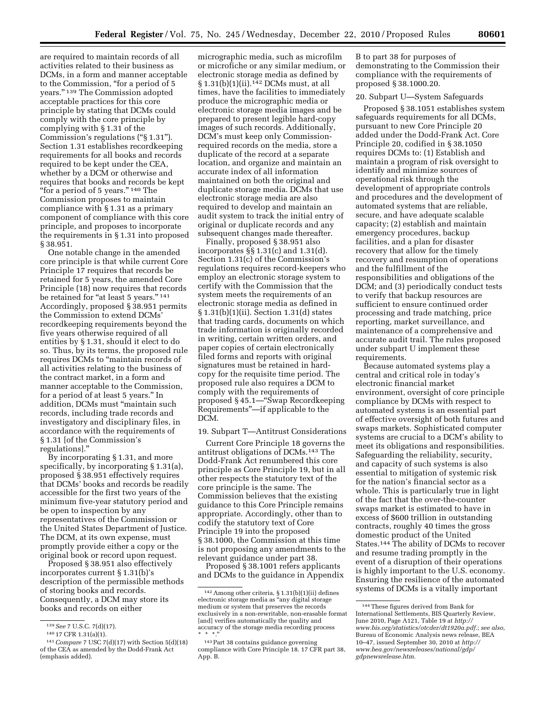are required to maintain records of all activities related to their business as DCMs, in a form and manner acceptable to the Commission, "for a period of 5 years.'' 139 The Commission adopted acceptable practices for this core principle by stating that DCMs could comply with the core principle by complying with § 1.31 of the Commission's regulations (''§ 1.31''). Section 1.31 establishes recordkeeping requirements for all books and records required to be kept under the CEA, whether by a DCM or otherwise and requires that books and records be kept "for a period of 5 years."<sup>140</sup> The Commission proposes to maintain compliance with § 1.31 as a primary component of compliance with this core principle, and proposes to incorporate the requirements in § 1.31 into proposed § 38.951.

One notable change in the amended core principle is that while current Core Principle 17 requires that records be retained for 5 years, the amended Core Principle (18) now requires that records be retained for "at least 5 years." 141 Accordingly, proposed § 38.951 permits the Commission to extend DCMs' recordkeeping requirements beyond the five years otherwise required of all entities by § 1.31, should it elect to do so. Thus, by its terms, the proposed rule requires DCMs to ''maintain records of all activities relating to the business of the contract market, in a form and manner acceptable to the Commission, for a period of at least 5 years.'' In addition, DCMs must ''maintain such records, including trade records and investigatory and disciplinary files, in accordance with the requirements of § 1.31 [of the Commission's regulations].''

By incorporating § 1.31, and more specifically, by incorporating § 1.31(a), proposed § 38.951 effectively requires that DCMs' books and records be readily accessible for the first two years of the minimum five-year statutory period and be open to inspection by any representatives of the Commission or the United States Department of Justice. The DCM, at its own expense, must promptly provide either a copy or the original book or record upon request.

Proposed § 38.951 also effectively incorporates current § 1.31(b)'s description of the permissible methods of storing books and records. Consequently, a DCM may store its books and records on either

micrographic media, such as microfilm or microfiche or any similar medium, or electronic storage media as defined by § 1.31(b)(1)(ii).<sup>142</sup> DCMs must, at all times, have the facilities to immediately produce the micrographic media or electronic storage media images and be prepared to present legible hard-copy images of such records. Additionally, DCM's must keep only Commissionrequired records on the media, store a duplicate of the record at a separate location, and organize and maintain an accurate index of all information maintained on both the original and duplicate storage media. DCMs that use electronic storage media are also required to develop and maintain an audit system to track the initial entry of original or duplicate records and any subsequent changes made thereafter.

Finally, proposed § 38.951 also incorporates §§ 1.31(c) and 1.31(d). Section 1.31(c) of the Commission's regulations requires record-keepers who employ an electronic storage system to certify with the Commission that the system meets the requirements of an electronic storage media as defined in § 1.31(b)(1)(ii). Section 1.31(d) states that trading cards, documents on which trade information is originally recorded in writing, certain written orders, and paper copies of certain electronically filed forms and reports with original signatures must be retained in hardcopy for the requisite time period. The proposed rule also requires a DCM to comply with the requirements of proposed § 45.1—''Swap Recordkeeping Requirements''—if applicable to the DCM.

19. Subpart T—Antitrust Considerations

Current Core Principle 18 governs the antitrust obligations of DCMs.143 The Dodd-Frank Act renumbered this core principle as Core Principle 19, but in all other respects the statutory text of the core principle is the same. The Commission believes that the existing guidance to this Core Principle remains appropriate. Accordingly, other than to codify the statutory text of Core Principle 19 into the proposed § 38.1000, the Commission at this time is not proposing any amendments to the relevant guidance under part 38.

Proposed § 38.1001 refers applicants and DCMs to the guidance in Appendix

B to part 38 for purposes of demonstrating to the Commission their compliance with the requirements of proposed § 38.1000.20.

## 20. Subpart U—System Safeguards

Proposed § 38.1051 establishes system safeguards requirements for all DCMs, pursuant to new Core Principle 20 added under the Dodd-Frank Act. Core Principle 20, codified in § 38.1050 requires DCMs to: (1) Establish and maintain a program of risk oversight to identify and minimize sources of operational risk through the development of appropriate controls and procedures and the development of automated systems that are reliable, secure, and have adequate scalable capacity; (2) establish and maintain emergency procedures, backup facilities, and a plan for disaster recovery that allow for the timely recovery and resumption of operations and the fulfillment of the responsibilities and obligations of the DCM; and (3) periodically conduct tests to verify that backup resources are sufficient to ensure continued order processing and trade matching, price reporting, market surveillance, and maintenance of a comprehensive and accurate audit trail. The rules proposed under subpart U implement these requirements.

Because automated systems play a central and critical role in today's electronic financial market environment, oversight of core principle compliance by DCMs with respect to automated systems is an essential part of effective oversight of both futures and swaps markets. Sophisticated computer systems are crucial to a DCM's ability to meet its obligations and responsibilities. Safeguarding the reliability, security, and capacity of such systems is also essential to mitigation of systemic risk for the nation's financial sector as a whole. This is particularly true in light of the fact that the over-the-counter swaps market is estimated to have in excess of \$600 trillion in outstanding contracts, roughly 40 times the gross domestic product of the United States.144 The ability of DCMs to recover and resume trading promptly in the event of a disruption of their operations is highly important to the U.S. economy. Ensuring the resilience of the automated systems of DCMs is a vitally important

<sup>139</sup>*See* 7 U.S.C. 7(d)(17).

<sup>140</sup> 17 CFR 1.31(a)(1).

<sup>141</sup>*Compare* 7 USC 7(d)(17) with Section 5(d)(18) of the CEA as amended by the Dodd-Frank Act (emphasis added).

<sup>142</sup>Among other criteria, § 1.31(b)(1)(ii) defines electronic storage media as ''any digital storage medium or system that preserves the records exclusively in a non-rewritable, non-erasable format [and] verifies automatically the quality and accuracy of the storage media recording process  $* * * "$ 

<sup>143</sup>Part 38 contains guidance governing compliance with Core Principle 18. 17 CFR part 38, App. B.

<sup>144</sup>These figures derived from Bank for International Settlements, BIS Quarterly Review, June 2010, Page A121, Table 19 at *[http://](http://www.bis.org/statistics/otcder/dt1920a.pdf) [www.bis.org/statistics/otcder/dt1920a.pdf.](http://www.bis.org/statistics/otcder/dt1920a.pdf)*; *see also,*  Bureau of Economic Analysis news release, BEA 10–47, issued September 30, 2010 at *[http://](http://www.bea.gov/newsreleases/national/gdp/gdpnewsrelease.htm)  [www.bea.gov/newsreleases/national/gdp/](http://www.bea.gov/newsreleases/national/gdp/gdpnewsrelease.htm)  [gdpnewsrelease.htm.](http://www.bea.gov/newsreleases/national/gdp/gdpnewsrelease.htm)*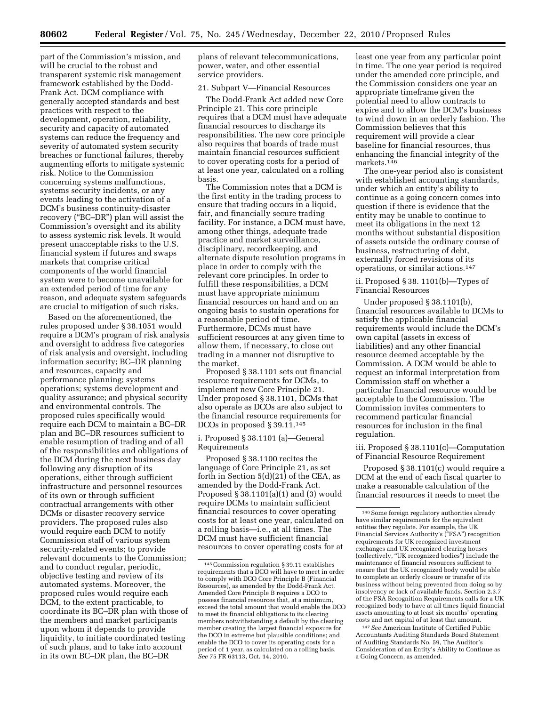part of the Commission's mission, and will be crucial to the robust and transparent systemic risk management framework established by the Dodd-Frank Act. DCM compliance with generally accepted standards and best practices with respect to the development, operation, reliability, security and capacity of automated systems can reduce the frequency and severity of automated system security breaches or functional failures, thereby augmenting efforts to mitigate systemic risk. Notice to the Commission concerning systems malfunctions, systems security incidents, or any events leading to the activation of a DCM's business continuity-disaster recovery (''BC–DR'') plan will assist the Commission's oversight and its ability to assess systemic risk levels. It would present unacceptable risks to the U.S. financial system if futures and swaps markets that comprise critical components of the world financial system were to become unavailable for an extended period of time for any reason, and adequate system safeguards are crucial to mitigation of such risks.

Based on the aforementioned, the rules proposed under § 38.1051 would require a DCM's program of risk analysis and oversight to address five categories of risk analysis and oversight, including information security; BC–DR planning and resources, capacity and performance planning; systems operations; systems development and quality assurance; and physical security and environmental controls. The proposed rules specifically would require each DCM to maintain a BC–DR plan and BC–DR resources sufficient to enable resumption of trading and of all of the responsibilities and obligations of the DCM during the next business day following any disruption of its operations, either through sufficient infrastructure and personnel resources of its own or through sufficient contractual arrangements with other DCMs or disaster recovery service providers. The proposed rules also would require each DCM to notify Commission staff of various system security-related events; to provide relevant documents to the Commission; and to conduct regular, periodic, objective testing and review of its automated systems. Moreover, the proposed rules would require each DCM, to the extent practicable, to coordinate its BC–DR plan with those of the members and market participants upon whom it depends to provide liquidity, to initiate coordinated testing of such plans, and to take into account in its own BC–DR plan, the BC–DR

plans of relevant telecommunications, power, water, and other essential service providers.

## 21. Subpart V—Financial Resources

The Dodd-Frank Act added new Core Principle 21. This core principle requires that a DCM must have adequate financial resources to discharge its responsibilities. The new core principle also requires that boards of trade must maintain financial resources sufficient to cover operating costs for a period of at least one year, calculated on a rolling basis.

The Commission notes that a DCM is the first entity in the trading process to ensure that trading occurs in a liquid, fair, and financially secure trading facility. For instance, a DCM must have, among other things, adequate trade practice and market surveillance, disciplinary, recordkeeping, and alternate dispute resolution programs in place in order to comply with the relevant core principles. In order to fulfill these responsibilities, a DCM must have appropriate minimum financial resources on hand and on an ongoing basis to sustain operations for a reasonable period of time. Furthermore, DCMs must have sufficient resources at any given time to allow them, if necessary, to close out trading in a manner not disruptive to the market.

Proposed § 38.1101 sets out financial resource requirements for DCMs, to implement new Core Principle 21. Under proposed § 38.1101, DCMs that also operate as DCOs are also subject to the financial resource requirements for DCOs in proposed § 39.11.145

## i. Proposed § 38.1101 (a)—General Requirements

Proposed § 38.1100 recites the language of Core Principle 21, as set forth in Section 5(d)(21) of the CEA, as amended by the Dodd-Frank Act. Proposed § 38.1101(a)(1) and (3) would require DCMs to maintain sufficient financial resources to cover operating costs for at least one year, calculated on a rolling basis—i.e., at all times. The DCM must have sufficient financial resources to cover operating costs for at least one year from any particular point in time. The one year period is required under the amended core principle, and the Commission considers one year an appropriate timeframe given the potential need to allow contracts to expire and to allow the DCM's business to wind down in an orderly fashion. The Commission believes that this requirement will provide a clear baseline for financial resources, thus enhancing the financial integrity of the markets.<sup>146</sup>

The one-year period also is consistent with established accounting standards, under which an entity's ability to continue as a going concern comes into question if there is evidence that the entity may be unable to continue to meet its obligations in the next 12 months without substantial disposition of assets outside the ordinary course of business, restructuring of debt, externally forced revisions of its operations, or similar actions.147

ii. Proposed § 38. 1101(b)—Types of Financial Resources

Under proposed § 38.1101(b), financial resources available to DCMs to satisfy the applicable financial requirements would include the DCM's own capital (assets in excess of liabilities) and any other financial resource deemed acceptable by the Commission. A DCM would be able to request an informal interpretation from Commission staff on whether a particular financial resource would be acceptable to the Commission. The Commission invites commenters to recommend particular financial resources for inclusion in the final regulation.

## iii. Proposed § 38.1101(c)—Computation of Financial Resource Requirement

Proposed § 38.1101(c) would require a DCM at the end of each fiscal quarter to make a reasonable calculation of the financial resources it needs to meet the

147*See* American Institute of Certified Public Accountants Auditing Standards Board Statement of Auditing Standards No. 59, The Auditor's Consideration of an Entity's Ability to Continue as a Going Concern, as amended.

<sup>145</sup>Commission regulation § 39.11 establishes requirements that a DCO will have to meet in order to comply with DCO Core Principle B (Financial Resources), as amended by the Dodd-Frank Act. Amended Core Principle B requires a DCO to possess financial resources that, at a minimum, exceed the total amount that would enable the DCO to meet its financial obligations to its clearing members notwithstanding a default by the clearing member creating the largest financial exposure for the DCO in extreme but plausible conditions; and enable the DCO to cover its operating costs for a period of 1 year, as calculated on a rolling basis. *See* 75 FR 63113, Oct. 14, 2010.

<sup>&</sup>lt;sup>146</sup> Some foreign regulatory authorities already have similar requirements for the equivalent entities they regulate. For example, the UK Financial Services Authority's ("FSA") recognition requirements for UK recognized investment exchanges and UK recognized clearing houses (collectively, ''UK recognized bodies'') include the maintenance of financial resources sufficient to ensure that the UK recognized body would be able to complete an orderly closure or transfer of its business without being prevented from doing so by insolvency or lack of available funds. Section 2.3.7 of the FSA Recognition Requirements calls for a UK recognized body to have at all times liquid financial assets amounting to at least six months' operating costs and net capital of at least that amount.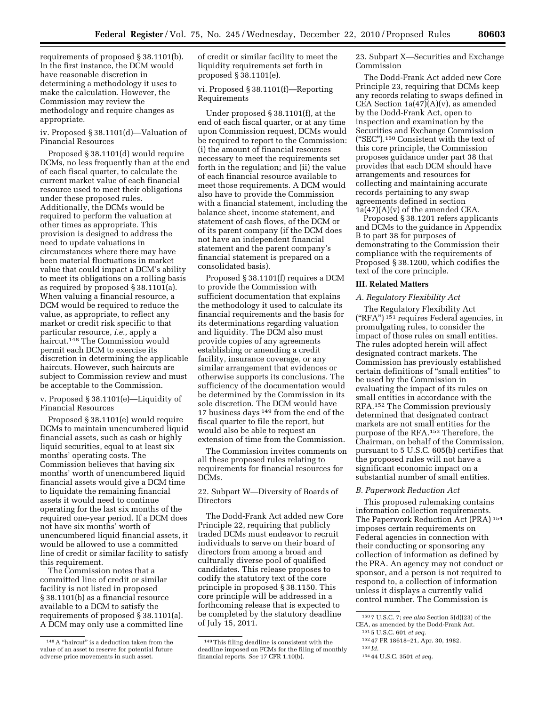requirements of proposed § 38.1101(b). In the first instance, the DCM would have reasonable discretion in determining a methodology it uses to make the calculation. However, the Commission may review the methodology and require changes as appropriate.

iv. Proposed § 38.1101(d)—Valuation of Financial Resources

Proposed § 38.1101(d) would require DCMs, no less frequently than at the end of each fiscal quarter, to calculate the current market value of each financial resource used to meet their obligations under these proposed rules. Additionally, the DCMs would be required to perform the valuation at other times as appropriate. This provision is designed to address the need to update valuations in circumstances where there may have been material fluctuations in market value that could impact a DCM's ability to meet its obligations on a rolling basis as required by proposed § 38.1101(a). When valuing a financial resource, a DCM would be required to reduce the value, as appropriate, to reflect any market or credit risk specific to that particular resource, *i.e.,* apply a haircut.148 The Commission would permit each DCM to exercise its discretion in determining the applicable haircuts. However, such haircuts are subject to Commission review and must be acceptable to the Commission.

v. Proposed § 38.1101(e)—Liquidity of Financial Resources

Proposed § 38.1101(e) would require DCMs to maintain unencumbered liquid financial assets, such as cash or highly liquid securities, equal to at least six months' operating costs. The Commission believes that having six months' worth of unencumbered liquid financial assets would give a DCM time to liquidate the remaining financial assets it would need to continue operating for the last six months of the required one-year period. If a DCM does not have six months' worth of unencumbered liquid financial assets, it would be allowed to use a committed line of credit or similar facility to satisfy this requirement.

The Commission notes that a committed line of credit or similar facility is not listed in proposed § 38.1101(b) as a financial resource available to a DCM to satisfy the requirements of proposed § 38.1101(a). A DCM may only use a committed line of credit or similar facility to meet the liquidity requirements set forth in proposed § 38.1101(e).

vi. Proposed § 38.1101(f)—Reporting Requirements

Under proposed § 38.1101(f), at the end of each fiscal quarter, or at any time upon Commission request, DCMs would be required to report to the Commission: (i) the amount of financial resources necessary to meet the requirements set forth in the regulation; and (ii) the value of each financial resource available to meet those requirements. A DCM would also have to provide the Commission with a financial statement, including the balance sheet, income statement, and statement of cash flows, of the DCM or of its parent company (if the DCM does not have an independent financial statement and the parent company's financial statement is prepared on a consolidated basis).

Proposed § 38.1101(f) requires a DCM to provide the Commission with sufficient documentation that explains the methodology it used to calculate its financial requirements and the basis for its determinations regarding valuation and liquidity. The DCM also must provide copies of any agreements establishing or amending a credit facility, insurance coverage, or any similar arrangement that evidences or otherwise supports its conclusions. The sufficiency of the documentation would be determined by the Commission in its sole discretion. The DCM would have 17 business days 149 from the end of the fiscal quarter to file the report, but would also be able to request an extension of time from the Commission.

The Commission invites comments on all these proposed rules relating to requirements for financial resources for DCMs.

22. Subpart W—Diversity of Boards of Directors

The Dodd-Frank Act added new Core Principle 22, requiring that publicly traded DCMs must endeavor to recruit individuals to serve on their board of directors from among a broad and culturally diverse pool of qualified candidates. This release proposes to codify the statutory text of the core principle in proposed § 38.1150. This core principle will be addressed in a forthcoming release that is expected to be completed by the statutory deadline of July 15, 2011.

23. Subpart X—Securities and Exchange Commission

The Dodd-Frank Act added new Core Principle 23, requiring that DCMs keep any records relating to swaps defined in CEA Section  $1a(47)(A)(v)$ , as amended by the Dodd-Frank Act, open to inspection and examination by the Securities and Exchange Commission (''SEC'').150 Consistent with the text of this core principle, the Commission proposes guidance under part 38 that provides that each DCM should have arrangements and resources for collecting and maintaining accurate records pertaining to any swap agreements defined in section  $1a(47)(A)(v)$  of the amended CEA.

Proposed § 38.1201 refers applicants and DCMs to the guidance in Appendix B to part 38 for purposes of demonstrating to the Commission their compliance with the requirements of Proposed § 38.1200, which codifies the text of the core principle.

## **III. Related Matters**

## *A. Regulatory Flexibility Act*

The Regulatory Flexibility Act (''RFA'') 151 requires Federal agencies, in promulgating rules, to consider the impact of those rules on small entities. The rules adopted herein will affect designated contract markets. The Commission has previously established certain definitions of ''small entities'' to be used by the Commission in evaluating the impact of its rules on small entities in accordance with the RFA.152 The Commission previously determined that designated contract markets are not small entities for the purpose of the RFA.153 Therefore, the Chairman, on behalf of the Commission, pursuant to 5 U.S.C. 605(b) certifies that the proposed rules will not have a significant economic impact on a substantial number of small entities.

#### *B. Paperwork Reduction Act*

This proposed rulemaking contains information collection requirements. The Paperwork Reduction Act (PRA) 154 imposes certain requirements on Federal agencies in connection with their conducting or sponsoring any collection of information as defined by the PRA. An agency may not conduct or sponsor, and a person is not required to respond to, a collection of information unless it displays a currently valid control number. The Commission is

154 44 U.S.C. 3501 *et seq.* 

 $^{148}\mathrm{A}$  "haircut" is a deduction taken from the value of an asset to reserve for potential future adverse price movements in such asset.

<sup>149</sup>This filing deadline is consistent with the deadline imposed on FCMs for the filing of monthly financial reports. *See* 17 CFR 1.10(b).

<sup>150</sup> 7 U.S.C. 7; *see also* Section 5(d)(23) of the CEA, as amended by the Dodd-Frank Act.

<sup>151</sup> 5 U.S.C. 601 *et seq.* 

<sup>152</sup> 47 FR 18618–21, Apr. 30, 1982.

<sup>153</sup> *Id.*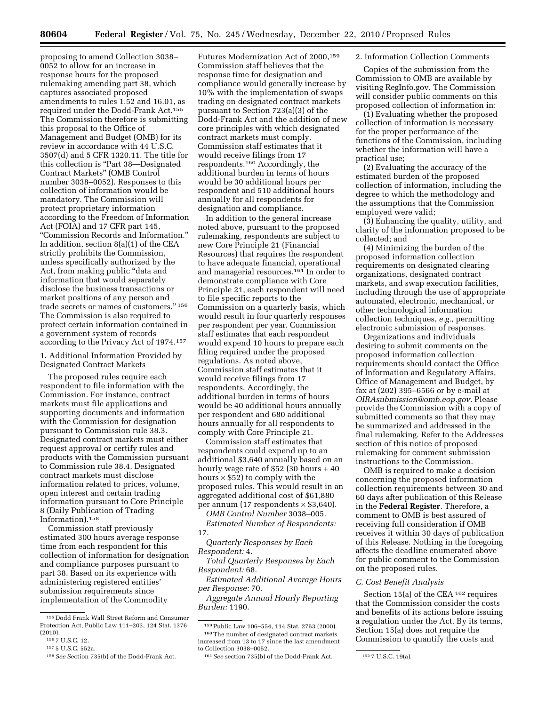proposing to amend Collection 3038– 0052 to allow for an increase in response hours for the proposed rulemaking amending part 38, which captures associated proposed amendments to rules 1.52 and 16.01, as required under the Dodd-Frank Act.155 The Commission therefore is submitting this proposal to the Office of Management and Budget (OMB) for its review in accordance with 44 U.S.C. 3507(d) and 5 CFR 1320.11. The title for this collection is ''Part 38—Designated Contract Markets'' (OMB Control number 3038–0052). Responses to this collection of information would be mandatory. The Commission will protect proprietary information according to the Freedom of Information Act (FOIA) and 17 CFR part 145, ''Commission Records and Information.'' In addition, section 8(a)(1) of the CEA strictly prohibits the Commission, unless specifically authorized by the Act, from making public "data and information that would separately disclose the business transactions or market positions of any person and trade secrets or names of customers.'' 156 The Commission is also required to protect certain information contained in a government system of records according to the Privacy Act of 1974.157

1. Additional Information Provided by Designated Contract Markets

The proposed rules require each respondent to file information with the Commission. For instance, contract markets must file applications and supporting documents and information with the Commission for designation pursuant to Commission rule 38.3. Designated contract markets must either request approval or certify rules and products with the Commission pursuant to Commission rule 38.4. Designated contract markets must disclose information related to prices, volume, open interest and certain trading information pursuant to Core Principle 8 (Daily Publication of Trading Information).158

Commission staff previously estimated 300 hours average response time from each respondent for this collection of information for designation and compliance purposes pursuant to part 38. Based on its experience with administering registered entities' submission requirements since implementation of the Commodity

Futures Modernization Act of 2000,159 Commission staff believes that the response time for designation and compliance would generally increase by 10% with the implementation of swaps trading on designated contract markets pursuant to Section 723(a)(3) of the Dodd-Frank Act and the addition of new core principles with which designated contract markets must comply. Commission staff estimates that it would receive filings from 17 respondents.160 Accordingly, the additional burden in terms of hours would be 30 additional hours per respondent and 510 additional hours annually for all respondents for designation and compliance.

In addition to the general increase noted above, pursuant to the proposed rulemaking, respondents are subject to new Core Principle 21 (Financial Resources) that requires the respondent to have adequate financial, operational and managerial resources.161 In order to demonstrate compliance with Core Principle 21, each respondent will need to file specific reports to the Commission on a quarterly basis, which would result in four quarterly responses per respondent per year. Commission staff estimates that each respondent would expend 10 hours to prepare each filing required under the proposed regulations. As noted above, Commission staff estimates that it would receive filings from 17 respondents. Accordingly, the additional burden in terms of hours would be 40 additional hours annually per respondent and 680 additional hours annually for all respondents to comply with Core Principle 21.

Commission staff estimates that respondents could expend up to an additional \$3,640 annually based on an hourly wage rate of \$52 (30 hours + 40 hours  $\times$  \$52) to comply with the proposed rules. This would result in an aggregated additional cost of \$61,880 per annum (17 respondents  $\times$  \$3,640).

*OMB Control Number* 3038–005. *Estimated Number of Respondents:* 

17.

*Quarterly Responses by Each Respondent:* 4.

*Total Quarterly Responses by Each Respondent:* 68.

*Estimated Additional Average Hours per Response:* 70.

*Aggregate Annual Hourly Reporting Burden:* 1190.

#### 2. Information Collection Comments

Copies of the submission from the Commission to OMB are available by visiting RegInfo.gov. The Commission will consider public comments on this proposed collection of information in:

(1) Evaluating whether the proposed collection of information is necessary for the proper performance of the functions of the Commission, including whether the information will have a practical use;

(2) Evaluating the accuracy of the estimated burden of the proposed collection of information, including the degree to which the methodology and the assumptions that the Commission employed were valid;

(3) Enhancing the quality, utility, and clarity of the information proposed to be collected; and

(4) Minimizing the burden of the proposed information collection requirements on designated clearing organizations, designated contract markets, and swap execution facilities, including through the use of appropriate automated, electronic, mechanical, or other technological information collection techniques, *e.g.,* permitting electronic submission of responses.

Organizations and individuals desiring to submit comments on the proposed information collection requirements should contact the Office of Information and Regulatory Affairs, Office of Management and Budget, by fax at (202) 395–6566 or by e-mail at *[OIRAsubmission@omb.eop.gov.](mailto:OIRAsubmission@omb.eop.gov)* Please provide the Commission with a copy of submitted comments so that they may be summarized and addressed in the final rulemaking. Refer to the Addresses section of this notice of proposed rulemaking for comment submission instructions to the Commission.

OMB is required to make a decision concerning the proposed information collection requirements between 30 and 60 days after publication of this Release in the **Federal Register**. Therefore, a comment to OMB is best assured of receiving full consideration if OMB receives it within 30 days of publication of this Release. Nothing in the foregoing affects the deadline enumerated above for public comment to the Commission on the proposed rules.

#### *C. Cost Benefit Analysis*

Section 15(a) of the CEA <sup>162</sup> requires that the Commission consider the costs and benefits of its actions before issuing a regulation under the Act. By its terms, Section 15(a) does not require the Commission to quantify the costs and

<sup>155</sup> Dodd Frank Wall Street Reform and Consumer Protection Act, Public Law 111–203, 124 Stat. 1376 (2010).

<sup>156</sup> 7 U.S.C. 12.

<sup>157</sup> 5 U.S.C. 552a.

<sup>158</sup>*See* Section 735(b) of the Dodd-Frank Act.

<sup>159</sup>Public Law 106–554, 114 Stat. 2763 (2000). 160The number of designated contract markets increased from 13 to 17 since the last amendment to Collection 3038–0052.

<sup>&</sup>lt;sup>161</sup> See section 735(b) of the Dodd-Frank Act. <sup>162</sup> 7 U.S.C. 19(a).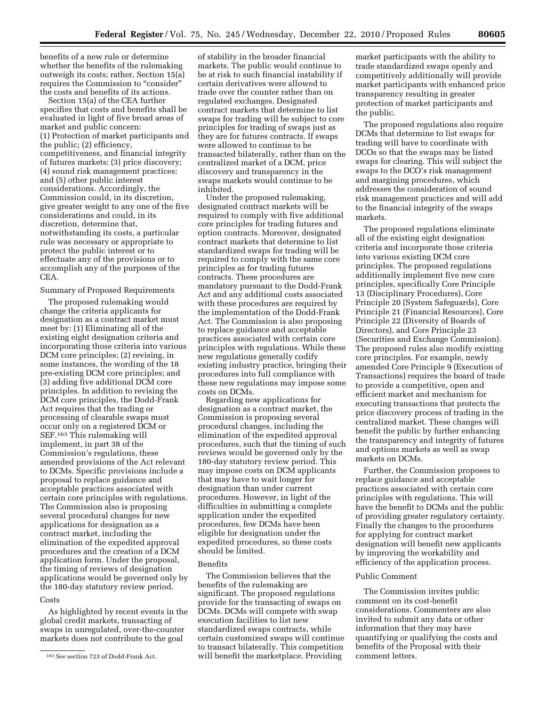benefits of a new rule or determine whether the benefits of the rulemaking outweigh its costs; rather, Section 15(a) requires the Commission to "consider" the costs and benefits of its actions.

Section 15(a) of the CEA further specifies that costs and benefits shall be evaluated in light of five broad areas of market and public concern: (1) Protection of market participants and the public; (2) efficiency, competitiveness, and financial integrity of futures markets; (3) price discovery; (4) sound risk management practices; and (5) other public interest considerations. Accordingly, the Commission could, in its discretion, give greater weight to any one of the five considerations and could, in its discretion, determine that, notwithstanding its costs, a particular rule was necessary or appropriate to protect the public interest or to effectuate any of the provisions or to accomplish any of the purposes of the CEA.

## Summary of Proposed Requirements

The proposed rulemaking would change the criteria applicants for designation as a contract market must meet by: (1) Eliminating all of the existing eight designation criteria and incorporating those criteria into various DCM core principles; (2) revising, in some instances, the wording of the 18 pre-existing DCM core principles; and (3) adding five additional DCM core principles. In addition to revising the DCM core principles, the Dodd-Frank Act requires that the trading or processing of clearable swaps must occur only on a registered DCM or SEF.163 This rulemaking will implement, in part 38 of the Commission's regulations, these amended provisions of the Act relevant to DCMs. Specific provisions include a proposal to replace guidance and acceptable practices associated with certain core principles with regulations. The Commission also is proposing several procedural changes for new applications for designation as a contract market, including the elimination of the expedited approval procedures and the creation of a DCM application form. Under the proposal, the timing of reviews of designation applications would be governed only by the 180-day statutory review period.

#### Costs

As highlighted by recent events in the global credit markets, transacting of swaps in unregulated, over-the-counter markets does not contribute to the goal

of stability in the broader financial markets. The public would continue to be at risk to such financial instability if certain derivatives were allowed to trade over the counter rather than on regulated exchanges. Designated contract markets that determine to list swaps for trading will be subject to core principles for trading of swaps just as they are for futures contracts. If swaps were allowed to continue to be transacted bilaterally, rather than on the centralized market of a DCM, price discovery and transparency in the swaps markets would continue to be inhibited.

Under the proposed rulemaking, designated contract markets will be required to comply with five additional core principles for trading futures and option contracts. Moreover, designated contract markets that determine to list standardized swaps for trading will be required to comply with the same core principles as for trading futures contracts. These procedures are mandatory pursuant to the Dodd-Frank Act and any additional costs associated with these procedures are required by the implementation of the Dodd-Frank Act. The Commission is also proposing to replace guidance and acceptable practices associated with certain core principles with regulations. While these new regulations generally codify existing industry practice, bringing their procedures into full compliance with these new regulations may impose some costs on DCMs.

Regarding new applications for designation as a contract market, the Commission is proposing several procedural changes, including the elimination of the expedited approval procedures, such that the timing of such reviews would be governed only by the 180-day statutory review period. This may impose costs on DCM applicants that may have to wait longer for designation than under current procedures. However, in light of the difficulties in submitting a complete application under the expedited procedures, few DCMs have been eligible for designation under the expedited procedures, so these costs should be limited.

## Benefits

The Commission believes that the benefits of the rulemaking are significant. The proposed regulations provide for the transacting of swaps on DCMs. DCMs will compete with swap execution facilities to list new standardized swaps contracts, while certain customized swaps will continue to transact bilaterally. This competition will benefit the marketplace. Providing

market participants with the ability to trade standardized swaps openly and competitively additionally will provide market participants with enhanced price transparency resulting in greater protection of market participants and the public.

The proposed regulations also require DCMs that determine to list swaps for trading will have to coordinate with DCOs so that the swaps may be listed swaps for clearing. This will subject the swaps to the DCO's risk management and margining procedures, which addresses the consideration of sound risk management practices and will add to the financial integrity of the swaps markets.

The proposed regulations eliminate all of the existing eight designation criteria and incorporate those criteria into various existing DCM core principles. The proposed regulations additionally implement five new core principles, specifically Core Principle 13 (Disciplinary Procedures), Core Principle 20 (System Safeguards), Core Principle 21 (Financial Resources), Core Principle 22 (Diversity of Boards of Directors), and Core Principle 23 (Securities and Exchange Commission). The proposed rules also modify existing core principles. For example, newly amended Core Principle 9 (Execution of Transactions) requires the board of trade to provide a competitive, open and efficient market and mechanism for executing transactions that protects the price discovery process of trading in the centralized market. These changes will benefit the public by further enhancing the transparency and integrity of futures and options markets as well as swap markets on DCMs.

Further, the Commission proposes to replace guidance and acceptable practices associated with certain core principles with regulations. This will have the benefit to DCMs and the public of providing greater regulatory certainty. Finally the changes to the procedures for applying for contract market designation will benefit new applicants by improving the workability and efficiency of the application process.

#### Public Comment

The Commission invites public comment on its cost-benefit considerations. Commenters are also invited to submit any data or other information that they may have quantifying or qualifying the costs and benefits of the Proposal with their comment letters.

<sup>163</sup>*See* section 723 of Dodd-Frank Act.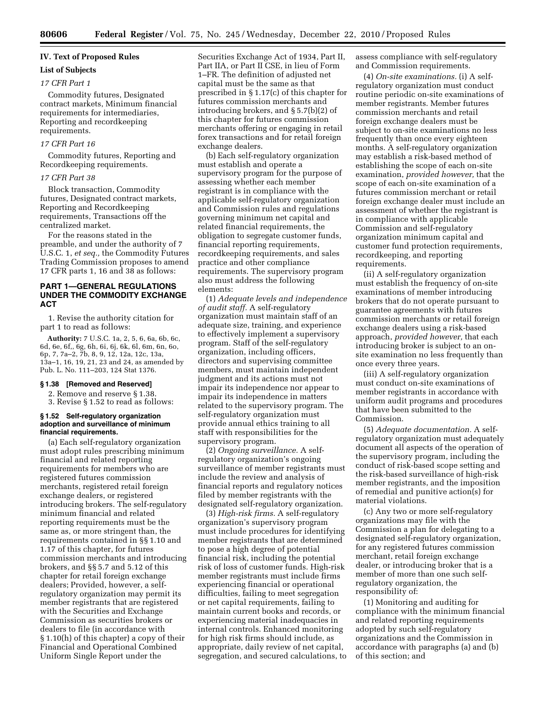## **IV. Text of Proposed Rules**

## **List of Subjects**

## *17 CFR Part 1*

Commodity futures, Designated contract markets, Minimum financial requirements for intermediaries, Reporting and recordkeeping requirements.

#### *17 CFR Part 16*

Commodity futures, Reporting and Recordkeeping requirements.

## *17 CFR Part 38*

Block transaction, Commodity futures, Designated contract markets, Reporting and Recordkeeping requirements, Transactions off the centralized market.

For the reasons stated in the preamble, and under the authority of 7 U.S.C. 1, *et seq.,* the Commodity Futures Trading Commission proposes to amend 17 CFR parts 1, 16 and 38 as follows:

## **PART 1—GENERAL REGULATIONS UNDER THE COMMODITY EXCHANGE ACT**

1. Revise the authority citation for part 1 to read as follows:

**Authority:** 7 U.S.C. 1a, 2, 5, 6, 6a, 6b, 6c, 6d, 6e, 6f,, 6g, 6h, 6i, 6j, 6k, 6l, 6m, 6n, 6o, 6p, 7, 7a–2, 7b, 8, 9, 12, 12a, 12c, 13a, 13a–1, 16, 19, 21, 23 and 24, as amended by Pub. L. No. 111–203, 124 Stat 1376.

## **§ 1.38 [Removed and Reserved]**

2. Remove and reserve § 1.38.

3. Revise § 1.52 to read as follows:

#### **§ 1.52 Self-regulatory organization adoption and surveillance of minimum financial requirements.**

(a) Each self-regulatory organization must adopt rules prescribing minimum financial and related reporting requirements for members who are registered futures commission merchants, registered retail foreign exchange dealers, or registered introducing brokers. The self-regulatory minimum financial and related reporting requirements must be the same as, or more stringent than, the requirements contained in §§ 1.10 and 1.17 of this chapter, for futures commission merchants and introducing brokers, and §§ 5.7 and 5.12 of this chapter for retail foreign exchange dealers; Provided, however, a selfregulatory organization may permit its member registrants that are registered with the Securities and Exchange Commission as securities brokers or dealers to file (in accordance with § 1.10(h) of this chapter) a copy of their Financial and Operational Combined Uniform Single Report under the

Securities Exchange Act of 1934, Part II, Part IIA, or Part II CSE, in lieu of Form 1–FR. The definition of adjusted net capital must be the same as that prescribed in § 1.17(c) of this chapter for futures commission merchants and introducing brokers, and § 5.7(b)(2) of this chapter for futures commission merchants offering or engaging in retail forex transactions and for retail foreign exchange dealers.

(b) Each self-regulatory organization must establish and operate a supervisory program for the purpose of assessing whether each member registrant is in compliance with the applicable self-regulatory organization and Commission rules and regulations governing minimum net capital and related financial requirements, the obligation to segregate customer funds, financial reporting requirements, recordkeeping requirements, and sales practice and other compliance requirements. The supervisory program also must address the following elements:

(1) *Adequate levels and independence of audit staff.* A self-regulatory organization must maintain staff of an adequate size, training, and experience to effectively implement a supervisory program. Staff of the self-regulatory organization, including officers, directors and supervising committee members, must maintain independent judgment and its actions must not impair its independence nor appear to impair its independence in matters related to the supervisory program. The self-regulatory organization must provide annual ethics training to all staff with responsibilities for the supervisory program.

(2) *Ongoing surveillance.* A selfregulatory organization's ongoing surveillance of member registrants must include the review and analysis of financial reports and regulatory notices filed by member registrants with the designated self-regulatory organization.

(3) *High-risk firms.* A self-regulatory organization's supervisory program must include procedures for identifying member registrants that are determined to pose a high degree of potential financial risk, including the potential risk of loss of customer funds. High-risk member registrants must include firms experiencing financial or operational difficulties, failing to meet segregation or net capital requirements, failing to maintain current books and records, or experiencing material inadequacies in internal controls. Enhanced monitoring for high risk firms should include, as appropriate, daily review of net capital, segregation, and secured calculations, to assess compliance with self-regulatory and Commission requirements.

(4) *On-site examinations.* (i) A selfregulatory organization must conduct routine periodic on-site examinations of member registrants. Member futures commission merchants and retail foreign exchange dealers must be subject to on-site examinations no less frequently than once every eighteen months. A self-regulatory organization may establish a risk-based method of establishing the scope of each on-site examination, *provided however,* that the scope of each on-site examination of a futures commission merchant or retail foreign exchange dealer must include an assessment of whether the registrant is in compliance with applicable Commission and self-regulatory organization minimum capital and customer fund protection requirements, recordkeeping, and reporting requirements.

(ii) A self-regulatory organization must establish the frequency of on-site examinations of member introducing brokers that do not operate pursuant to guarantee agreements with futures commission merchants or retail foreign exchange dealers using a risk-based approach, *provided however,* that each introducing broker is subject to an onsite examination no less frequently than once every three years.

(iii) A self-regulatory organization must conduct on-site examinations of member registrants in accordance with uniform audit programs and procedures that have been submitted to the Commission.

(5) *Adequate documentation.* A selfregulatory organization must adequately document all aspects of the operation of the supervisory program, including the conduct of risk-based scope setting and the risk-based surveillance of high-risk member registrants, and the imposition of remedial and punitive action(s) for material violations.

(c) Any two or more self-regulatory organizations may file with the Commission a plan for delegating to a designated self-regulatory organization, for any registered futures commission merchant, retail foreign exchange dealer, or introducing broker that is a member of more than one such selfregulatory organization, the responsibility of:

(1) Monitoring and auditing for compliance with the minimum financial and related reporting requirements adopted by such self-regulatory organizations and the Commission in accordance with paragraphs (a) and (b) of this section; and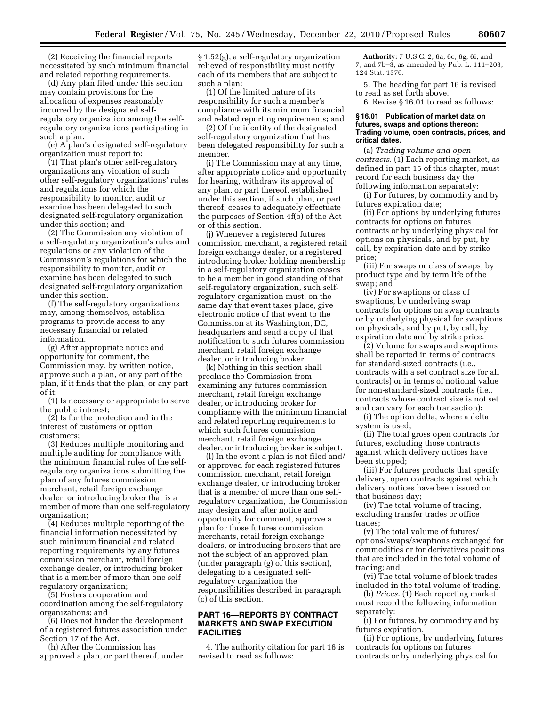(2) Receiving the financial reports necessitated by such minimum financial and related reporting requirements.

(d) Any plan filed under this section may contain provisions for the allocation of expenses reasonably incurred by the designated selfregulatory organization among the selfregulatory organizations participating in such a plan.

(e) A plan's designated self-regulatory organization must report to:

(1) That plan's other self-regulatory organizations any violation of such other self-regulatory organizations' rules and regulations for which the responsibility to monitor, audit or examine has been delegated to such designated self-regulatory organization under this section; and

(2) The Commission any violation of a self-regulatory organization's rules and regulations or any violation of the Commission's regulations for which the responsibility to monitor, audit or examine has been delegated to such designated self-regulatory organization under this section.

(f) The self-regulatory organizations may, among themselves, establish programs to provide access to any necessary financial or related information.

(g) After appropriate notice and opportunity for comment, the Commission may, by written notice, approve such a plan, or any part of the plan, if it finds that the plan, or any part of it:

(1) Is necessary or appropriate to serve the public interest;

(2) Is for the protection and in the interest of customers or option customers;

(3) Reduces multiple monitoring and multiple auditing for compliance with the minimum financial rules of the selfregulatory organizations submitting the plan of any futures commission merchant, retail foreign exchange dealer, or introducing broker that is a member of more than one self-regulatory organization;

(4) Reduces multiple reporting of the financial information necessitated by such minimum financial and related reporting requirements by any futures commission merchant, retail foreign exchange dealer, or introducing broker that is a member of more than one selfregulatory organization;

(5) Fosters cooperation and coordination among the self-regulatory organizations; and

(6) Does not hinder the development of a registered futures association under Section 17 of the Act.

(h) After the Commission has approved a plan, or part thereof, under

§ 1.52(g), a self-regulatory organization relieved of responsibility must notify each of its members that are subject to such a plan:

(1) Of the limited nature of its responsibility for such a member's compliance with its minimum financial and related reporting requirements; and

(2) Of the identity of the designated self-regulatory organization that has been delegated responsibility for such a member.

(i) The Commission may at any time, after appropriate notice and opportunity for hearing, withdraw its approval of any plan, or part thereof, established under this section, if such plan, or part thereof, ceases to adequately effectuate the purposes of Section 4f(b) of the Act or of this section.

(j) Whenever a registered futures commission merchant, a registered retail foreign exchange dealer, or a registered introducing broker holding membership in a self-regulatory organization ceases to be a member in good standing of that self-regulatory organization, such selfregulatory organization must, on the same day that event takes place, give electronic notice of that event to the Commission at its Washington, DC, headquarters and send a copy of that notification to such futures commission merchant, retail foreign exchange dealer, or introducing broker.

(k) Nothing in this section shall preclude the Commission from examining any futures commission merchant, retail foreign exchange dealer, or introducing broker for compliance with the minimum financial and related reporting requirements to which such futures commission merchant, retail foreign exchange dealer, or introducing broker is subject.

(l) In the event a plan is not filed and/ or approved for each registered futures commission merchant, retail foreign exchange dealer, or introducing broker that is a member of more than one selfregulatory organization, the Commission may design and, after notice and opportunity for comment, approve a plan for those futures commission merchants, retail foreign exchange dealers, or introducing brokers that are not the subject of an approved plan (under paragraph (g) of this section), delegating to a designated selfregulatory organization the responsibilities described in paragraph (c) of this section.

## **PART 16—REPORTS BY CONTRACT MARKETS AND SWAP EXECUTION FACILITIES**

4. The authority citation for part 16 is revised to read as follows:

**Authority:** 7 U.S.C. 2, 6a, 6c, 6g, 6i, and 7, and 7b–3, as amended by Pub. L. 111–203, 124 Stat. 1376.

5. The heading for part 16 is revised to read as set forth above.

6. Revise § 16.01 to read as follows:

## **§ 16.01 Publication of market data on futures, swaps and options thereon: Trading volume, open contracts, prices, and critical dates.**

(a) *Trading volume and open contracts.* (1) Each reporting market, as defined in part 15 of this chapter, must record for each business day the following information separately:

(i) For futures, by commodity and by futures expiration date;

(ii) For options by underlying futures contracts for options on futures contracts or by underlying physical for options on physicals, and by put, by call, by expiration date and by strike price;

(iii) For swaps or class of swaps, by product type and by term life of the swap; and

(iv) For swaptions or class of swaptions, by underlying swap contracts for options on swap contracts or by underlying physical for swaptions on physicals, and by put, by call, by expiration date and by strike price.

(2) Volume for swaps and swaptions shall be reported in terms of contracts for standard-sized contracts (i.e., contracts with a set contract size for all contracts) or in terms of notional value for non-standard-sized contracts (i.e., contracts whose contract size is not set and can vary for each transaction):

(i) The option delta, where a delta system is used;

(ii) The total gross open contracts for futures, excluding those contracts against which delivery notices have been stopped;

(iii) For futures products that specify delivery, open contracts against which delivery notices have been issued on that business day;

(iv) The total volume of trading, excluding transfer trades or office trades;

(v) The total volume of futures/ options/swaps/swaptions exchanged for commodities or for derivatives positions that are included in the total volume of trading; and

(vi) The total volume of block trades included in the total volume of trading.

(b) *Prices.* (1) Each reporting market must record the following information separately:

(i) For futures, by commodity and by futures expiration,

(ii) For options, by underlying futures contracts for options on futures contracts or by underlying physical for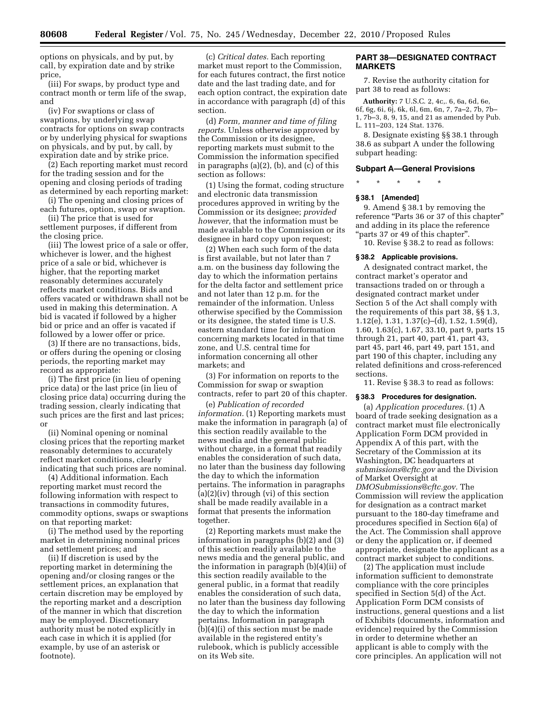options on physicals, and by put, by call, by expiration date and by strike price,

(iii) For swaps, by product type and contract month or term life of the swap, and

(iv) For swaptions or class of swaptions, by underlying swap contracts for options on swap contracts or by underlying physical for swaptions on physicals, and by put, by call, by expiration date and by strike price.

(2) Each reporting market must record for the trading session and for the opening and closing periods of trading as determined by each reporting market:

(i) The opening and closing prices of each futures, option, swap or swaption.

(ii) The price that is used for settlement purposes, if different from the closing price.

(iii) The lowest price of a sale or offer, whichever is lower, and the highest price of a sale or bid, whichever is higher, that the reporting market reasonably determines accurately reflects market conditions. Bids and offers vacated or withdrawn shall not be used in making this determination. A bid is vacated if followed by a higher bid or price and an offer is vacated if followed by a lower offer or price.

(3) If there are no transactions, bids, or offers during the opening or closing periods, the reporting market may record as appropriate:

(i) The first price (in lieu of opening price data) or the last price (in lieu of closing price data) occurring during the trading session, clearly indicating that such prices are the first and last prices; or

(ii) Nominal opening or nominal closing prices that the reporting market reasonably determines to accurately reflect market conditions, clearly indicating that such prices are nominal.

(4) Additional information. Each reporting market must record the following information with respect to transactions in commodity futures, commodity options, swaps or swaptions on that reporting market:

(i) The method used by the reporting market in determining nominal prices and settlement prices; and

(ii) If discretion is used by the reporting market in determining the opening and/or closing ranges or the settlement prices, an explanation that certain discretion may be employed by the reporting market and a description of the manner in which that discretion may be employed. Discretionary authority must be noted explicitly in each case in which it is applied (for example, by use of an asterisk or footnote).

(c) *Critical dates.* Each reporting market must report to the Commission, for each futures contract, the first notice date and the last trading date, and for each option contract, the expiration date in accordance with paragraph (d) of this section.

(d) *Form, manner and time of filing reports.* Unless otherwise approved by the Commission or its designee, reporting markets must submit to the Commission the information specified in paragraphs (a)(2), (b), and (c) of this section as follows:

(1) Using the format, coding structure and electronic data transmission procedures approved in writing by the Commission or its designee; *provided however,* that the information must be made available to the Commission or its designee in hard copy upon request;

(2) When each such form of the data is first available, but not later than 7 a.m. on the business day following the day to which the information pertains for the delta factor and settlement price and not later than 12 p.m. for the remainder of the information. Unless otherwise specified by the Commission or its designee, the stated time is U.S. eastern standard time for information concerning markets located in that time zone, and U.S. central time for information concerning all other markets; and

(3) For information on reports to the Commission for swap or swaption contracts, refer to part 20 of this chapter.

(e) *Publication of recorded information.* (1) Reporting markets must make the information in paragraph (a) of this section readily available to the news media and the general public without charge, in a format that readily enables the consideration of such data, no later than the business day following the day to which the information pertains. The information in paragraphs  $(a)(2)(iv)$  through  $(vi)$  of this section shall be made readily available in a format that presents the information together.

(2) Reporting markets must make the information in paragraphs (b)(2) and (3) of this section readily available to the news media and the general public, and the information in paragraph (b)(4)(ii) of this section readily available to the general public, in a format that readily enables the consideration of such data, no later than the business day following the day to which the information pertains. Information in paragraph (b)(4)(i) of this section must be made available in the registered entity's rulebook, which is publicly accessible on its Web site.

## **PART 38—DESIGNATED CONTRACT MARKETS**

7. Revise the authority citation for part 38 to read as follows:

**Authority:** 7 U.S.C. 2, 4c,. 6, 6a, 6d, 6e, 6f, 6g, 6i, 6j, 6k, 6l, 6m, 6n, 7, 7a–2, 7b, 7b– 1, 7b–3, 8, 9, 15, and 21 as amended by Pub. L. 111–203, 124 Stat. 1376.

8. Designate existing §§ 38.1 through 38.6 as subpart A under the following subpart heading:

## **Subpart A—General Provisions**

\* \* \* \* \*

## **§ 38.1 [Amended]**

9. Amend § 38.1 by removing the reference "Parts 36 or 37 of this chapter" and adding in its place the reference ''parts 37 or 49 of this chapter''.

10. Revise § 38.2 to read as follows:

#### **§ 38.2 Applicable provisions.**

A designated contract market, the contract market's operator and transactions traded on or through a designated contract market under Section 5 of the Act shall comply with the requirements of this part 38, §§ 1.3, 1.12(e), 1.31, 1.37(c)–(d), 1.52, 1.59(d), 1.60, 1.63(c), 1.67, 33.10, part 9, parts 15 through 21, part 40, part 41, part 43, part 45, part 46, part 49, part 151, and part 190 of this chapter, including any related definitions and cross-referenced sections.

11. Revise § 38.3 to read as follows:

## **§ 38.3 Procedures for designation.**

(a) *Application procedures.* (1) A board of trade seeking designation as a contract market must file electronically Application Form DCM provided in Appendix A of this part, with the Secretary of the Commission at its Washington, DC headquarters at *[submissions@cftc.gov](mailto:submissions@cftc.gov)* and the Division of Market Oversight at *[DMOSubmissions@cftc.gov.](mailto:DMOSubmissions@cftc.gov)* The Commission will review the application for designation as a contract market pursuant to the 180-day timeframe and procedures specified in Section 6(a) of the Act. The Commission shall approve or deny the application or, if deemed appropriate, designate the applicant as a contract market subject to conditions.

(2) The application must include information sufficient to demonstrate compliance with the core principles specified in Section 5(d) of the Act. Application Form DCM consists of instructions, general questions and a list of Exhibits (documents, information and evidence) required by the Commission in order to determine whether an applicant is able to comply with the core principles. An application will not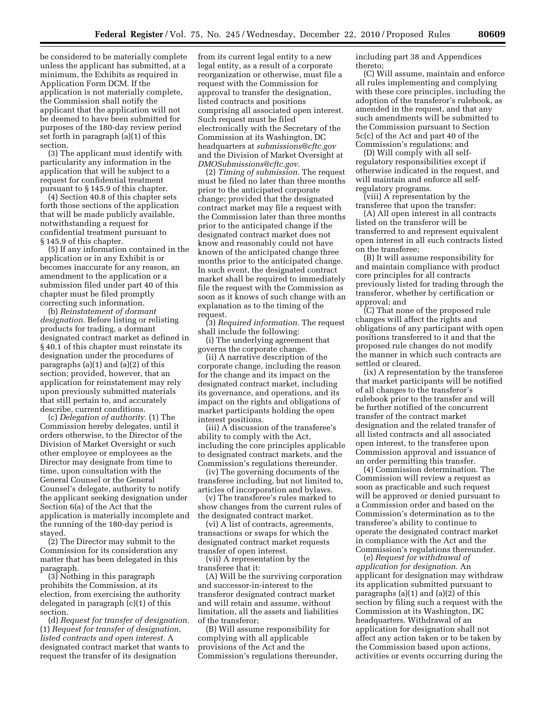be considered to be materially complete unless the applicant has submitted, at a minimum, the Exhibits as required in Application Form DCM. If the application is not materially complete, the Commission shall notify the applicant that the application will not be deemed to have been submitted for purposes of the 180-day review period set forth in paragraph (a)(1) of this section.

(3) The applicant must identify with particularity any information in the application that will be subject to a request for confidential treatment pursuant to § 145.9 of this chapter.

(4) Section 40.8 of this chapter sets forth those sections of the application that will be made publicly available, notwithstanding a request for confidential treatment pursuant to § 145.9 of this chapter.

(5) If any information contained in the application or in any Exhibit is or becomes inaccurate for any reason, an amendment to the application or a submission filed under part 40 of this chapter must be filed promptly correcting such information.

(b) *Reinstatement of dormant designation.* Before listing or relisting products for trading, a dormant designated contract market as defined in § 40.1 of this chapter must reinstate its designation under the procedures of paragraphs (a)(1) and (a)(2) of this section; provided, however, that an application for reinstatement may rely upon previously submitted materials that still pertain to, and accurately describe, current conditions.

(c) *Delegation of authority.* (1) The Commission hereby delegates, until it orders otherwise, to the Director of the Division of Market Oversight or such other employee or employees as the Director may designate from time to time, upon consultation with the General Counsel or the General Counsel's delegate, authority to notify the applicant seeking designation under Section 6(a) of the Act that the application is materially incomplete and the running of the 180-day period is stayed.

(2) The Director may submit to the Commission for its consideration any matter that has been delegated in this paragraph.

(3) Nothing in this paragraph prohibits the Commission, at its election, from exercising the authority delegated in paragraph (c)(1) of this section.

(d) *Request for transfer of designation.*  (1) *Request for transfer of designation, listed contracts and open interest.* A designated contract market that wants to request the transfer of its designation

from its current legal entity to a new legal entity, as a result of a corporate reorganization or otherwise, must file a request with the Commission for approval to transfer the designation, listed contracts and positions comprising all associated open interest. Such request must be filed electronically with the Secretary of the Commission at its Washington, DC headquarters at *[submissions@cftc.gov](mailto:submissions@cftc.gov)*  and the Division of Market Oversight at *[DMOSubmissions@cftc.gov.](mailto:DMOSubmissions@cftc.gov)* 

(2) *Timing of submission.* The request must be filed no later than three months prior to the anticipated corporate change; provided that the designated contract market may file a request with the Commission later than three months prior to the anticipated change if the designated contract market does not know and reasonably could not have known of the anticipated change three months prior to the anticipated change. In such event, the designated contract market shall be required to immediately file the request with the Commission as soon as it knows of such change with an explanation as to the timing of the request.

(3) *Required information.* The request shall include the following:

(i) The underlying agreement that governs the corporate change.

(ii) A narrative description of the corporate change, including the reason for the change and its impact on the designated contract market, including its governance, and operations, and its impact on the rights and obligations of market participants holding the open interest positions.

(iii) A discussion of the transferee's ability to comply with the Act, including the core principles applicable to designated contract markets, and the Commission's regulations thereunder.

(iv) The governing documents of the transferee including, but not limited to, articles of incorporation and bylaws.

(v) The transferee's rules marked to show changes from the current rules of the designated contract market.

(vi) A list of contracts, agreements, transactions or swaps for which the designated contract market requests transfer of open interest.

(vii) A representation by the transferee that it:

(A) Will be the surviving corporation and successor-in-interest to the transferor designated contract market and will retain and assume, without limitation, all the assets and liabilities of the transferor;

(B) Will assume responsibility for complying with all applicable provisions of the Act and the Commission's regulations thereunder, including part 38 and Appendices thereto;

(C) Will assume, maintain and enforce all rules implementing and complying with these core principles, including the adoption of the transferor's rulebook, as amended in the request, and that any such amendments will be submitted to the Commission pursuant to Section 5c(c) of the Act and part 40 of the Commission's regulations; and

(D) Will comply with all selfregulatory responsibilities except if otherwise indicated in the request, and will maintain and enforce all selfregulatory programs.

(viii) A representation by the transferee that upon the transfer:

(A) All open interest in all contracts listed on the transferor will be transferred to and represent equivalent open interest in all such contracts listed on the transferee;

(B) It will assume responsibility for and maintain compliance with product core principles for all contracts previously listed for trading through the transferor, whether by certification or approval; and

(C) That none of the proposed rule changes will affect the rights and obligations of any participant with open positions transferred to it and that the proposed rule changes do not modify the manner in which such contracts are settled or cleared.

(ix) A representation by the transferee that market participants will be notified of all changes to the transferor's rulebook prior to the transfer and will be further notified of the concurrent transfer of the contract market designation and the related transfer of all listed contracts and all associated open interest, to the transferee upon Commission approval and issuance of an order permitting this transfer.

(4) Commission determination. The Commission will review a request as soon as practicable and such request will be approved or denied pursuant to a Commission order and based on the Commission's determination as to the transferee's ability to continue to operate the designated contract market in compliance with the Act and the Commission's regulations thereunder.

(e) *Request for withdrawal of application for designation.* An applicant for designation may withdraw its application submitted pursuant to paragraphs  $(a)(1)$  and  $(a)(2)$  of this section by filing such a request with the Commission at its Washington, DC headquarters. Withdrawal of an application for designation shall not affect any action taken or to be taken by the Commission based upon actions, activities or events occurring during the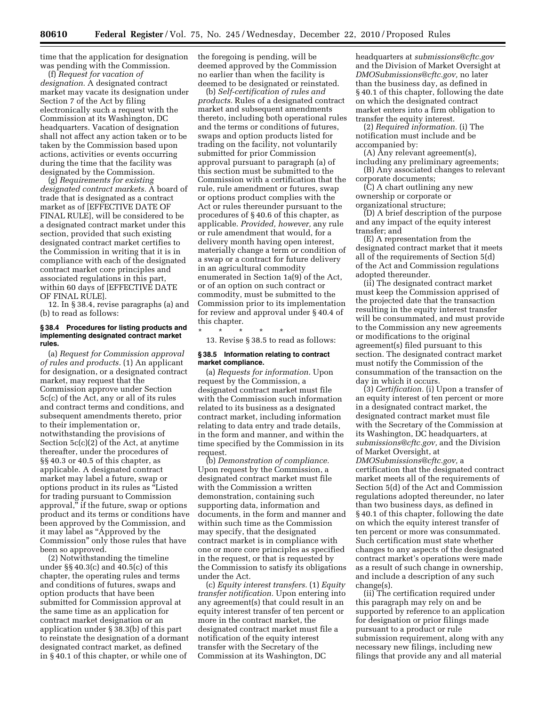time that the application for designation was pending with the Commission.

(f) *Request for vacation of designation.* A designated contract market may vacate its designation under Section 7 of the Act by filing electronically such a request with the Commission at its Washington, DC headquarters. Vacation of designation shall not affect any action taken or to be taken by the Commission based upon actions, activities or events occurring during the time that the facility was designated by the Commission.

(g) *Requirements for existing designated contract markets.* A board of trade that is designated as a contract market as of [EFFECTIVE DATE OF FINAL RULE], will be considered to be a designated contract market under this section, provided that such existing designated contract market certifies to the Commission in writing that it is in compliance with each of the designated contract market core principles and associated regulations in this part, within 60 days of [EFFECTIVE DATE OF FINAL RULE].

12. In § 38.4, revise paragraphs (a) and (b) to read as follows:

#### **§ 38.4 Procedures for listing products and implementing designated contract market rules.**

(a) *Request for Commission approval of rules and products.* (1) An applicant for designation, or a designated contract market, may request that the Commission approve under Section 5c(c) of the Act, any or all of its rules and contract terms and conditions, and subsequent amendments thereto, prior to their implementation or, notwithstanding the provisions of Section 5c(c)(2) of the Act, at anytime thereafter, under the procedures of §§ 40.3 or 40.5 of this chapter, as applicable. A designated contract market may label a future, swap or options product in its rules as ''Listed for trading pursuant to Commission approval,'' if the future, swap or options product and its terms or conditions have been approved by the Commission, and it may label as ''Approved by the Commission'' only those rules that have been so approved.

(2) Notwithstanding the timeline under §§ 40.3(c) and 40.5(c) of this chapter, the operating rules and terms and conditions of futures, swaps and option products that have been submitted for Commission approval at the same time as an application for contract market designation or an application under § 38.3(b) of this part to reinstate the designation of a dormant designated contract market, as defined in § 40.1 of this chapter, or while one of

the foregoing is pending, will be deemed approved by the Commission no earlier than when the facility is deemed to be designated or reinstated.

(b) *Self-certification of rules and products.* Rules of a designated contract market and subsequent amendments thereto, including both operational rules and the terms or conditions of futures, swaps and option products listed for trading on the facility, not voluntarily submitted for prior Commission approval pursuant to paragraph (a) of this section must be submitted to the Commission with a certification that the rule, rule amendment or futures, swap or options product complies with the Act or rules thereunder pursuant to the procedures of § 40.6 of this chapter, as applicable. *Provided, however,* any rule or rule amendment that would, for a delivery month having open interest, materially change a term or condition of a swap or a contract for future delivery in an agricultural commodity enumerated in Section 1a(9) of the Act, or of an option on such contract or commodity, must be submitted to the Commission prior to its implementation for review and approval under § 40.4 of this chapter.

\* \* \* \* \* 13. Revise § 38.5 to read as follows:

#### **§ 38.5 Information relating to contract market compliance.**

(a) *Requests for information.* Upon request by the Commission, a designated contract market must file with the Commission such information related to its business as a designated contract market, including information relating to data entry and trade details, in the form and manner, and within the time specified by the Commission in its request.

(b) *Demonstration of compliance.*  Upon request by the Commission, a designated contract market must file with the Commission a written demonstration, containing such supporting data, information and documents, in the form and manner and within such time as the Commission may specify, that the designated contract market is in compliance with one or more core principles as specified in the request, or that is requested by the Commission to satisfy its obligations under the Act.

(c) *Equity interest transfers.* (1) *Equity transfer notification.* Upon entering into any agreement(s) that could result in an equity interest transfer of ten percent or more in the contract market, the designated contract market must file a notification of the equity interest transfer with the Secretary of the Commission at its Washington, DC

headquarters at *[submissions@cftc.gov](mailto:submissions@cftc.gov)*  and the Division of Market Oversight at *[DMOSubmissions@cftc.gov,](mailto:DMOSubmissions@cftc.gov)* no later than the business day, as defined in § 40.1 of this chapter, following the date on which the designated contract market enters into a firm obligation to transfer the equity interest.

(2) *Required information.* (i) The notification must include and be accompanied by:

(A) Any relevant agreement(s), including any preliminary agreements;

(B) Any associated changes to relevant corporate documents;

(C) A chart outlining any new ownership or corporate or

organizational structure;

(D) A brief description of the purpose and any impact of the equity interest transfer; and

(E) A representation from the designated contract market that it meets all of the requirements of Section 5(d) of the Act and Commission regulations adopted thereunder.

(ii) The designated contract market must keep the Commission apprised of the projected date that the transaction resulting in the equity interest transfer will be consummated, and must provide to the Commission any new agreements or modifications to the original agreement(s) filed pursuant to this section. The designated contract market must notify the Commission of the consummation of the transaction on the day in which it occurs.

(3) *Certification.* (i) Upon a transfer of an equity interest of ten percent or more in a designated contract market, the designated contract market must file with the Secretary of the Commission at its Washington, DC headquarters, at *[submissions@cftc.gov,](mailto:submissions@cftc.gov)* and the Division of Market Oversight, at

*[DMOSubmissions@cftc.gov,](mailto:DMOSubmissions@cftc.gov)* a certification that the designated contract market meets all of the requirements of Section 5(d) of the Act and Commission regulations adopted thereunder, no later than two business days, as defined in § 40.1 of this chapter, following the date on which the equity interest transfer of ten percent or more was consummated. Such certification must state whether changes to any aspects of the designated contract market's operations were made as a result of such change in ownership, and include a description of any such change(s).

(ii) The certification required under this paragraph may rely on and be supported by reference to an application for designation or prior filings made pursuant to a product or rule submission requirement, along with any necessary new filings, including new filings that provide any and all material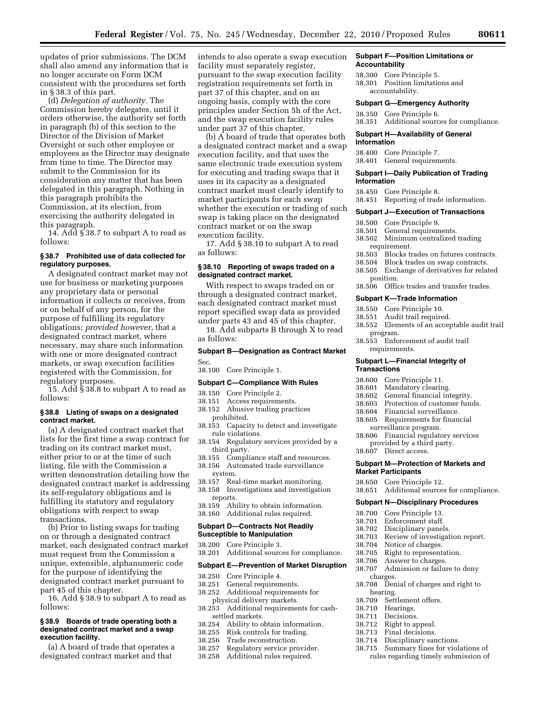updates of prior submissions. The DCM shall also amend any information that is no longer accurate on Form DCM consistent with the procedures set forth in § 38.3 of this part.

(d) *Delegation of authority.* The Commission hereby delegates, until it orders otherwise, the authority set forth in paragraph (b) of this section to the Director of the Division of Market Oversight or such other employee or employees as the Director may designate from time to time. The Director may submit to the Commission for its consideration any matter that has been delegated in this paragraph. Nothing in this paragraph prohibits the Commission, at its election, from exercising the authority delegated in this paragraph.

14. Add § 38.7 to subpart A to read as follows:

## **§ 38.7 Prohibited use of data collected for regulatory purposes.**

A designated contract market may not use for business or marketing purposes any proprietary data or personal information it collects or receives, from or on behalf of any person, for the purpose of fulfilling its regulatory obligations; *provided however,* that a designated contract market, where necessary, may share such information with one or more designated contract markets, or swap execution facilities registered with the Commission, for regulatory purposes.

15. Add § 38.8 to subpart A to read as follows:

#### **§ 38.8 Listing of swaps on a designated contract market.**

(a) A designated contract market that lists for the first time a swap contract for trading on its contract market must, either prior to or at the time of such listing, file with the Commission a written demonstration detailing how the designated contract market is addressing its self-regulatory obligations and is fulfilling its statutory and regulatory obligations with respect to swap transactions.

(b) Prior to listing swaps for trading on or through a designated contract market, each designated contract market must request from the Commission a unique, extensible, alphanumeric code for the purpose of identifying the designated contract market pursuant to part 45 of this chapter.

16. Add § 38.9 to subpart A to read as follows:

#### **§ 38.9 Boards of trade operating both a designated contract market and a swap execution facility.**

(a) A board of trade that operates a designated contract market and that

intends to also operate a swap execution facility must separately register, pursuant to the swap execution facility registration requirements set forth in part 37 of this chapter, and on an ongoing basis, comply with the core principles under Section 5h of the Act, and the swap execution facility rules under part 37 of this chapter.

(b) A board of trade that operates both a designated contract market and a swap execution facility, and that uses the same electronic trade execution system for executing and trading swaps that it uses in its capacity as a designated contract market must clearly identify to market participants for each swap whether the execution or trading of such swap is taking place on the designated contract market or on the swap execution facility.

17. Add § 38.10 to subpart A to read as follows:

#### **§ 38.10 Reporting of swaps traded on a designated contract market.**

With respect to swaps traded on or through a designated contract market, each designated contract market must report specified swap data as provided under parts 43 and 45 of this chapter.

18. Add subparts B through X to read as follows:

## **Subpart B—Designation as Contract Market**  Sec.

38.100 Core Principle 1.

#### **Subpart C—Compliance With Rules**

- 38.150 Core Principle 2.
- 38.151 Access requirements.
- 38.152 Abusive trading practices prohibited.
- 38.153 Capacity to detect and investigate rule violations.
- 38.154 Regulatory services provided by a third party.
- 38.155 Compliance staff and resources.
- 38.156 Automated trade surveillance
- system.
- 38.157 Real-time market monitoring. Investigations and investigation
- reports.
- 38.159 Ability to obtain information. 38.160 Additional rules required.
- 

#### **Subpart D—Contracts Not Readily Susceptible to Manipulation**

- 38.200 Core Principle 3.
- 38.201 Additional sources for compliance.

## **Subpart E—Prevention of Market Disruption**

- 38.250 Core Principle 4.
- 38.251 General requirements.
- Additional requirements for physical delivery markets.
- 38.253 Additional requirements for cashsettled markets.
- 38.254 Ability to obtain information.<br>38.255 Risk controls for trading.
- 38.255 Risk controls for trading.<br>38.256 Trade reconstruction
- Trade reconstruction.
- 38.257 Regulatory service provider.
- 38.258 Additional rules required.

#### **Subpart F—Position Limitations or Accountability**

- 38.300 Core Principle 5.
- 38.301 Position limitations and accountability.

#### **Subpart G—Emergency Authority**

38.350 Core Principle 6. 38.351 Additional sources for compliance.

#### **Subpart H—Availability of General Information**

- 38.400 Core Principle 7.
- 38.401 General requirements.

#### **Subpart I—Daily Publication of Trading Information**

- 38.450 Core Principle 8.
- 38.451 Reporting of trade information.

#### **Subpart J—Execution of Transactions**

- 
- 38.500 Core Principle 9. 38.501 General requirements.<br>38.502 Minimum centralized
- 38.502 Minimum centralized trading requirement.<br>38.503 Blocks to
- 38.503 Blocks trades on futures contracts.
- 38.504 Block trades on swap contracts.
- 38.505 Exchange of derivatives for related position.
- 38.506 Office trades and transfer trades.

#### **Subpart K—Trade Information**

- 38.550 Core Principle 10.
- 38.551 Audit trail required.
- 38.552 Elements of an acceptable audit trail program.
- 38.553 Enforcement of audit trail requirements.

#### **Subpart L—Financial Integrity of Transactions**

- 38.600 Core Principle 11.
- 38.601 Mandatory clearing.
- General financial integrity.
- 38.603 Protection of customer funds.
- 38.604 Financial surveillance.
- 38.605 Requirements for financial surveillance program.
- 38.606 Financial regulatory services provided by a third party.
- 38.607 Direct access.

#### **Subpart M—Protection of Markets and Market Participants**

- 38.650 Core Principle 12.
- 38.651 Additional sources for compliance.

#### **Subpart N—Disciplinary Procedures**

- 38.700 Core Principle 13.
- 
- 38.701 Enforcement staff.<br>38.702 Disciplinary pane Disciplinary panels.
- 38.703 Review of investigation report.
- 
- 38.704 Notice of charges<br>38.705 Right to represent
- 38.705 Right to representation.<br>38.706 Answer to charges.
- Answer to charges.
- 38.707 Admission or failure to deny charges.
- 38.708 Denial of charges and right to

38.714 Disciplinary sanctions. 38.715 Summary fines for violations of rules regarding timely submission of

- hearing.<br>38.709 Seti
- Settlement offers.
- 
- 38.710 Hearings.<br>38.711 Decisions
- 38.711 Decisions.<br>38.712 Right to a Right to appeal.
- 38.713 Final decisions.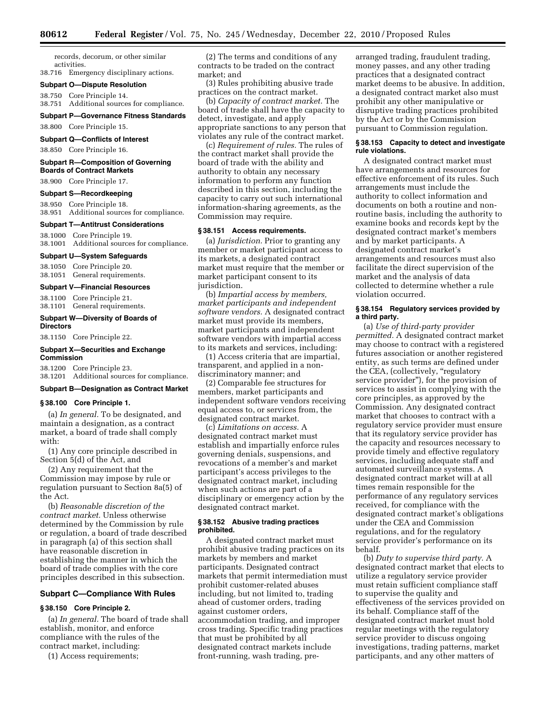records, decorum, or other similar activities.

38.716 Emergency disciplinary actions.

## **Subpart O—Dispute Resolution**

38.750 Core Principle 14.

38.751 Additional sources for compliance.

## **Subpart P—Governance Fitness Standards**

38.800 Core Principle 15.

## **Subpart Q—Conflicts of Interest**

38.850 Core Principle 16.

#### **Subpart R—Composition of Governing Boards of Contract Markets**

38.900 Core Principle 17.

#### **Subpart S—Recordkeeping**

38.950 Core Principle 18. 38.951 Additional sources for compliance.

#### **Subpart T—Antitrust Considerations**

38.1000 Core Principle 19. 38.1001 Additional sources for compliance.

#### **Subpart U—System Safeguards**

38.1050 Core Principle 20. 38.1051 General requirements.

#### **Subpart V—Financial Resources**

38.1100 Core Principle 21. 38.1101 General requirements.

## **Subpart W—Diversity of Boards of Directors**

38.1150 Core Principle 22.

#### **Subpart X—Securities and Exchange Commission**

38.1200 Core Principle 23. 38.1201 Additional sources for compliance.

#### **Subpart B—Designation as Contract Market**

#### **§ 38.100 Core Principle 1.**

(a) *In general.* To be designated, and maintain a designation, as a contract market, a board of trade shall comply with:

(1) Any core principle described in Section 5(d) of the Act, and

(2) Any requirement that the Commission may impose by rule or regulation pursuant to Section 8a(5) of the Act.

(b) *Reasonable discretion of the contract market.* Unless otherwise determined by the Commission by rule or regulation, a board of trade described in paragraph (a) of this section shall have reasonable discretion in establishing the manner in which the board of trade complies with the core principles described in this subsection.

## **Subpart C—Compliance With Rules**

## **§ 38.150 Core Principle 2.**

(a) *In general.* The board of trade shall establish, monitor, and enforce compliance with the rules of the contract market, including:

(1) Access requirements;

(2) The terms and conditions of any contracts to be traded on the contract market; and

(3) Rules prohibiting abusive trade practices on the contract market.

(b) *Capacity of contract market.* The board of trade shall have the capacity to detect, investigate, and apply appropriate sanctions to any person that violates any rule of the contract market.

(c) *Requirement of rules.* The rules of the contract market shall provide the board of trade with the ability and authority to obtain any necessary information to perform any function described in this section, including the capacity to carry out such international information-sharing agreements, as the Commission may require.

## **§ 38.151 Access requirements.**

(a) *Jurisdiction.* Prior to granting any member or market participant access to its markets, a designated contract market must require that the member or market participant consent to its jurisdiction.

(b) *Impartial access by members, market participants and independent software vendors.* A designated contract market must provide its members, market participants and independent software vendors with impartial access to its markets and services, including:

(1) Access criteria that are impartial, transparent, and applied in a nondiscriminatory manner; and

(2) Comparable fee structures for members, market participants and independent software vendors receiving equal access to, or services from, the designated contract market.

(c) *Limitations on access.* A designated contract market must establish and impartially enforce rules governing denials, suspensions, and revocations of a member's and market participant's access privileges to the designated contract market, including when such actions are part of a disciplinary or emergency action by the designated contract market.

#### **§ 38.152 Abusive trading practices prohibited.**

A designated contract market must prohibit abusive trading practices on its markets by members and market participants. Designated contract markets that permit intermediation must prohibit customer-related abuses including, but not limited to, trading ahead of customer orders, trading against customer orders, accommodation trading, and improper cross trading. Specific trading practices that must be prohibited by all designated contract markets include front-running, wash trading, prearranged trading, fraudulent trading, money passes, and any other trading practices that a designated contract market deems to be abusive. In addition, a designated contract market also must prohibit any other manipulative or disruptive trading practices prohibited by the Act or by the Commission pursuant to Commission regulation.

#### **§ 38.153 Capacity to detect and investigate rule violations.**

A designated contract market must have arrangements and resources for effective enforcement of its rules. Such arrangements must include the authority to collect information and documents on both a routine and nonroutine basis, including the authority to examine books and records kept by the designated contract market's members and by market participants. A designated contract market's arrangements and resources must also facilitate the direct supervision of the market and the analysis of data collected to determine whether a rule violation occurred.

## **§ 38.154 Regulatory services provided by a third party.**

(a) *Use of third-party provider permitted.* A designated contract market may choose to contract with a registered futures association or another registered entity, as such terms are defined under the CEA, (collectively, "regulatory service provider''), for the provision of services to assist in complying with the core principles, as approved by the Commission. Any designated contract market that chooses to contract with a regulatory service provider must ensure that its regulatory service provider has the capacity and resources necessary to provide timely and effective regulatory services, including adequate staff and automated surveillance systems. A designated contract market will at all times remain responsible for the performance of any regulatory services received, for compliance with the designated contract market's obligations under the CEA and Commission regulations, and for the regulatory service provider's performance on its behalf.

(b) *Duty to supervise third party.* A designated contract market that elects to utilize a regulatory service provider must retain sufficient compliance staff to supervise the quality and effectiveness of the services provided on its behalf. Compliance staff of the designated contract market must hold regular meetings with the regulatory service provider to discuss ongoing investigations, trading patterns, market participants, and any other matters of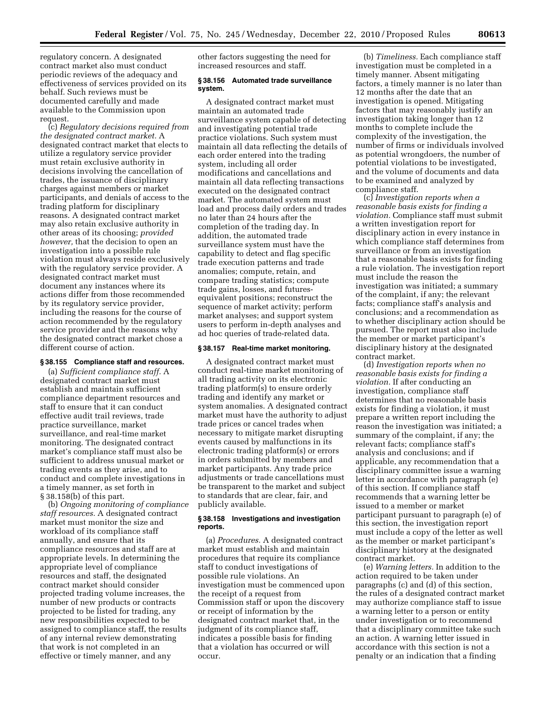regulatory concern. A designated contract market also must conduct periodic reviews of the adequacy and effectiveness of services provided on its behalf. Such reviews must be documented carefully and made available to the Commission upon request.

(c) *Regulatory decisions required from the designated contract market.* A designated contract market that elects to utilize a regulatory service provider must retain exclusive authority in decisions involving the cancellation of trades, the issuance of disciplinary charges against members or market participants, and denials of access to the trading platform for disciplinary reasons. A designated contract market may also retain exclusive authority in other areas of its choosing; *provided however,* that the decision to open an investigation into a possible rule violation must always reside exclusively with the regulatory service provider. A designated contract market must document any instances where its actions differ from those recommended by its regulatory service provider, including the reasons for the course of action recommended by the regulatory service provider and the reasons why the designated contract market chose a different course of action.

## **§ 38.155 Compliance staff and resources.**

(a) *Sufficient compliance staff.* A designated contract market must establish and maintain sufficient compliance department resources and staff to ensure that it can conduct effective audit trail reviews, trade practice surveillance, market surveillance, and real-time market monitoring. The designated contract market's compliance staff must also be sufficient to address unusual market or trading events as they arise, and to conduct and complete investigations in a timely manner, as set forth in § 38.158(b) of this part.

(b) *Ongoing monitoring of compliance staff resources.* A designated contract market must monitor the size and workload of its compliance staff annually, and ensure that its compliance resources and staff are at appropriate levels. In determining the appropriate level of compliance resources and staff, the designated contract market should consider projected trading volume increases, the number of new products or contracts projected to be listed for trading, any new responsibilities expected to be assigned to compliance staff, the results of any internal review demonstrating that work is not completed in an effective or timely manner, and any

other factors suggesting the need for increased resources and staff.

## **§ 38.156 Automated trade surveillance system.**

A designated contract market must maintain an automated trade surveillance system capable of detecting and investigating potential trade practice violations. Such system must maintain all data reflecting the details of each order entered into the trading system, including all order modifications and cancellations and maintain all data reflecting transactions executed on the designated contract market. The automated system must load and process daily orders and trades no later than 24 hours after the completion of the trading day. In addition, the automated trade surveillance system must have the capability to detect and flag specific trade execution patterns and trade anomalies; compute, retain, and compare trading statistics; compute trade gains, losses, and futuresequivalent positions; reconstruct the sequence of market activity; perform market analyses; and support system users to perform in-depth analyses and ad hoc queries of trade-related data.

## **§ 38.157 Real-time market monitoring.**

A designated contract market must conduct real-time market monitoring of all trading activity on its electronic trading platform(s) to ensure orderly trading and identify any market or system anomalies. A designated contract market must have the authority to adjust trade prices or cancel trades when necessary to mitigate market disrupting events caused by malfunctions in its electronic trading platform(s) or errors in orders submitted by members and market participants. Any trade price adjustments or trade cancellations must be transparent to the market and subject to standards that are clear, fair, and publicly available.

#### **§ 38.158 Investigations and investigation reports.**

(a) *Procedures.* A designated contract market must establish and maintain procedures that require its compliance staff to conduct investigations of possible rule violations. An investigation must be commenced upon the receipt of a request from Commission staff or upon the discovery or receipt of information by the designated contract market that, in the judgment of its compliance staff, indicates a possible basis for finding that a violation has occurred or will occur.

(b) *Timeliness.* Each compliance staff investigation must be completed in a timely manner. Absent mitigating factors, a timely manner is no later than 12 months after the date that an investigation is opened. Mitigating factors that may reasonably justify an investigation taking longer than 12 months to complete include the complexity of the investigation, the number of firms or individuals involved as potential wrongdoers, the number of potential violations to be investigated, and the volume of documents and data to be examined and analyzed by compliance staff.

(c) *Investigation reports when a reasonable basis exists for finding a violation.* Compliance staff must submit a written investigation report for disciplinary action in every instance in which compliance staff determines from surveillance or from an investigation that a reasonable basis exists for finding a rule violation. The investigation report must include the reason the investigation was initiated; a summary of the complaint, if any; the relevant facts; compliance staff's analysis and conclusions; and a recommendation as to whether disciplinary action should be pursued. The report must also include the member or market participant's disciplinary history at the designated contract market.

(d) *Investigation reports when no reasonable basis exists for finding a violation.* If after conducting an investigation, compliance staff determines that no reasonable basis exists for finding a violation, it must prepare a written report including the reason the investigation was initiated; a summary of the complaint, if any; the relevant facts; compliance staff's analysis and conclusions; and if applicable, any recommendation that a disciplinary committee issue a warning letter in accordance with paragraph (e) of this section. If compliance staff recommends that a warning letter be issued to a member or market participant pursuant to paragraph (e) of this section, the investigation report must include a copy of the letter as well as the member or market participant's disciplinary history at the designated contract market.

(e) *Warning letters.* In addition to the action required to be taken under paragraphs (c) and (d) of this section, the rules of a designated contract market may authorize compliance staff to issue a warning letter to a person or entity under investigation or to recommend that a disciplinary committee take such an action. A warning letter issued in accordance with this section is not a penalty or an indication that a finding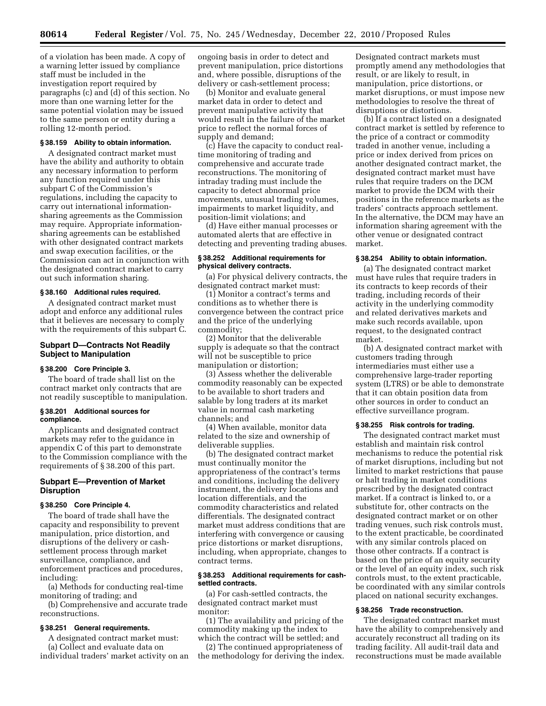of a violation has been made. A copy of a warning letter issued by compliance staff must be included in the investigation report required by paragraphs (c) and (d) of this section. No more than one warning letter for the same potential violation may be issued to the same person or entity during a rolling 12-month period.

## **§ 38.159 Ability to obtain information.**

A designated contract market must have the ability and authority to obtain any necessary information to perform any function required under this subpart C of the Commission's regulations, including the capacity to carry out international informationsharing agreements as the Commission may require. Appropriate informationsharing agreements can be established with other designated contract markets and swap execution facilities, or the Commission can act in conjunction with the designated contract market to carry out such information sharing.

## **§ 38.160 Additional rules required.**

A designated contract market must adopt and enforce any additional rules that it believes are necessary to comply with the requirements of this subpart C.

## **Subpart D—Contracts Not Readily Subject to Manipulation**

## **§ 38.200 Core Principle 3.**

The board of trade shall list on the contract market only contracts that are not readily susceptible to manipulation.

#### **§ 38.201 Additional sources for compliance.**

Applicants and designated contract markets may refer to the guidance in appendix C of this part to demonstrate to the Commission compliance with the requirements of § 38.200 of this part.

## **Subpart E—Prevention of Market Disruption**

## **§ 38.250 Core Principle 4.**

The board of trade shall have the capacity and responsibility to prevent manipulation, price distortion, and disruptions of the delivery or cashsettlement process through market surveillance, compliance, and enforcement practices and procedures, including:

(a) Methods for conducting real-time monitoring of trading; and

(b) Comprehensive and accurate trade reconstructions.

## **§ 38.251 General requirements.**

A designated contract market must: (a) Collect and evaluate data on

individual traders' market activity on an

ongoing basis in order to detect and prevent manipulation, price distortions and, where possible, disruptions of the delivery or cash-settlement process;

(b) Monitor and evaluate general market data in order to detect and prevent manipulative activity that would result in the failure of the market price to reflect the normal forces of supply and demand;

(c) Have the capacity to conduct realtime monitoring of trading and comprehensive and accurate trade reconstructions. The monitoring of intraday trading must include the capacity to detect abnormal price movements, unusual trading volumes, impairments to market liquidity, and position-limit violations; and

(d) Have either manual processes or automated alerts that are effective in detecting and preventing trading abuses.

## **§ 38.252 Additional requirements for physical delivery contracts.**

(a) For physical delivery contracts, the designated contract market must:

(1) Monitor a contract's terms and conditions as to whether there is convergence between the contract price and the price of the underlying commodity;

(2) Monitor that the deliverable supply is adequate so that the contract will not be susceptible to price manipulation or distortion;

(3) Assess whether the deliverable commodity reasonably can be expected to be available to short traders and salable by long traders at its market value in normal cash marketing channels; and

(4) When available, monitor data related to the size and ownership of deliverable supplies.

(b) The designated contract market must continually monitor the appropriateness of the contract's terms and conditions, including the delivery instrument, the delivery locations and location differentials, and the commodity characteristics and related differentials. The designated contract market must address conditions that are interfering with convergence or causing price distortions or market disruptions, including, when appropriate, changes to contract terms.

#### **§ 38.253 Additional requirements for cashsettled contracts.**

(a) For cash-settled contracts, the designated contract market must monitor:

(1) The availability and pricing of the commodity making up the index to which the contract will be settled; and

(2) The continued appropriateness of the methodology for deriving the index. Designated contract markets must promptly amend any methodologies that result, or are likely to result, in manipulation, price distortions, or market disruptions, or must impose new methodologies to resolve the threat of disruptions or distortions.

(b) If a contract listed on a designated contract market is settled by reference to the price of a contract or commodity traded in another venue, including a price or index derived from prices on another designated contract market, the designated contract market must have rules that require traders on the DCM market to provide the DCM with their positions in the reference markets as the traders' contracts approach settlement. In the alternative, the DCM may have an information sharing agreement with the other venue or designated contract market.

#### **§ 38.254 Ability to obtain information.**

(a) The designated contract market must have rules that require traders in its contracts to keep records of their trading, including records of their activity in the underlying commodity and related derivatives markets and make such records available, upon request, to the designated contract market.

(b) A designated contract market with customers trading through intermediaries must either use a comprehensive large-trader reporting system (LTRS) or be able to demonstrate that it can obtain position data from other sources in order to conduct an effective surveillance program.

#### **§ 38.255 Risk controls for trading.**

The designated contract market must establish and maintain risk control mechanisms to reduce the potential risk of market disruptions, including but not limited to market restrictions that pause or halt trading in market conditions prescribed by the designated contract market. If a contract is linked to, or a substitute for, other contracts on the designated contract market or on other trading venues, such risk controls must, to the extent practicable, be coordinated with any similar controls placed on those other contracts. If a contract is based on the price of an equity security or the level of an equity index, such risk controls must, to the extent practicable, be coordinated with any similar controls placed on national security exchanges.

#### **§ 38.256 Trade reconstruction.**

The designated contract market must have the ability to comprehensively and accurately reconstruct all trading on its trading facility. All audit-trail data and reconstructions must be made available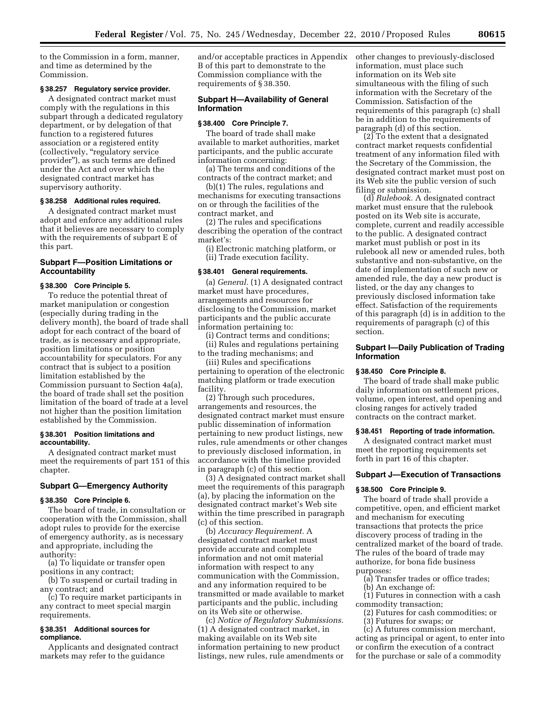to the Commission in a form, manner, and time as determined by the Commission.

## **§ 38.257 Regulatory service provider.**

A designated contract market must comply with the regulations in this subpart through a dedicated regulatory department, or by delegation of that function to a registered futures association or a registered entity (collectively, ''regulatory service provider''), as such terms are defined under the Act and over which the designated contract market has supervisory authority.

#### **§ 38.258 Additional rules required.**

A designated contract market must adopt and enforce any additional rules that it believes are necessary to comply with the requirements of subpart E of this part.

## **Subpart F—Position Limitations or Accountability**

#### **§ 38.300 Core Principle 5.**

To reduce the potential threat of market manipulation or congestion (especially during trading in the delivery month), the board of trade shall adopt for each contract of the board of trade, as is necessary and appropriate, position limitations or position accountability for speculators. For any contract that is subject to a position limitation established by the Commission pursuant to Section 4a(a), the board of trade shall set the position limitation of the board of trade at a level not higher than the position limitation established by the Commission.

#### **§ 38.301 Position limitations and accountability.**

A designated contract market must meet the requirements of part 151 of this chapter.

## **Subpart G—Emergency Authority**

#### **§ 38.350 Core Principle 6.**

The board of trade, in consultation or cooperation with the Commission, shall adopt rules to provide for the exercise of emergency authority, as is necessary and appropriate, including the authority:

(a) To liquidate or transfer open positions in any contract;

(b) To suspend or curtail trading in any contract; and

(c) To require market participants in any contract to meet special margin requirements.

## **§ 38.351 Additional sources for compliance.**

Applicants and designated contract markets may refer to the guidance

and/or acceptable practices in Appendix B of this part to demonstrate to the Commission compliance with the requirements of § 38.350.

## **Subpart H—Availability of General Information**

## **§ 38.400 Core Principle 7.**

The board of trade shall make available to market authorities, market participants, and the public accurate information concerning:

(a) The terms and conditions of the contracts of the contract market; and

(b)(1) The rules, regulations and mechanisms for executing transactions on or through the facilities of the contract market, and

(2) The rules and specifications describing the operation of the contract market's:

(i) Electronic matching platform, or (ii) Trade execution facility.

#### **§ 38.401 General requirements.**

(a) *General.* (1) A designated contract market must have procedures, arrangements and resources for disclosing to the Commission, market participants and the public accurate information pertaining to:

(i) Contract terms and conditions;

(ii) Rules and regulations pertaining to the trading mechanisms; and

(iii) Rules and specifications pertaining to operation of the electronic matching platform or trade execution facility.

(2) Through such procedures, arrangements and resources, the designated contract market must ensure public dissemination of information pertaining to new product listings, new rules, rule amendments or other changes to previously disclosed information, in accordance with the timeline provided in paragraph (c) of this section.

(3) A designated contract market shall meet the requirements of this paragraph (a), by placing the information on the designated contract market's Web site within the time prescribed in paragraph (c) of this section.

(b) *Accuracy Requirement.* A designated contract market must provide accurate and complete information and not omit material information with respect to any communication with the Commission, and any information required to be transmitted or made available to market participants and the public, including on its Web site or otherwise.

(c) *Notice of Regulatory Submissions.*  (1) A designated contract market, in making available on its Web site information pertaining to new product listings, new rules, rule amendments or other changes to previously-disclosed information, must place such information on its Web site simultaneous with the filing of such information with the Secretary of the Commission. Satisfaction of the requirements of this paragraph (c) shall be in addition to the requirements of paragraph (d) of this section.

(2) To the extent that a designated contract market requests confidential treatment of any information filed with the Secretary of the Commission, the designated contract market must post on its Web site the public version of such filing or submission.

(d) *Rulebook.* A designated contract market must ensure that the rulebook posted on its Web site is accurate, complete, current and readily accessible to the public. A designated contract market must publish or post in its rulebook all new or amended rules, both substantive and non-substantive, on the date of implementation of such new or amended rule, the day a new product is listed, or the day any changes to previously disclosed information take effect. Satisfaction of the requirements of this paragraph (d) is in addition to the requirements of paragraph (c) of this section.

## **Subpart I—Daily Publication of Trading Information**

#### **§ 38.450 Core Principle 8.**

The board of trade shall make public daily information on settlement prices, volume, open interest, and opening and closing ranges for actively traded contracts on the contract market.

#### **§ 38.451 Reporting of trade information.**

A designated contract market must meet the reporting requirements set forth in part 16 of this chapter.

## **Subpart J—Execution of Transactions**

## **§ 38.500 Core Principle 9.**

The board of trade shall provide a competitive, open, and efficient market and mechanism for executing transactions that protects the price discovery process of trading in the centralized market of the board of trade. The rules of the board of trade may authorize, for bona fide business purposes:

(a) Transfer trades or office trades; (b) An exchange of:

(1) Futures in connection with a cash commodity transaction;

- (2) Futures for cash commodities; or
- (3) Futures for swaps; or

(c) A futures commission merchant, acting as principal or agent, to enter into or confirm the execution of a contract for the purchase or sale of a commodity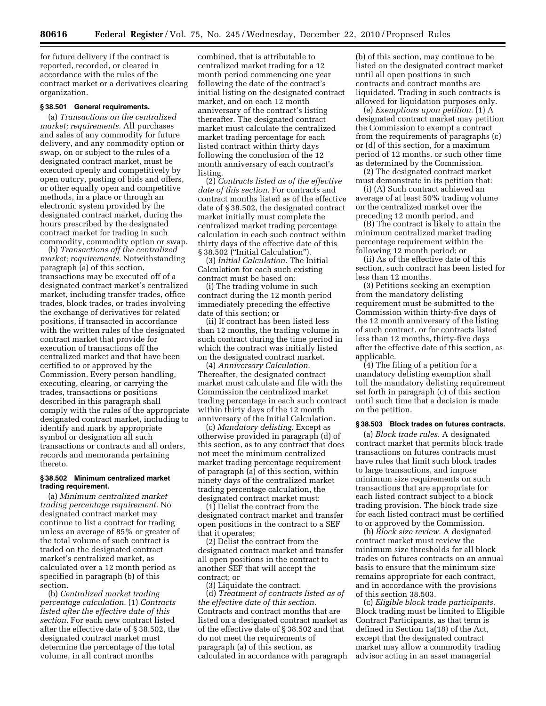for future delivery if the contract is reported, recorded, or cleared in accordance with the rules of the contract market or a derivatives clearing organization.

#### **§ 38.501 General requirements.**

(a) *Transactions on the centralized market; requirements.* All purchases and sales of any commodity for future delivery, and any commodity option or swap, on or subject to the rules of a designated contract market, must be executed openly and competitively by open outcry, posting of bids and offers, or other equally open and competitive methods, in a place or through an electronic system provided by the designated contract market, during the hours prescribed by the designated contract market for trading in such commodity, commodity option or swap.

(b) *Transactions off the centralized market; requirements.* Notwithstanding paragraph (a) of this section, transactions may be executed off of a designated contract market's centralized market, including transfer trades, office trades, block trades, or trades involving the exchange of derivatives for related positions, if transacted in accordance with the written rules of the designated contract market that provide for execution of transactions off the centralized market and that have been certified to or approved by the Commission. Every person handling, executing, clearing, or carrying the trades, transactions or positions described in this paragraph shall comply with the rules of the appropriate designated contract market, including to identify and mark by appropriate symbol or designation all such transactions or contracts and all orders, records and memoranda pertaining thereto.

## **§ 38.502 Minimum centralized market trading requirement.**

(a) *Minimum centralized market trading percentage requirement.* No designated contract market may continue to list a contract for trading unless an average of 85% or greater of the total volume of such contract is traded on the designated contract market's centralized market, as calculated over a 12 month period as specified in paragraph (b) of this section.

(b) *Centralized market trading percentage calculation.* (1) *Contracts listed after the effective date of this section.* For each new contract listed after the effective date of § 38.502, the designated contract market must determine the percentage of the total volume, in all contract months

combined, that is attributable to centralized market trading for a 12 month period commencing one year following the date of the contract's initial listing on the designated contract market, and on each 12 month anniversary of the contract's listing thereafter. The designated contract market must calculate the centralized market trading percentage for each listed contract within thirty days following the conclusion of the 12 month anniversary of each contract's listing.

(2) *Contracts listed as of the effective date of this section.* For contracts and contract months listed as of the effective date of § 38.502, the designated contract market initially must complete the centralized market trading percentage calculation in each such contract within thirty days of the effective date of this § 38.502 ("Initial Calculation").

(3) *Initial Calculation.* The Initial Calculation for each such existing contract must be based on:

(i) The trading volume in such contract during the 12 month period immediately preceding the effective date of this section; or

(ii) If contract has been listed less than 12 months, the trading volume in such contract during the time period in which the contract was initially listed on the designated contract market.

(4) *Anniversary Calculation.*  Thereafter, the designated contract market must calculate and file with the Commission the centralized market trading percentage in each such contract within thirty days of the 12 month anniversary of the Initial Calculation.

(c) *Mandatory delisting.* Except as otherwise provided in paragraph (d) of this section, as to any contract that does not meet the minimum centralized market trading percentage requirement of paragraph (a) of this section, within ninety days of the centralized market trading percentage calculation, the designated contract market must:

(1) Delist the contract from the designated contract market and transfer open positions in the contract to a SEF that it operates;

(2) Delist the contract from the designated contract market and transfer all open positions in the contract to another SEF that will accept the contract; or

(3) Liquidate the contract. (d) *Treatment of contracts listed as of the effective date of this section.*  Contracts and contract months that are listed on a designated contract market as of the effective date of § 38.502 and that do not meet the requirements of paragraph (a) of this section, as calculated in accordance with paragraph

(b) of this section, may continue to be listed on the designated contract market until all open positions in such contracts and contract months are liquidated. Trading in such contracts is allowed for liquidation purposes only.

(e) *Exemptions upon petition.* (1) A designated contract market may petition the Commission to exempt a contract from the requirements of paragraphs (c) or (d) of this section, for a maximum period of 12 months, or such other time as determined by the Commission.

(2) The designated contract market must demonstrate in its petition that:

(i) (A) Such contract achieved an average of at least 50% trading volume on the centralized market over the preceding 12 month period, and

(B) The contract is likely to attain the minimum centralized market trading percentage requirement within the following 12 month period; or

(ii) As of the effective date of this section, such contract has been listed for less than 12 months.

(3) Petitions seeking an exemption from the mandatory delisting requirement must be submitted to the Commission within thirty-five days of the 12 month anniversary of the listing of such contract, or for contracts listed less than 12 months, thirty-five days after the effective date of this section, as applicable.

(4) The filing of a petition for a mandatory delisting exemption shall toll the mandatory delisting requirement set forth in paragraph (c) of this section until such time that a decision is made on the petition.

## **§ 38.503 Block trades on futures contracts.**

(a) *Block trade rules.* A designated contract market that permits block trade transactions on futures contracts must have rules that limit such block trades to large transactions, and impose minimum size requirements on such transactions that are appropriate for each listed contract subject to a block trading provision. The block trade size for each listed contract must be certified to or approved by the Commission.

(b) *Block size review.* A designated contract market must review the minimum size thresholds for all block trades on futures contracts on an annual basis to ensure that the minimum size remains appropriate for each contract, and in accordance with the provisions of this section 38.503.

(c) *Eligible block trade participants.*  Block trading must be limited to Eligible Contract Participants, as that term is defined in Section 1a(18) of the Act, except that the designated contract market may allow a commodity trading advisor acting in an asset managerial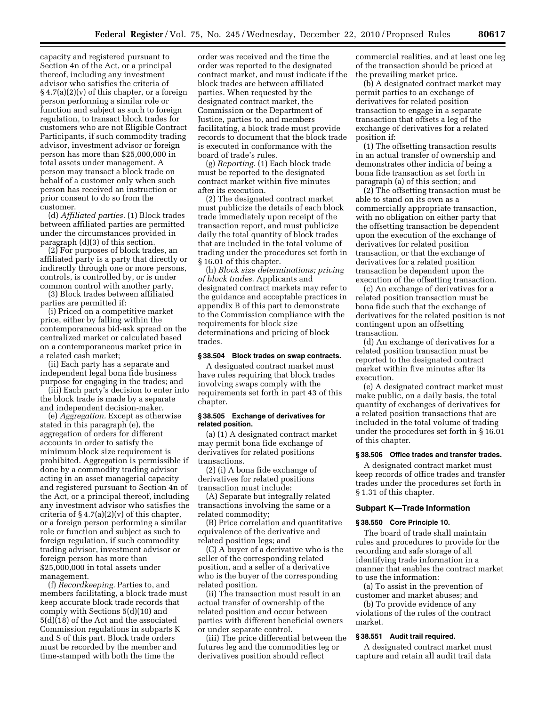capacity and registered pursuant to Section 4n of the Act, or a principal thereof, including any investment advisor who satisfies the criteria of § 4.7(a)(2)(v) of this chapter, or a foreign person performing a similar role or function and subject as such to foreign regulation, to transact block trades for customers who are not Eligible Contract Participants, if such commodity trading advisor, investment advisor or foreign person has more than \$25,000,000 in total assets under management. A person may transact a block trade on behalf of a customer only when such person has received an instruction or prior consent to do so from the customer.

(d) *Affiliated parties.* (1) Block trades between affiliated parties are permitted under the circumstances provided in paragraph (d)(3) of this section.

(2) For purposes of block trades, an affiliated party is a party that directly or indirectly through one or more persons, controls, is controlled by, or is under common control with another party.

(3) Block trades between affiliated parties are permitted if:

(i) Priced on a competitive market price, either by falling within the contemporaneous bid-ask spread on the centralized market or calculated based on a contemporaneous market price in a related cash market;

(ii) Each party has a separate and independent legal bona fide business purpose for engaging in the trades; and

(iii) Each party's decision to enter into the block trade is made by a separate and independent decision-maker.

(e) *Aggregation.* Except as otherwise stated in this paragraph (e), the aggregation of orders for different accounts in order to satisfy the minimum block size requirement is prohibited. Aggregation is permissible if done by a commodity trading advisor acting in an asset managerial capacity and registered pursuant to Section 4n of the Act, or a principal thereof, including any investment advisor who satisfies the criteria of  $\S 4.7(a)(2)(v)$  of this chapter, or a foreign person performing a similar role or function and subject as such to foreign regulation, if such commodity trading advisor, investment advisor or foreign person has more than \$25,000,000 in total assets under management.

(f) *Recordkeeping.* Parties to, and members facilitating, a block trade must keep accurate block trade records that comply with Sections 5(d)(10) and 5(d)(18) of the Act and the associated Commission regulations in subparts K and S of this part. Block trade orders must be recorded by the member and time-stamped with both the time the

order was received and the time the order was reported to the designated contract market, and must indicate if the block trades are between affiliated parties. When requested by the designated contract market, the Commission or the Department of Justice, parties to, and members facilitating, a block trade must provide records to document that the block trade is executed in conformance with the board of trade's rules.

(g) *Reporting.* (1) Each block trade must be reported to the designated contract market within five minutes after its execution.

(2) The designated contract market must publicize the details of each block trade immediately upon receipt of the transaction report, and must publicize daily the total quantity of block trades that are included in the total volume of trading under the procedures set forth in § 16.01 of this chapter.

(h) *Block size determinations; pricing of block trades.* Applicants and designated contract markets may refer to the guidance and acceptable practices in appendix B of this part to demonstrate to the Commission compliance with the requirements for block size determinations and pricing of block trades.

#### **§ 38.504 Block trades on swap contracts.**

A designated contract market must have rules requiring that block trades involving swaps comply with the requirements set forth in part 43 of this chapter.

#### **§ 38.505 Exchange of derivatives for related position.**

(a) (1) A designated contract market may permit bona fide exchange of derivatives for related positions transactions.

(2) (i) A bona fide exchange of derivatives for related positions transaction must include:

(A) Separate but integrally related transactions involving the same or a related commodity;

(B) Price correlation and quantitative equivalence of the derivative and related position legs; and

(C) A buyer of a derivative who is the seller of the corresponding related position, and a seller of a derivative who is the buyer of the corresponding related position.

(ii) The transaction must result in an actual transfer of ownership of the related position and occur between parties with different beneficial owners or under separate control.

(iii) The price differential between the futures leg and the commodities leg or derivatives position should reflect

commercial realities, and at least one leg of the transaction should be priced at the prevailing market price.

(b) A designated contract market may permit parties to an exchange of derivatives for related position transaction to engage in a separate transaction that offsets a leg of the exchange of derivatives for a related position if:

(1) The offsetting transaction results in an actual transfer of ownership and demonstrates other indicia of being a bona fide transaction as set forth in paragraph (a) of this section; and

(2) The offsetting transaction must be able to stand on its own as a commercially appropriate transaction, with no obligation on either party that the offsetting transaction be dependent upon the execution of the exchange of derivatives for related position transaction, or that the exchange of derivatives for a related position transaction be dependent upon the execution of the offsetting transaction.

(c) An exchange of derivatives for a related position transaction must be bona fide such that the exchange of derivatives for the related position is not contingent upon an offsetting transaction.

(d) An exchange of derivatives for a related position transaction must be reported to the designated contract market within five minutes after its execution.

(e) A designated contract market must make public, on a daily basis, the total quantity of exchanges of derivatives for a related position transactions that are included in the total volume of trading under the procedures set forth in § 16.01 of this chapter.

## **§ 38.506 Office trades and transfer trades.**

A designated contract market must keep records of office trades and transfer trades under the procedures set forth in § 1.31 of this chapter.

## **Subpart K—Trade Information**

## **§ 38.550 Core Principle 10.**

The board of trade shall maintain rules and procedures to provide for the recording and safe storage of all identifying trade information in a manner that enables the contract market to use the information:

(a) To assist in the prevention of customer and market abuses; and

(b) To provide evidence of any violations of the rules of the contract market.

#### **§ 38.551 Audit trail required.**

A designated contract market must capture and retain all audit trail data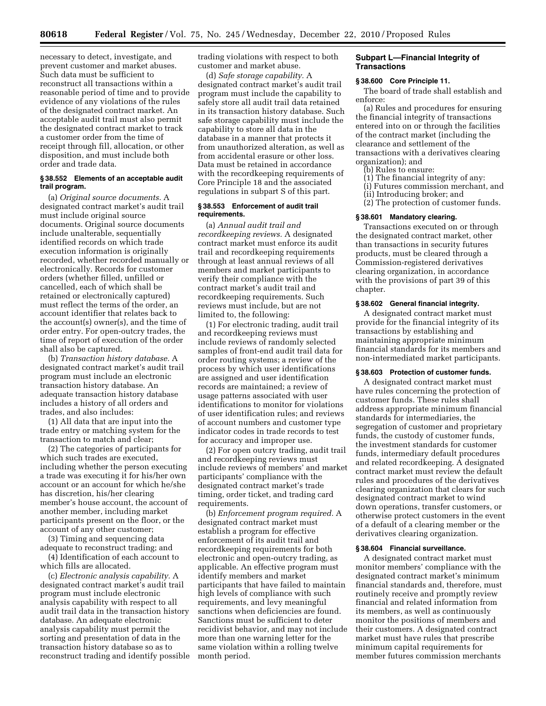necessary to detect, investigate, and prevent customer and market abuses. Such data must be sufficient to reconstruct all transactions within a reasonable period of time and to provide evidence of any violations of the rules of the designated contract market. An acceptable audit trail must also permit the designated contract market to track a customer order from the time of receipt through fill, allocation, or other disposition, and must include both order and trade data.

## **§ 38.552 Elements of an acceptable audit trail program.**

(a) *Original source documents.* A designated contract market's audit trail must include original source documents. Original source documents include unalterable, sequentially identified records on which trade execution information is originally recorded, whether recorded manually or electronically. Records for customer orders (whether filled, unfilled or cancelled, each of which shall be retained or electronically captured) must reflect the terms of the order, an account identifier that relates back to the account(s) owner(s), and the time of order entry. For open-outcry trades, the time of report of execution of the order shall also be captured.

(b) *Transaction history database.* A designated contract market's audit trail program must include an electronic transaction history database. An adequate transaction history database includes a history of all orders and trades, and also includes:

(1) All data that are input into the trade entry or matching system for the transaction to match and clear;

(2) The categories of participants for which such trades are executed, including whether the person executing a trade was executing it for his/her own account or an account for which he/she has discretion, his/her clearing member's house account, the account of another member, including market participants present on the floor, or the account of any other customer;

(3) Timing and sequencing data adequate to reconstruct trading; and

(4) Identification of each account to which fills are allocated.

(c) *Electronic analysis capability.* A designated contract market's audit trail program must include electronic analysis capability with respect to all audit trail data in the transaction history database. An adequate electronic analysis capability must permit the sorting and presentation of data in the transaction history database so as to reconstruct trading and identify possible trading violations with respect to both customer and market abuse.

(d) *Safe storage capability.* A designated contract market's audit trail program must include the capability to safely store all audit trail data retained in its transaction history database. Such safe storage capability must include the capability to store all data in the database in a manner that protects it from unauthorized alteration, as well as from accidental erasure or other loss. Data must be retained in accordance with the recordkeeping requirements of Core Principle 18 and the associated regulations in subpart S of this part.

#### **§ 38.553 Enforcement of audit trail requirements.**

(a) *Annual audit trail and recordkeeping reviews.* A designated contract market must enforce its audit trail and recordkeeping requirements through at least annual reviews of all members and market participants to verify their compliance with the contract market's audit trail and recordkeeping requirements. Such reviews must include, but are not limited to, the following:

(1) For electronic trading, audit trail and recordkeeping reviews must include reviews of randomly selected samples of front-end audit trail data for order routing systems; a review of the process by which user identifications are assigned and user identification records are maintained; a review of usage patterns associated with user identifications to monitor for violations of user identification rules; and reviews of account numbers and customer type indicator codes in trade records to test for accuracy and improper use.

(2) For open outcry trading, audit trail and recordkeeping reviews must include reviews of members' and market participants' compliance with the designated contract market's trade timing, order ticket, and trading card requirements.

(b) *Enforcement program required.* A designated contract market must establish a program for effective enforcement of its audit trail and recordkeeping requirements for both electronic and open-outcry trading, as applicable. An effective program must identify members and market participants that have failed to maintain high levels of compliance with such requirements, and levy meaningful sanctions when deficiencies are found. Sanctions must be sufficient to deter recidivist behavior, and may not include more than one warning letter for the same violation within a rolling twelve month period.

## **Subpart L—Financial Integrity of Transactions**

## **§ 38.600 Core Principle 11.**

The board of trade shall establish and enforce:

(a) Rules and procedures for ensuring the financial integrity of transactions entered into on or through the facilities of the contract market (including the clearance and settlement of the transactions with a derivatives clearing organization); and

- (b) Rules to ensure:
- (1) The financial integrity of any:
- (i) Futures commission merchant, and
- (ii) Introducing broker; and
- (2) The protection of customer funds.

#### **§ 38.601 Mandatory clearing.**

Transactions executed on or through the designated contract market, other than transactions in security futures products, must be cleared through a Commission-registered derivatives clearing organization, in accordance with the provisions of part 39 of this chapter.

#### **§ 38.602 General financial integrity.**

A designated contract market must provide for the financial integrity of its transactions by establishing and maintaining appropriate minimum financial standards for its members and non-intermediated market participants.

## **§ 38.603 Protection of customer funds.**

A designated contract market must have rules concerning the protection of customer funds. These rules shall address appropriate minimum financial standards for intermediaries, the segregation of customer and proprietary funds, the custody of customer funds, the investment standards for customer funds, intermediary default procedures and related recordkeeping. A designated contract market must review the default rules and procedures of the derivatives clearing organization that clears for such designated contract market to wind down operations, transfer customers, or otherwise protect customers in the event of a default of a clearing member or the derivatives clearing organization.

#### **§ 38.604 Financial surveillance.**

A designated contract market must monitor members' compliance with the designated contract market's minimum financial standards and, therefore, must routinely receive and promptly review financial and related information from its members, as well as continuously monitor the positions of members and their customers. A designated contract market must have rules that prescribe minimum capital requirements for member futures commission merchants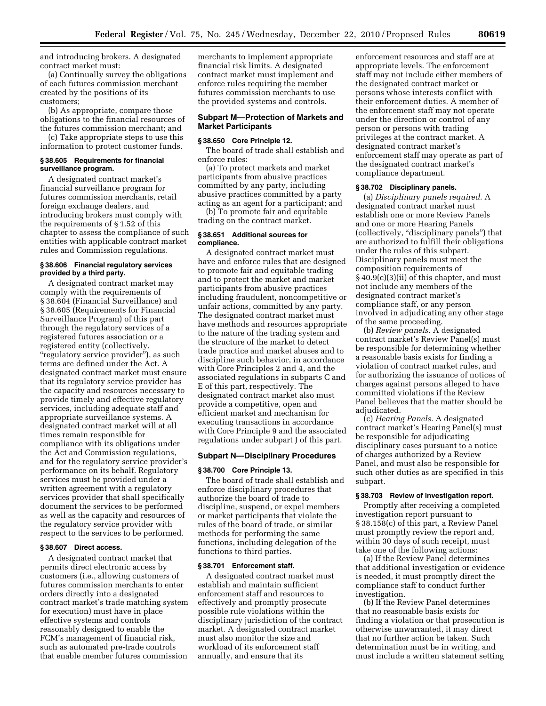and introducing brokers. A designated contract market must:

(a) Continually survey the obligations of each futures commission merchant created by the positions of its customers;

(b) As appropriate, compare those obligations to the financial resources of the futures commission merchant; and

(c) Take appropriate steps to use this information to protect customer funds.

#### **§ 38.605 Requirements for financial surveillance program.**

A designated contract market's financial surveillance program for futures commission merchants, retail foreign exchange dealers, and introducing brokers must comply with the requirements of § 1.52 of this chapter to assess the compliance of such entities with applicable contract market rules and Commission regulations.

#### **§ 38.606 Financial regulatory services provided by a third party.**

A designated contract market may comply with the requirements of § 38.604 (Financial Surveillance) and § 38.605 (Requirements for Financial Surveillance Program) of this part through the regulatory services of a registered futures association or a registered entity (collectively, ''regulatory service provider''), as such terms are defined under the Act. A designated contract market must ensure that its regulatory service provider has the capacity and resources necessary to provide timely and effective regulatory services, including adequate staff and appropriate surveillance systems. A designated contract market will at all times remain responsible for compliance with its obligations under the Act and Commission regulations, and for the regulatory service provider's performance on its behalf. Regulatory services must be provided under a written agreement with a regulatory services provider that shall specifically document the services to be performed as well as the capacity and resources of the regulatory service provider with respect to the services to be performed.

## **§ 38.607 Direct access.**

A designated contract market that permits direct electronic access by customers (i.e., allowing customers of futures commission merchants to enter orders directly into a designated contract market's trade matching system for execution) must have in place effective systems and controls reasonably designed to enable the FCM's management of financial risk, such as automated pre-trade controls that enable member futures commission

merchants to implement appropriate financial risk limits. A designated contract market must implement and enforce rules requiring the member futures commission merchants to use the provided systems and controls.

## **Subpart M—Protection of Markets and Market Participants**

#### **§ 38.650 Core Principle 12.**

The board of trade shall establish and enforce rules:

(a) To protect markets and market participants from abusive practices committed by any party, including abusive practices committed by a party acting as an agent for a participant; and

(b) To promote fair and equitable trading on the contract market.

#### **§ 38.651 Additional sources for compliance.**

A designated contract market must have and enforce rules that are designed to promote fair and equitable trading and to protect the market and market participants from abusive practices including fraudulent, noncompetitive or unfair actions, committed by any party. The designated contract market must have methods and resources appropriate to the nature of the trading system and the structure of the market to detect trade practice and market abuses and to discipline such behavior, in accordance with Core Principles 2 and 4, and the associated regulations in subparts C and E of this part, respectively. The designated contract market also must provide a competitive, open and efficient market and mechanism for executing transactions in accordance with Core Principle 9 and the associated regulations under subpart J of this part.

#### **Subpart N—Disciplinary Procedures**

#### **§ 38.700 Core Principle 13.**

The board of trade shall establish and enforce disciplinary procedures that authorize the board of trade to discipline, suspend, or expel members or market participants that violate the rules of the board of trade, or similar methods for performing the same functions, including delegation of the functions to third parties.

#### **§ 38.701 Enforcement staff.**

A designated contract market must establish and maintain sufficient enforcement staff and resources to effectively and promptly prosecute possible rule violations within the disciplinary jurisdiction of the contract market. A designated contract market must also monitor the size and workload of its enforcement staff annually, and ensure that its

enforcement resources and staff are at appropriate levels. The enforcement staff may not include either members of the designated contract market or persons whose interests conflict with their enforcement duties. A member of the enforcement staff may not operate under the direction or control of any person or persons with trading privileges at the contract market. A designated contract market's enforcement staff may operate as part of the designated contract market's compliance department.

#### **§ 38.702 Disciplinary panels.**

(a) *Disciplinary panels required.* A designated contract market must establish one or more Review Panels and one or more Hearing Panels (collectively, ''disciplinary panels'') that are authorized to fulfill their obligations under the rules of this subpart. Disciplinary panels must meet the composition requirements of § 40.9(c)(3)(ii) of this chapter, and must not include any members of the designated contract market's compliance staff, or any person involved in adjudicating any other stage of the same proceeding.

(b) *Review panels.* A designated contract market's Review Panel(s) must be responsible for determining whether a reasonable basis exists for finding a violation of contract market rules, and for authorizing the issuance of notices of charges against persons alleged to have committed violations if the Review Panel believes that the matter should be adiudicated.

(c) *Hearing Panels.* A designated contract market's Hearing Panel(s) must be responsible for adjudicating disciplinary cases pursuant to a notice of charges authorized by a Review Panel, and must also be responsible for such other duties as are specified in this subpart.

#### **§ 38.703 Review of investigation report.**

Promptly after receiving a completed investigation report pursuant to § 38.158(c) of this part, a Review Panel must promptly review the report and, within 30 days of such receipt, must take one of the following actions:

(a) If the Review Panel determines that additional investigation or evidence is needed, it must promptly direct the compliance staff to conduct further investigation.

(b) If the Review Panel determines that no reasonable basis exists for finding a violation or that prosecution is otherwise unwarranted, it may direct that no further action be taken. Such determination must be in writing, and must include a written statement setting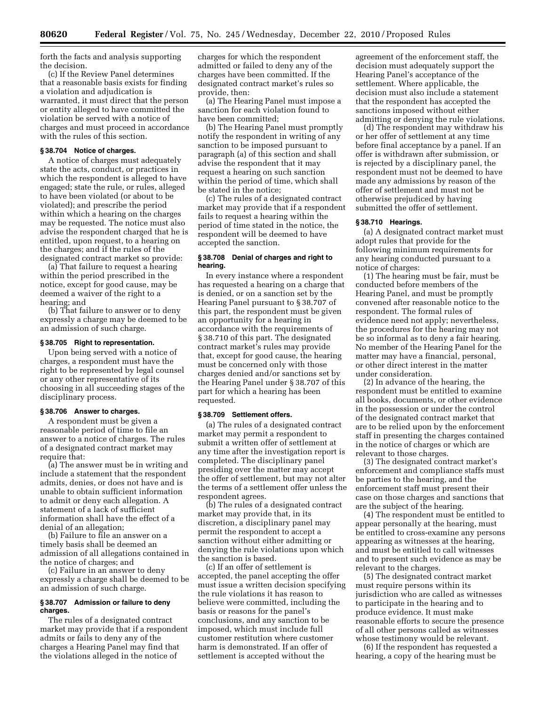forth the facts and analysis supporting the decision.

(c) If the Review Panel determines that a reasonable basis exists for finding a violation and adjudication is warranted, it must direct that the person or entity alleged to have committed the violation be served with a notice of charges and must proceed in accordance with the rules of this section.

## **§ 38.704 Notice of charges.**

A notice of charges must adequately state the acts, conduct, or practices in which the respondent is alleged to have engaged; state the rule, or rules, alleged to have been violated (or about to be violated); and prescribe the period within which a hearing on the charges may be requested. The notice must also advise the respondent charged that he is entitled, upon request, to a hearing on the charges; and if the rules of the designated contract market so provide:

(a) That failure to request a hearing within the period prescribed in the notice, except for good cause, may be deemed a waiver of the right to a hearing; and

(b) That failure to answer or to deny expressly a charge may be deemed to be an admission of such charge.

## **§ 38.705 Right to representation.**

Upon being served with a notice of charges, a respondent must have the right to be represented by legal counsel or any other representative of its choosing in all succeeding stages of the disciplinary process.

## **§ 38.706 Answer to charges.**

A respondent must be given a reasonable period of time to file an answer to a notice of charges. The rules of a designated contract market may require that:

(a) The answer must be in writing and include a statement that the respondent admits, denies, or does not have and is unable to obtain sufficient information to admit or deny each allegation. A statement of a lack of sufficient information shall have the effect of a denial of an allegation;

(b) Failure to file an answer on a timely basis shall be deemed an admission of all allegations contained in the notice of charges; and

(c) Failure in an answer to deny expressly a charge shall be deemed to be an admission of such charge.

## **§ 38.707 Admission or failure to deny charges.**

The rules of a designated contract market may provide that if a respondent admits or fails to deny any of the charges a Hearing Panel may find that the violations alleged in the notice of

charges for which the respondent admitted or failed to deny any of the charges have been committed. If the designated contract market's rules so provide, then:

(a) The Hearing Panel must impose a sanction for each violation found to have been committed;

(b) The Hearing Panel must promptly notify the respondent in writing of any sanction to be imposed pursuant to paragraph (a) of this section and shall advise the respondent that it may request a hearing on such sanction within the period of time, which shall be stated in the notice;

(c) The rules of a designated contract market may provide that if a respondent fails to request a hearing within the period of time stated in the notice, the respondent will be deemed to have accepted the sanction.

## **§ 38.708 Denial of charges and right to hearing.**

In every instance where a respondent has requested a hearing on a charge that is denied, or on a sanction set by the Hearing Panel pursuant to § 38.707 of this part, the respondent must be given an opportunity for a hearing in accordance with the requirements of § 38.710 of this part. The designated contract market's rules may provide that, except for good cause, the hearing must be concerned only with those charges denied and/or sanctions set by the Hearing Panel under § 38.707 of this part for which a hearing has been requested.

#### **§ 38.709 Settlement offers.**

(a) The rules of a designated contract market may permit a respondent to submit a written offer of settlement at any time after the investigation report is completed. The disciplinary panel presiding over the matter may accept the offer of settlement, but may not alter the terms of a settlement offer unless the respondent agrees.

(b) The rules of a designated contract market may provide that, in its discretion, a disciplinary panel may permit the respondent to accept a sanction without either admitting or denying the rule violations upon which the sanction is based.

(c) If an offer of settlement is accepted, the panel accepting the offer must issue a written decision specifying the rule violations it has reason to believe were committed, including the basis or reasons for the panel's conclusions, and any sanction to be imposed, which must include full customer restitution where customer harm is demonstrated. If an offer of settlement is accepted without the

agreement of the enforcement staff, the decision must adequately support the Hearing Panel's acceptance of the settlement. Where applicable, the decision must also include a statement that the respondent has accepted the sanctions imposed without either admitting or denying the rule violations.

(d) The respondent may withdraw his or her offer of settlement at any time before final acceptance by a panel. If an offer is withdrawn after submission, or is rejected by a disciplinary panel, the respondent must not be deemed to have made any admissions by reason of the offer of settlement and must not be otherwise prejudiced by having submitted the offer of settlement.

#### **§ 38.710 Hearings.**

(a) A designated contract market must adopt rules that provide for the following minimum requirements for any hearing conducted pursuant to a notice of charges:

(1) The hearing must be fair, must be conducted before members of the Hearing Panel, and must be promptly convened after reasonable notice to the respondent. The formal rules of evidence need not apply; nevertheless, the procedures for the hearing may not be so informal as to deny a fair hearing. No member of the Hearing Panel for the matter may have a financial, personal, or other direct interest in the matter under consideration.

(2) In advance of the hearing, the respondent must be entitled to examine all books, documents, or other evidence in the possession or under the control of the designated contract market that are to be relied upon by the enforcement staff in presenting the charges contained in the notice of charges or which are relevant to those charges.

(3) The designated contract market's enforcement and compliance staffs must be parties to the hearing, and the enforcement staff must present their case on those charges and sanctions that are the subject of the hearing.

(4) The respondent must be entitled to appear personally at the hearing, must be entitled to cross-examine any persons appearing as witnesses at the hearing, and must be entitled to call witnesses and to present such evidence as may be relevant to the charges.

(5) The designated contract market must require persons within its jurisdiction who are called as witnesses to participate in the hearing and to produce evidence. It must make reasonable efforts to secure the presence of all other persons called as witnesses whose testimony would be relevant.

(6) If the respondent has requested a hearing, a copy of the hearing must be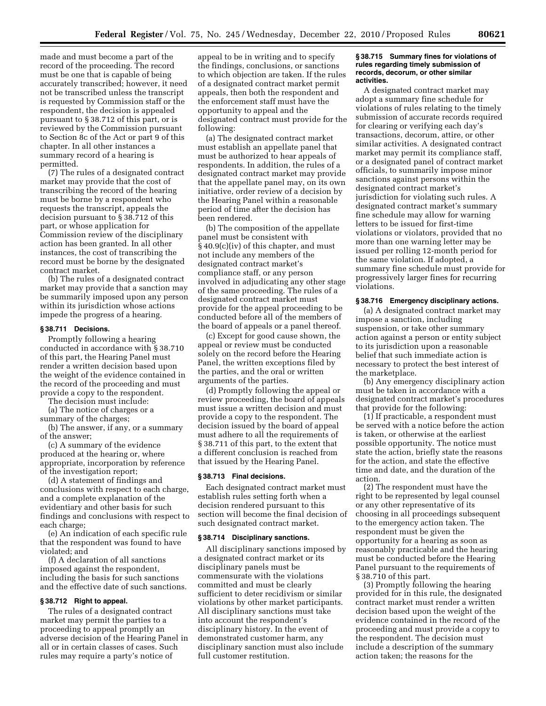made and must become a part of the record of the proceeding. The record must be one that is capable of being accurately transcribed; however, it need not be transcribed unless the transcript is requested by Commission staff or the respondent, the decision is appealed pursuant to § 38.712 of this part, or is reviewed by the Commission pursuant to Section 8c of the Act or part 9 of this chapter. In all other instances a summary record of a hearing is permitted.

(7) The rules of a designated contract market may provide that the cost of transcribing the record of the hearing must be borne by a respondent who requests the transcript, appeals the decision pursuant to § 38.712 of this part, or whose application for Commission review of the disciplinary action has been granted. In all other instances, the cost of transcribing the record must be borne by the designated contract market.

(b) The rules of a designated contract market may provide that a sanction may be summarily imposed upon any person within its jurisdiction whose actions impede the progress of a hearing.

#### **§ 38.711 Decisions.**

Promptly following a hearing conducted in accordance with § 38.710 of this part, the Hearing Panel must render a written decision based upon the weight of the evidence contained in the record of the proceeding and must provide a copy to the respondent.

The decision must include:

(a) The notice of charges or a summary of the charges;

(b) The answer, if any, or a summary of the answer;

(c) A summary of the evidence produced at the hearing or, where appropriate, incorporation by reference of the investigation report;

(d) A statement of findings and conclusions with respect to each charge, and a complete explanation of the evidentiary and other basis for such findings and conclusions with respect to each charge;

(e) An indication of each specific rule that the respondent was found to have violated; and

(f) A declaration of all sanctions imposed against the respondent, including the basis for such sanctions and the effective date of such sanctions.

## **§ 38.712 Right to appeal.**

The rules of a designated contract market may permit the parties to a proceeding to appeal promptly an adverse decision of the Hearing Panel in all or in certain classes of cases. Such rules may require a party's notice of

appeal to be in writing and to specify the findings, conclusions, or sanctions to which objection are taken. If the rules of a designated contract market permit appeals, then both the respondent and the enforcement staff must have the opportunity to appeal and the designated contract must provide for the following:

(a) The designated contract market must establish an appellate panel that must be authorized to hear appeals of respondents. In addition, the rules of a designated contract market may provide that the appellate panel may, on its own initiative, order review of a decision by the Hearing Panel within a reasonable period of time after the decision has been rendered.

(b) The composition of the appellate panel must be consistent with § 40.9(c)(iv) of this chapter, and must not include any members of the designated contract market's compliance staff, or any person involved in adjudicating any other stage of the same proceeding. The rules of a designated contract market must provide for the appeal proceeding to be conducted before all of the members of the board of appeals or a panel thereof.

(c) Except for good cause shown, the appeal or review must be conducted solely on the record before the Hearing Panel, the written exceptions filed by the parties, and the oral or written arguments of the parties.

(d) Promptly following the appeal or review proceeding, the board of appeals must issue a written decision and must provide a copy to the respondent. The decision issued by the board of appeal must adhere to all the requirements of § 38.711 of this part, to the extent that a different conclusion is reached from that issued by the Hearing Panel.

#### **§ 38.713 Final decisions.**

Each designated contract market must establish rules setting forth when a decision rendered pursuant to this section will become the final decision of such designated contract market.

#### **§ 38.714 Disciplinary sanctions.**

All disciplinary sanctions imposed by a designated contract market or its disciplinary panels must be commensurate with the violations committed and must be clearly sufficient to deter recidivism or similar violations by other market participants. All disciplinary sanctions must take into account the respondent's disciplinary history. In the event of demonstrated customer harm, any disciplinary sanction must also include full customer restitution.

#### **§ 38.715 Summary fines for violations of rules regarding timely submission of records, decorum, or other similar activities.**

A designated contract market may adopt a summary fine schedule for violations of rules relating to the timely submission of accurate records required for clearing or verifying each day's transactions, decorum, attire, or other similar activities. A designated contract market may permit its compliance staff, or a designated panel of contract market officials, to summarily impose minor sanctions against persons within the designated contract market's jurisdiction for violating such rules. A designated contract market's summary fine schedule may allow for warning letters to be issued for first-time violations or violators, provided that no more than one warning letter may be issued per rolling 12-month period for the same violation. If adopted, a summary fine schedule must provide for progressively larger fines for recurring violations.

## **§ 38.716 Emergency disciplinary actions.**

(a) A designated contract market may impose a sanction, including suspension, or take other summary action against a person or entity subject to its jurisdiction upon a reasonable belief that such immediate action is necessary to protect the best interest of the marketplace.

(b) Any emergency disciplinary action must be taken in accordance with a designated contract market's procedures that provide for the following:

(1) If practicable, a respondent must be served with a notice before the action is taken, or otherwise at the earliest possible opportunity. The notice must state the action, briefly state the reasons for the action, and state the effective time and date, and the duration of the action.

(2) The respondent must have the right to be represented by legal counsel or any other representative of its choosing in all proceedings subsequent to the emergency action taken. The respondent must be given the opportunity for a hearing as soon as reasonably practicable and the hearing must be conducted before the Hearing Panel pursuant to the requirements of § 38.710 of this part.

(3) Promptly following the hearing provided for in this rule, the designated contract market must render a written decision based upon the weight of the evidence contained in the record of the proceeding and must provide a copy to the respondent. The decision must include a description of the summary action taken; the reasons for the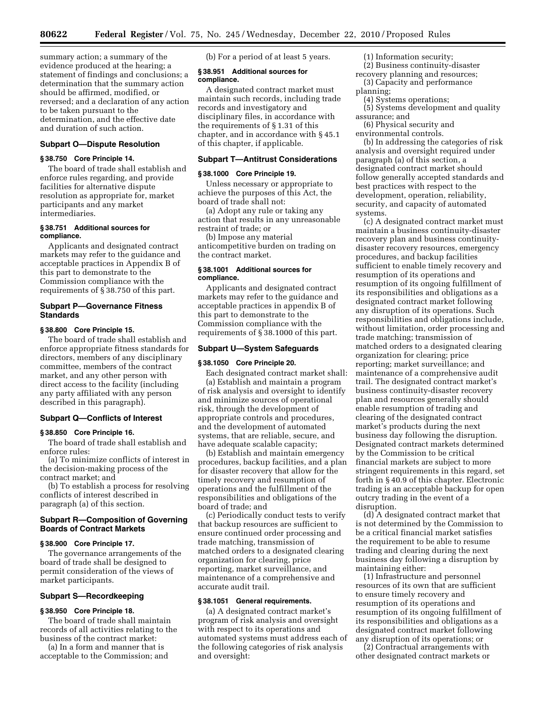summary action; a summary of the evidence produced at the hearing; a statement of findings and conclusions; a determination that the summary action should be affirmed, modified, or reversed; and a declaration of any action to be taken pursuant to the determination, and the effective date and duration of such action.

## **Subpart O—Dispute Resolution**

#### **§ 38.750 Core Principle 14.**

The board of trade shall establish and enforce rules regarding, and provide facilities for alternative dispute resolution as appropriate for, market participants and any market intermediaries.

## **§ 38.751 Additional sources for compliance.**

Applicants and designated contract markets may refer to the guidance and acceptable practices in Appendix B of this part to demonstrate to the Commission compliance with the requirements of § 38.750 of this part.

## **Subpart P—Governance Fitness Standards**

#### **§ 38.800 Core Principle 15.**

The board of trade shall establish and enforce appropriate fitness standards for directors, members of any disciplinary committee, members of the contract market, and any other person with direct access to the facility (including any party affiliated with any person described in this paragraph).

#### **Subpart Q—Conflicts of Interest**

## **§ 38.850 Core Principle 16.**

The board of trade shall establish and enforce rules:

(a) To minimize conflicts of interest in the decision-making process of the contract market; and

(b) To establish a process for resolving conflicts of interest described in paragraph (a) of this section.

## **Subpart R—Composition of Governing Boards of Contract Markets**

## **§ 38.900 Core Principle 17.**

The governance arrangements of the board of trade shall be designed to permit consideration of the views of market participants.

## **Subpart S—Recordkeeping**

#### **§ 38.950 Core Principle 18.**

The board of trade shall maintain records of all activities relating to the business of the contract market:

(a) In a form and manner that is acceptable to the Commission; and (b) For a period of at least 5 years.

## **§ 38.951 Additional sources for compliance.**

A designated contract market must maintain such records, including trade records and investigatory and disciplinary files, in accordance with the requirements of § 1.31 of this chapter, and in accordance with § 45.1 of this chapter, if applicable.

## **Subpart T—Antitrust Considerations**

#### **§ 38.1000 Core Principle 19.**

Unless necessary or appropriate to achieve the purposes of this Act, the board of trade shall not:

(a) Adopt any rule or taking any action that results in any unreasonable restraint of trade; or

(b) Impose any material anticompetitive burden on trading on the contract market.

## **§ 38.1001 Additional sources for compliance.**

Applicants and designated contract markets may refer to the guidance and acceptable practices in appendix B of this part to demonstrate to the Commission compliance with the requirements of § 38.1000 of this part.

## **Subpart U—System Safeguards**

#### **§ 38.1050 Core Principle 20.**

Each designated contract market shall:

(a) Establish and maintain a program of risk analysis and oversight to identify and minimize sources of operational risk, through the development of appropriate controls and procedures, and the development of automated systems, that are reliable, secure, and have adequate scalable capacity;

(b) Establish and maintain emergency procedures, backup facilities, and a plan for disaster recovery that allow for the timely recovery and resumption of operations and the fulfillment of the responsibilities and obligations of the board of trade; and

(c) Periodically conduct tests to verify that backup resources are sufficient to ensure continued order processing and trade matching, transmission of matched orders to a designated clearing organization for clearing, price reporting, market surveillance, and maintenance of a comprehensive and accurate audit trail.

#### **§ 38.1051 General requirements.**

(a) A designated contract market's program of risk analysis and oversight with respect to its operations and automated systems must address each of the following categories of risk analysis and oversight:

(1) Information security;

- (2) Business continuity-disaster recovery planning and resources;
- (3) Capacity and performance planning;
- (4) Systems operations;
- (5) Systems development and quality assurance; and
- (6) Physical security and

environmental controls. (b) In addressing the categories of risk analysis and oversight required under paragraph (a) of this section, a designated contract market should follow generally accepted standards and best practices with respect to the development, operation, reliability, security, and capacity of automated systems.

(c) A designated contract market must maintain a business continuity-disaster recovery plan and business continuitydisaster recovery resources, emergency procedures, and backup facilities sufficient to enable timely recovery and resumption of its operations and resumption of its ongoing fulfillment of its responsibilities and obligations as a designated contract market following any disruption of its operations. Such responsibilities and obligations include, without limitation, order processing and trade matching; transmission of matched orders to a designated clearing organization for clearing; price reporting; market surveillance; and maintenance of a comprehensive audit trail. The designated contract market's business continuity-disaster recovery plan and resources generally should enable resumption of trading and clearing of the designated contract market's products during the next business day following the disruption. Designated contract markets determined by the Commission to be critical financial markets are subject to more stringent requirements in this regard, set forth in § 40.9 of this chapter. Electronic trading is an acceptable backup for open outcry trading in the event of a disruption.

(d) A designated contract market that is not determined by the Commission to be a critical financial market satisfies the requirement to be able to resume trading and clearing during the next business day following a disruption by maintaining either:

(1) Infrastructure and personnel resources of its own that are sufficient to ensure timely recovery and resumption of its operations and resumption of its ongoing fulfillment of its responsibilities and obligations as a designated contract market following any disruption of its operations; or

(2) Contractual arrangements with other designated contract markets or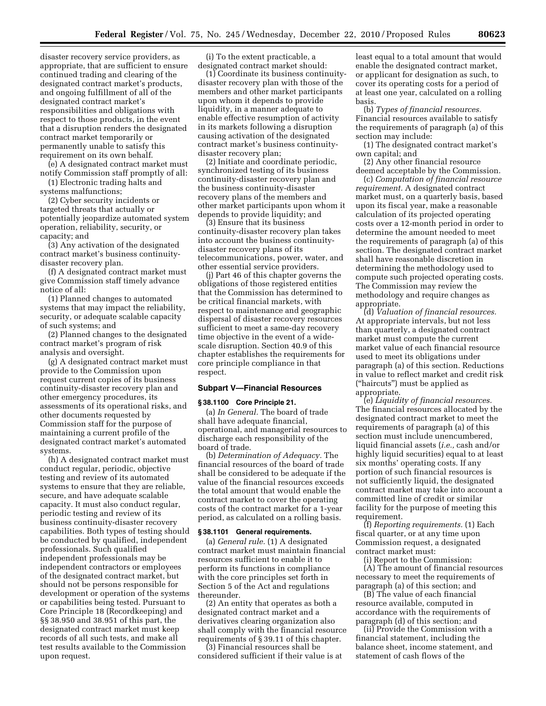disaster recovery service providers, as appropriate, that are sufficient to ensure continued trading and clearing of the designated contract market's products, and ongoing fulfillment of all of the designated contract market's responsibilities and obligations with respect to those products, in the event that a disruption renders the designated contract market temporarily or permanently unable to satisfy this requirement on its own behalf.

(e) A designated contract market must notify Commission staff promptly of all:

(1) Electronic trading halts and systems malfunctions;

(2) Cyber security incidents or targeted threats that actually or potentially jeopardize automated system operation, reliability, security, or capacity; and

(3) Any activation of the designated contract market's business continuitydisaster recovery plan.

(f) A designated contract market must give Commission staff timely advance notice of all:

(1) Planned changes to automated systems that may impact the reliability, security, or adequate scalable capacity of such systems; and

(2) Planned changes to the designated contract market's program of risk analysis and oversight.

(g) A designated contract market must provide to the Commission upon request current copies of its business continuity-disaster recovery plan and other emergency procedures, its assessments of its operational risks, and other documents requested by Commission staff for the purpose of maintaining a current profile of the designated contract market's automated systems.

(h) A designated contract market must conduct regular, periodic, objective testing and review of its automated systems to ensure that they are reliable, secure, and have adequate scalable capacity. It must also conduct regular, periodic testing and review of its business continuity-disaster recovery capabilities. Both types of testing should be conducted by qualified, independent professionals. Such qualified independent professionals may be independent contractors or employees of the designated contract market, but should not be persons responsible for development or operation of the systems or capabilities being tested. Pursuant to Core Principle 18 (Recordkeeping) and §§ 38.950 and 38.951 of this part, the designated contract market must keep records of all such tests, and make all test results available to the Commission upon request.

(i) To the extent practicable, a designated contract market should:

(1) Coordinate its business continuitydisaster recovery plan with those of the members and other market participants upon whom it depends to provide liquidity, in a manner adequate to enable effective resumption of activity in its markets following a disruption causing activation of the designated contract market's business continuitydisaster recovery plan;

(2) Initiate and coordinate periodic, synchronized testing of its business continuity-disaster recovery plan and the business continuity-disaster recovery plans of the members and other market participants upon whom it depends to provide liquidity; and

(3) Ensure that its business continuity-disaster recovery plan takes into account the business continuitydisaster recovery plans of its telecommunications, power, water, and other essential service providers.

(j) Part 46 of this chapter governs the obligations of those registered entities that the Commission has determined to be critical financial markets, with respect to maintenance and geographic dispersal of disaster recovery resources sufficient to meet a same-day recovery time objective in the event of a widescale disruption. Section 40.9 of this chapter establishes the requirements for core principle compliance in that respect.

#### **Subpart V—Financial Resources**

#### **§ 38.1100 Core Principle 21.**

(a) *In General.* The board of trade shall have adequate financial, operational, and managerial resources to discharge each responsibility of the board of trade.

(b) *Determination of Adequacy.* The financial resources of the board of trade shall be considered to be adequate if the value of the financial resources exceeds the total amount that would enable the contract market to cover the operating costs of the contract market for a 1-year period, as calculated on a rolling basis.

#### **§ 38.1101 General requirements.**

(a) *General rule.* (1) A designated contract market must maintain financial resources sufficient to enable it to perform its functions in compliance with the core principles set forth in Section 5 of the Act and regulations thereunder.

(2) An entity that operates as both a designated contract market and a derivatives clearing organization also shall comply with the financial resource requirements of § 39.11 of this chapter.

(3) Financial resources shall be considered sufficient if their value is at least equal to a total amount that would enable the designated contract market, or applicant for designation as such, to cover its operating costs for a period of at least one year, calculated on a rolling basis.

(b) *Types of financial resources.*  Financial resources available to satisfy the requirements of paragraph (a) of this section may include:

(1) The designated contract market's own capital; and

(2) Any other financial resource deemed acceptable by the Commission.

(c) *Computation of financial resource requirement.* A designated contract market must, on a quarterly basis, based upon its fiscal year, make a reasonable calculation of its projected operating costs over a 12-month period in order to determine the amount needed to meet the requirements of paragraph (a) of this section. The designated contract market shall have reasonable discretion in determining the methodology used to compute such projected operating costs. The Commission may review the methodology and require changes as appropriate.

(d) *Valuation of financial resources.*  At appropriate intervals, but not less than quarterly, a designated contract market must compute the current market value of each financial resource used to meet its obligations under paragraph (a) of this section. Reductions in value to reflect market and credit risk (''haircuts'') must be applied as appropriate.

(e) *Liquidity of financial resources.*  The financial resources allocated by the designated contract market to meet the requirements of paragraph (a) of this section must include unencumbered, liquid financial assets (*i.e.,* cash and/or highly liquid securities) equal to at least six months' operating costs. If any portion of such financial resources is not sufficiently liquid, the designated contract market may take into account a committed line of credit or similar facility for the purpose of meeting this requirement.

(f) *Reporting requirements.* (1) Each fiscal quarter, or at any time upon Commission request, a designated contract market must:

(i) Report to the Commission: (A) The amount of financial resources necessary to meet the requirements of paragraph (a) of this section; and

(B) The value of each financial resource available, computed in accordance with the requirements of paragraph (d) of this section; and

(ii) Provide the Commission with a financial statement, including the balance sheet, income statement, and statement of cash flows of the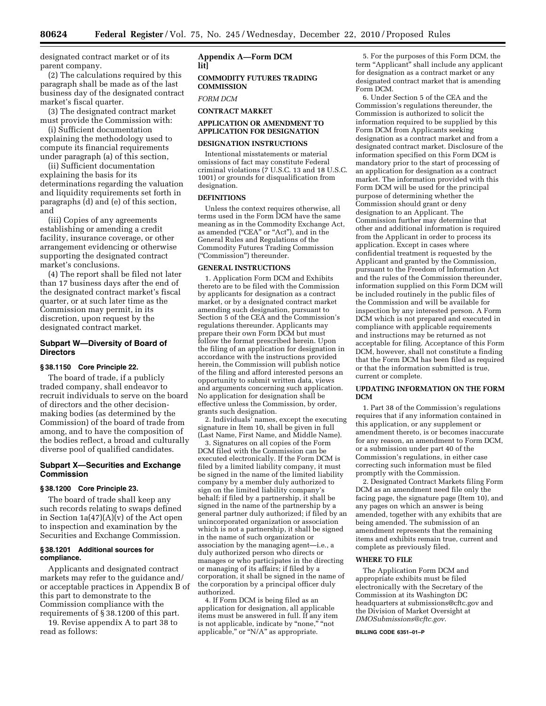designated contract market or of its parent company.

(2) The calculations required by this paragraph shall be made as of the last business day of the designated contract market's fiscal quarter.

(3) The designated contract market must provide the Commission with:

(i) Sufficient documentation explaining the methodology used to compute its financial requirements under paragraph (a) of this section,

(ii) Sufficient documentation explaining the basis for its determinations regarding the valuation and liquidity requirements set forth in paragraphs (d) and (e) of this section, and

(iii) Copies of any agreements establishing or amending a credit facility, insurance coverage, or other arrangement evidencing or otherwise supporting the designated contract market's conclusions.

(4) The report shall be filed not later than 17 business days after the end of the designated contract market's fiscal quarter, or at such later time as the Commission may permit, in its discretion, upon request by the designated contract market.

## **Subpart W—Diversity of Board of Directors**

#### **§ 38.1150 Core Principle 22.**

The board of trade, if a publicly traded company, shall endeavor to recruit individuals to serve on the board of directors and the other decisionmaking bodies (as determined by the Commission) of the board of trade from among, and to have the composition of the bodies reflect, a broad and culturally diverse pool of qualified candidates.

## **Subpart X—Securities and Exchange Commission**

## **§ 38.1200 Core Principle 23.**

The board of trade shall keep any such records relating to swaps defined in Section 1a(47)(A)(v) of the Act open to inspection and examination by the Securities and Exchange Commission.

## **§ 38.1201 Additional sources for compliance.**

Applicants and designated contract markets may refer to the guidance and/ or acceptable practices in Appendix B of this part to demonstrate to the Commission compliance with the requirements of § 38.1200 of this part.

19. Revise appendix A to part 38 to read as follows:

# **Appendix A—Form DCM lit]**

**COMMODITY FUTURES TRADING COMMISSION** 

*FORM DCM* 

## **CONTRACT MARKET**

## **APPLICATION OR AMENDMENT TO APPLICATION FOR DESIGNATION**

#### **DESIGNATION INSTRUCTIONS**

Intentional misstatements or material omissions of fact may constitute Federal criminal violations (7 U.S.C. 13 and 18 U.S.C. 1001) or grounds for disqualification from designation.

## **DEFINITIONS**

Unless the context requires otherwise, all terms used in the Form DCM have the same meaning as in the Commodity Exchange Act, as amended (''CEA'' or ''Act''), and in the General Rules and Regulations of the Commodity Futures Trading Commission (''Commission'') thereunder.

#### **GENERAL INSTRUCTIONS**

1. Application Form DCM and Exhibits thereto are to be filed with the Commission by applicants for designation as a contract market, or by a designated contract market amending such designation, pursuant to Section 5 of the CEA and the Commission's regulations thereunder. Applicants may prepare their own Form DCM but must follow the format prescribed herein. Upon the filing of an application for designation in accordance with the instructions provided herein, the Commission will publish notice of the filing and afford interested persons an opportunity to submit written data, views and arguments concerning such application. No application for designation shall be effective unless the Commission, by order, grants such designation.

2. Individuals' names, except the executing signature in Item 10, shall be given in full (Last Name, First Name, and Middle Name).

3. Signatures on all copies of the Form DCM filed with the Commission can be executed electronically. If the Form DCM is filed by a limited liability company, it must be signed in the name of the limited liability company by a member duly authorized to sign on the limited liability company's behalf; if filed by a partnership, it shall be signed in the name of the partnership by a general partner duly authorized; if filed by an unincorporated organization or association which is not a partnership, it shall be signed in the name of such organization or association by the managing agent—i.e., a duly authorized person who directs or manages or who participates in the directing or managing of its affairs; if filed by a corporation, it shall be signed in the name of the corporation by a principal officer duly authorized.

4. If Form DCM is being filed as an application for designation, all applicable items must be answered in full. If any item is not applicable, indicate by "none," "not applicable," or "N/A" as appropriate.

5. For the purposes of this Form DCM, the term "Applicant" shall include any applicant for designation as a contract market or any designated contract market that is amending Form DCM.

6. Under Section 5 of the CEA and the Commission's regulations thereunder, the Commission is authorized to solicit the information required to be supplied by this Form DCM from Applicants seeking designation as a contract market and from a designated contract market. Disclosure of the information specified on this Form DCM is mandatory prior to the start of processing of an application for designation as a contract market. The information provided with this Form DCM will be used for the principal purpose of determining whether the Commission should grant or deny designation to an Applicant. The Commission further may determine that other and additional information is required from the Applicant in order to process its application. Except in cases where confidential treatment is requested by the Applicant and granted by the Commission, pursuant to the Freedom of Information Act and the rules of the Commission thereunder, information supplied on this Form DCM will be included routinely in the public files of the Commission and will be available for inspection by any interested person. A Form DCM which is not prepared and executed in compliance with applicable requirements and instructions may be returned as not acceptable for filing. Acceptance of this Form DCM, however, shall not constitute a finding that the Form DCM has been filed as required or that the information submitted is true, current or complete.

## **UPDATING INFORMATION ON THE FORM DCM**

1. Part 38 of the Commission's regulations requires that if any information contained in this application, or any supplement or amendment thereto, is or becomes inaccurate for any reason, an amendment to Form DCM, or a submission under part 40 of the Commission's regulations, in either case correcting such information must be filed promptly with the Commission.

2. Designated Contract Markets filing Form DCM as an amendment need file only the facing page, the signature page (Item 10), and any pages on which an answer is being amended, together with any exhibits that are being amended. The submission of an amendment represents that the remaining items and exhibits remain true, current and complete as previously filed.

## **WHERE TO FILE**

The Application Form DCM and appropriate exhibits must be filed electronically with the Secretary of the Commission at its Washington DC headquarters at [submissions@cftc.gov](mailto:submissions@cftc.gov) and the Division of Market Oversight at *[DMOSubmissions@cftc.gov](mailto:DMOSubmissions@cftc.gov)*.

#### **BILLING CODE 6351–01–P**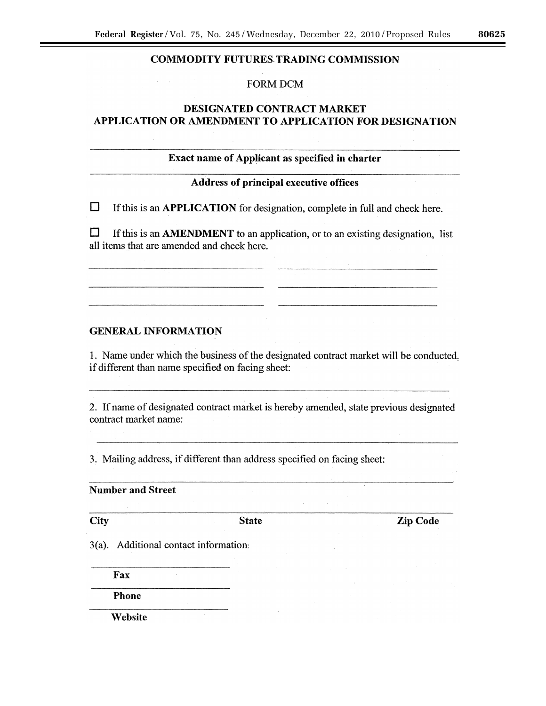# **COMMODITY FUTURES TRADING COMMISSION**

# **FORM DCM**

# **DESIGNATED CONTRACT MARKET** APPLICATION OR AMENDMENT TO APPLICATION FOR DESIGNATION

# Exact name of Applicant as specified in charter

# **Address of principal executive offices**

 $\Box$ If this is an APPLICATION for designation, complete in full and check here.

 $\Box$ If this is an AMENDMENT to an application, or to an existing designation, list all items that are amended and check here.

# **GENERAL INFORMATION**

1. Name under which the business of the designated contract market will be conducted. if different than name specified on facing sheet:

2. If name of designated contract market is hereby amended, state previous designated contract market name:

3. Mailing address, if different than address specified on facing sheet:

**Number and Street** 

City

**State** 

**Zip Code** 

3(a). Additional contact information:

Fax

**Phone** 

Website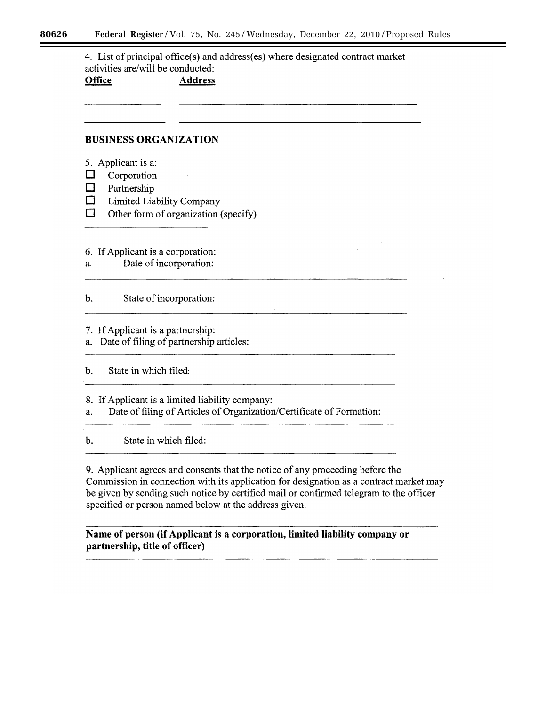4. List of principal office(s) and address(es) where designated contract market activities are/will be conducted: **Office Address** 

# **BUSINESS ORGANIZATION**

- 5. Applicant is a:
- $\Box$ Corporation
- $\Box$ Partnership
- $\Box$ Limited Liability Company
- $\Box$ Other form of organization (specify)
- 6. If Applicant is a corporation:
- Date of incorporation: a.

 $\mathbf b$ . State of incorporation:

- 7. If Applicant is a partnership:
- a. Date of filing of partnership articles:

 $\mathbf{b}$ . State in which filed:

8. If Applicant is a limited liability company:

Date of filing of Articles of Organization/Certificate of Formation: a.

 $\mathbf{b}$ . State in which filed:

9. Applicant agrees and consents that the notice of any proceeding before the Commission in connection with its application for designation as a contract market may be given by sending such notice by certified mail or confirmed telegram to the officer specified or person named below at the address given.

Name of person (if Applicant is a corporation, limited liability company or partnership, title of officer)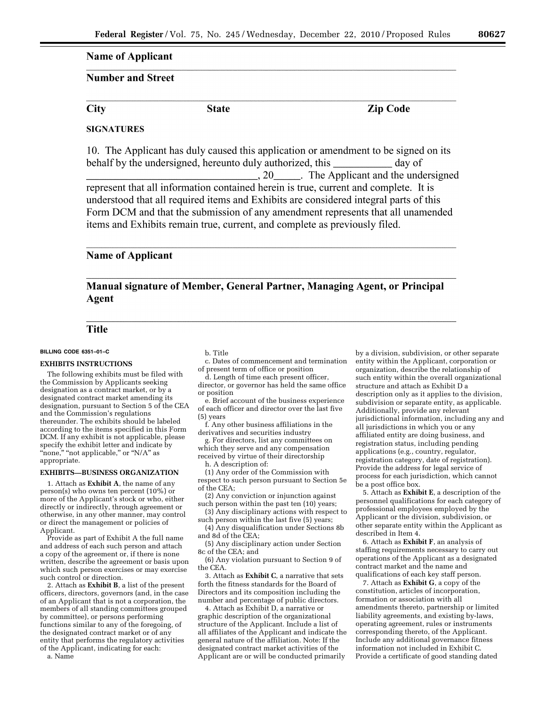# **Name of Applicant**

## **Number and Street**

**City** 

**State** 

**Zip Code** 

## **SIGNATURES**

10. The Applicant has duly caused this application or amendment to be signed on its behalf by the undersigned, hereunto duly authorized, this day of ., 20\_\_\_\_\_\_. The Applicant and the undersigned represent that all information contained herein is true, current and complete. It is understood that all required items and Exhibits are considered integral parts of this Form DCM and that the submission of any amendment represents that all unamended items and Exhibits remain true, current, and complete as previously filed.

# **Name of Applicant**

# Manual signature of Member, General Partner, Managing Agent, or Principal Agent

# **Title**

## **BILLING CODE 6351–01–C**

## **EXHIBITS INSTRUCTIONS**

The following exhibits must be filed with the Commission by Applicants seeking designation as a contract market, or by a designated contract market amending its designation, pursuant to Section 5 of the CEA and the Commission's regulations thereunder. The exhibits should be labeled according to the items specified in this Form DCM. If any exhibit is not applicable, please specify the exhibit letter and indicate by "none," "not applicable," or "N/A" as appropriate.

#### **EXHIBITS—BUSINESS ORGANIZATION**

1. Attach as **Exhibit A**, the name of any person(s) who owns ten percent (10%) or more of the Applicant's stock or who, either directly or indirectly, through agreement or otherwise, in any other manner, may control or direct the management or policies of Applicant.

Provide as part of Exhibit A the full name and address of each such person and attach a copy of the agreement or, if there is none written, describe the agreement or basis upon which such person exercises or may exercise such control or direction.

2. Attach as **Exhibit B**, a list of the present officers, directors, governors (and, in the case of an Applicant that is not a corporation, the members of all standing committees grouped by committee), or persons performing functions similar to any of the foregoing, of the designated contract market or of any entity that performs the regulatory activities of the Applicant, indicating for each:

a. Name

b. Title

c. Dates of commencement and termination of present term of office or position

d. Length of time each present officer, director, or governor has held the same office or position

e. Brief account of the business experience of each officer and director over the last five (5) years

f. Any other business affiliations in the derivatives and securities industry

g. For directors, list any committees on which they serve and any compensation received by virtue of their directorship h. A description of:

(1) Any order of the Commission with respect to such person pursuant to Section 5e of the CEA;

(2) Any conviction or injunction against such person within the past ten (10) years;

(3) Any disciplinary actions with respect to such person within the last five (5) years;

(4) Any disqualification under Sections 8b and 8d of the CEA;

(5) Any disciplinary action under Section 8c of the CEA; and

(6) Any violation pursuant to Section 9 of the CEA.

3. Attach as **Exhibit C**, a narrative that sets forth the fitness standards for the Board of Directors and its composition including the number and percentage of public directors.

4. Attach as Exhibit D, a narrative or graphic description of the organizational structure of the Applicant. Include a list of all affiliates of the Applicant and indicate the general nature of the affiliation. Note: If the designated contract market activities of the Applicant are or will be conducted primarily

by a division, subdivision, or other separate entity within the Applicant, corporation or organization, describe the relationship of such entity within the overall organizational structure and attach as Exhibit D a description only as it applies to the division, subdivision or separate entity, as applicable. Additionally, provide any relevant jurisdictional information, including any and all jurisdictions in which you or any affiliated entity are doing business, and registration status, including pending applications (e.g., country, regulator, registration category, date of registration). Provide the address for legal service of process for each jurisdiction, which cannot be a post office box.

5. Attach as **Exhibit E**, a description of the personnel qualifications for each category of professional employees employed by the Applicant or the division, subdivision, or other separate entity within the Applicant as described in Item 4.

6. Attach as **Exhibit F**, an analysis of staffing requirements necessary to carry out operations of the Applicant as a designated contract market and the name and qualifications of each key staff person.

7. Attach as **Exhibit G**, a copy of the constitution, articles of incorporation, formation or association with all amendments thereto, partnership or limited liability agreements, and existing by-laws, operating agreement, rules or instruments corresponding thereto, of the Applicant. Include any additional governance fitness information not included in Exhibit C. Provide a certificate of good standing dated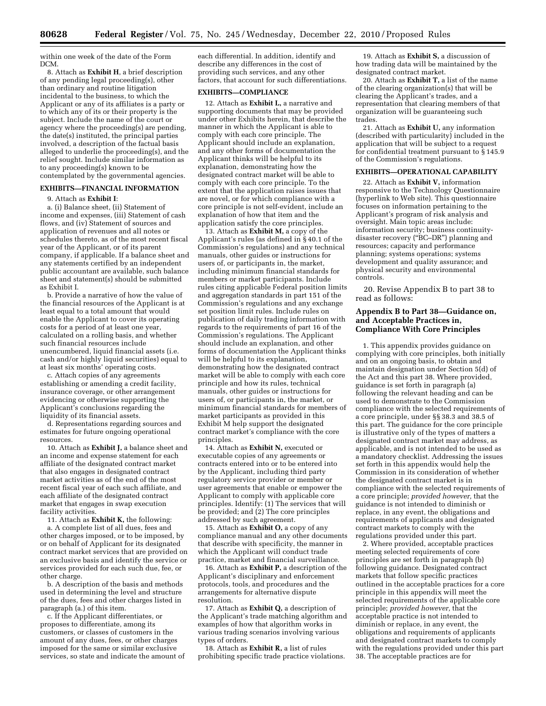within one week of the date of the Form DCM.

8. Attach as **Exhibit H**, a brief description of any pending legal proceeding(s), other than ordinary and routine litigation incidental to the business, to which the Applicant or any of its affiliates is a party or to which any of its or their property is the subject. Include the name of the court or agency where the proceeding(s) are pending, the date(s) instituted, the principal parties involved, a description of the factual basis alleged to underlie the proceeding(s), and the relief sought. Include similar information as to any proceeding(s) known to be contemplated by the governmental agencies.

#### **EXHIBITS—FINANCIAL INFORMATION**

9. Attach as **Exhibit I**:

a. (i) Balance sheet, (ii) Statement of income and expenses, (iii) Statement of cash flows, and (iv) Statement of sources and application of revenues and all notes or schedules thereto, as of the most recent fiscal year of the Applicant, or of its parent company, if applicable. If a balance sheet and any statements certified by an independent public accountant are available, such balance sheet and statement(s) should be submitted as Exhibit I.

b. Provide a narrative of how the value of the financial resources of the Applicant is at least equal to a total amount that would enable the Applicant to cover its operating costs for a period of at least one year, calculated on a rolling basis, and whether such financial resources include unencumbered, liquid financial assets (i.e. cash and/or highly liquid securities) equal to at least six months' operating costs.

c. Attach copies of any agreements establishing or amending a credit facility, insurance coverage, or other arrangement evidencing or otherwise supporting the Applicant's conclusions regarding the liquidity of its financial assets.

d. Representations regarding sources and estimates for future ongoing operational resources.

10. Attach as **Exhibit J,** a balance sheet and an income and expense statement for each affiliate of the designated contract market that also engages in designated contract market activities as of the end of the most recent fiscal year of each such affiliate, and each affiliate of the designated contract market that engages in swap execution facility activities.

11. Attach as **Exhibit K,** the following: a. A complete list of all dues, fees and other charges imposed, or to be imposed, by or on behalf of Applicant for its designated contract market services that are provided on an exclusive basis and identify the service or services provided for each such due, fee, or other charge.

b. A description of the basis and methods used in determining the level and structure of the dues, fees and other charges listed in paragraph (a.) of this item.

c. If the Applicant differentiates, or proposes to differentiate, among its customers, or classes of customers in the amount of any dues, fees, or other charges imposed for the same or similar exclusive services, so state and indicate the amount of each differential. In addition, identify and describe any differences in the cost of providing such services, and any other factors, that account for such differentiations.

## **EXHIBITS—COMPLIANCE**

12. Attach as **Exhibit L,** a narrative and supporting documents that may be provided under other Exhibits herein, that describe the manner in which the Applicant is able to comply with each core principle. The Applicant should include an explanation, and any other forms of documentation the Applicant thinks will be helpful to its explanation, demonstrating how the designated contract market will be able to comply with each core principle. To the extent that the application raises issues that are novel, or for which compliance with a core principle is not self-evident, include an explanation of how that item and the application satisfy the core principles.

13. Attach as **Exhibit M,** a copy of the Applicant's rules (as defined in § 40.1 of the Commission's regulations) and any technical manuals, other guides or instructions for users of, or participants in, the market, including minimum financial standards for members or market participants. Include rules citing applicable Federal position limits and aggregation standards in part 151 of the Commission's regulations and any exchange set position limit rules. Include rules on publication of daily trading information with regards to the requirements of part 16 of the Commission's regulations. The Applicant should include an explanation, and other forms of documentation the Applicant thinks will be helpful to its explanation, demonstrating how the designated contract market will be able to comply with each core principle and how its rules, technical manuals, other guides or instructions for users of, or participants in, the market, or minimum financial standards for members of market participants as provided in this Exhibit M help support the designated contract market's compliance with the core principles.

14. Attach as **Exhibit N,** executed or executable copies of any agreements or contracts entered into or to be entered into by the Applicant, including third party regulatory service provider or member or user agreements that enable or empower the Applicant to comply with applicable core principles. Identify: (1) The services that will be provided; and (2) The core principles addressed by such agreement.

15. Attach as **Exhibit O,** a copy of any compliance manual and any other documents that describe with specificity, the manner in which the Applicant will conduct trade practice, market and financial surveillance.

16. Attach as **Exhibit P,** a description of the Applicant's disciplinary and enforcement protocols, tools, and procedures and the arrangements for alternative dispute resolution.

17. Attach as **Exhibit Q,** a description of the Applicant's trade matching algorithm and examples of how that algorithm works in various trading scenarios involving various types of orders.

18. Attach as **Exhibit R,** a list of rules prohibiting specific trade practice violations.

19. Attach as **Exhibit S,** a discussion of how trading data will be maintained by the designated contract market.

20. Attach as **Exhibit T,** a list of the name of the clearing organization(s) that will be clearing the Applicant's trades, and a representation that clearing members of that organization will be guaranteeing such trades.

21. Attach as **Exhibit U,** any information (described with particularity) included in the application that will be subject to a request for confidential treatment pursuant to § 145.9 of the Commission's regulations.

#### **EXHIBITS—OPERATIONAL CAPABILITY**

22. Attach as **Exhibit V,** information responsive to the Technology Questionnaire (hyperlink to Web site). This questionnaire focuses on information pertaining to the Applicant's program of risk analysis and oversight. Main topic areas include: information security; business continuitydisaster recovery (''BC–DR'') planning and resources; capacity and performance planning; systems operations; systems development and quality assurance; and physical security and environmental controls.

20. Revise Appendix B to part 38 to read as follows:

## **Appendix B to Part 38—Guidance on, and Acceptable Practices in, Compliance With Core Principles**

1. This appendix provides guidance on complying with core principles, both initially and on an ongoing basis, to obtain and maintain designation under Section 5(d) of the Act and this part 38. Where provided, guidance is set forth in paragraph (a) following the relevant heading and can be used to demonstrate to the Commission compliance with the selected requirements of a core principle, under §§ 38.3 and 38.5 of this part. The guidance for the core principle is illustrative only of the types of matters a designated contract market may address, as applicable, and is not intended to be used as a mandatory checklist. Addressing the issues set forth in this appendix would help the Commission in its consideration of whether the designated contract market is in compliance with the selected requirements of a core principle; *provided however,* that the guidance is not intended to diminish or replace, in any event, the obligations and requirements of applicants and designated contract markets to comply with the regulations provided under this part.

2. Where provided, acceptable practices meeting selected requirements of core principles are set forth in paragraph (b) following guidance. Designated contract markets that follow specific practices outlined in the acceptable practices for a core principle in this appendix will meet the selected requirements of the applicable core principle; *provided however,* that the acceptable practice is not intended to diminish or replace, in any event, the obligations and requirements of applicants and designated contract markets to comply with the regulations provided under this part 38. The acceptable practices are for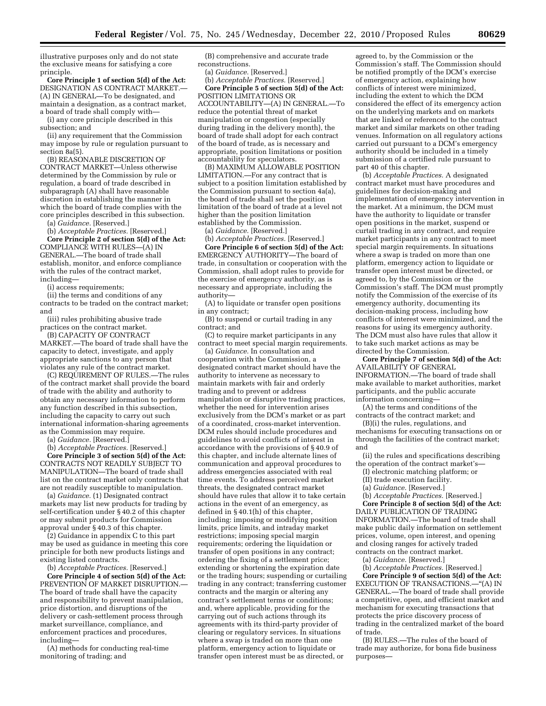illustrative purposes only and do not state the exclusive means for satisfying a core principle.

**Core Principle 1 of section 5(d) of the Act:**  DESIGNATION AS CONTRACT MARKET. (A) IN GENERAL—To be designated, and maintain a designation, as a contract market, a board of trade shall comply with—

(i) any core principle described in this subsection; and

(ii) any requirement that the Commission may impose by rule or regulation pursuant to section 8a(5).

(B) REASONABLE DISCRETION OF CONTRACT MARKET—Unless otherwise determined by the Commission by rule or regulation, a board of trade described in subparagraph (A) shall have reasonable discretion in establishing the manner in which the board of trade complies with the core principles described in this subsection.

(a) *Guidance.* [Reserved.]

(b) *Acceptable Practices.* [Reserved.] **Core Principle 2 of section 5(d) of the Act:**  COMPLIANCE WITH RULES—(A) IN GENERAL.—The board of trade shall establish, monitor, and enforce compliance with the rules of the contract market, including—

(i) access requirements;

(ii) the terms and conditions of any contracts to be traded on the contract market; and

(iii) rules prohibiting abusive trade practices on the contract market.

(B) CAPACITY OF CONTRACT MARKET.—The board of trade shall have the capacity to detect, investigate, and apply appropriate sanctions to any person that violates any rule of the contract market.

(C) REQUIREMENT OF RULES.—The rules of the contract market shall provide the board of trade with the ability and authority to obtain any necessary information to perform any function described in this subsection, including the capacity to carry out such international information-sharing agreements as the Commission may require.

(a) *Guidance.* [Reserved.]

(b) *Acceptable Practices.* [Reserved.] **Core Principle 3 of section 5(d) of the Act:**  CONTRACTS NOT READILY SUBJECT TO MANIPULATION—The board of trade shall list on the contract market only contracts that are not readily susceptible to manipulation.

(a) *Guidance.* (1) Designated contract markets may list new products for trading by self-certification under § 40.2 of this chapter or may submit products for Commission approval under § 40.3 of this chapter.

(2) Guidance in appendix C to this part may be used as guidance in meeting this core principle for both new products listings and existing listed contracts.

(b) *Acceptable Practices.* [Reserved.]

**Core Principle 4 of section 5(d) of the Act:**  PREVENTION OF MARKET DISRUPTION.— The board of trade shall have the capacity and responsibility to prevent manipulation, price distortion, and disruptions of the delivery or cash-settlement process through market surveillance, compliance, and enforcement practices and procedures, including—

(A) methods for conducting real-time monitoring of trading; and

(B) comprehensive and accurate trade reconstructions.

(a) *Guidance.* [Reserved.]

(b) *Acceptable Practices.* [Reserved.] **Core Principle 5 of section 5(d) of the Act:**  POSITION LIMITATIONS OR ACCOUNTABILITY—(A) IN GENERAL.—To reduce the potential threat of market manipulation or congestion (especially during trading in the delivery month), the board of trade shall adopt for each contract of the board of trade, as is necessary and appropriate, position limitations or position accountability for speculators.

(B) MAXIMUM ALLOWABLE POSITION LIMITATION.—For any contract that is subject to a position limitation established by the Commission pursuant to section 4a(a), the board of trade shall set the position limitation of the board of trade at a level not higher than the position limitation established by the Commission.

(a) *Guidance.* [Reserved.]

(b) *Acceptable Practices.* [Reserved.] **Core Principle 6 of section 5(d) of the Act:**  EMERGENCY AUTHORITY—The board of trade, in consultation or cooperation with the Commission, shall adopt rules to provide for the exercise of emergency authority, as is necessary and appropriate, including the authority—

(A) to liquidate or transfer open positions in any contract;

(B) to suspend or curtail trading in any contract; and

(C) to require market participants in any contract to meet special margin requirements.

(a) *Guidance.* In consultation and cooperation with the Commission, a designated contract market should have the authority to intervene as necessary to maintain markets with fair and orderly trading and to prevent or address manipulation or disruptive trading practices, whether the need for intervention arises exclusively from the DCM's market or as part of a coordinated, cross-market intervention. DCM rules should include procedures and guidelines to avoid conflicts of interest in accordance with the provisions of § 40.9 of this chapter, and include alternate lines of communication and approval procedures to address emergencies associated with real time events. To address perceived market threats, the designated contract market should have rules that allow it to take certain actions in the event of an emergency, as defined in § 40.1(h) of this chapter, including: imposing or modifying position limits, price limits, and intraday market restrictions; imposing special margin requirements; ordering the liquidation or transfer of open positions in any contract; ordering the fixing of a settlement price; extending or shortening the expiration date or the trading hours; suspending or curtailing trading in any contract; transferring customer contracts and the margin or altering any contract's settlement terms or conditions; and, where applicable, providing for the carrying out of such actions through its agreements with its third-party provider of clearing or regulatory services. In situations where a swap is traded on more than one platform, emergency action to liquidate or transfer open interest must be as directed, or

agreed to, by the Commission or the Commission's staff. The Commission should be notified promptly of the DCM's exercise of emergency action, explaining how conflicts of interest were minimized, including the extent to which the DCM considered the effect of its emergency action on the underlying markets and on markets that are linked or referenced to the contract market and similar markets on other trading venues. Information on all regulatory actions carried out pursuant to a DCM's emergency authority should be included in a timely submission of a certified rule pursuant to part 40 of this chapter.

(b) *Acceptable Practices.* A designated contract market must have procedures and guidelines for decision-making and implementation of emergency intervention in the market. At a minimum, the DCM must have the authority to liquidate or transfer open positions in the market, suspend or curtail trading in any contract, and require market participants in any contract to meet special margin requirements. In situations where a swap is traded on more than one platform, emergency action to liquidate or transfer open interest must be directed, or agreed to, by the Commission or the Commission's staff. The DCM must promptly notify the Commission of the exercise of its emergency authority, documenting its decision-making process, including how conflicts of interest were minimized, and the reasons for using its emergency authority. The DCM must also have rules that allow it to take such market actions as may be directed by the Commission.

**Core Principle 7 of section 5(d) of the Act:**  AVAILABILITY OF GENERAL INFORMATION.—The board of trade shall make available to market authorities, market participants, and the public accurate information concerning—

(A) the terms and conditions of the contracts of the contract market; and

(B)(i) the rules, regulations, and mechanisms for executing transactions on or through the facilities of the contract market; and

(ii) the rules and specifications describing the operation of the contract market's—

(I) electronic matching platform; or

- (II) trade execution facility.
- (a) *Guidance.* [Reserved.]

(b) *Acceptable Practices.* [Reserved.]

**Core Principle 8 of section 5(d) of the Act:**  DAILY PUBLICATION OF TRADING INFORMATION.—The board of trade shall make public daily information on settlement prices, volume, open interest, and opening and closing ranges for actively traded contracts on the contract market.

(a) *Guidance.* [Reserved.]

(b) *Acceptable Practices.* [Reserved.]

**Core Principle 9 of section 5(d) of the Act:**  EXECUTION OF TRANSACTIONS.—''(A) IN GENERAL.—The board of trade shall provide a competitive, open, and efficient market and mechanism for executing transactions that protects the price discovery process of trading in the centralized market of the board of trade.

(B) RULES.—The rules of the board of trade may authorize, for bona fide business purposes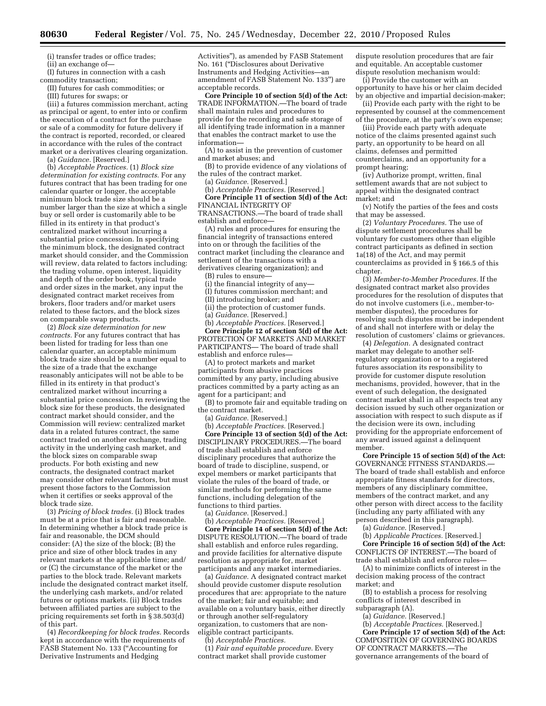(i) transfer trades or office trades;

(ii) an exchange of—

(I) futures in connection with a cash commodity transaction;

(II) futures for cash commodities; or

(III) futures for swaps; or

(iii) a futures commission merchant, acting as principal or agent, to enter into or confirm the execution of a contract for the purchase or sale of a commodity for future delivery if the contract is reported, recorded, or cleared in accordance with the rules of the contract market or a derivatives clearing organization.

(a) *Guidance.* [Reserved.]

(b) *Acceptable Practices.* (1) *Block size determination for existing contracts.* For any futures contract that has been trading for one calendar quarter or longer, the acceptable minimum block trade size should be a number larger than the size at which a single buy or sell order is customarily able to be filled in its entirety in that product's centralized market without incurring a substantial price concession. In specifying the minimum block, the designated contract market should consider, and the Commission will review, data related to factors including: the trading volume, open interest, liquidity and depth of the order book, typical trade and order sizes in the market, any input the designated contract market receives from brokers, floor traders and/or market users related to these factors, and the block sizes on comparable swap products.

(2) *Block size determination for new contracts.* For any futures contract that has been listed for trading for less than one calendar quarter, an acceptable minimum block trade size should be a number equal to the size of a trade that the exchange reasonably anticipates will not be able to be filled in its entirety in that product's centralized market without incurring a substantial price concession. In reviewing the block size for these products, the designated contract market should consider, and the Commission will review: centralized market data in a related futures contract, the same contract traded on another exchange, trading activity in the underlying cash market, and the block sizes on comparable swap products. For both existing and new contracts, the designated contract market may consider other relevant factors, but must present those factors to the Commission when it certifies or seeks approval of the block trade size.

(3) *Pricing of block trades.* (i) Block trades must be at a price that is fair and reasonable. In determining whether a block trade price is fair and reasonable, the DCM should consider: (A) the size of the block; (B) the price and size of other block trades in any relevant markets at the applicable time; and/ or (C) the circumstance of the market or the parties to the block trade. Relevant markets include the designated contract market itself, the underlying cash markets, and/or related futures or options markets. (ii) Block trades between affiliated parties are subject to the pricing requirements set forth in § 38.503(d) of this part.

(4) *Recordkeeping for block trades.* Records kept in accordance with the requirements of FASB Statement No. 133 (''Accounting for Derivative Instruments and Hedging

Activities''), as amended by FASB Statement No. 161 (''Disclosures about Derivative Instruments and Hedging Activities—an amendment of FASB Statement No. 133'') are acceptable records.

**Core Principle 10 of section 5(d) of the Act:**  TRADE INFORMATION.—The board of trade shall maintain rules and procedures to provide for the recording and safe storage of all identifying trade information in a manner that enables the contract market to use the information—

(A) to assist in the prevention of customer and market abuses; and

(B) to provide evidence of any violations of the rules of the contract market.

(a) *Guidance.* [Reserved.]

(b) *Acceptable Practices.* [Reserved.] **Core Principle 11 of section 5(d) of the Act:**  FINANCIAL INTEGRITY OF TRANSACTIONS.—The board of trade shall establish and enforce—

(A) rules and procedures for ensuring the financial integrity of transactions entered into on or through the facilities of the contract market (including the clearance and settlement of the transactions with a derivatives clearing organization); and

(B) rules to ensure—

(i) the financial integrity of any—

(I) futures commission merchant; and

(II) introducing broker; and

(ii) the protection of customer funds.

(a) *Guidance.* [Reserved.]

(b) *Acceptable Practices.* [Reserved.]

**Core Principle 12 of section 5(d) of the Act:**  PROTECTION OF MARKETS AND MARKET PARTICIPANTS— The board of trade shall establish and enforce rules—

(A) to protect markets and market participants from abusive practices committed by any party, including abusive practices committed by a party acting as an agent for a participant; and

(B) to promote fair and equitable trading on the contract market.

(a) *Guidance.* [Reserved.]

(b) *Acceptable Practices.* [Reserved.] **Core Principle 13 of section 5(d) of the Act:**  DISCIPLINARY PROCEDURES.—The board of trade shall establish and enforce disciplinary procedures that authorize the board of trade to discipline, suspend, or expel members or market participants that violate the rules of the board of trade, or similar methods for performing the same functions, including delegation of the functions to third parties.

(a) *Guidance.* [Reserved.]

(b) *Acceptable Practices.* [Reserved.] **Core Principle 14 of section 5(d) of the Act:**  DISPUTE RESOLUTION.—The board of trade shall establish and enforce rules regarding, and provide facilities for alternative dispute resolution as appropriate for, market participants and any market intermediaries.

(a) *Guidance.* A designated contract market should provide customer dispute resolution procedures that are: appropriate to the nature of the market; fair and equitable; and available on a voluntary basis, either directly or through another self-regulatory organization, to customers that are noneligible contract participants.

(b) *Acceptable Practices.* 

(1) *Fair and equitable procedure.* Every contract market shall provide customer

dispute resolution procedures that are fair and equitable. An acceptable customer dispute resolution mechanism would:

(i) Provide the customer with an opportunity to have his or her claim decided by an objective and impartial decision-maker;

(ii) Provide each party with the right to be represented by counsel at the commencement of the procedure, at the party's own expense;

(iii) Provide each party with adequate notice of the claims presented against such party, an opportunity to be heard on all claims, defenses and permitted counterclaims, and an opportunity for a prompt hearing;

(iv) Authorize prompt, written, final settlement awards that are not subject to appeal within the designated contract market; and

(v) Notify the parties of the fees and costs that may be assessed.

(2) *Voluntary Procedures.* The use of dispute settlement procedures shall be voluntary for customers other than eligible contract participants as defined in section 1a(18) of the Act, and may permit counterclaims as provided in § 166.5 of this chapter.

(3) *Member-to-Member Procedures.* If the designated contract market also provides procedures for the resolution of disputes that do not involve customers (i.e., member-tomember disputes), the procedures for resolving such disputes must be independent of and shall not interfere with or delay the resolution of customers' claims or grievances.

(4) *Delegation.* A designated contract market may delegate to another selfregulatory organization or to a registered futures association its responsibility to provide for customer dispute resolution mechanisms, provided, however, that in the event of such delegation, the designated contract market shall in all respects treat any decision issued by such other organization or association with respect to such dispute as if the decision were its own, including providing for the appropriate enforcement of any award issued against a delinquent member.

**Core Principle 15 of section 5(d) of the Act:**  GOVERNANCE FITNESS STANDARDS.— The board of trade shall establish and enforce appropriate fitness standards for directors, members of any disciplinary committee, members of the contract market, and any other person with direct access to the facility (including any party affiliated with any person described in this paragraph).

(a) *Guidance.* [Reserved.]

(b) *Applicable Practices.* [Reserved.] **Core Principle 16 of section 5(d) of the Act:** 

CONFLICTS OF INTEREST.—The board of trade shall establish and enforce rules— (A) to minimize conflicts of interest in the decision making process of the contract

market; and (B) to establish a process for resolving

conflicts of interest described in subparagraph (A).

(a) *Guidance.* [Reserved.]

(b) *Acceptable Practices.* [Reserved.] **Core Principle 17 of section 5(d) of the Act:**  COMPOSITION OF GOVERNING BOARDS OF CONTRACT MARKETS.—The governance arrangements of the board of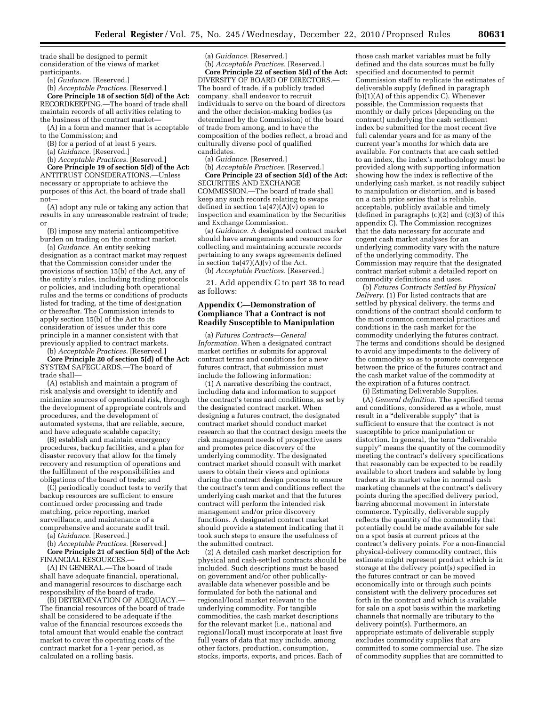trade shall be designed to permit consideration of the views of market participants.

(a) *Guidance.* [Reserved.]

(b) *Acceptable Practices.* [Reserved.] **Core Principle 18 of section 5(d) of the Act:** 

RECORDKEEPING.—The board of trade shall maintain records of all activities relating to the business of the contract market—

(A) in a form and manner that is acceptable to the Commission; and

(B) for a period of at least 5 years.

(a) *Guidance.* [Reserved.]

(b) *Acceptable Practices.* [Reserved.]

**Core Principle 19 of section 5(d) of the Act:**  ANTITRUST CONSIDERATIONS.—Unless necessary or appropriate to achieve the purposes of this Act, the board of trade shall not—

(A) adopt any rule or taking any action that results in any unreasonable restraint of trade; or

(B) impose any material anticompetitive burden on trading on the contract market.

(a) *Guidance.* An entity seeking designation as a contract market may request that the Commission consider under the provisions of section 15(b) of the Act, any of the entity's rules, including trading protocols or policies, and including both operational rules and the terms or conditions of products listed for trading, at the time of designation or thereafter. The Commission intends to apply section 15(b) of the Act to its consideration of issues under this core principle in a manner consistent with that previously applied to contract markets. (b) *Acceptable Practices.* [Reserved.]

**Core Principle 20 of section 5(d) of the Act:**  SYSTEM SAFEGUARDS.—The board of trade shall—

(A) establish and maintain a program of risk analysis and oversight to identify and minimize sources of operational risk, through the development of appropriate controls and procedures, and the development of automated systems, that are reliable, secure, and have adequate scalable capacity;

(B) establish and maintain emergency procedures, backup facilities, and a plan for disaster recovery that allow for the timely recovery and resumption of operations and the fulfillment of the responsibilities and obligations of the board of trade; and

(C) periodically conduct tests to verify that backup resources are sufficient to ensure continued order processing and trade matching, price reporting, market surveillance, and maintenance of a comprehensive and accurate audit trail.

(a) *Guidance.* [Reserved.]

(b) *Acceptable Practices.* [Reserved.] **Core Principle 21 of section 5(d) of the Act:**  FINANCIAL RESOURCES.—

(A) IN GENERAL.—The board of trade shall have adequate financial, operational, and managerial resources to discharge each responsibility of the board of trade.

(B) DETERMINATION OF ADEQUACY.— The financial resources of the board of trade shall be considered to be adequate if the value of the financial resources exceeds the total amount that would enable the contract market to cover the operating costs of the contract market for a 1-year period, as calculated on a rolling basis.

(a) *Guidance.* [Reserved.] (b) *Acceptable Practices.* [Reserved.]

**Core Principle 22 of section 5(d) of the Act:**  DIVERSITY OF BOARD OF DIRECTORS.— The board of trade, if a publicly traded company, shall endeavor to recruit individuals to serve on the board of directors and the other decision-making bodies (as determined by the Commission) of the board of trade from among, and to have the composition of the bodies reflect, a broad and culturally diverse pool of qualified candidates.

(a) *Guidance.* [Reserved.]

(b) *Acceptable Practices.* [Reserved.] **Core Principle 23 of section 5(d) of the Act:**  SECURITIES AND EXCHANGE COMMISSION.—The board of trade shall keep any such records relating to swaps defined in section  $1a(47)(A)(v)$  open to inspection and examination by the Securities and Exchange Commission.

(a) *Guidance.* A designated contract market should have arrangements and resources for collecting and maintaining accurate records pertaining to any swaps agreements defined in section  $1a(47)(A)(v)$  of the Act.

(b) *Acceptable Practices.* [Reserved.]

21. Add appendix C to part 38 to read as follows:

## **Appendix C—Demonstration of Compliance That a Contract is not Readily Susceptible to Manipulation**

(a) *Futures Contracts*—*General Information.* When a designated contract market certifies or submits for approval contract terms and conditions for a new futures contract, that submission must include the following information:

(1) A narrative describing the contract, including data and information to support the contract's terms and conditions, as set by the designated contract market. When designing a futures contract, the designated contract market should conduct market research so that the contract design meets the risk management needs of prospective users and promotes price discovery of the underlying commodity. The designated contract market should consult with market users to obtain their views and opinions during the contract design process to ensure the contract's term and conditions reflect the underlying cash market and that the futures contract will perform the intended risk management and/or price discovery functions. A designated contract market should provide a statement indicating that it took such steps to ensure the usefulness of the submitted contract.

(2) A detailed cash market description for physical and cash-settled contracts should be included. Such descriptions must be based on government and/or other publicallyavailable data whenever possible and be formulated for both the national and regional/local market relevant to the underlying commodity. For tangible commodities, the cash market descriptions for the relevant market (i.e., national and regional/local) must incorporate at least five full years of data that may include, among other factors, production, consumption, stocks, imports, exports, and prices. Each of

those cash market variables must be fully defined and the data sources must be fully specified and documented to permit Commission staff to replicate the estimates of deliverable supply (defined in paragraph (b)(1)(A) of this appendix C). Whenever possible, the Commission requests that monthly or daily prices (depending on the contract) underlying the cash settlement index be submitted for the most recent five full calendar years and for as many of the current year's months for which data are available. For contracts that are cash settled to an index, the index's methodology must be provided along with supporting information showing how the index is reflective of the underlying cash market, is not readily subject to manipulation or distortion, and is based on a cash price series that is reliable, acceptable, publicly available and timely (defined in paragraphs (c)(2) and (c)(3) of this appendix C). The Commission recognizes that the data necessary for accurate and cogent cash market analyses for an underlying commodity vary with the nature of the underlying commodity. The Commission may require that the designated contract market submit a detailed report on commodity definitions and uses.

(b) *Futures Contracts Settled by Physical Delivery.* (1) For listed contracts that are settled by physical delivery, the terms and conditions of the contract should conform to the most common commercial practices and conditions in the cash market for the commodity underlying the futures contract. The terms and conditions should be designed to avoid any impediments to the delivery of the commodity so as to promote convergence between the price of the futures contract and the cash market value of the commodity at the expiration of a futures contract.

(i) Estimating Deliverable Supplies. (A) *General definition.* The specified terms and conditions, considered as a whole, must result in a "deliverable supply" that is sufficient to ensure that the contract is not susceptible to price manipulation or distortion. In general, the term ''deliverable supply'' means the quantity of the commodity meeting the contract's delivery specifications that reasonably can be expected to be readily available to short traders and salable by long traders at its market value in normal cash marketing channels at the contract's delivery points during the specified delivery period, barring abnormal movement in interstate commerce. Typically, deliverable supply reflects the quantity of the commodity that potentially could be made available for sale on a spot basis at current prices at the contract's delivery points. For a non-financial physical-delivery commodity contract, this estimate might represent product which is in storage at the delivery point(s) specified in the futures contract or can be moved economically into or through such points consistent with the delivery procedures set forth in the contract and which is available for sale on a spot basis within the marketing channels that normally are tributary to the delivery point(s). Furthermore, an appropriate estimate of deliverable supply excludes commodity supplies that are committed to some commercial use. The size of commodity supplies that are committed to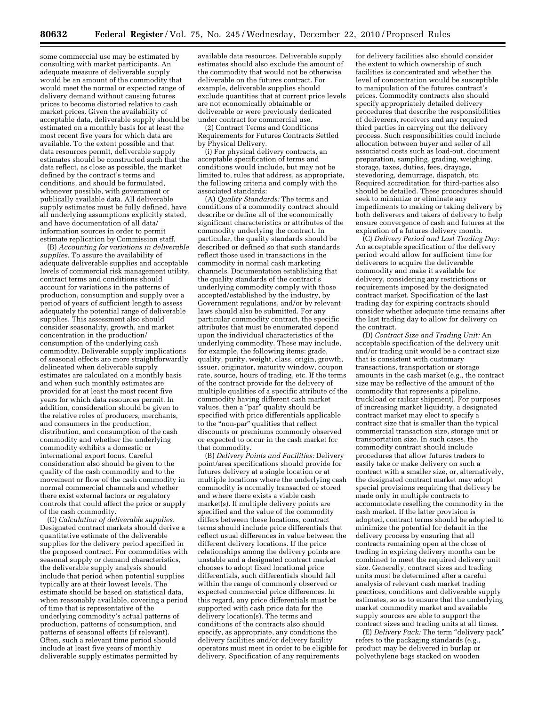some commercial use may be estimated by consulting with market participants. An adequate measure of deliverable supply would be an amount of the commodity that would meet the normal or expected range of delivery demand without causing futures prices to become distorted relative to cash market prices. Given the availability of acceptable data, deliverable supply should be estimated on a monthly basis for at least the most recent five years for which data are available. To the extent possible and that data resources permit, deliverable supply estimates should be constructed such that the data reflect, as close as possible, the market defined by the contract's terms and conditions, and should be formulated, whenever possible, with government or publically available data. All deliverable supply estimates must be fully defined, have all underlying assumptions explicitly stated, and have documentation of all data/ information sources in order to permit estimate replication by Commission staff.

(B) *Accounting for variations in deliverable supplies.* To assure the availability of adequate deliverable supplies and acceptable levels of commercial risk management utility, contract terms and conditions should account for variations in the patterns of production, consumption and supply over a period of years of sufficient length to assess adequately the potential range of deliverable supplies. This assessment also should consider seasonality, growth, and market concentration in the production/ consumption of the underlying cash commodity. Deliverable supply implications of seasonal effects are more straightforwardly delineated when deliverable supply estimates are calculated on a monthly basis and when such monthly estimates are provided for at least the most recent five years for which data resources permit. In addition, consideration should be given to the relative roles of producers, merchants, and consumers in the production, distribution, and consumption of the cash commodity and whether the underlying commodity exhibits a domestic or international export focus. Careful consideration also should be given to the quality of the cash commodity and to the movement or flow of the cash commodity in normal commercial channels and whether there exist external factors or regulatory controls that could affect the price or supply of the cash commodity.

(C) *Calculation of deliverable supplies.*  Designated contract markets should derive a quantitative estimate of the deliverable supplies for the delivery period specified in the proposed contract. For commodities with seasonal supply or demand characteristics, the deliverable supply analysis should include that period when potential supplies typically are at their lowest levels. The estimate should be based on statistical data, when reasonably available, covering a period of time that is representative of the underlying commodity's actual patterns of production, patterns of consumption, and patterns of seasonal effects (if relevant). Often, such a relevant time period should include at least five years of monthly deliverable supply estimates permitted by

available data resources. Deliverable supply estimates should also exclude the amount of the commodity that would not be otherwise deliverable on the futures contract. For example, deliverable supplies should exclude quantities that at current price levels are not economically obtainable or deliverable or were previously dedicated under contract for commercial use.

(2) Contract Terms and Conditions Requirements for Futures Contracts Settled by Physical Delivery.

(i) For physical delivery contracts, an acceptable specification of terms and conditions would include, but may not be limited to, rules that address, as appropriate, the following criteria and comply with the associated standards:

(A) *Quality Standards:* The terms and conditions of a commodity contract should describe or define all of the economically significant characteristics or attributes of the commodity underlying the contract. In particular, the quality standards should be described or defined so that such standards reflect those used in transactions in the commodity in normal cash marketing channels. Documentation establishing that the quality standards of the contract's underlying commodity comply with those accepted/established by the industry, by Government regulations, and/or by relevant laws should also be submitted. For any particular commodity contract, the specific attributes that must be enumerated depend upon the individual characteristics of the underlying commodity. These may include, for example, the following items: grade, quality, purity, weight, class, origin, growth, issuer, originator, maturity window, coupon rate, source, hours of trading, etc. If the terms of the contract provide for the delivery of multiple qualities of a specific attribute of the commodity having different cash market values, then a "par" quality should be specified with price differentials applicable to the ''non-par'' qualities that reflect discounts or premiums commonly observed or expected to occur in the cash market for that commodity.

(B) *Delivery Points and Facilities:* Delivery point/area specifications should provide for futures delivery at a single location or at multiple locations where the underlying cash commodity is normally transacted or stored and where there exists a viable cash market(s). If multiple delivery points are specified and the value of the commodity differs between these locations, contract terms should include price differentials that reflect usual differences in value between the different delivery locations. If the price relationships among the delivery points are unstable and a designated contract market chooses to adopt fixed locational price differentials, such differentials should fall within the range of commonly observed or expected commercial price differences. In this regard, any price differentials must be supported with cash price data for the delivery location(s). The terms and conditions of the contracts also should specify, as appropriate, any conditions the delivery facilities and/or delivery facility operators must meet in order to be eligible for delivery. Specification of any requirements

for delivery facilities also should consider the extent to which ownership of such facilities is concentrated and whether the level of concentration would be susceptible to manipulation of the futures contract's prices. Commodity contracts also should specify appropriately detailed delivery procedures that describe the responsibilities of deliverers, receivers and any required third parties in carrying out the delivery process. Such responsibilities could include allocation between buyer and seller of all associated costs such as load-out, document preparation, sampling, grading, weighing, storage, taxes, duties, fees, drayage, stevedoring, demurrage, dispatch, etc. Required accreditation for third-parties also should be detailed. These procedures should seek to minimize or eliminate any impediments to making or taking delivery by both deliverers and takers of delivery to help ensure convergence of cash and futures at the expiration of a futures delivery month.

(C) *Delivery Period and Last Trading Day:*  An acceptable specification of the delivery period would allow for sufficient time for deliverers to acquire the deliverable commodity and make it available for delivery, considering any restrictions or requirements imposed by the designated contract market. Specification of the last trading day for expiring contracts should consider whether adequate time remains after the last trading day to allow for delivery on the contract.

(D) *Contract Size and Trading Unit:* An acceptable specification of the delivery unit and/or trading unit would be a contract size that is consistent with customary transactions, transportation or storage amounts in the cash market (e.g., the contract size may be reflective of the amount of the commodity that represents a pipeline, truckload or railcar shipment). For purposes of increasing market liquidity, a designated contract market may elect to specify a contract size that is smaller than the typical commercial transaction size, storage unit or transportation size. In such cases, the commodity contract should include procedures that allow futures traders to easily take or make delivery on such a contract with a smaller size, or, alternatively, the designated contract market may adopt special provisions requiring that delivery be made only in multiple contracts to accommodate reselling the commodity in the cash market. If the latter provision is adopted, contract terms should be adopted to minimize the potential for default in the delivery process by ensuring that all contracts remaining open at the close of trading in expiring delivery months can be combined to meet the required delivery unit size. Generally, contract sizes and trading units must be determined after a careful analysis of relevant cash market trading practices, conditions and deliverable supply estimates, so as to ensure that the underlying market commodity market and available supply sources are able to support the contract sizes and trading units at all times.

(E) *Delivery Pack:* The term ''delivery pack'' refers to the packaging standards (e.g., product may be delivered in burlap or polyethylene bags stacked on wooden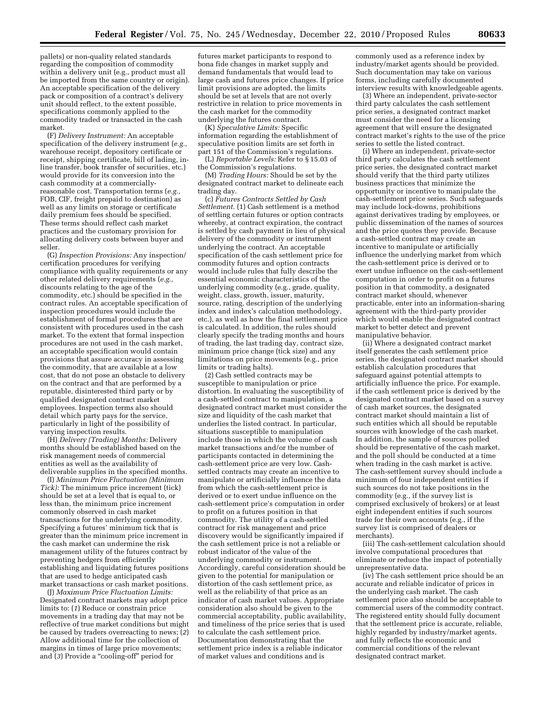pallets) or non-quality related standards regarding the composition of commodity within a delivery unit (e.g., product must all be imported from the same country or origin). An acceptable specification of the delivery pack or composition of a contract's delivery unit should reflect, to the extent possible, specifications commonly applied to the commodity traded or transacted in the cash market.

(F) *Delivery Instrument:* An acceptable specification of the delivery instrument (*e.g.,*  warehouse receipt, depository certificate or receipt, shipping certificate, bill of lading, inline transfer, book transfer of securities, etc.) would provide for its conversion into the cash commodity at a commerciallyreasonable cost. Transportation terms (*e.g.,*  FOB, CIF, freight prepaid to destination) as well as any limits on storage or certificate daily premium fees should be specified. These terms should reflect cash market practices and the customary provision for allocating delivery costs between buyer and seller.

(G) *Inspection Provisions:* Any inspection/ certification procedures for verifying compliance with quality requirements or any other related delivery requirements (*e.g.,*  discounts relating to the age of the commodity, etc.) should be specified in the contract rules. An acceptable specification of inspection procedures would include the establishment of formal procedures that are consistent with procedures used in the cash market. To the extent that formal inspection procedures are not used in the cash market, an acceptable specification would contain provisions that assure accuracy in assessing the commodity, that are available at a low cost, that do not pose an obstacle to delivery on the contract and that are performed by a reputable, disinterested third party or by qualified designated contract market employees. Inspection terms also should detail which party pays for the service, particularly in light of the possibility of varying inspection results.

(H) *Delivery (Trading) Months:* Delivery months should be established based on the risk management needs of commercial entities as well as the availability of deliverable supplies in the specified months.

(I) *Minimum Price Fluctuation (Minimum Tick):* The minimum price increment (tick) should be set at a level that is equal to, or less than, the minimum price increment commonly observed in cash market transactions for the underlying commodity. Specifying a futures' minimum tick that is greater than the minimum price increment in the cash market can undermine the risk management utility of the futures contract by preventing hedgers from efficiently establishing and liquidating futures positions that are used to hedge anticipated cash market transactions or cash market positions.

(J) *Maximum Price Fluctuation Limits:*  Designated contract markets may adopt price limits to: (*1*) Reduce or constrain price movements in a trading day that may not be reflective of true market conditions but might be caused by traders overreacting to news; (*2*) Allow additional time for the collection of margins in times of large price movements; and (*3*) Provide a ''cooling-off'' period for

futures market participants to respond to bona fide changes in market supply and demand fundamentals that would lead to large cash and futures price changes. If price limit provisions are adopted, the limits should be set at levels that are not overly restrictive in relation to price movements in the cash market for the commodity underlying the futures contract.

(K) *Speculative Limits:* Specific information regarding the establishment of speculative position limits are set forth in part 151 of the Commission's regulations.

(L) *Reportable Levels:* Refer to § 15.03 of the Commission's regulations.

(M) *Trading Hours:* Should be set by the designated contract market to delineate each trading day.

(c) *Futures Contracts Settled by Cash Settlement.* (1) Cash settlement is a method of settling certain futures or option contracts whereby, at contract expiration, the contract is settled by cash payment in lieu of physical delivery of the commodity or instrument underlying the contract. An acceptable specification of the cash settlement price for commodity futures and option contracts would include rules that fully describe the essential economic characteristics of the underlying commodity (e.g., grade, quality, weight, class, growth, issuer, maturity, source, rating, description of the underlying index and index's calculation methodology, etc.), as well as how the final settlement price is calculated. In addition, the rules should clearly specify the trading months and hours of trading, the last trading day, contract size, minimum price change (tick size) and any limitations on price movements (e.g., price limits or trading halts).

(2) Cash settled contracts may be susceptible to manipulation or price distortion. In evaluating the susceptibility of a cash-settled contract to manipulation, a designated contract market must consider the size and liquidity of the cash market that underlies the listed contract. In particular, situations susceptible to manipulation include those in which the volume of cash market transactions and/or the number of participants contacted in determining the cash-settlement price are very low. Cashsettled contracts may create an incentive to manipulate or artificially influence the data from which the cash-settlement price is derived or to exert undue influence on the cash-settlement price's computation in order to profit on a futures position in that commodity. The utility of a cash-settled contract for risk management and price discovery would be significantly impaired if the cash settlement price is not a reliable or robust indicator of the value of the underlying commodity or instrument. Accordingly, careful consideration should be given to the potential for manipulation or distortion of the cash settlement price, as well as the reliability of that price as an indicator of cash market values. Appropriate consideration also should be given to the commercial acceptability, public availability, and timeliness of the price series that is used to calculate the cash settlement price. Documentation demonstrating that the settlement price index is a reliable indicator of market values and conditions and is

commonly used as a reference index by industry/market agents should be provided. Such documentation may take on various forms, including carefully documented interview results with knowledgeable agents.

(3) Where an independent, private-sector third party calculates the cash settlement price series, a designated contract market must consider the need for a licensing agreement that will ensure the designated contract market's rights to the use of the price series to settle the listed contract.

(i) Where an independent, private-sector third party calculates the cash settlement price series, the designated contract market should verify that the third party utilizes business practices that minimize the opportunity or incentive to manipulate the cash-settlement price series. Such safeguards may include lock-downs, prohibitions against derivatives trading by employees, or public dissemination of the names of sources and the price quotes they provide. Because a cash-settled contract may create an incentive to manipulate or artificially influence the underlying market from which the cash-settlement price is derived or to exert undue influence on the cash-settlement computation in order to profit on a futures position in that commodity, a designated contract market should, whenever practicable, enter into an information-sharing agreement with the third-party provider which would enable the designated contract market to better detect and prevent manipulative behavior.

(ii) Where a designated contract market itself generates the cash settlement price series, the designated contract market should establish calculation procedures that safeguard against potential attempts to artificially influence the price. For example, if the cash settlement price is derived by the designated contract market based on a survey of cash market sources, the designated contract market should maintain a list of such entities which all should be reputable sources with knowledge of the cash market. In addition, the sample of sources polled should be representative of the cash market, and the poll should be conducted at a time when trading in the cash market is active. The cash-settlement survey should include a minimum of four independent entities if such sources do not take positions in the commodity (e.g., if the survey list is comprised exclusively of brokers) or at least eight independent entities if such sources trade for their own accounts (e.g., if the survey list is comprised of dealers or merchants).

(iii) The cash-settlement calculation should involve computational procedures that eliminate or reduce the impact of potentially unrepresentative data.

(iv) The cash settlement price should be an accurate and reliable indicator of prices in the underlying cash market. The cash settlement price also should be acceptable to commercial users of the commodity contract. The registered entity should fully document that the settlement price is accurate, reliable, highly regarded by industry/market agents, and fully reflects the economic and commercial conditions of the relevant designated contract market.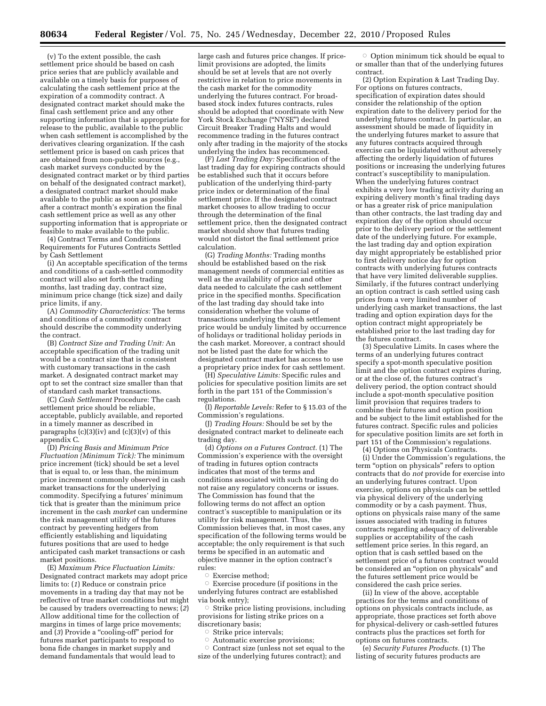(v) To the extent possible, the cash settlement price should be based on cash price series that are publicly available and available on a timely basis for purposes of calculating the cash settlement price at the expiration of a commodity contract. A designated contract market should make the final cash settlement price and any other supporting information that is appropriate for release to the public, available to the public when cash settlement is accomplished by the derivatives clearing organization. If the cash settlement price is based on cash prices that are obtained from non-public sources (e.g., cash market surveys conducted by the designated contract market or by third parties on behalf of the designated contract market), a designated contract market should make available to the public as soon as possible after a contract month's expiration the final cash settlement price as well as any other supporting information that is appropriate or feasible to make available to the public.

(4) Contract Terms and Conditions Requirements for Futures Contracts Settled by Cash Settlement

(i) An acceptable specification of the terms and conditions of a cash-settled commodity contract will also set forth the trading months, last trading day, contract size, minimum price change (tick size) and daily price limits, if any.

(A) *Commodity Characteristics:* The terms and conditions of a commodity contract should describe the commodity underlying the contract.

(B) *Contract Size and Trading Unit:* An acceptable specification of the trading unit would be a contract size that is consistent with customary transactions in the cash market. A designated contract market may opt to set the contract size smaller than that of standard cash market transactions.

(C) *Cash Settlement* Procedure: The cash settlement price should be reliable, acceptable, publicly available, and reported in a timely manner as described in paragraphs  $(c)(3)(iv)$  and  $(c)(3)(v)$  of this appendix C.

(D) *Pricing Basis and Minimum Price Fluctuation (Minimum Tick):* The minimum price increment (tick) should be set a level that is equal to, or less than, the minimum price increment commonly observed in cash market transactions for the underlying commodity. Specifying a futures' minimum tick that is greater than the minimum price increment in the cash *market* can undermine the risk management utility of the futures contract by preventing hedgers from efficiently establishing and liquidating futures positions that are used to hedge anticipated cash market transactions or cash market positions.

(E) *Maximum Price Fluctuation Limits:*  Designated contract markets may adopt price limits to: (*1*) Reduce or constrain price movements in a trading day that may not be reflective of true market conditions but might be caused by traders overreacting to news; (*2*) Allow additional time for the collection of margins in times of large price movements; and (*3*) Provide a ''cooling-off'' period for futures market participants to respond to bona fide changes in market supply and demand fundamentals that would lead to

large cash and futures price changes. If pricelimit provisions are adopted, the limits should be set at levels that are not overly restrictive in relation to price movements in the cash market for the commodity underlying the futures contract. For broadbased stock index futures contracts, rules should be adopted that coordinate with New York Stock Exchange ("NYSE") declared Circuit Breaker Trading Halts and would recommence trading in the futures contract only after trading in the majority of the stocks underlying the index has recommenced.

(F) *Last Trading Day:* Specification of the last trading day for expiring contracts should be established such that it occurs before publication of the underlying third-party price index or determination of the final settlement price. If the designated contract market chooses to allow trading to occur through the determination of the final settlement price, then the designated contract market should show that futures trading would not distort the final settlement price calculation.

(G) *Trading Months:* Trading months should be established based on the risk management needs of commercial entities as well as the availability of price and other data needed to calculate the cash settlement price in the specified months. Specification of the last trading day should take into consideration whether the volume of transactions underlying the cash settlement price would be unduly limited by occurrence of holidays or traditional holiday periods in the cash market. Moreover, a contract should not be listed past the date for which the designated contract market has access to use a proprietary price index for cash settlement.

(H) *Speculative Limits:* Specific rules and policies for speculative position limits are set forth in the part 151 of the Commission's regulations.

(I) *Reportable Levels:* Refer to § 15.03 of the Commission's regulations.

(J) *Trading Hours:* Should be set by the designated contract market to delineate each trading day.

(d) *Options on a Futures Contract.* (1) The Commission's experience with the oversight of trading in futures option contracts indicates that most of the terms and conditions associated with such trading do not raise any regulatory concerns or issues. The Commission has found that the following terms do not affect an option contract's susceptible to manipulation or its utility for risk management. Thus, the Commission believes that, in most cases, any specification of the following terms would be acceptable; the only requirement is that such terms be specified in an automatic and objective manner in the option contract's rules:

 $\circ$  Exercise method;

Æ Exercise procedure (if positions in the underlying futures contract are established via book entry);

 $\circ$  Strike price listing provisions, including provisions for listing strike prices on a discretionary basis;

- $\circ$  Strike price intervals;
- $\bigcirc$ Automatic exercise provisions;

 $\circ$  Contract size (unless not set equal to the size of the underlying futures contract); and

Option minimum tick should be equal to or smaller than that of the underlying futures contract.

(2) Option Expiration & Last Trading Day. For options on futures contracts, specification of expiration dates should consider the relationship of the option expiration date to the delivery period for the underlying futures contract. In particular, an assessment should be made of liquidity in the underlying futures market to assure that any futures contracts acquired through exercise can be liquidated without adversely affecting the orderly liquidation of futures positions or increasing the underlying futures contract's susceptibility to manipulation. When the underlying futures contract exhibits a very low trading activity during an expiring delivery month's final trading days or has a greater risk of price manipulation than other contracts, the last trading day and expiration day of the option should occur prior to the delivery period or the settlement date of the underlying future. For example, the last trading day and option expiration day might appropriately be established prior to first delivery notice day for option contracts with underlying futures contracts that have very limited deliverable supplies. Similarly, if the futures contract underlying an option contract is cash settled using cash prices from a very limited number of underlying cash market transactions, the last trading and option expiration days for the option contract might appropriately be established prior to the last trading day for the futures contract.

(3) Speculative Limits. In cases where the terms of an underlying futures contract specify a spot-month speculative position limit and the option contract expires during, or at the close of, the futures contract's delivery period, the option contract should include a spot-month speculative position limit provision that requires traders to combine their futures and option position and be subject to the limit established for the futures contract. Specific rules and policies for speculative position limits are set forth in part 151 of the Commission's regulations.

(4) Options on Physicals Contracts.

(i) Under the Commission's regulations, the term ''option on physicals'' refers to option contracts that do *not* provide for exercise into an underlying futures contract. Upon exercise, options on physicals can be settled via physical delivery of the underlying commodity or by a cash payment. Thus, options on physicals raise many of the same issues associated with trading in futures contracts regarding adequacy of deliverable supplies or acceptability of the cash settlement price series. In this regard, an option that is cash settled based on the settlement price of a futures contract would be considered an ''option on physicals'' and the futures settlement price would be considered the cash price series.

(ii) In view of the above, acceptable practices for the terms and conditions of options on physicals contracts include, as appropriate, those practices set forth above for physical-delivery or cash-settled futures contracts plus the practices set forth for options on futures contracts.

(e) *Security Futures Products.* (1) The listing of security futures products are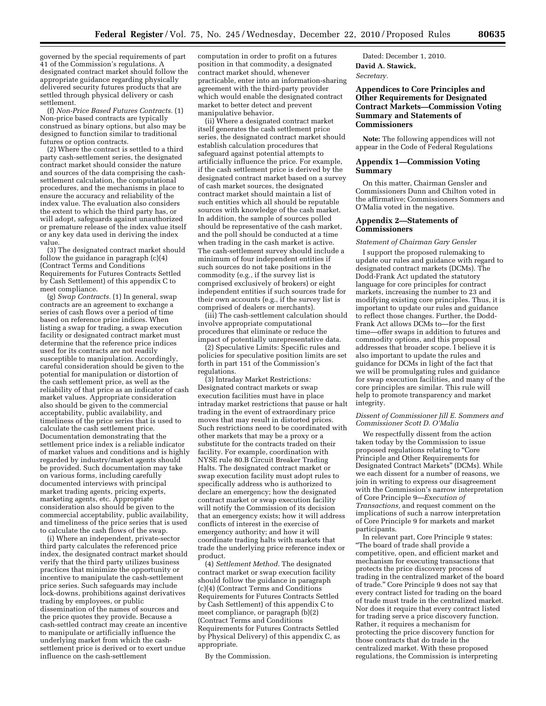governed by the special requirements of part 41 of the Commission's regulations. A designated contract market should follow the appropriate guidance regarding physically delivered security futures products that are settled through physical delivery or cash settlement.

(f) *Non-Price Based Futures Contracts.* (1) Non-price based contracts are typically construed as binary options, but also may be designed to function similar to traditional futures or option contracts.

(2) Where the contract is settled to a third party cash-settlement series, the designated contract market should consider the nature and sources of the data comprising the cashsettlement calculation, the computational procedures, and the mechanisms in place to ensure the accuracy and reliability of the index value. The evaluation also considers the extent to which the third party has, or will adopt, safeguards against unauthorized or premature release of the index value itself or any key data used in deriving the index value.

(3) The designated contract market should follow the guidance in paragraph (c)(4) (Contract Terms and Conditions Requirements for Futures Contracts Settled by Cash Settlement) of this appendix C to meet compliance.

(g) *Swap Contracts.* (1) In general, swap contracts are an agreement to exchange a series of cash flows over a period of time based on reference price indices. When listing a swap for trading, a swap execution facility or designated contract market must determine that the reference price indices used for its contracts are not readily susceptible to manipulation. Accordingly, careful consideration should be given to the potential for manipulation or distortion of the cash settlement price, as well as the reliability of that price as an indicator of cash market values. Appropriate consideration also should be given to the commercial acceptability, public availability, and timeliness of the price series that is used to calculate the cash settlement price. Documentation demonstrating that the settlement price index is a reliable indicator of market values and conditions and is highly regarded by industry/market agents should be provided. Such documentation may take on various forms, including carefully documented interviews with principal market trading agents, pricing experts, marketing agents, etc. Appropriate consideration also should be given to the commercial acceptability, public availability, and timeliness of the price series that is used to calculate the cash flows of the swap.

(i) Where an independent, private-sector third party calculates the referenced price index, the designated contract market should verify that the third party utilizes business practices that minimize the opportunity or incentive to manipulate the cash-settlement price series. Such safeguards may include lock-downs, prohibitions against derivatives trading by employees, or public dissemination of the names of sources and the price quotes they provide. Because a cash-settled contract may create an incentive to manipulate or artificially influence the underlying market from which the cashsettlement price is derived or to exert undue influence on the cash-settlement

computation in order to profit on a futures position in that commodity, a designated contract market should, whenever practicable, enter into an information-sharing agreement with the third-party provider which would enable the designated contract market to better detect and prevent manipulative behavior.

(ii) Where a designated contract market itself generates the cash settlement price series, the designated contract market should establish calculation procedures that safeguard against potential attempts to artificially influence the price. For example, if the cash settlement price is derived by the designated contract market based on a survey of cash market sources, the designated contract market should maintain a list of such entities which all should be reputable sources with knowledge of the cash market. In addition, the sample of sources polled should be representative of the cash market, and the poll should be conducted at a time when trading in the cash market is active. The cash-settlement survey should include a minimum of four independent entities if such sources do not take positions in the commodity (e.g., if the survey list is comprised exclusively of brokers) or eight independent entities if such sources trade for their own accounts (e.g., if the survey list is comprised of dealers or merchants).

(iii) The cash-settlement calculation should involve appropriate computational procedures that eliminate or reduce the impact of potentially unrepresentative data.

(2) Speculative Limits: Specific rules and policies for speculative position limits are set forth in part 151 of the Commission's regulations.

(3) Intraday Market Restrictions*:*  Designated contract markets or swap execution facilities must have in place intraday market restrictions that pause or halt trading in the event of extraordinary price moves that may result in distorted prices. Such restrictions need to be coordinated with other markets that may be a proxy or a substitute for the contracts traded on their facility. For example, coordination with NYSE rule 80.B Circuit Breaker Trading Halts. The designated contract market or swap execution facility must adopt rules to specifically address who is authorized to declare an emergency; how the designated contract market or swap execution facility will notify the Commission of its decision that an emergency exists; how it will address conflicts of interest in the exercise of emergency authority; and how it will coordinate trading halts with markets that trade the underlying price reference index or product.

(4) *Settlement Method.* The designated contract market or swap execution facility should follow the guidance in paragraph (c)(4) (Contract Terms and Conditions Requirements for Futures Contracts Settled by Cash Settlement) of this appendix C to meet compliance, or paragraph (b)(2) (Contract Terms and Conditions Requirements for Futures Contracts Settled by Physical Delivery) of this appendix C, as appropriate.

By the Commission.

Dated: December 1, 2010. **David A. Stawick,**  *Secretary.* 

## **Appendices to Core Principles and Other Requirements for Designated Contract Markets—Commission Voting Summary and Statements of Commissioners**

**Note:** The following appendices will not appear in the Code of Federal Regulations

## **Appendix 1—Commission Voting Summary**

On this matter, Chairman Gensler and Commissioners Dunn and Chilton voted in the affirmative; Commissioners Sommers and O'Malia voted in the negative.

## **Appendix 2—Statements of Commissioners**

#### *Statement of Chairman Gary Gensler*

I support the proposed rulemaking to update our rules and guidance with regard to designated contract markets (DCMs). The Dodd-Frank Act updated the statutory language for core principles for contract markets, increasing the number to 23 and modifying existing core principles. Thus, it is important to update our rules and guidance to reflect those changes. Further, the Dodd-Frank Act allows DCMs to—for the first time—offer swaps in addition to futures and commodity options, and this proposal addresses that broader scope. I believe it is also important to update the rules and guidance for DCMs in light of the fact that we will be promulgating rules and guidance for swap execution facilities, and many of the core principles are similar. This rule will help to promote transparency and market integrity.

#### *Dissent of Commissioner Jill E. Sommers and Commissioner Scott D. O'Malia*

We respectfully dissent from the action taken today by the Commission to issue proposed regulations relating to ''Core Principle and Other Requirements for Designated Contract Markets'' (DCMs). While we each dissent for a number of reasons, we join in writing to express our disagreement with the Commission's narrow interpretation of Core Principle 9—*Execution of Transactions,* and request comment on the implications of such a narrow interpretation of Core Principle 9 for markets and market participants.

In relevant part, Core Principle 9 states: ''The board of trade shall provide a competitive, open, and efficient market and mechanism for executing transactions that protects the price discovery process of trading in the centralized market of the board of trade.'' Core Principle 9 does not say that every contract listed for trading on the board of trade must trade in the centralized market. Nor does it require that every contract listed for trading serve a price discovery function. Rather, it requires a mechanism for protecting the price discovery function for those contracts that do trade in the centralized market. With these proposed regulations, the Commission is interpreting